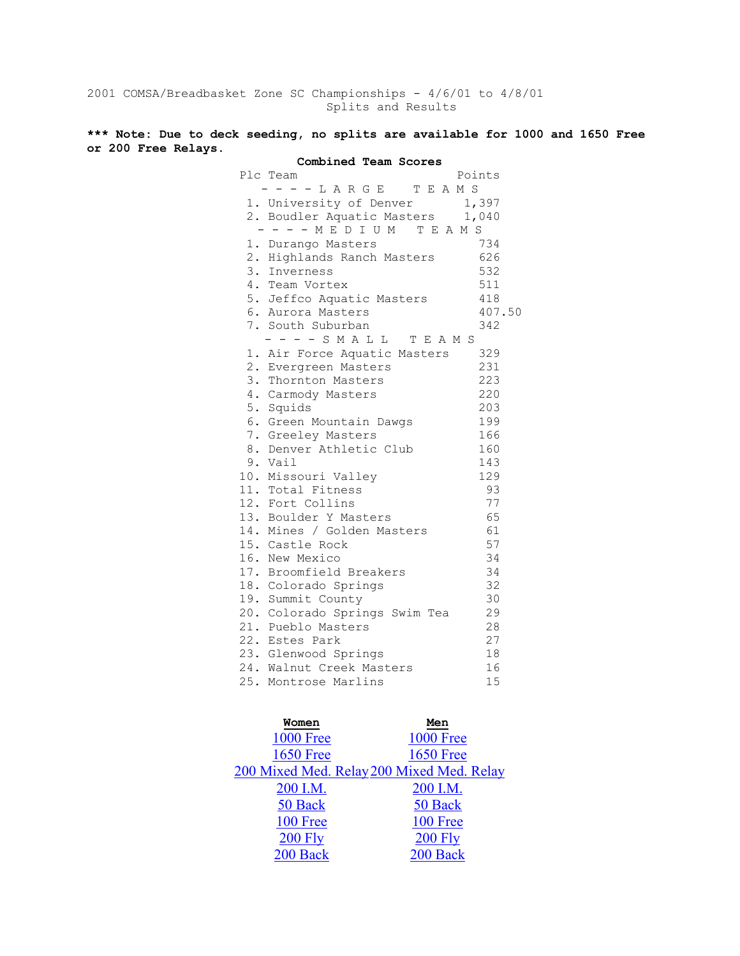2001 COMSA/Breadbasket Zone SC Championships - 4/6/01 to 4/8/01 Splits and Results

**\*\*\* Note: Due to deck seeding, no splits are available for 1000 and 1650 Free or 200 Free Relays.**

| Combined Team Scores             |        |
|----------------------------------|--------|
| Plc Team                         | Points |
| ----LARGE TEAMS                  |        |
| 1. University of Denver 1,397    |        |
| 2. Boudler Aquatic Masters 1,040 |        |
| ---- MEDIUM TEAMS                |        |
| 1. Durango Masters               | 734    |
| 2. Highlands Ranch Masters       | 626    |
| 3. Inverness                     | 532    |
| 4. Team Vortex                   | 511    |
| 5. Jeffco Aquatic Masters        | 418    |
| 6. Aurora Masters                | 407.50 |
| 7. South Suburban                | 342    |
| - - - - S M A L L T E A M S      |        |
| 1. Air Force Aquatic Masters     | 329    |
| 2. Evergreen Masters             | 231    |
| 3. Thornton Masters              | 223    |
| 4. Carmody Masters               | 220    |
| 5. Squids                        | 203    |
| 6. Green Mountain Dawgs          | 199    |
| 7. Greeley Masters               | 166    |
| 8. Denver Athletic Club          | 160    |
| 9. Vail                          | 143    |
| 10. Missouri Valley              | 129    |
| 11. Total Fitness                | 93     |
| 12. Fort Collins                 | 77     |
| 13. Boulder Y Masters            | 65     |
| 14. Mines / Golden Masters       | 61     |
| 15. Castle Rock                  | 57     |
| 16. New Mexico                   | 34     |
| 17. Broomfield Breakers          | 34     |
| 18. Colorado Springs             | 32     |
| 19. Summit County                | 30     |
| 20. Colorado Springs Swim Tea    | 29     |
| 21. Pueblo Masters               | 28     |
| 22. Estes Park                   | 27     |
| 23. Glenwood Springs             | 18     |
| 24. Walnut Creek Masters         | 16     |
| 25. Montrose Marlins             | 15     |

| Women            | Men                                       |
|------------------|-------------------------------------------|
| <b>1000 Free</b> | <b>1000 Free</b>                          |
| <b>1650 Free</b> | <b>1650 Free</b>                          |
|                  | 200 Mixed Med. Relay 200 Mixed Med. Relay |
| 200 I.M.         | 200 I.M.                                  |
| 50 Back          | 50 Back                                   |
| 100 Free         | 100 Free                                  |
| $200$ Fly        | <b>200 Fly</b>                            |
| 200 Back         | 200 Back                                  |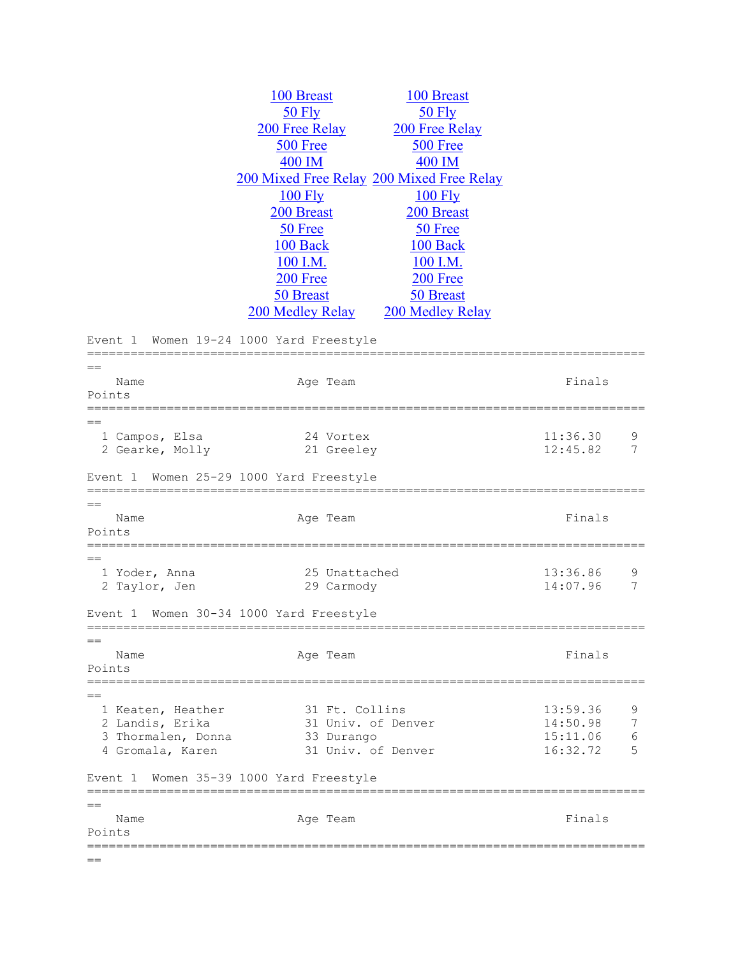|                                         |                                  | 100 Breast                                                                                                                                                                                                                                                                                                |                                                                                                                                                                                                     |                                 |
|-----------------------------------------|----------------------------------|-----------------------------------------------------------------------------------------------------------------------------------------------------------------------------------------------------------------------------------------------------------------------------------------------------------|-----------------------------------------------------------------------------------------------------------------------------------------------------------------------------------------------------|---------------------------------|
| <b>50 Fly</b>                           |                                  | 50 Fly                                                                                                                                                                                                                                                                                                    |                                                                                                                                                                                                     |                                 |
|                                         |                                  |                                                                                                                                                                                                                                                                                                           |                                                                                                                                                                                                     |                                 |
|                                         |                                  |                                                                                                                                                                                                                                                                                                           |                                                                                                                                                                                                     |                                 |
|                                         |                                  |                                                                                                                                                                                                                                                                                                           |                                                                                                                                                                                                     |                                 |
|                                         |                                  |                                                                                                                                                                                                                                                                                                           |                                                                                                                                                                                                     |                                 |
|                                         |                                  |                                                                                                                                                                                                                                                                                                           |                                                                                                                                                                                                     |                                 |
|                                         |                                  |                                                                                                                                                                                                                                                                                                           |                                                                                                                                                                                                     |                                 |
|                                         |                                  |                                                                                                                                                                                                                                                                                                           |                                                                                                                                                                                                     |                                 |
|                                         |                                  |                                                                                                                                                                                                                                                                                                           |                                                                                                                                                                                                     |                                 |
|                                         |                                  |                                                                                                                                                                                                                                                                                                           |                                                                                                                                                                                                     |                                 |
|                                         |                                  |                                                                                                                                                                                                                                                                                                           |                                                                                                                                                                                                     |                                 |
|                                         |                                  |                                                                                                                                                                                                                                                                                                           |                                                                                                                                                                                                     |                                 |
|                                         |                                  |                                                                                                                                                                                                                                                                                                           |                                                                                                                                                                                                     |                                 |
|                                         |                                  |                                                                                                                                                                                                                                                                                                           |                                                                                                                                                                                                     |                                 |
|                                         |                                  |                                                                                                                                                                                                                                                                                                           |                                                                                                                                                                                                     |                                 |
|                                         |                                  |                                                                                                                                                                                                                                                                                                           |                                                                                                                                                                                                     |                                 |
|                                         |                                  |                                                                                                                                                                                                                                                                                                           |                                                                                                                                                                                                     |                                 |
|                                         |                                  |                                                                                                                                                                                                                                                                                                           |                                                                                                                                                                                                     |                                 |
|                                         |                                  |                                                                                                                                                                                                                                                                                                           |                                                                                                                                                                                                     |                                 |
|                                         |                                  |                                                                                                                                                                                                                                                                                                           | 11:36.30                                                                                                                                                                                            | 9                               |
|                                         |                                  |                                                                                                                                                                                                                                                                                                           | 12:45.82                                                                                                                                                                                            | 7                               |
|                                         |                                  |                                                                                                                                                                                                                                                                                                           | Finals                                                                                                                                                                                              |                                 |
|                                         |                                  |                                                                                                                                                                                                                                                                                                           |                                                                                                                                                                                                     |                                 |
|                                         |                                  |                                                                                                                                                                                                                                                                                                           |                                                                                                                                                                                                     |                                 |
|                                         |                                  |                                                                                                                                                                                                                                                                                                           |                                                                                                                                                                                                     |                                 |
|                                         | 25 Unattached                    |                                                                                                                                                                                                                                                                                                           | 13:36.86                                                                                                                                                                                            | 9                               |
|                                         | 29 Carmody                       |                                                                                                                                                                                                                                                                                                           | 14:07.96                                                                                                                                                                                            | 7                               |
| Event 1 Women 30-34 1000 Yard Freestyle |                                  |                                                                                                                                                                                                                                                                                                           |                                                                                                                                                                                                     |                                 |
|                                         |                                  |                                                                                                                                                                                                                                                                                                           |                                                                                                                                                                                                     |                                 |
|                                         | Age Team                         |                                                                                                                                                                                                                                                                                                           | Finals                                                                                                                                                                                              |                                 |
|                                         |                                  |                                                                                                                                                                                                                                                                                                           |                                                                                                                                                                                                     |                                 |
|                                         |                                  |                                                                                                                                                                                                                                                                                                           |                                                                                                                                                                                                     |                                 |
|                                         | 31 Ft. Collins                   |                                                                                                                                                                                                                                                                                                           | 13:59.36                                                                                                                                                                                            | 9                               |
|                                         | 31 Univ. of Denver               |                                                                                                                                                                                                                                                                                                           | 14:50.98                                                                                                                                                                                            |                                 |
| 3 Thormalen, Donna                      | 33 Durango<br>31 Univ. of Denver |                                                                                                                                                                                                                                                                                                           | 15:11.06<br>16:32.72                                                                                                                                                                                | 6<br>5                          |
|                                         |                                  |                                                                                                                                                                                                                                                                                                           |                                                                                                                                                                                                     |                                 |
| Women 35-39 1000 Yard Freestyle         |                                  | -------------------------                                                                                                                                                                                                                                                                                 |                                                                                                                                                                                                     |                                 |
|                                         | Age Team                         |                                                                                                                                                                                                                                                                                                           | Finals                                                                                                                                                                                              |                                 |
|                                         |                                  | 100 Breast<br>200 Free Relay<br><b>500 Free</b><br>400 IM<br><b>100 Fly</b><br>200 Breast<br>50 Free<br>100 Back<br>100 I.M.<br><b>200 Free</b><br>50 Breast<br>200 Medley Relay<br>Women 19-24 1000 Yard Freestyle<br>Age Team<br>24 Vortex<br>21 Greeley<br>Women 25-29 1000 Yard Freestyle<br>Age Team | 200 Free Relay<br>500 Free<br>400 IM<br>200 Mixed Free Relay 200 Mixed Free Relay<br><b>100 Fly</b><br>200 Breast<br>50 Free<br>100 Back<br>100 I.M.<br>$200$ Free<br>50 Breast<br>200 Medley Relay | =====================<br>Finals |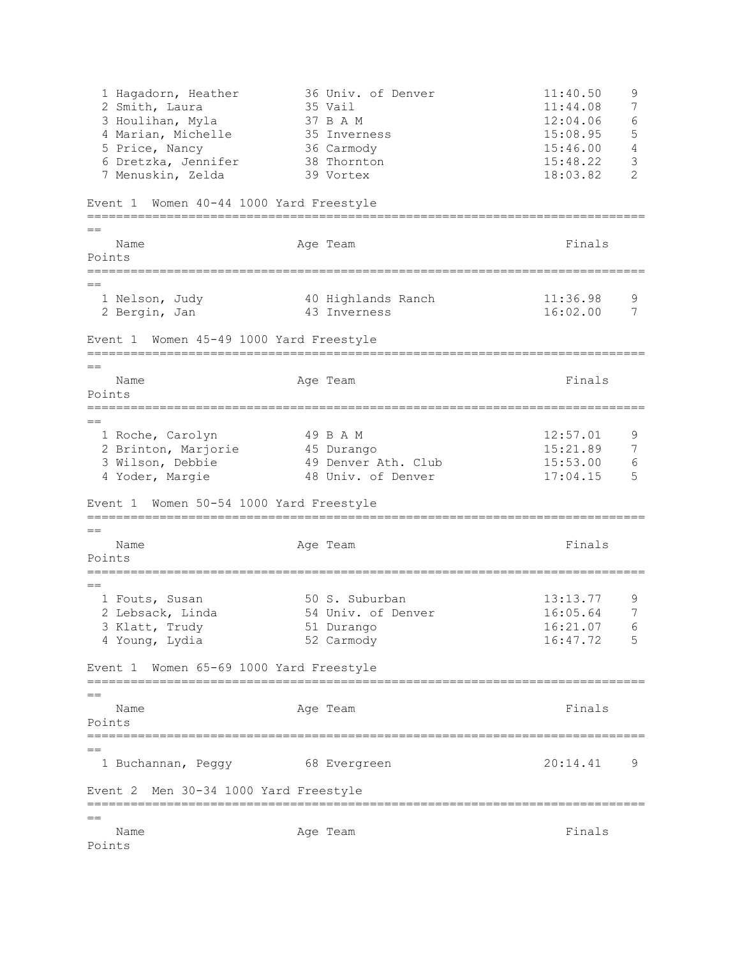1 Hagadorn, Heather 36 Univ. of Denver 11:40.50 9 2 Smith, Laura 35 Vail 11:44.08 7 3 Houlihan, Myla 37 B A M 12:04.06 6 4 Marian, Michelle 35 Inverness 15:08.95 5 5 Price, Nancy 36 Carmody 15:46.00 4 6 Dretzka, Jennifer 38 Thornton 15:48.22 3 7 Menuskin, Zelda 39 Vortex 18:03.82 2 Event 1 Women 40-44 1000 Yard Freestyle ============================================================================= == Name **Age Team** Age Team **Finals** Points =============================================================================  $=$  1 Nelson, Judy 40 Highlands Ranch 11:36.98 9 2 Bergin, Jan 43 Inverness 16:02.00 7 Event 1 Women 45-49 1000 Yard Freestyle ============================================================================= == Name **Age Team** Age Team **Finals** Points ============================================================================= == 1 Roche, Carolyn 49 B A M 12:57.01 9 2 Brinton, Marjorie 45 Durango 15:21.89 7 3 Wilson, Debbie 49 Denver Ath. Club 15:53.00 6 4 Yoder, Margie 48 Univ. of Denver 17:04.15 5 Event 1 Women 50-54 1000 Yard Freestyle =============================================================================  $=$ Name **Age Team** Age Team Finals Points =============================================================================  $=$ 1 Fouts, Susan 50 S. Suburban 13:13.77 9<br>
2 Lebsack, Linda 54 Univ. of Denver 16:05.64 7<br>
3 Klatt Tweet 51 Dimense 16:01.07 6 2 Lebsack, Linda 54 Univ. of Denver 16:05.64 7 3 Klatt, Trudy 51 Durango 4 Young, Lydia 52 Carmody 16:47.72 5 Event 1 Women 65-69 1000 Yard Freestyle ============================================================================= == Name **Age Team** Age Team Finals Points ============================================================================= == 1 Buchannan, Peggy 68 Evergreen 20:14.41 9 Event 2 Men 30-34 1000 Yard Freestyle =============================================================================  $=$ Name **Age Team** Age Team **Finals** Points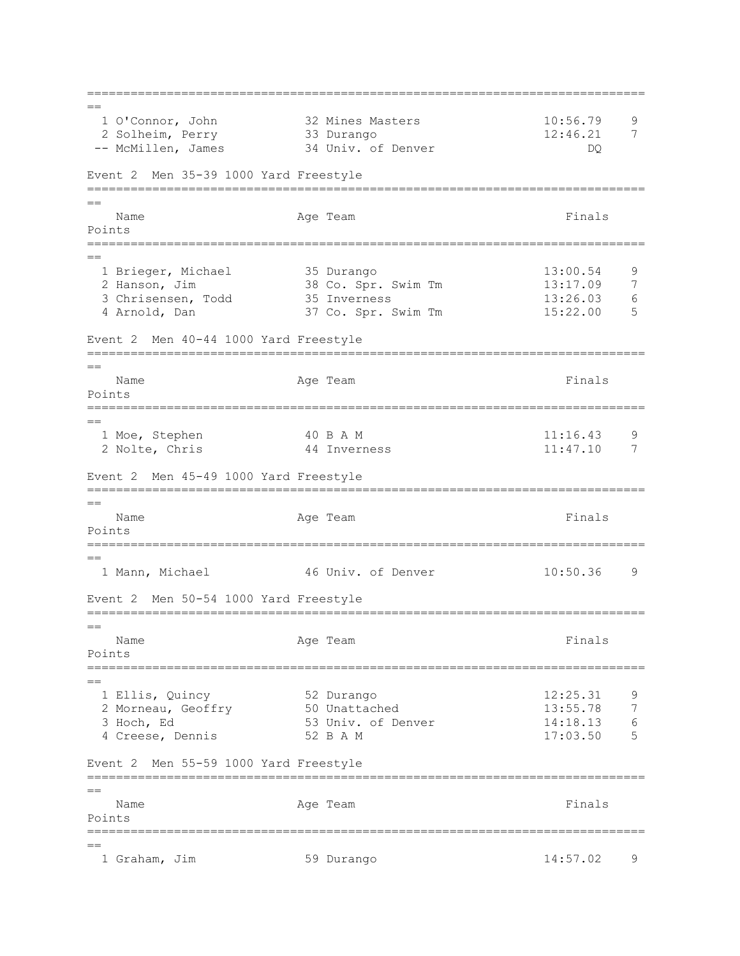============================================================================= ==<br>1 0'Connor, John 32 Mines Masters 10:56.79 9 2 Solheim, Perry 33 Durango 12:46.21 7 -- McMillen, James 34 Univ. of Denver DQ Event 2 Men 35-39 1000 Yard Freestyle =============================================================================  $=$ Name **Age Team** Age Team Finals Points =============================================================================  $=$ 1 Brieger, Michael 35 Durango 13:00.54 9<br>2 Hanson, Jim 38 Co. Spr. Swim Tm 13:17.09 7 2 Hanson, Jim 38 Co. Spr. Swim Tm 13:17.09 7<br>3 Chrisensen, Todd 35 Inverness 13:26.03 6 3 Chrisensen, Todd 35 Inverness 13:26.03 6 4 Arnold, Dan 37 Co. Spr. Swim Tm 15:22.00 5 Event 2 Men 40-44 1000 Yard Freestyle ============================================================================= == Name **Age Team** Age Team **Finals** Points ============================================================================= == 1 Moe, Stephen 40 B A M 11:16.43 9 2 Nolte, Chris 44 Inverness 11:47.10 7 Event 2 Men 45-49 1000 Yard Freestyle =============================================================================  $-$ Name **Age Team** Age Team Finals Points ============================================================================= == 1 Mann, Michael 46 Univ. of Denver 10:50.36 9 Event 2 Men 50-54 1000 Yard Freestyle =============================================================================  $-$ Name **Age Team** Age Team **Finals** Points ============================================================================= == 1 Ellis, Quincy 52 Durango 12:25.31 9 2 Morneau, Geoffry 50 Unattached 13:55.78 7 3 Hoch, Ed 53 Univ. of Denver 14:18.13 6 4 Creese, Dennis 52 B A M 17:03.50 5 Event 2 Men 55-59 1000 Yard Freestyle =============================================================================  $=$ Name **Age Team** Age Team Finals Points ============================================================================= == 1 Graham, Jim 59 Durango 14:57.02 9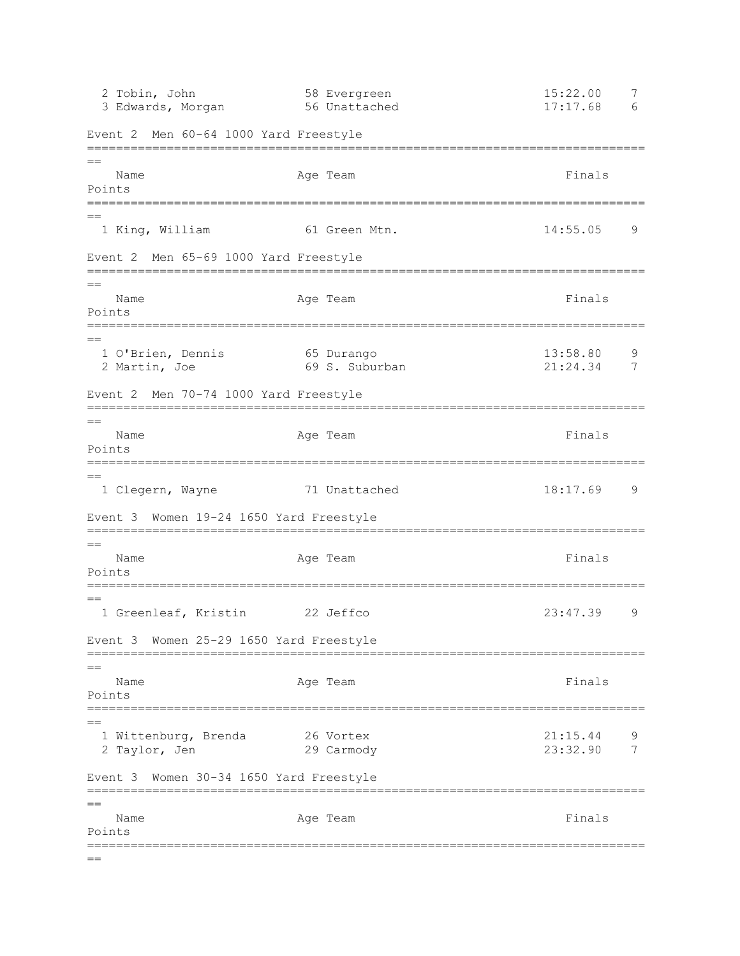2 Tobin, John 58 Evergreen 15:22.00 7 3 Edwards, Morgan 56 Unattached 17:17.68 6 Event 2 Men 60-64 1000 Yard Freestyle =============================================================================  $=$ Name Age Team Age Team Finals Points ============================================================================= == 1 King, William 61 Green Mtn. 14:55.05 9 Event 2 Men 65-69 1000 Yard Freestyle =============================================================================  $=$ Name Ream Age Team Readers and Finals Points =============================================================================  $=$  1 O'Brien, Dennis 65 Durango 13:58.80 9 2 Martin, Joe 69 S. Suburban 21:24.34 7 Event 2 Men 70-74 1000 Yard Freestyle ============================================================================= == Name **Age Team** Age Team **Finals** Points ============================================================================= == 1 Clegern, Wayne 71 Unattached 18:17.69 9 Event 3 Women 19-24 1650 Yard Freestyle =============================================================================  $=$ Name Age Team Age Team Finals Points ============================================================================= == 1 Greenleaf, Kristin 22 Jeffco 23:47.39 9 Event 3 Women 25-29 1650 Yard Freestyle =============================================================================  $=$ Name **Age Team** Age Team **Finals** Points =============================================================================  $=$  1 Wittenburg, Brenda 26 Vortex 21:15.44 9 2 Taylor, Jen 29 Carmody 23:32.90 7 Event 3 Women 30-34 1650 Yard Freestyle ============================================================================= == Name **Age Team** Age Team **Finals** Points =============================================================================  $=$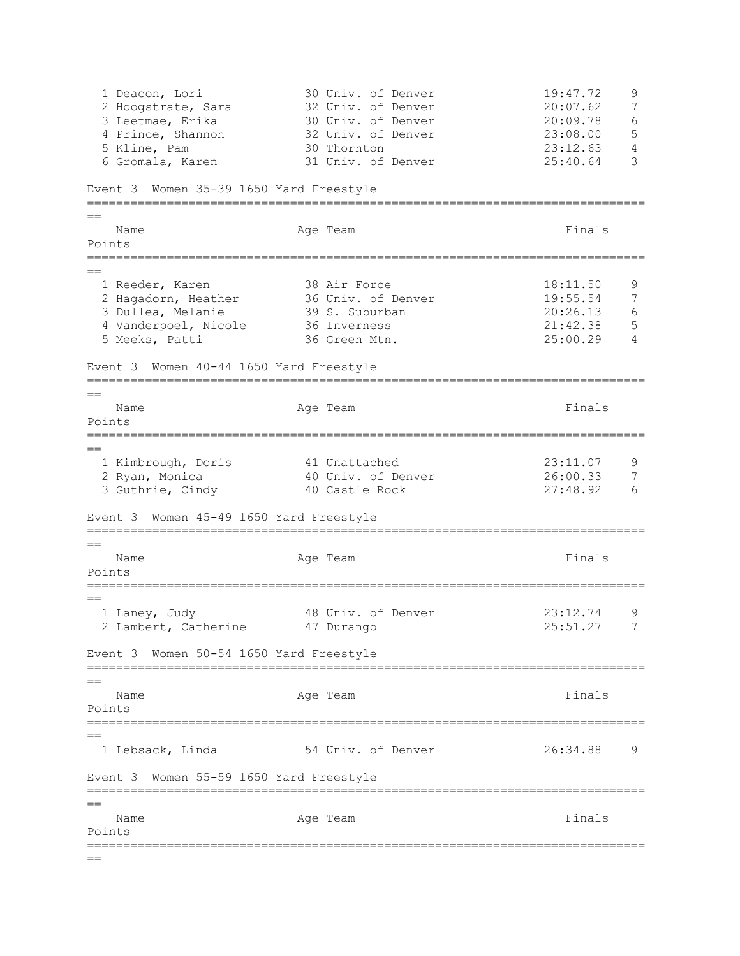1 Deacon, Lori 30 Univ. of Denver 19:47.72 9<br>2 Hoogstrate, Sara 32 Univ. of Denver 20:07.62 7 20 July. Of Denver 20:07.62<br>32 Univ. of Denver 20:07.62<br>30 Univ. of Denver 20:09.78 3 Leetmae, Erika 30 Univ. of Denver 20:09.78 6 4 Prince, Shannon 32 Univ. of Denver 23:08.00 5 5 Kline, Pam 30 Thornton 23:12.63 4 6 Gromala, Karen 31 Univ. of Denver 25:40.64 3 Event 3 Women 35-39 1650 Yard Freestyle =============================================================================  $=$ Name **Age Team** Age Team **Finals** Points ============================================================================= == 1 Reeder, Karen 38 Air Force 18:11.50 9 2 Hagadorn, Heather 36 Univ. of Denver 19:55.54 7 3 Dullea, Melanie 39 S. Suburban 20:26.13 6 4 Vanderpoel, Nicole 36 Inverness 21:42.38 5 5 Meeks, Patti 36 Green Mtn. 25:00.29 4 Event 3 Women 40-44 1650 Yard Freestyle =============================================================================  $-$ Name **Age Team** Age Team **Finals** Points ============================================================================= == 1 Kimbrough, Doris 41 Unattached 23:11.07 9 2 Ryan, Monica 40 Univ. of Denver 26:00.33 7 3 Guthrie, Cindy 40 Castle Rock 27:48.92 6 Event 3 Women 45-49 1650 Yard Freestyle =============================================================================  $=$ Name **Age Team** Age Team Finals Points ============================================================================= == 1 Laney, Judy 18 Univ. of Denver 23:12.74 9 2 Lambert, Catherine 47 Durango 25:51.27 7 Event 3 Women 50-54 1650 Yard Freestyle =============================================================================  $=$ Name **Age Team** Age Team **Finals** Points ============================================================================= == 1 Lebsack, Linda 54 Univ. of Denver 26:34.88 9 Event 3 Women 55-59 1650 Yard Freestyle ============================================================================= == Name **Age Team** Age Team **Finals** Points =============================================================================  $=$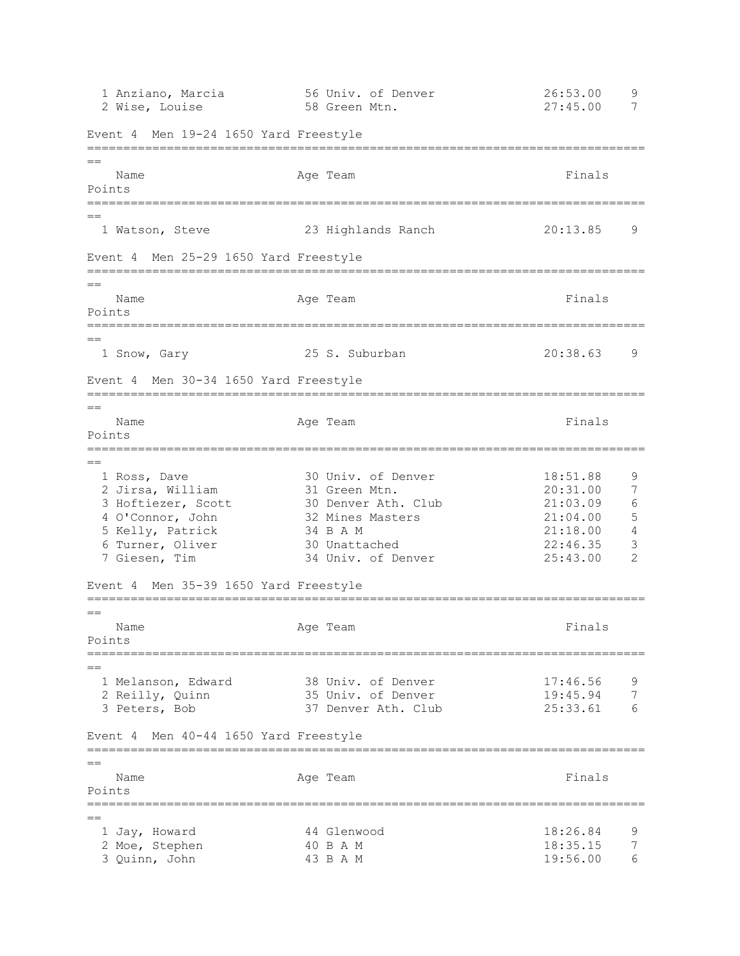1 Anziano, Marcia 56 Univ. of Denver 26:53.00 9 2 Wise, Louise 58 Green Mtn. 27:45.00 7 Event 4 Men 19-24 1650 Yard Freestyle =============================================================================  $=$ Name **Age Team** Age Team Finals Points ============================================================================= == 1 Watson, Steve 23 Highlands Ranch 20:13.85 9 Event 4 Men 25-29 1650 Yard Freestyle =============================================================================  $=$ Name Readers Age Team Age Team Rinals Points =============================================================================  $=$  1 Snow, Gary 25 S. Suburban 20:38.63 9 Event 4 Men 30-34 1650 Yard Freestyle ============================================================================= == Name **Age Team Age Team Finals** Points ============================================================================= == 1 Ross, Dave 30 Univ. of Denver 18:51.88 9 2 Jirsa, William 31 Green Mtn. 20:31.00 7 3 Hoftiezer, Scott 30 Denver Ath. Club 21:03.09 6 4 O'Connor, John 32 Mines Masters 21:04.00 5 5 Kelly, Patrick 34 B A M 21:18.00 4 6 Turner, Oliver 30 Unattached 22:46.35 3 7 Giesen, Tim 34 Univ. of Denver 25:43.00 2 Event 4 Men 35-39 1650 Yard Freestyle =============================================================================  $=$ Name **Age Team Age Team Finals** Points ============================================================================= == 1 Melanson, Edward 38 Univ. of Denver 17:46.56 9 2 Reilly, Quinn 35 Univ. of Denver 19:45.94 7 3 Peters, Bob 37 Denver Ath. Club 25:33.61 6 Event 4 Men 40-44 1650 Yard Freestyle =============================================================================  $-$ Name **Age Team** Age Team Finals Points =============================================================================  $=$  1 Jay, Howard 44 Glenwood 18:26.84 9 2 Moe, Stephen 40 B A M 18:35.15 7 3 Quinn, John 43 B A M 19:56.00 6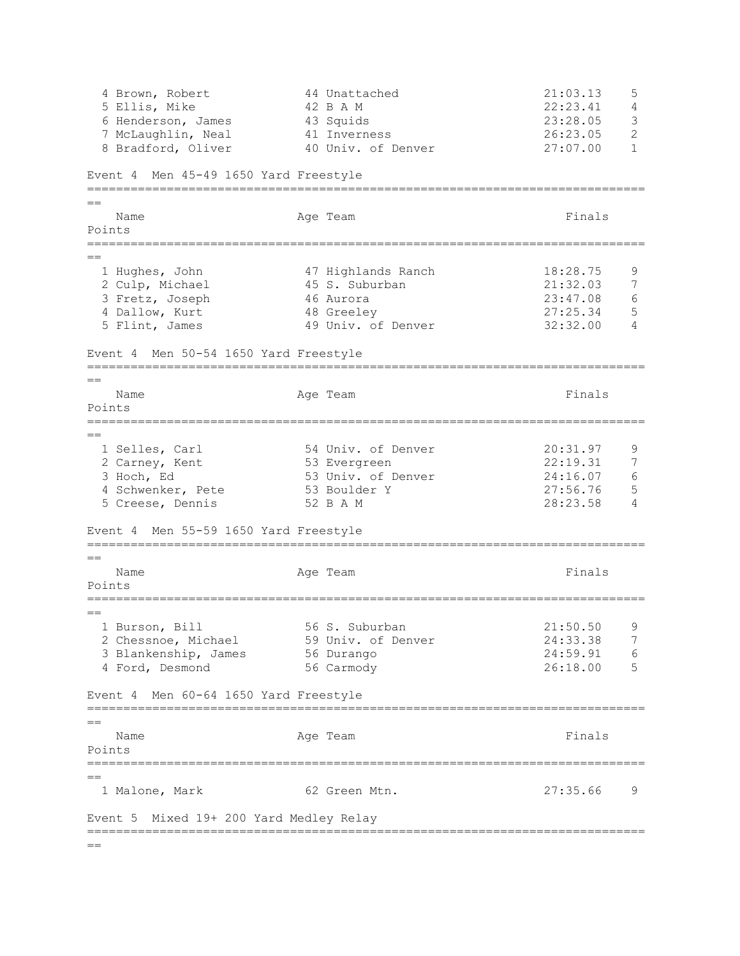4 Brown, Robert 44 Unattached 21:03.13 5 5 Ellis, Mike 42 B A M 22:23.41 4 6 Henderson, James 43 Squids 23:28.05 3 7 McLaughlin, Neal 41 Inverness 26:23.05 2 8 Braderson, James and Squids<br>
8 Bradford, Oliver 10 Univ. of Denver 27:07.00 1 Event 4 Men 45-49 1650 Yard Freestyle =============================================================================  $=$ Name **Age Team** Age Team Finals Points =============================================================================  $=$  1 Hughes, John 47 Highlands Ranch 18:28.75 9 2 Culp, Michael 45 S. Suburban 21:32.03 7 3 Fretz, Joseph 46 Aurora 23:47.08 6 4 Dallow, Kurt 48 Greeley 27:25.34 5 5 Flint, James 49 Univ. of Denver 32:32.00 4 Event 4 Men 50-54 1650 Yard Freestyle =============================================================================  $=$ Name **Age Team Age Team Age Team Pinals** Points =============================================================================  $=$  1 Selles, Carl 54 Univ. of Denver 20:31.97 9 2 Carney, Kent 53 Evergreen 22:19.31 7 3 Hoch, Ed 53 Univ. of Denver 24:16.07 6<br>4 Schwenker, Pete 53 Boulder Y 27:56.76 5<br>27:56.76 5 4 Schwenker, Pete 53 Boulder Y 127:56.76 5 5 Creese, Dennis 52 B A M 28:23.58 4 Event 4 Men 55-59 1650 Yard Freestyle =============================================================================  $=$ Name **Age Team Age Team Finals** Points =============================================================================  $=$  1 Burson, Bill 56 S. Suburban 21:50.50 9 2 Chessnoe, Michael 59 Univ. of Denver 24:33.38 7 3 Blankenship, James 56 Durango 24:59.91 6 4 Ford, Desmond 56 Carmody 26:18.00 5 Event 4 Men 60-64 1650 Yard Freestyle =============================================================================  $=$ Name **Age Team** Age Team Finals Points ============================================================================= == 1 Malone, Mark 62 Green Mtn. 27:35.66 9 Event 5 Mixed 19+ 200 Yard Medley Relay =============================================================================

 $=$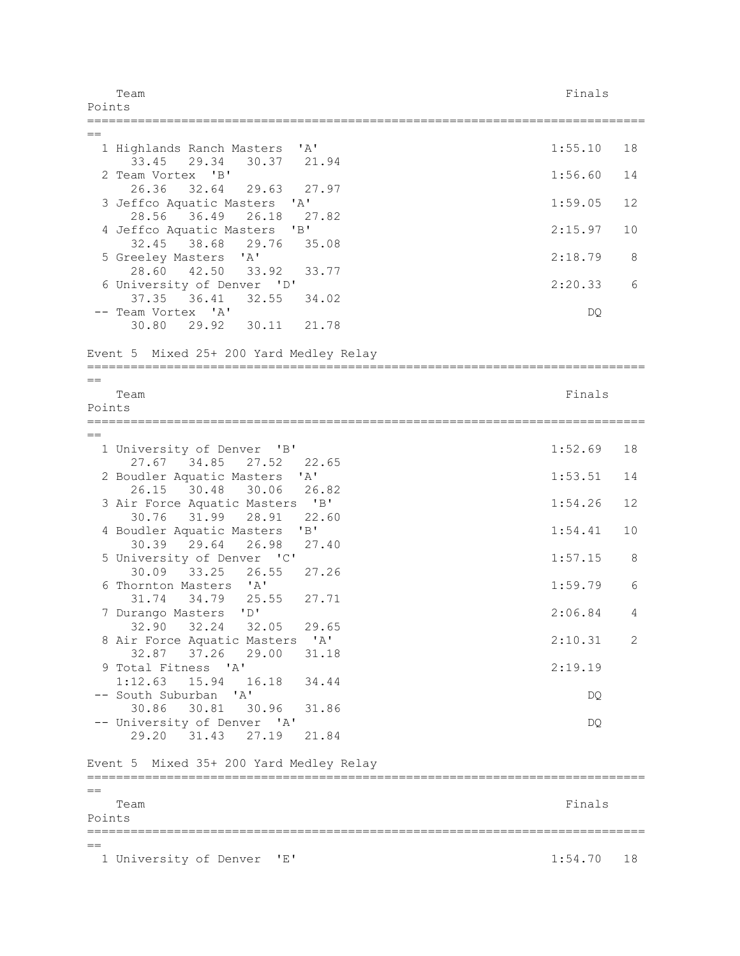Team Finals and the contract of the contract of the contract of the contract of the contract of the contract of the contract of the contract of the contract of the contract of the contract of the contract of the contract o Points ============================================================================= == 1 Highlands Ranch Masters 'A' 1:55.10 18 33.45 29.34 30.37 21.94 2 Team Vortex 'B' 1:56.60 14 26.36 32.64 29.63 27.97 3 Jeffco Aquatic Masters 'A' 1:59.05 12 28.56 36.49 26.18 27.82 4 Jeffco Aquatic Masters 'B' 2:15.97 10 32.45 38.68 29.76 35.08 5 Greeley Masters 'A' 2:18.79 8 28.60 42.50 33.92 33.77 6 University of Denver 'D' 2:20.33 6 37.35 36.41 32.55 34.02 -- Team Vortex 'A' DQ 30.80 29.92 30.11 21.78 Event 5 Mixed 25+ 200 Yard Medley Relay =============================================================================  $=$ Team Finals and the contract of the contract of the contract of the contract of the contract of the contract of the contract of the contract of the contract of the contract of the contract of the contract of the contract o Points =============================================================================  $=$ 1 University of Denver 'B' 1:52.69 18 27.67 34.85 27.52 22.65 2 Boudler Aquatic Masters 'A' 1:53.51 14 26.15 30.48 30.06 26.82 3 Air Force Aquatic Masters 'B' 1:54.26 12 30.76 31.99 28.91 22.60 4 Boudler Aquatic Masters 'B' 1:54.41 10 30.39 29.64 26.98 27.40 5 University of Denver 'C' 1:57.15 8 30.09 33.25 26.55 27.26 6 Thornton Masters 'A' 1:59.79 6 31.74 34.79 25.55 27.71 7 Durango Masters 'D' 2:06.84 4 32.90 32.24 32.05 29.65 8 Air Force Aquatic Masters 'A' 2:10.31 2 32.87 37.26 29.00 31.18 9 Total Fitness 'A' 2:19.19 1:12.63 15.94 16.18 34.44 -- South Suburban 'A' DQ 30.86 30.81 30.96 31.86 -- University of Denver 'A' DO 29.20 31.43 27.19 21.84 Event 5 Mixed 35+ 200 Yard Medley Relay =============================================================================  $=$ Team Finals and the contract of the contract of the contract of the contract of the contract of the contract of the contract of the contract of the contract of the contract of the contract of the contract of the contract o Points ============================================================================= == 1 University of Denver 'E' 1:54.70 18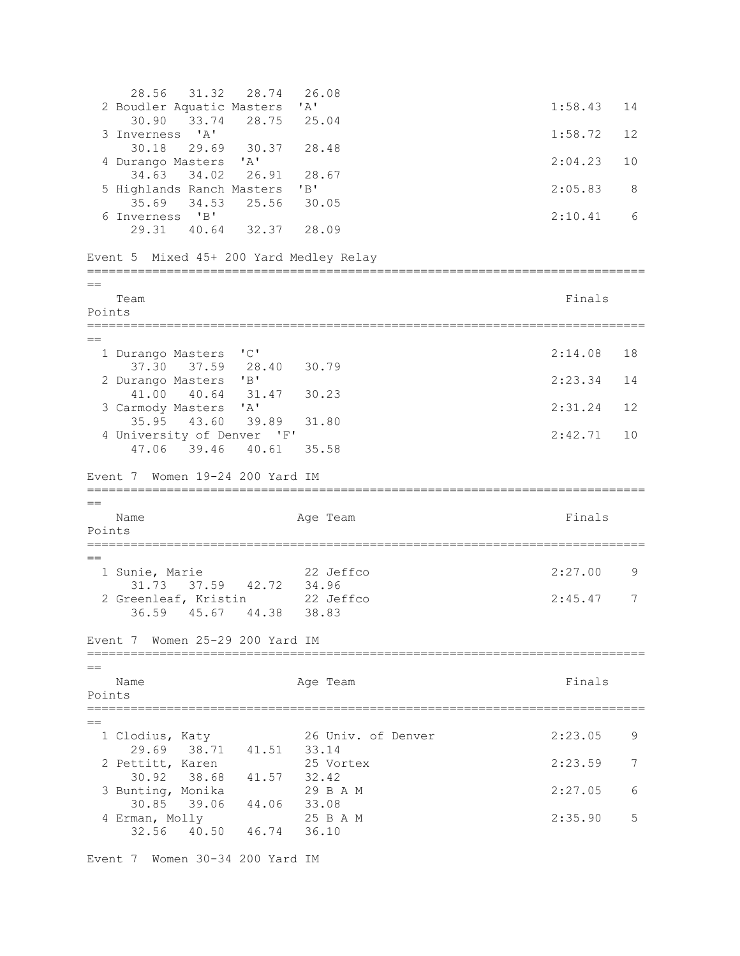28.56 31.32 28.74 26.08 2 Boudler Aquatic Masters 'A' 1:58.43 14 30.90 33.74 28.75 25.04 3 Inverness 'A' 1:58.72 12 30.18 29.69 30.37 28.48 4 Durango Masters 'A' 2:04.23 10 34.63 34.02 26.91 28.67 5 Highlands Ranch Masters 'B' 2:05.83 8 35.69 34.53 25.56 30.05 6 Inverness 'B' 2:10.41 6 29.31 40.64 32.37 28.09 Event 5 Mixed 45+ 200 Yard Medley Relay =============================================================================  $=$ Team Finals and the contract of the contract of the contract of the contract of the contract of the contract of the contract of the contract of the contract of the contract of the contract of the contract of the contract o Points =============================================================================  $=$  1 Durango Masters 'C' 2:14.08 18 37.30 37.59 28.40 30.79 2 Durango Masters 'B' 2:23.34 14 41.00 40.64 31.47 30.23 3 Carmody Masters 'A' 2:31.24 12 35.95 43.60 39.89 31.80 4 University of Denver 'F' 2:42.71 10 47.06 39.46 40.61 35.58 Event 7 Women 19-24 200 Yard IM =============================================================================  $-$ Name **Age Team** Age Team **Finals** Points ============================================================================= == 1 Sunie, Marie 22 Jeffco 2:27.00 9 31.73 37.59 42.72 34.96 2 Greenleaf, Kristin 22 Jeffco 2:45.47 7 36.59 45.67 44.38 38.83 Event 7 Women 25-29 200 Yard IM =============================================================================  $=$ Name **Age Team** Age Team Finals Points =============================================================================  $=$  1 Clodius, Katy 26 Univ. of Denver 2:23.05 9 29.69 38.71 41.51 33.14<br>ettitt. Karen 25 Vortex 2 Pettitt, Karen 25 Vortex 2:23.59 7 30.92 38.68 41.57 32.42<br>unting, Monika 29 B A M 3 Bunting, Monika 29 B A M 2:27.05 6 30.85 39.06 44.06 33.08 4 Erman, Molly 25 B A M 2:35.90 5 32.56 40.50 46.74 36.10

Event 7 Women 30-34 200 Yard IM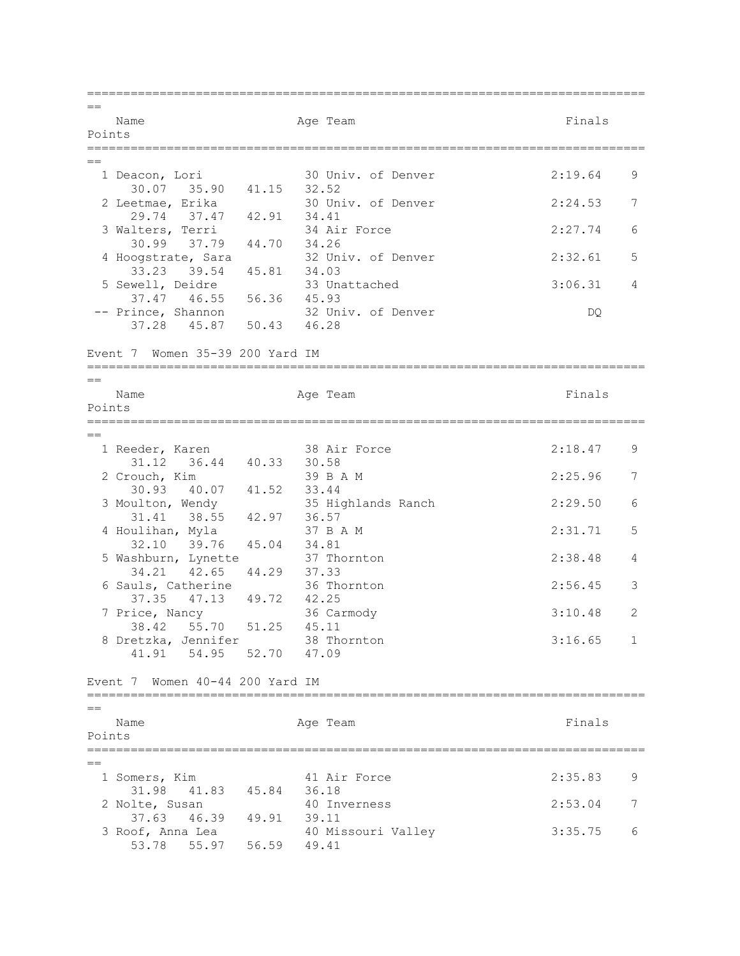=============================================================================  $=$ Name **Age Team** Age Team Finals Points =============================================================================  $=$  1 Deacon, Lori 30 Univ. of Denver 2:19.64 9 30.07 35.90 41.15 32.52<br>2 Leetmae, Erika 30 Un: 30 Univ. of Denver 2:24.53 7 29.74 37.47 42.91 34.41<br>alters, Terri 34 Air Force 3 Walters, Terri 34 Air Force 2:27.74 6 30.99 37.79 44.70 34.26 4 Hoogstrate, Sara 32 Univ. of Denver 2:32.61 5 33.23 39.54 45.81 34.03 5 Sewell, Deidre 33 Unattached 3:06.31 4 37.47 46.55 56.36 45.93<br>
rince, Shannon 32 Univ. of Denver -- Prince, Shannon 32 Univ. of Denver Contract Contract Contract Contract Contract Contract Contract Contract Co 37.28 45.87 50.43 46.28 Event 7 Women 35-39 200 Yard IM =============================================================================  $=$ Name **Age Team** Age Team Finals Points =============================================================================  $=$  1 Reeder, Karen 38 Air Force 2:18.47 9 31.12 36.44 40.33 30.58 2 Crouch, Kim 39 B A M 2:25.96 7 30.93 40.07 41.52 33.44 3 Moulton, Wendy 35 Highlands Ranch 2:29.50 6 31.41 38.55 42.97 36.57 4 Houlihan, Myla 37 B A M 2:31.71 5 32.10 39.76 45.04 34.81 5 Washburn, Lynette 37 Thornton 2:38.48 4 34.21 42.65 44.29 37.33<br>auls, Catherine 36 Thornton 6 Sauls, Catherine 36 Thornton 2:56.45 3 37.35 47.13 49.72 42.25 7 Price, Nancy 36 Carmody 3:10.48 2 38.42 55.70 51.25 45.11 8 Dretzka, Jennifer 38 Thornton 3:16.65 1 41.91 54.95 52.70 47.09 Event 7 Women 40-44 200 Yard IM =============================================================================  $=$ Name **Age Team** Age Team Finals Points =============================================================================  $-$  1 Somers, Kim 41 Air Force 2:35.83 9 31.98 41.83 45.84 36.18<br>
blte, Susan 40 Inverness 2 Nolte, Susan 40 Inverness 2:53.04 7 37.63 46.39 49.91 39.11 3 Roof, Anna Lea 40 Missouri Valley 3:35.75 6 53.78 55.97 56.59 49.41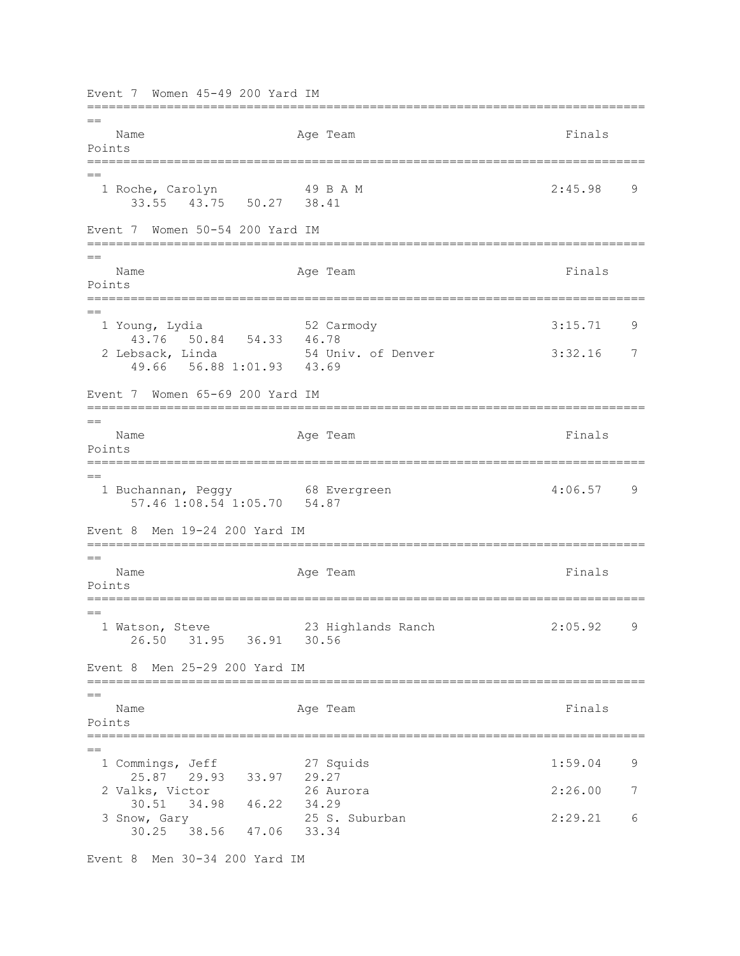Event 7 Women 45-49 200 Yard IM =============================================================================  $-$ Name **Age Team** Age Team **Finals** Points ============================================================================= == 1 Roche, Carolyn 49 B A M 2:45.98 9 33.55 43.75 50.27 38.41 Event 7 Women 50-54 200 Yard IM =============================================================================  $=$ Name **Age Team** Age Team Finals Points ============================================================================= == 1 Young, Lydia 52 Carmody 3:15.71 9 43.76 50.84 54.33 46.78 2 Lebsack, Linda 54 Univ. of Denver 3:32.16 7 49.66 56.88 1:01.93 43.69 Event 7 Women 65-69 200 Yard IM =============================================================================  $=$ Name **Age Team** Age Team **Finals** Points ============================================================================= == 1 Buchannan, Peggy 68 Evergreen 4:06.57 9 57.46 1:08.54 1:05.70 54.87 Event 8 Men 19-24 200 Yard IM =============================================================================  $=$ Name **Age Team Age Team Age Team Finals** Points =============================================================================  $=$  1 Watson, Steve 23 Highlands Ranch 2:05.92 9 26.50 31.95 36.91 30.56 Event 8 Men 25-29 200 Yard IM ============================================================================= == Name **Age Team** Age Team Finals Points ============================================================================= == 1 Commings, Jeff 27 Squids 1:59.04 9 25.87 29.93 33.97 29.27 2 Valks, Victor 26 Aurora 2:26.00 7 30.51 34.98 46.22 34.29 3 Snow, Gary 25 S. Suburban 2:29.21 6 30.25 38.56 47.06 33.34

Event 8 Men 30-34 200 Yard IM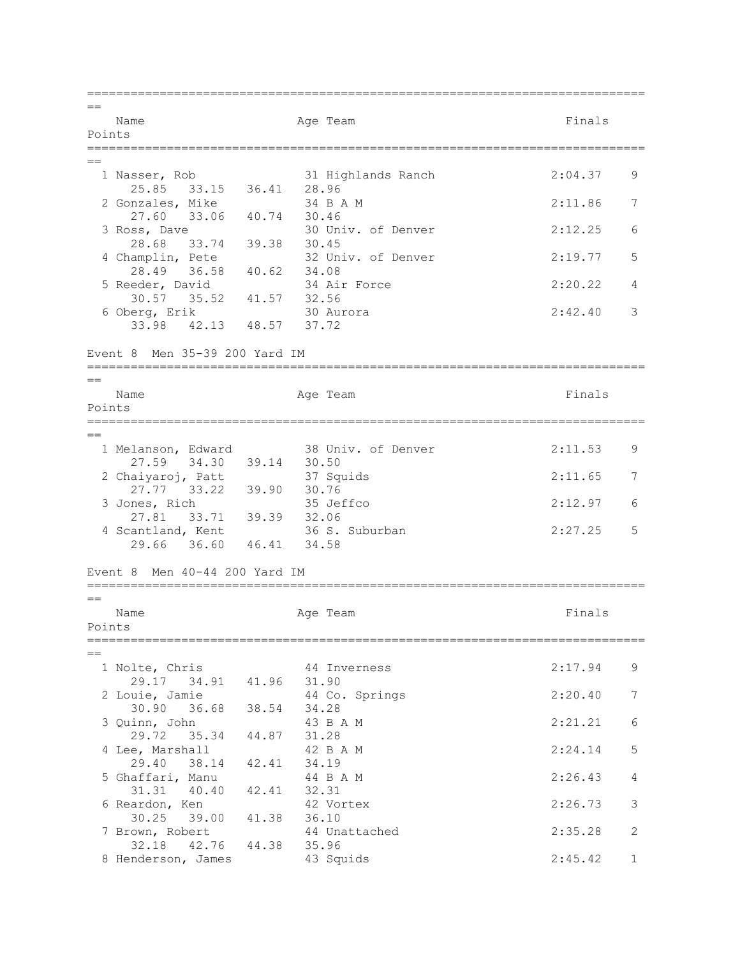=============================================================================  $=$ Name **Age Team** Age Team Finals Points =============================================================================  $=$  1 Nasser, Rob 31 Highlands Ranch 2:04.37 9 25.85 33.15 36.41 28.96<br>
Sonzales, Mike 34 B A M 2 Gonzales, Mike 34 B A M 2:11.86 7 27.60 33.06 40.74 30.46 3 Ross, Dave 30 Univ. of Denver 2:12.25 6 28.68 33.74 39.38 30.45 4 Champlin, Pete 32 Univ. of Denver 2:19.77 5 28.49 36.58 40.62 34.08 5 Reeder, David 34 Air Force 2:20.22 4 30.57 35.52 41.57 32.56 6 Oberg, Erik 30 Aurora 2:42.40 3 33.98 42.13 48.57 37.72 Event 8 Men 35-39 200 Yard IM =============================================================================  $=$ Name **Age Team** Age Team **Finals** Points =============================================================================  $=$  1 Melanson, Edward 38 Univ. of Denver 2:11.53 9 27.59 34.30 39.14 30.50<br>
aiyaroj, Patt 37 Squids 2 Chaiyaroj, Patt 37 Squids 2:11.65 7 27.77 33.22 39.90 30.76 3 Jones, Rich 35 Jeffco 2:12.97 6 27.81 33.71 39.39 32.06<br>27.81 33.71 39.39 32.06<br>antland, Kent 36 S. Suburban 4 Scantland, Kent 36 S. Suburban 2:27.25 5 29.66 36.60 46.41 34.58 Event 8 Men 40-44 200 Yard IM ============================================================================= == Name **Age Team** Age Team **Finals** Points ============================================================================= == 1 Nolte, Chris 44 Inverness 2:17.94 9 29.17 34.91 41.96 31.90 2 Louie, Jamie 44 Co. Springs 2:20.40 7 30.90 36.68 38.54 34.28 3 Quinn, John 43 B A M 2:21.21 6 29.72 35.34 44.87 31.28 4 Lee, Marshall 42 B A M 2:24.14 5 29.40 38.14 42.41 34.19<br>haffari, Manu 44 B A M 5 Ghaffari, Manu 44 B A M 2:26.43 4 31.31 40.40 42.41 32.31 6 Reardon, Ken 42 Vortex 2:26.73 3 30.25 39.00 41.38 36.10 7 Brown, Robert 44 Unattached 2:35.28 2 32.18 42.76 44.38 35.96<br>enderson, James 43 Squids 8 Henderson, James 43 Squids 2:45.42 1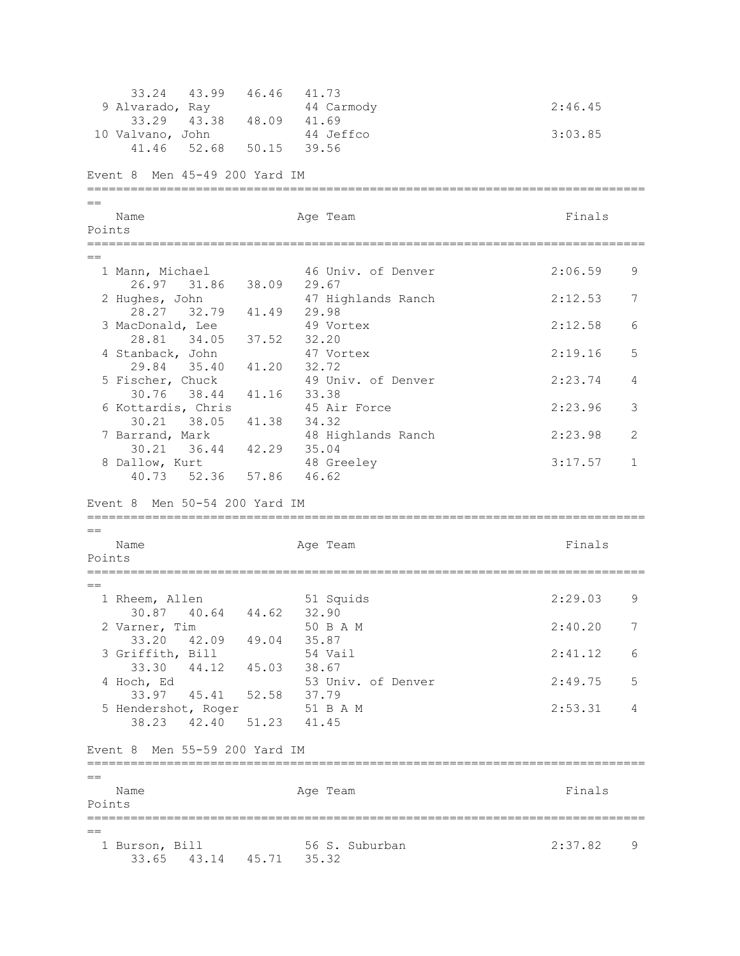33.24 43.99 46.46 41.73 9 Alvarado, Ray 44 Carmody 2:46.45 33.29 43.38 48.09 41.69 10 Valvano, John 44 Jeffco 3:03.85 41.46 52.68 50.15 39.56 Event 8 Men 45-49 200 Yard IM =============================================================================  $=$ Name **Age Team** Age Team Finals Points =============================================================================  $=$  1 Mann, Michael 46 Univ. of Denver 2:06.59 9 26.97 31.86 38.09 29.67<br>2 Hughes, John 47 Hic 47 Highlands Ranch 2:12.53 7 28.27 32.79 41.49 29.98<br>acDonald, Lee 49 Vortex 3 MacDonald, Lee 49 Vortex 2:12.58 6 28.81 34.05 37.52 32.20 4 Stanback, John 47 Vortex 2:19.16 5 29.84 35.40 41.20 32.72<br>5 Fischer, Chuck 49 Un: 49 Univ. of Denver 2:23.74 4 30.76 38.44 41.16 33.38 6 Kottardis, Chris 45 Air Force 2:23.96 3 30.21 38.05 41.38 34.32 7 Barrand, Mark 48 Highlands Ranch 2:23.98 2 30.21 36.44 42.29 35.04 8 Dallow, Kurt 48 Greeley 3:17.57 1 40.73 52.36 57.86 46.62 Event 8 Men 50-54 200 Yard IM =============================================================================  $=$ Name **Age Team** Age Team Finals Points =============================================================================  $=$  1 Rheem, Allen 51 Squids 2:29.03 9 30.87 40.64 44.62 32.90 2 Varner, Tim 30 B A M 2:40.20 7 33.20 42.09 49.04 35.87 3 Griffith, Bill 54 Vail 2:41.12 6 33.30 44.12 45.03 38.67 4 Hoch, Ed 53 Univ. of Denver 2:49.75 5 33.97 45.41 52.58 37.79 5 Hendershot, Roger 51 B A M 2:53.31 4 38.23 42.40 51.23 41.45 Event 8 Men 55-59 200 Yard IM =============================================================================  $-$ Name **Age Team** Age Team **Finals** Points ============================================================================= == 1 Burson, Bill 56 S. Suburban 2:37.82 9 33.65 43.14 45.71 35.32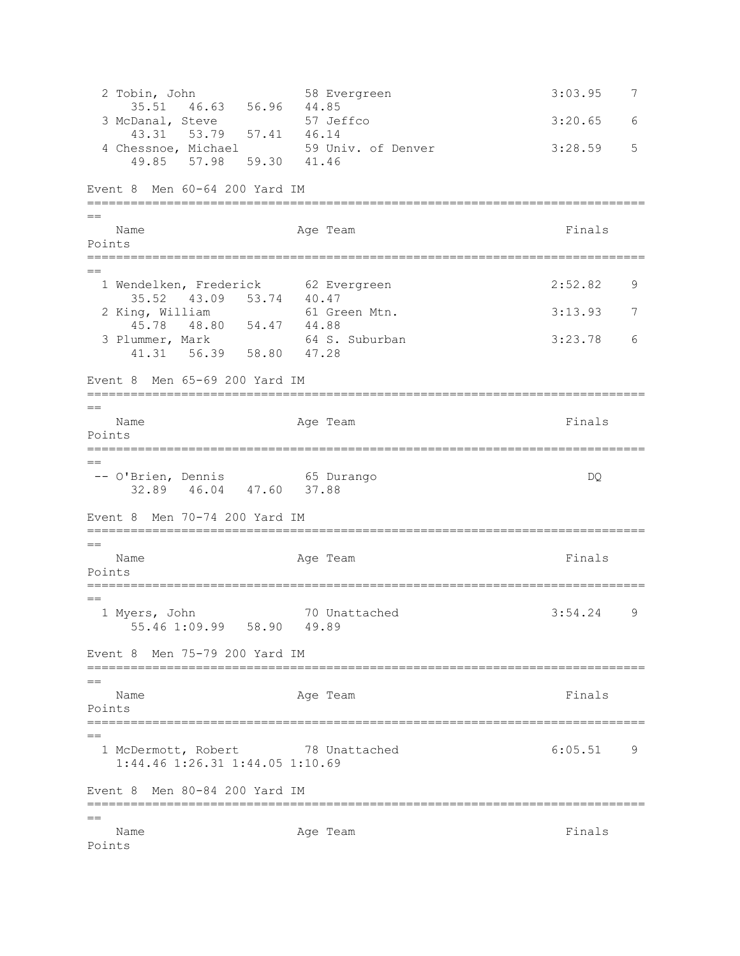2 Tobin, John 58 Evergreen 3:03.95 7 35.51 46.63 56.96 44.85<br>Danal, Steve 57 Jeffco 3 McDanal, Steve 57 Jeffco 3:20.65 6 43.31 53.79 57.41 46.14 4 Chessnoe, Michael 59 Univ. of Denver 3:28.59 5 49.85 57.98 59.30 41.46 Event 8 Men 60-64 200 Yard IM =============================================================================  $=$ Name **Age Team** Age Team **Finals** Points ============================================================================= == 1 Wendelken, Frederick 62 Evergreen 1 1 = 2:52.82 9 35.52 43.09 53.74 40.47 2 King, William 61 Green Mtn. 3:13.93 7 45.78 48.80 54.47 44.88<br>
ummer, Mark 64 S. Suburban 3 Plummer, Mark 64 S. Suburban 3:23.78 6 41.31 56.39 58.80 47.28 Event 8 Men 65-69 200 Yard IM =============================================================================  $=$ Name **Age Team** Age Team **Finals** Points ============================================================================= == -- O'Brien, Dennis 65 Durango DQ 32.89 46.04 47.60 37.88 Event 8 Men 70-74 200 Yard IM =============================================================================  $=$ Name **Age Team** Age Team **Finals** Points ============================================================================= == 1 Myers, John 70 Unattached 3:54.24 9 55.46 1:09.99 58.90 49.89 Event 8 Men 75-79 200 Yard IM =============================================================================  $=$ Name **Age Team** Age Team **Finals** Points =============================================================================  $=$ 1 McDermott, Robert 78 Unattached 6:05.51 9 1:44.46 1:26.31 1:44.05 1:10.69 Event 8 Men 80-84 200 Yard IM ============================================================================= == Name **Age Team** Age Team **Finals** Points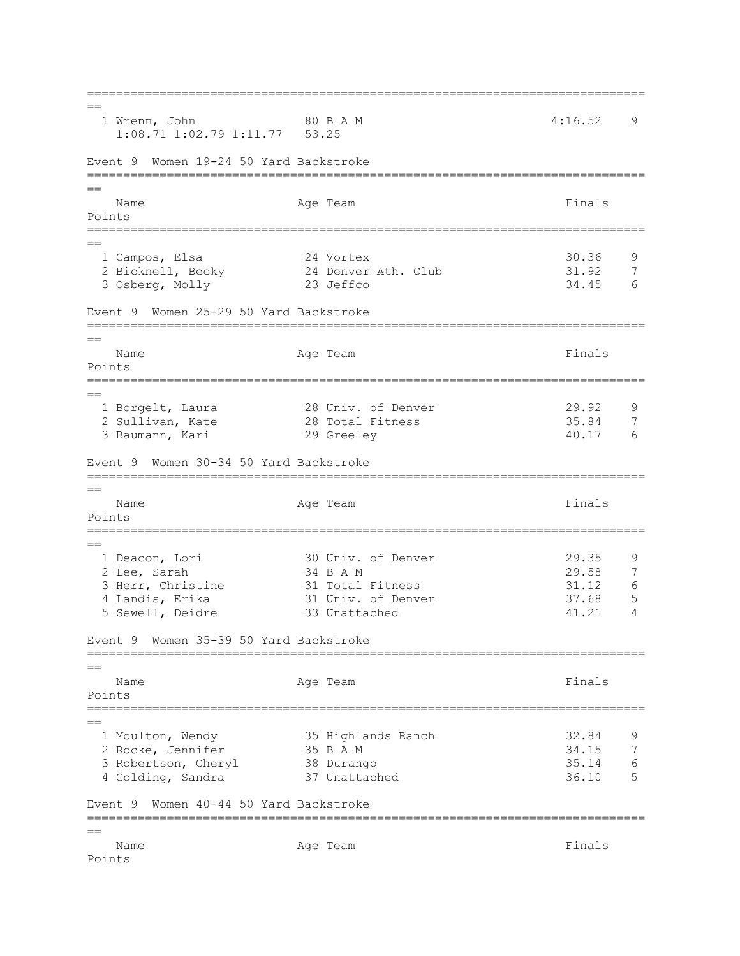=============================================================================  $=$ 1 Wrenn, John 80 B A M 4:16.52 9 1:08.71 1:02.79 1:11.77 53.25 Event 9 Women 19-24 50 Yard Backstroke ============================================================================= == Name **Age Team** Age Team **Finals** Points ============================================================================= == 1 Campos, Elsa 24 Vortex 30.36 9 2 Bicknell, Becky 24 Denver Ath. Club 31.92 7 3 Osberg, Molly 23 Jeffco 34.45 6 Event 9 Women 25-29 50 Yard Backstroke =============================================================================  $=$ Name **Age Team** Age Team Finals Points =============================================================================  $-$  1 Borgelt, Laura 28 Univ. of Denver 29.92 9 2 Sullivan, Kate 28 Total Fitness 35.84 7 3 Baumann, Kari 29 Greeley 40.17 6 Event 9 Women 30-34 50 Yard Backstroke =============================================================================  $-$ Name **Age Team** Age Team **Finals** Points ============================================================================= == 1 Deacon, Lori 30 Univ. of Denver 29.35 9 2 Lee, Sarah 34 B A M 29.58 7 3 Herr, Christine 31 Total Fitness 31.12 6 4 Landis, Erika 31 Univ. of Denver 37.68 5 5 Sewell, Deidre 33 Unattached 41.21 4 Event 9 Women 35-39 50 Yard Backstroke =============================================================================  $=$ Name **Age Team** Age Team Finals Points =============================================================================  $=$  1 Moulton, Wendy 35 Highlands Ranch 32.84 9 2 Rocke, Jennifer 35 B A M 34.15 7 3 Robertson, Cheryl 38 Durango 35.14 6 4 Golding, Sandra 37 Unattached 36.10 5 Event 9 Women 40-44 50 Yard Backstroke ============================================================================= == Name **Age Team** Age Team **Finals** Points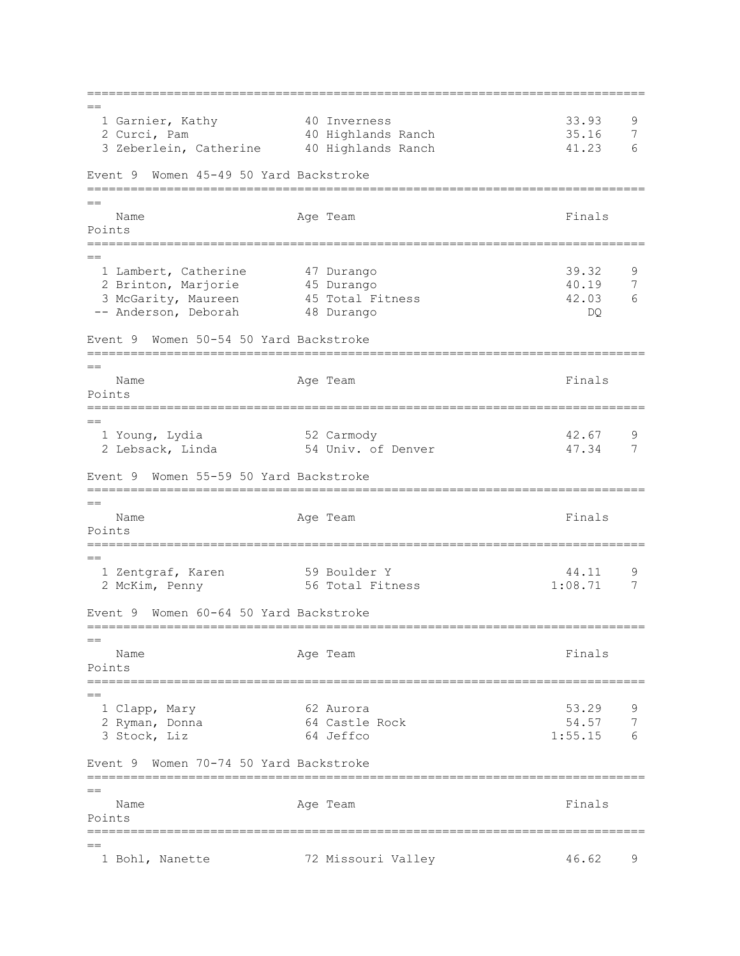=============================================================================  $=$  1 Garnier, Kathy 40 Inverness 33.93 9 2 Curci, Pam 40 Highlands Ranch 35.16 7 3 Zeberlein, Catherine 40 Highlands Ranch 41.23 6 Event 9 Women 45-49 50 Yard Backstroke =============================================================================  $=$ Name **Age Team** Age Team Finals Points =============================================================================  $=$  1 Lambert, Catherine 47 Durango 39.32 9 2 Brinton, Marjorie 45 Durango 40.19 7 3 McGarity, Maureen 45 Total Fitness 42.03 6 -- Anderson, Deborah 48 Durango DQ Event 9 Women 50-54 50 Yard Backstroke ============================================================================= == Name **Age Team** Age Team **Finals** Points ============================================================================= == 1 Young, Lydia 52 Carmody 42.67 9 2 Lebsack, Linda 54 Univ. of Denver 47.34 7 Event 9 Women 55-59 50 Yard Backstroke =============================================================================  $-$ Name **Age Team** Age Team Finals Points ============================================================================= == 1 Zentgraf, Karen 1 59 Boulder Y 1 44.11 9<br>2 McKim, Penny 56 Total Fitness 1:08.71 7 2 McKim, Penny 156 Total Fitness Event 9 Women 60-64 50 Yard Backstroke =============================================================================  $-$ Name **Age Team** Age Team **Finals** Points ============================================================================= == 1 Clapp, Mary 62 Aurora 53.29 9 2 Ryman, Donna 64 Castle Rock 54.57 7 3 Stock, Liz 64 Jeffco 1:55.15 6 Event 9 Women 70-74 50 Yard Backstroke =============================================================================  $=$ Name **Age Team** Age Team Finals Points ============================================================================= == 1 Bohl, Nanette 72 Missouri Valley 46.62 9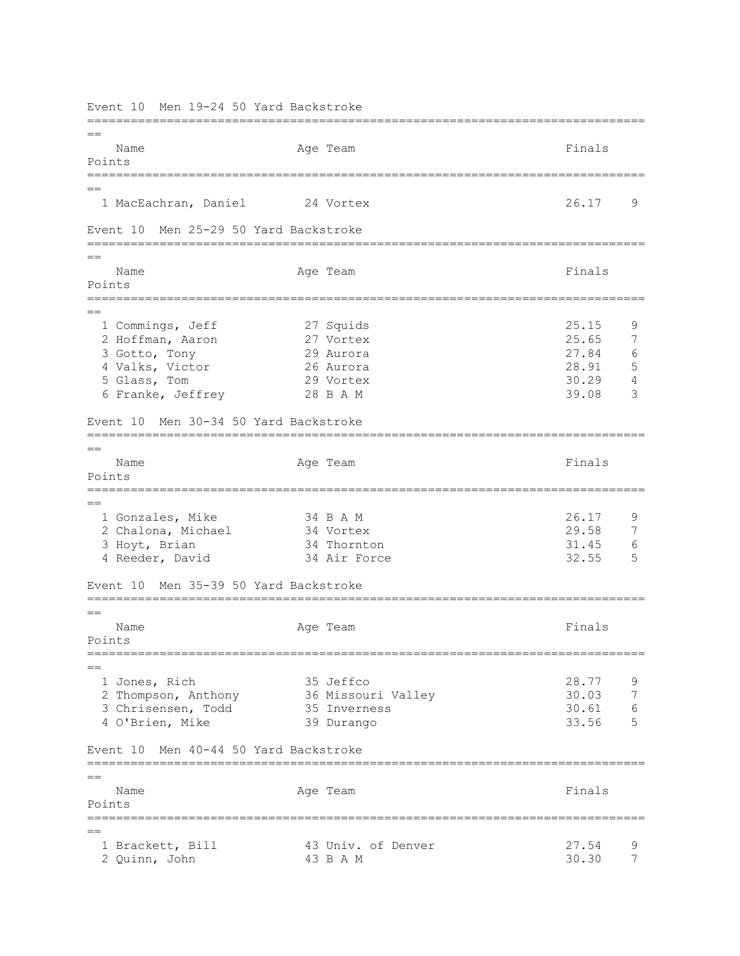Event 10 Men 19-24 50 Yard Backstroke =============================================================================  $=$ Name **Age Team** Age Team **Finals** Points ============================================================================= == 1 MacEachran, Daniel 24 Vortex 26.17 9 Event 10 Men 25-29 50 Yard Backstroke =============================================================================  $=$ Name **Age Team** Age Team Finals Points ============================================================================= == 1 Commings, Jeff 27 Squids 25.15 9<br>2 Hoffman, Aaron 27 Vortex 25.65 7 2 Hoffman, Aaron 27 Vortex 25.65 3 Gotto, Tony 29 Aurora 27.84 6 4 Valks, Victor 26 Aurora 28.91 5 5 Glass, Tom 29 Vortex 30.29 4 6 Franke, Jeffrey 28 B A M 39.08 3 Event 10 Men 30-34 50 Yard Backstroke =============================================================================  $=$ Name **Age Team** Age Team **Finals** Points ============================================================================= == 1 Gonzales, Mike 34 B A M 34 B A M 26.17 9<br>2 Chalona, Michael 34 Vortex 29 58 7 2 Chalona, Michael 34 Vortex 29.58 3 Hoyt, Brian 34 Thornton 31.45 6 4 Reeder, David 34 Air Force 32.55 5 Event 10 Men 35-39 50 Yard Backstroke =============================================================================  $=$ Name **Age Team** Age Team **Finals** Points =============================================================================  $=$  1 Jones, Rich 35 Jeffco 28.77 9 2 Thompson, Anthony 36 Missouri Valley 30.03 7<br>3 Chrisensen, Todd 35 Inverness 30.61 6 2 Inompson, Anthony<br>3 Chrisensen, Todd 35 Inverness 30.61 6 4 O'Brien, Mike 39 Durango 33.56 5 Event 10 Men 40-44 50 Yard Backstroke =============================================================================  $-$ Name **Age Team** Age Team **Finals** Points ============================================================================= == 1 Brackett, Bill 43 Univ. of Denver 27.54 9<br>2 Quinn, John 43 B A M 30.30 7 2 Quinn, John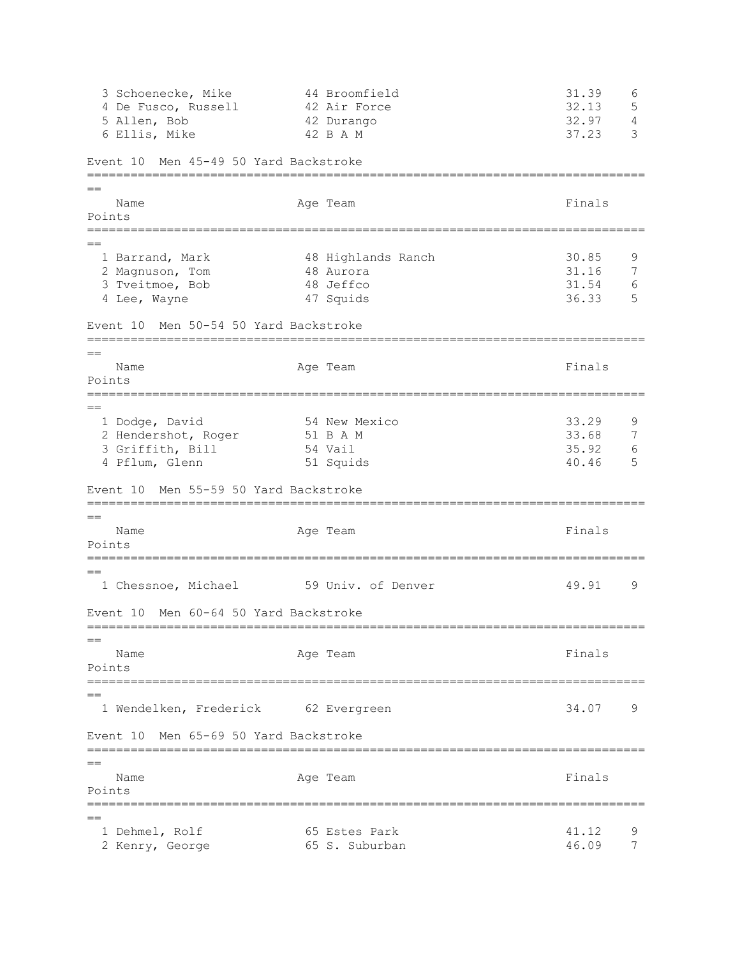3 Schoenecke, Mike 44 Broomfield 31.39 6 4 De Fusco, Russell 42 Air Force 32.13 5 5 Allen, Bob 42 Durango 32.97 4 6 Ellis, Mike  $42$  B A M  $37.23$  3 Event 10 Men 45-49 50 Yard Backstroke =============================================================================  $=$ Name **Age Team** Age Team **Finals** Points ============================================================================= == 1 Barrand, Mark 30.85 48 Highlands Ranch 30.85 9 2 Magnuson, Tom 48 Aurora 31.16 7 3 Tveitmoe, Bob 48 Jeffco 31.54 6 4 Lee, Wayne Event 10 Men 50-54 50 Yard Backstroke =============================================================================  $=$ Name **Age Team** Age Team **Finals** Points ============================================================================= == 1 Dodge, David 54 New Mexico 33.29 9 2 Hendershot, Roger 51 B A M 33.68 7 3 Griffith, Bill 54 Vail 35.92 6 4 Pflum, Glenn 51 Squids 40.46 5 Event 10 Men 55-59 50 Yard Backstroke ============================================================================= == Name **Age Team** Age Team Finals Points ============================================================================= == 1 Chessnoe, Michael 59 Univ. of Denver 49.91 9 Event 10 Men 60-64 50 Yard Backstroke =============================================================================  $-$ Name **Age Team** Age Team **Finals** Points ============================================================================= == 1 Wendelken, Frederick 62 Evergreen 34.07 9 Event 10 Men 65-69 50 Yard Backstroke =============================================================================  $=$ Name **Age Team** Age Team Finals Points =============================================================================  $=$ 1 Dehmel, Rolf 65 Estes Park 41.12 9 2 Kenry, George 65 S. Suburban 46.09 7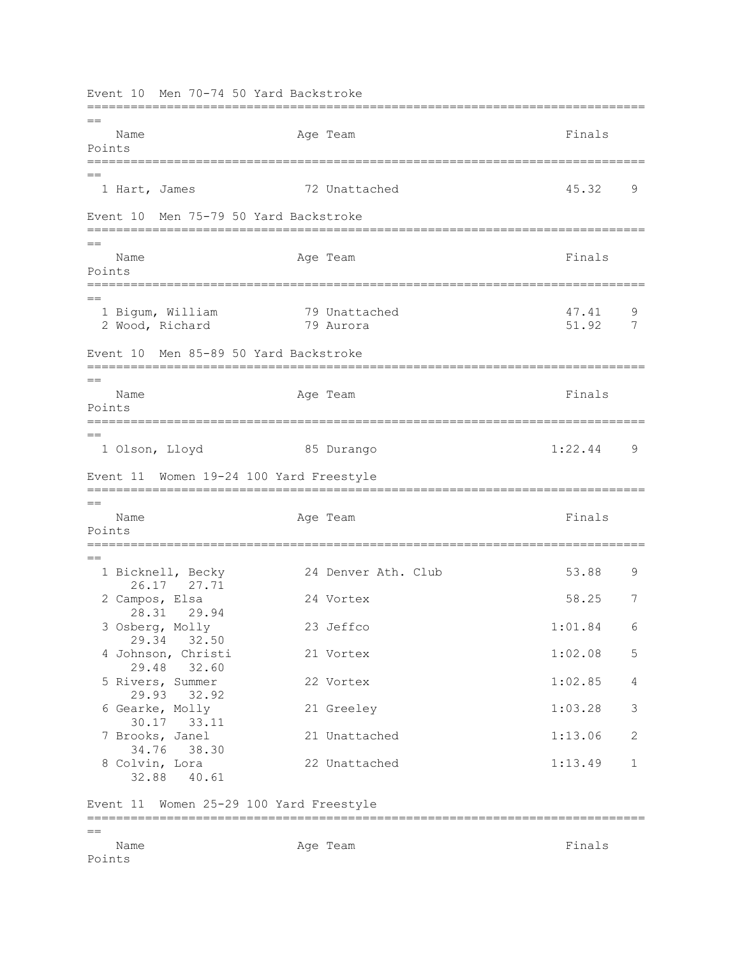Event 10 Men 70-74 50 Yard Backstroke =============================================================================  $-$ Name **Age Team** Age Team **Finals** Points ============================================================================= == 1 Hart, James 72 Unattached 45.32 9 Event 10 Men 75-79 50 Yard Backstroke =============================================================================  $=$ Name **Age Team** Age Team **Finals** Points ============================================================================= == 1 Bigum, William 79 Unattached 47.41 9 2 Wood, Richard 79 Aurora 51.92 7 Event 10 Men 85-89 50 Yard Backstroke =============================================================================  $=$ Name **Age Team** Age Team **Finals** Points =============================================================================  $=$  1 Olson, Lloyd 85 Durango 1:22.44 9 Event 11 Women 19-24 100 Yard Freestyle =============================================================================  $-$ Name **Age Team** Age Team **Finals** Points ============================================================================= == 1 Bicknell, Becky 24 Denver Ath. Club 53.88 9 26.17 27.71 2 Campos, Elsa 24 Vortex 58.25 7 28.31 29.94 3 Osberg, Molly 23 Jeffco 1:01.84 6 29.34 32.50 4 Johnson, Christi 21 Vortex 1:02.08 5 29.48 32.60 5 Rivers, Summer 22 Vortex 1:02.85 4 29.93 32.92 6 Gearke, Molly 21 Greeley 1:03.28 3 30.17 33.11 7 Brooks, Janel 21 Unattached 1:13.06 2 34.76 38.30 8 Colvin, Lora 22 Unattached 1:13.49 1 32.88 40.61 Event 11 Women 25-29 100 Yard Freestyle ============================================================================= == Name **Age Team** Age Team **Finals** Points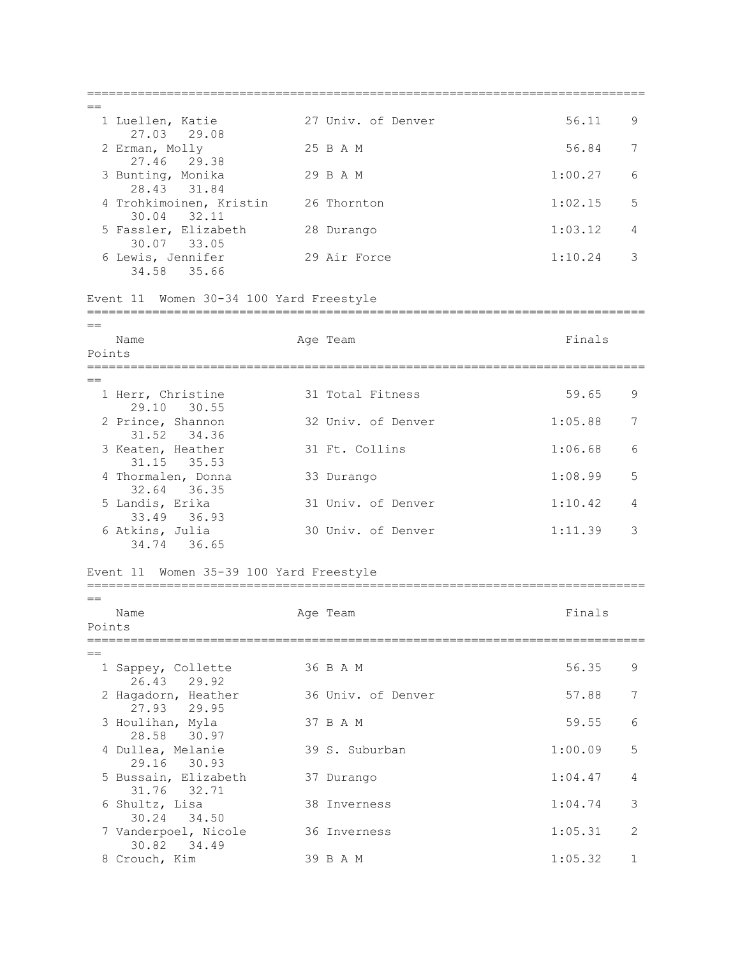=============================================================================  $=$  1 Luellen, Katie 27 Univ. of Denver 56.11 9 27.03 29.08 2 Erman, Molly 25 B A M 56.84 7 27.46 29.38 3 Bunting, Monika 29 B A M 1:00.27 6 28.43 31.84 4 Trohkimoinen, Kristin 26 Thornton 1:02.15 5 30.04 32.11 5 Fassler, Elizabeth 28 Durango 1:03.12 4 30.07 33.05 6 Lewis, Jennifer 29 Air Force 1:10.24 3 34.58 35.66 Event 11 Women 30-34 100 Yard Freestyle =============================================================================  $=$ Name **Age Team** Age Team Finals Points ============================================================================= == 1 Herr, Christine 31 Total Fitness 59.65 9 29.10 30.55<br>2 Prince, Shannon 32 Univ. of Denver 1:05.88 7 31.52 34.36 3 Keaten, Heather 31 Ft. Collins 1:06.68 6 31.15 35.53 4 Thormalen, Donna 33 Durango 1:08.99 5 32.64 36.35<br>5 Landis, Erika 31 Univ. of Denver 1:10.42 4 33.49 36.93<br>6 Atkins, Julia 30 Univ. of Denver 1:11.39 3 34.74 36.65 Event 11 Women 35-39 100 Yard Freestyle =============================================================================  $=$ Name **Age Team** Age Team **Finals** Points ============================================================================= == 1 Sappey, Collette 36 B A M 56.35 9 26.43 29.92 2 Hagadorn, Heather 36 Univ. of Denver 57.88 7 27.93 29.95 3 Houlihan, Myla 37 B A M 59.55 6 28.58 30.97 4 Dullea, Melanie 39 S. Suburban 1:00.09 5 29.16 30.93 5 Bussain, Elizabeth 37 Durango 1:04.47 4 31.76 32.71 6 Shultz, Lisa 38 Inverness 1:04.74 3 30.24 34.50 7 Vanderpoel, Nicole 36 Inverness 1:05.31 2 30.82 34.49 8 Crouch, Kim 39 B A M 1:05.32 1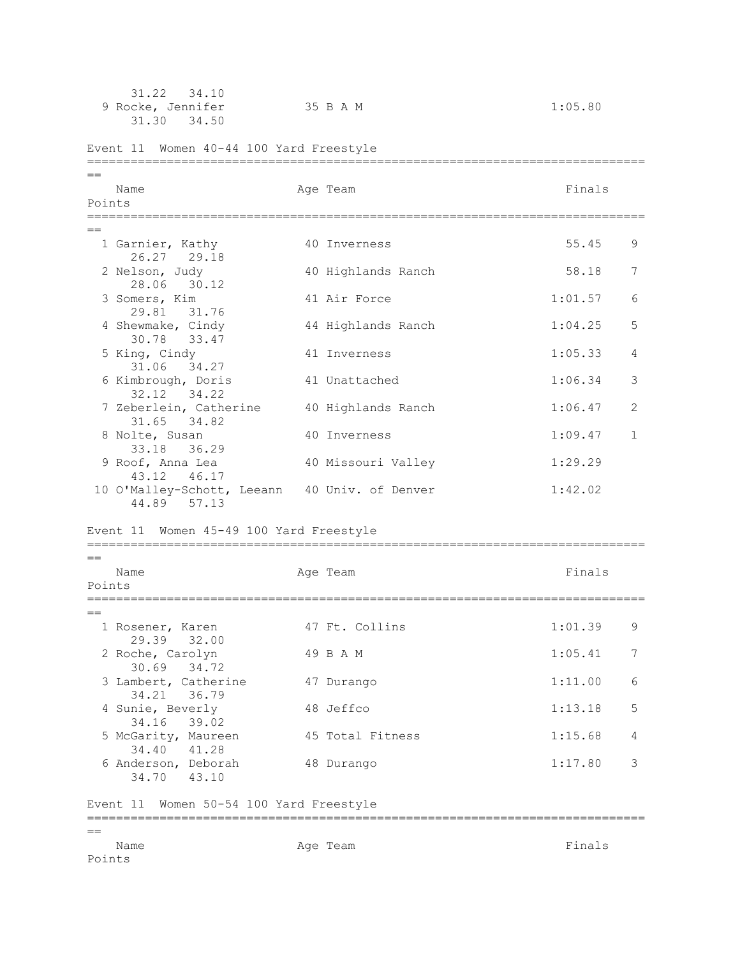|                | 31.22<br>34.10<br>9 Rocke, Jennifer<br>31.30<br>34.50                           | 35 B A M                 | 1:05.80 |    |
|----------------|---------------------------------------------------------------------------------|--------------------------|---------|----|
|                | Event 11 Women 40-44 100 Yard Freestyle<br>____________________________________ | ------------------------ |         |    |
| $=$<br>Points  | Name                                                                            | Age Team                 | Finals  |    |
| $=$            | 1 Garnier, Kathy<br>26.27 29.18                                                 | 40 Inverness             | 55.45   | 9  |
|                | 2 Nelson, Judy<br>28.06 30.12                                                   | 40 Highlands Ranch       | 58.18   | 7  |
|                | 3 Somers, Kim<br>29.81<br>31.76                                                 | 41 Air Force             | 1:01.57 | 6  |
|                | 4 Shewmake, Cindy<br>30.78 33.47                                                | 44 Highlands Ranch       | 1:04.25 | 5  |
|                | 5 King, Cindy<br>31.06 34.27                                                    | 41 Inverness             | 1:05.33 | 4  |
|                | 6 Kimbrough, Doris<br>32.12 34.22                                               | 41 Unattached            | 1:06.34 | 3  |
|                | 7 Zeberlein, Catherine<br>34.82<br>31.65                                        | 40 Highlands Ranch       | 1:06.47 | 2  |
|                | 8 Nolte, Susan<br>33.18 36.29                                                   | 40 Inverness             | 1:09.47 | 1  |
|                | 9 Roof, Anna Lea<br>43.12 46.17                                                 | 40 Missouri Valley       | 1:29.29 |    |
|                | 10 O'Malley-Schott, Leeann 40 Univ. of Denver<br>44.89 57.13                    |                          | 1:42.02 |    |
|                | Women 45-49 100 Yard Freestyle<br>Event 11                                      |                          |         |    |
| $=$<br>Points  | Name                                                                            | Age Team                 | Finals  |    |
| $=$            | 1 Rosener, Karen                                                                | 47 Ft. Collins           | 1:01.39 | 9. |
|                | 29.39 32.00<br>2 Roche, Carolyn                                                 | 49 B A M                 | 1:05.41 | 7  |
|                | 30.69 34.72<br>3 Lambert, Catherine<br>34.21 36.79                              | 47 Durango               | 1:11.00 | 6  |
|                | 4 Sunie, Beverly<br>34.16 39.02                                                 | 48 Jeffco                | 1:13.18 | 5  |
|                | 5 McGarity, Maureen<br>34.40 41.28                                              | 45 Total Fitness         | 1:15.68 | 4  |
|                | 6 Anderson, Deborah<br>34.70 43.10                                              | 48 Durango               | 1:17.80 | 3  |
|                | Event 11 Women 50-54 100 Yard Freestyle                                         |                          |         |    |
| $==$<br>Points | Name                                                                            | Age Team                 | Finals  |    |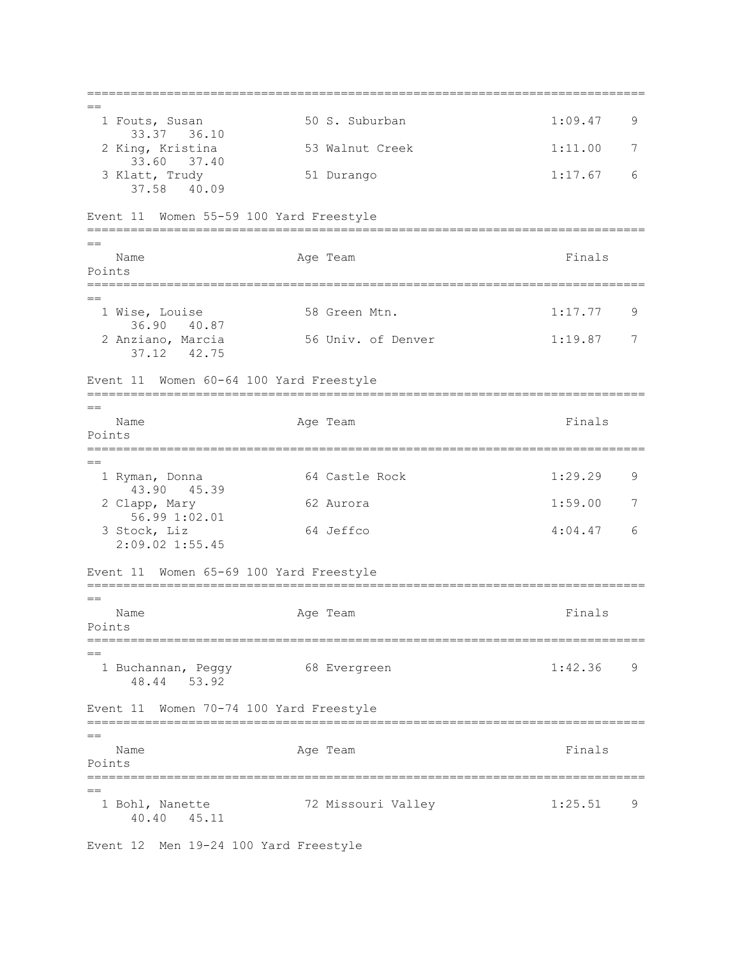=============================================================================  $=$  1 Fouts, Susan 50 S. Suburban 1:09.47 9 33.37 36.10 2 King, Kristina 53 Walnut Creek 1:11.00 7 33.60 37.40 3 Klatt, Trudy 51 Durango 1:17.67 6 37.58 40.09 Event 11 Women 55-59 100 Yard Freestyle =============================================================================  $=$ Name **Age Team** Age Team **Finals** Points ============================================================================= == 1 Wise, Louise 58 Green Mtn. 1:17.77 9 36.90 40.87<br>2 Anziano, Marcia 56 Univ. of Denver 1:19.87 7 37.12 42.75 Event 11 Women 60-64 100 Yard Freestyle =============================================================================  $=$ Name **Age Team** Age Team **Finals** Points ============================================================================= == 1 Ryman, Donna 64 Castle Rock 1:29.29 9 43.90 45.39 2 Clapp, Mary 62 Aurora 1:59.00 7 56.99 1:02.01 3 Stock, Liz 64 Jeffco 4:04.47 6 2:09.02 1:55.45 Event 11 Women 65-69 100 Yard Freestyle =============================================================================  $=$ Name **Age Team** Age Team **Finals** Points ============================================================================= == 1 Buchannan, Peggy 68 Evergreen 1:42.36 9 48.44 53.92 Event 11 Women 70-74 100 Yard Freestyle =============================================================================  $=$ Name **Age Team** Age Team **Finals** Points =============================================================================  $=$ 1 Bohl, Nanette 72 Missouri Valley 1:25.51 9 40.40 45.11

Event 12 Men 19-24 100 Yard Freestyle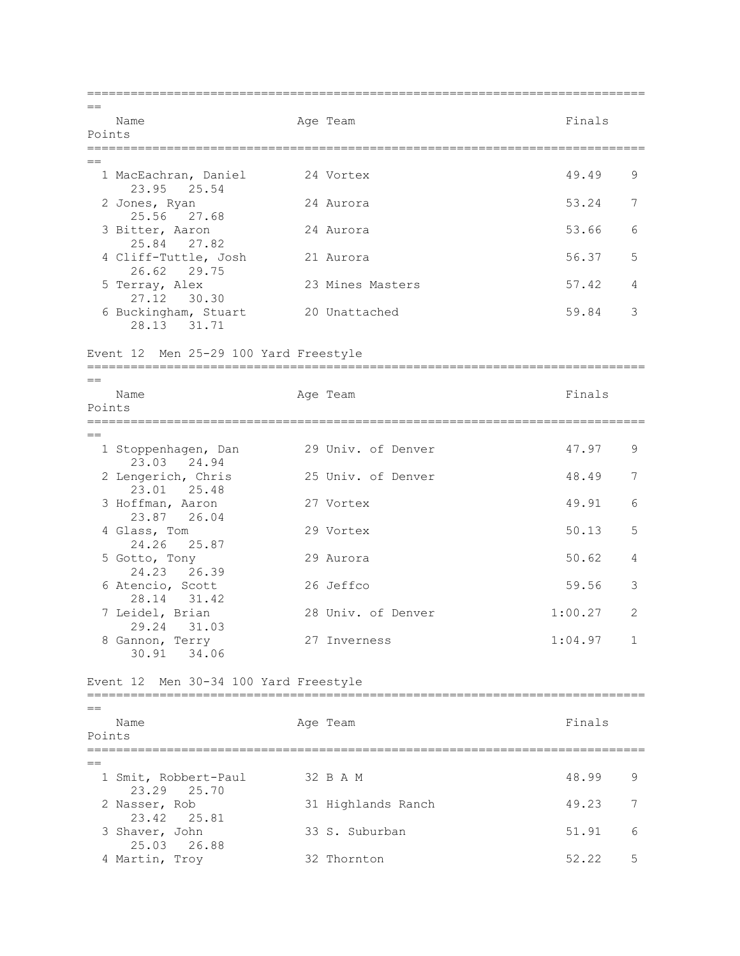=============================================================================  $=$ Name **Age Team** Age Team Finals Points =============================================================================  $=$  1 MacEachran, Daniel 24 Vortex 49.49 9 23.95 25.54 2 Jones, Ryan 24 Aurora 53.24 7 25.56 27.68 3 Bitter, Aaron 24 Aurora 53.66 6 25.84 27.82 4 Cliff-Tuttle, Josh 21 Aurora 1988 56.37 5 26.62 29.75<br>5 Terray, Alex 23 Mines Masters 57.42 4 27.12 30.30 6 Buckingham, Stuart 20 Unattached 59.84 3 28.13 31.71 Event 12 Men 25-29 100 Yard Freestyle =============================================================================  $=$ Name **Age Team** Age Team **Finals** Points =============================================================================  $=$ 1 Stoppenhagen, Dan 29 Univ. of Denver 47.97 9 23.03 24.94 2 Lengerich, Chris 25 Univ. of Denver 48.49 7 23.01 25.48 3 Hoffman, Aaron 27 Vortex 49.91 6 23.87 26.04 4 Glass, Tom 29 Vortex 50.13 5 24.26 25.87 5 Gotto, Tony 29 Aurora 50.62 4 24.23 26.39 6 Atencio, Scott 26 Jeffco 59.56 3 28.14 31.42<br>7 Leidel, Brian 28 Univ. of Denver 1:00.27 2 29.24 31.03 8 Gannon, Terry 27 Inverness 1:04.97 1 30.91 34.06 Event 12 Men 30-34 100 Yard Freestyle =============================================================================  $=$ Name **Age Team** Age Team Finals Points =============================================================================  $-$ 1 Smit, Robbert-Paul 32 B A M 48.99 9 23.29 25.70<br>2 Nasser, Rob 31 Highlands Ranch 49.23 7 23.42 25.81 3 Shaver, John 33 S. Suburban 51.91 6 25.03 26.88<br>4 Martin, Troy 32 Thornton 52.22 5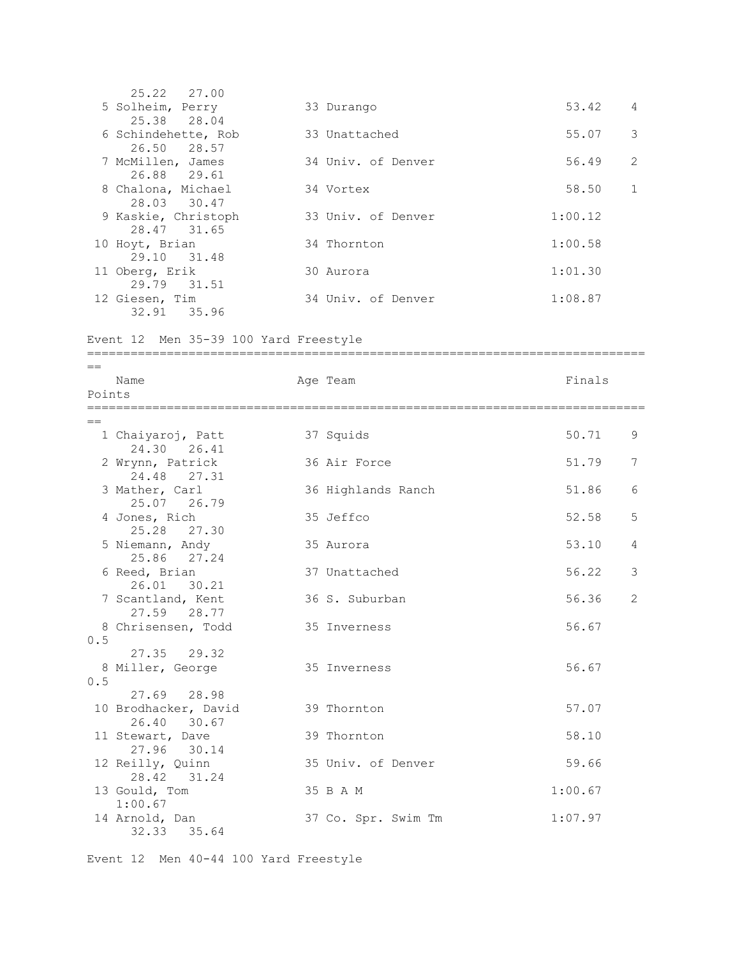25.22 27.00 5 Solheim, Perry 33 Durango 53.42 4 25.38 28.04 6 Schindehette, Rob 33 Unattached 55.07 3 26.50 28.57<br>7 McMillen, James 34 Univ. of Denver 56.49 2 26.88 29.61 8 Chalona, Michael 34 Vortex 58.50 1<br>28.03 30.47 28.03 30.47 9 Kaskie, Christoph 33 Univ. of Denver 1:00.12 28.47 31.65 10 Hoyt, Brian 34 Thornton 1:00.58 29.10 31.48 11 Oberg, Erik 30 Aurora 1:01.30 29.79 31.51<br>12 Giesen, Tim 34 Univ. of Denver 1:08.87 32.91 35.96 Event 12 Men 35-39 100 Yard Freestyle ============================================================================= == Name **Age Team Age Team Age Team Primals** Points =============================================================================  $=$ 1 Chaiyaroj, Patt 37 Squids 50.71 9 24.30 26.41 2 Wrynn, Patrick 36 Air Force 51.79 7 24.48 27.31 3 Mather, Carl 36 Highlands Ranch 51.86 6 25.07 26.79 4 Jones, Rich 35 Jeffco 52.58 5 25.28 27.30 5 Niemann, Andy 35 Aurora 53.10 4 25.86 27.24<br>6 Reed, Brian 37 Unattached 56.22 3 26.01 30.21<br>7 Scantland, Kent 36 S. Suburban 56.36 2 27.59 28.77 8 Chrisensen, Todd 35 Inverness 36.67 0.5 27.35 29.32 8 Miller, George 35 Inverness 35 Inverness 56.67 0.5 27.69 28.98 10 Brodhacker, David 39 Thornton 57.07 26.40 30.67 11 Stewart, Dave 39 Thornton 58.10 27.96 30.14 12 Reilly, Quinn 35 Univ. of Denver 59.66  $28.42$   $31.24$ 13 Gould, Tom 35 B A M 1:00.67 1:00.67<br>14 Arnold, Dan 37 Co. Spr. Swim Tm 1:07.97 32.33 35.64

Event 12 Men 40-44 100 Yard Freestyle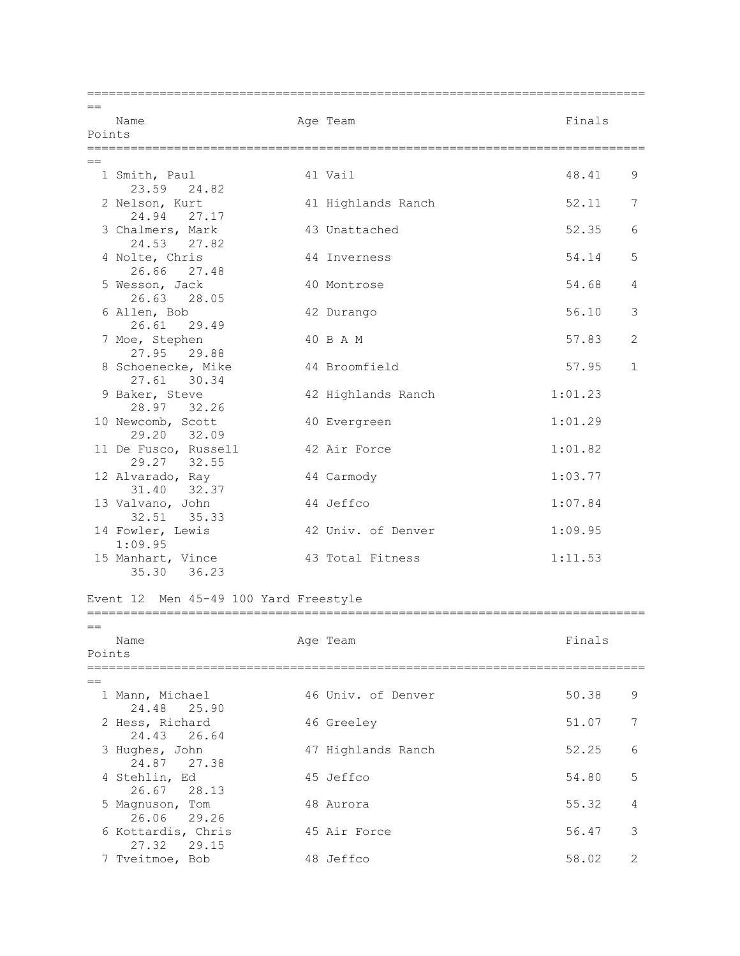| $=$    |                                                   |                    |         |              |
|--------|---------------------------------------------------|--------------------|---------|--------------|
| Points | Name                                              | Age Team           | Finals  |              |
|        |                                                   |                    |         |              |
|        |                                                   |                    |         |              |
|        | 1 Smith, Paul<br>23.59 24.82                      | 41 Vail            | 48.41   | 9            |
|        | 2 Nelson, Kurt<br>24.94 27.17                     | 41 Highlands Ranch | 52.11   | 7            |
|        | 3 Chalmers, Mark<br>24.53<br>27.82                | 43 Unattached      | 52.35   | 6            |
|        | 4 Nolte, Chris<br>26.66 27.48                     | 44 Inverness       | 54.14   | 5            |
|        | 5 Wesson, Jack<br>26.63<br>28.05                  | 40 Montrose        | 54.68   | 4            |
|        | 6 Allen, Bob<br>26.61<br>29.49                    | 42 Durango         | 56.10   | 3            |
|        | 7 Moe, Stephen<br>27.95 29.88                     | 40 B A M           | 57.83   | 2            |
|        | 8 Schoenecke, Mike<br>27.61<br>30.34              | 44 Broomfield      | 57.95   | $\mathbf{1}$ |
|        | 9 Baker, Steve<br>28.97<br>32.26                  | 42 Highlands Ranch | 1:01.23 |              |
|        | 10 Newcomb, Scott<br>29.20 32.09                  | 40 Evergreen       | 1:01.29 |              |
|        | 11 De Fusco, Russell<br>29.27 32.55               | 42 Air Force       | 1:01.82 |              |
|        | 12 Alvarado, Ray<br>31.40<br>32.37                | 44 Carmody         | 1:03.77 |              |
|        | 13 Valvano, John<br>32.51<br>35.33                | 44 Jeffco          | 1:07.84 |              |
|        | 14 Fowler, Lewis<br>1:09.95                       | 42 Univ. of Denver | 1:09.95 |              |
|        | 15 Manhart, Vince<br>36.23<br>35.30               | 43 Total Fitness   | 1:11.53 |              |
|        | Event 12 Men 45-49 100 Yard Freestyle             |                    |         |              |
| $==$   |                                                   |                    |         |              |
|        | Name                                              | Age Team           | Finals  |              |
| Points |                                                   |                    |         |              |
| $=$    |                                                   |                    |         |              |
|        | 1 Mann, Michael<br>24.48<br>25.90                 | 46 Univ. of Denver | 50.38   | 9            |
|        | 2 Hess, Richard<br>24.43<br>26.64                 | 46 Greeley         | 51.07   | 7            |
|        | 3 Hughes, John                                    | 47 Highlands Ranch | 52.25   | 6            |
|        | 24.87<br>27.38<br>4 Stehlin, Ed<br>26.67<br>28.13 | 45 Jeffco          | 54.80   | 5            |
|        | 5 Magnuson, Tom                                   | 48 Aurora          | 55.32   | 4            |
|        | 26.06 29.26<br>6 Kottardis, Chris<br>29.15        | 45 Air Force       | 56.47   | 3            |
|        | 27.32<br>7 Tveitmoe, Bob                          | 48 Jeffco          | 58.02   | 2            |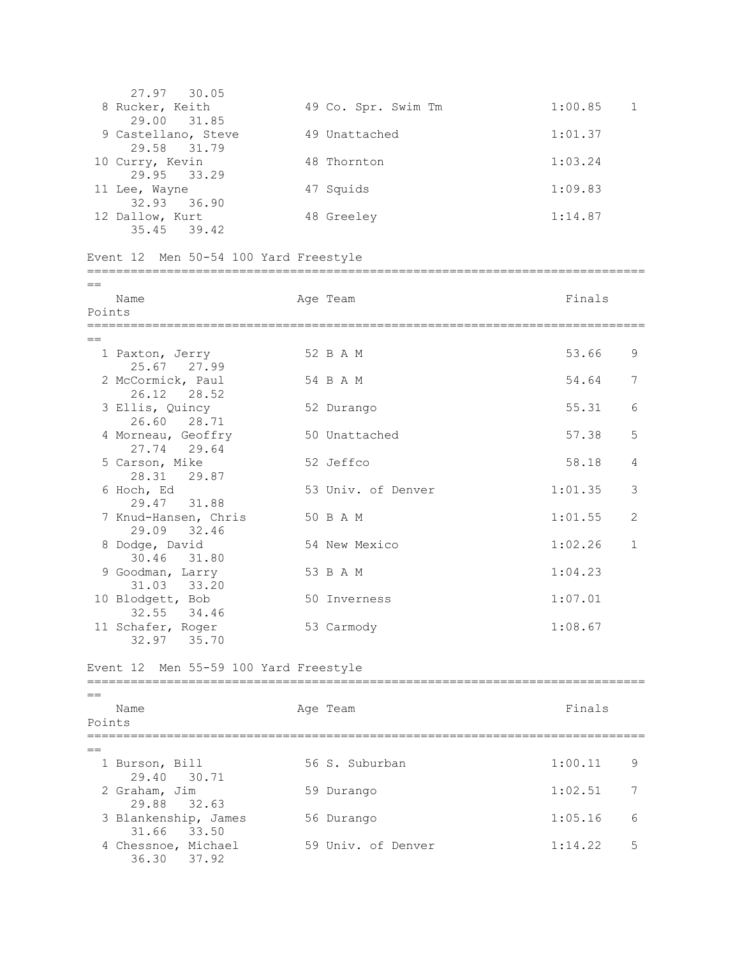| 27.97 30.05<br>8 Rucker, Keith<br>29.00 31.85 | 49 Co. Spr. Swim Tm | $1:00.85$ 1 |
|-----------------------------------------------|---------------------|-------------|
| 9 Castellano, Steve<br>29.58 31.79            | 49 Unattached       | 1:01.37     |
| 10 Curry, Kevin<br>29.95 33.29                | 48 Thornton         | 1:03.24     |
| 11 Lee, Wayne<br>32.93 36.90                  | 47 Squids           | 1:09.83     |
| 12 Dallow, Kurt<br>35.45 39.42                | 48 Greeley          | 1:14.87     |

Event 12 Men 50-54 100 Yard Freestyle

| $=$    |                                 |  |                    |         |                |
|--------|---------------------------------|--|--------------------|---------|----------------|
|        | Name                            |  | Age Team           | Finals  |                |
| Points |                                 |  |                    |         |                |
|        |                                 |  |                    |         |                |
| $=$    |                                 |  |                    |         |                |
|        | 1 Paxton, Jerry<br>25.67 27.99  |  | 52 B A M           | 53.66   | 9              |
|        | 2 McCormick, Paul               |  | 54 B A M           | 54.64   | 7              |
|        | 26.12 28.52                     |  |                    |         |                |
|        | 3 Ellis, Quincy                 |  | 52 Durango         | 55.31   | 6              |
|        | 26.60 28.71                     |  |                    |         |                |
|        | 4 Morneau, Geoffry              |  | 50 Unattached      | 57.38   | 5              |
|        | 27.74 29.64                     |  |                    |         |                |
|        | 5 Carson, Mike                  |  | 52 Jeffco          | 58.18   | $\overline{4}$ |
|        | 28.31 29.87                     |  |                    |         |                |
|        | 6 Hoch, Ed                      |  | 53 Univ. of Denver | 1:01.35 | 3              |
|        | 29.47 31.88                     |  |                    |         |                |
|        | 7 Knud-Hansen, Chris            |  | 50 B A M           | 1:01.55 | 2              |
|        | 29.09 32.46                     |  |                    |         |                |
|        | 8 Dodge, David                  |  | 54 New Mexico      | 1:02.26 | $\mathbf{1}$   |
|        | 30.46 31.80                     |  |                    |         |                |
|        | 9 Goodman, Larry                |  | 53 B A M           | 1:04.23 |                |
|        | 31.03 33.20                     |  | 50 Inverness       | 1:07.01 |                |
|        | 10 Blodgett, Bob<br>32.55 34.46 |  |                    |         |                |
|        | 11 Schafer, Roger               |  | 53 Carmody         | 1:08.67 |                |
|        | 32.97 35.70                     |  |                    |         |                |
|        |                                 |  |                    |         |                |

Event 12 Men 55-59 100 Yard Freestyle

| Name<br>Points                      | Age Team           | Finals       |
|-------------------------------------|--------------------|--------------|
|                                     |                    |              |
| 1 Burson, Bill<br>29.40 30.71       | 56 S. Suburban     | 1:00.11<br>9 |
| 2 Graham, Jim<br>29.88 32.63        | 59 Durango         | 1:02.51<br>7 |
| 3 Blankenship, James<br>31.66 33.50 | 56 Durango         | 1:05.16<br>6 |
| 4 Chessnoe, Michael<br>36.30 37.92  | 59 Univ. of Denver | 1:14.22<br>5 |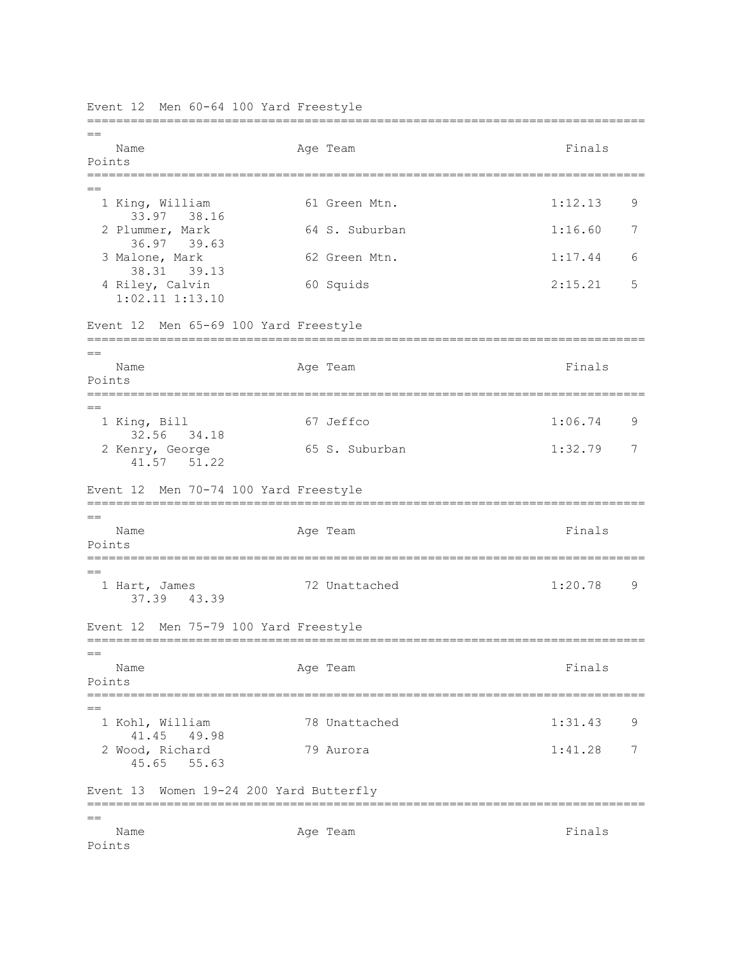Event 12 Men 60-64 100 Yard Freestyle =============================================================================  $=$ Name Ream Age Team Rimals Rimals Points ============================================================================= == 1 King, William 61 Green Mtn. 1:12.13 9 33.97 38.16 2 Plummer, Mark 64 S. Suburban 1:16.60 7 36.97 39.63 3 Malone, Mark 62 Green Mtn. 1:17.44 6 38.31 39.13 4 Riley, Calvin 60 Squids 2:15.21 5 1:02.11 1:13.10 Event 12 Men 65-69 100 Yard Freestyle =============================================================================  $=$ Name **Age Team** Age Team **Finals** Points ============================================================================= == 1 King, Bill 67 Jeffco 1:06.74 9 32.56 34.18 2 Kenry, George 65 S. Suburban 1:32.79 7 41.57 51.22 Event 12 Men 70-74 100 Yard Freestyle ============================================================================= == Name **Age Team** Age Team Finals Points ============================================================================= ==<br>1 Hart, James 72 Unattached 1:20.78 9 37.39 43.39 Event 12 Men 75-79 100 Yard Freestyle =============================================================================  $=$ Name **Age Team** Age Team Finals Points ============================================================================= == 1 Kohl, William 78 Unattached 1:31.43 9 41.45 49.98 2 Wood, Richard 79 Aurora 1:41.28 7 45.65 55.63 Event 13 Women 19-24 200 Yard Butterfly =============================================================================  $=$ Name **Age Team** Age Team **Finals** Points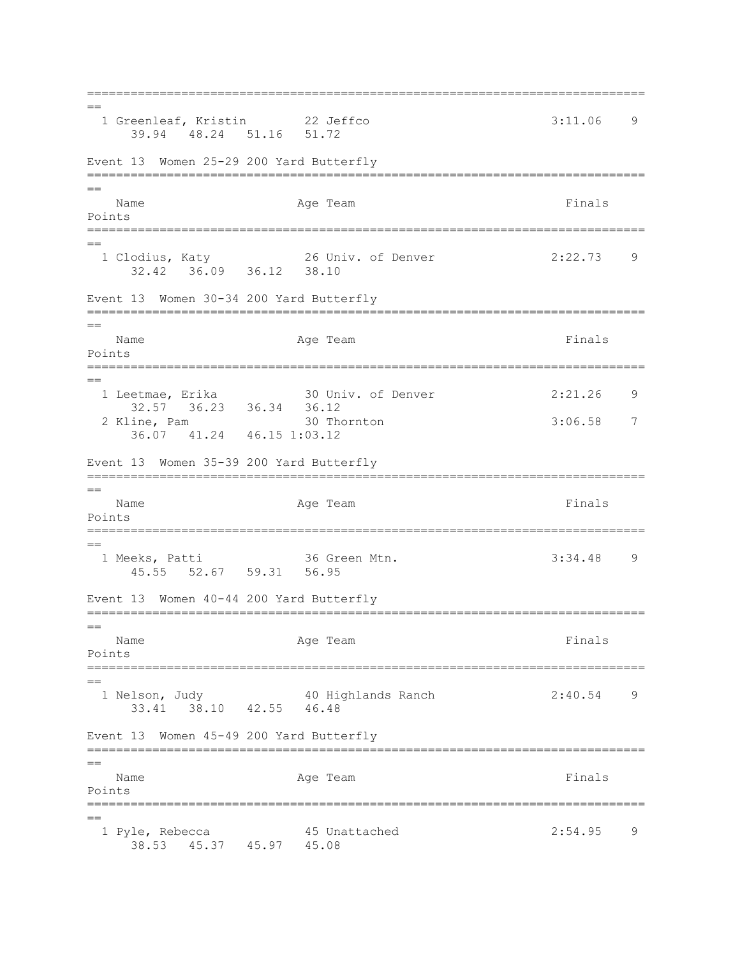=============================================================================  $=$ 1 Greenleaf, Kristin 22 Jeffco 3:11.06 9 39.94 48.24 51.16 51.72 Event 13 Women 25-29 200 Yard Butterfly ============================================================================= == Name **Age Team** Age Team **Finals** Points ============================================================================= == 1 Clodius, Katy 26 Univ. of Denver 2:22.73 9 32.42 36.09 36.12 38.10 Event 13 Women 30-34 200 Yard Butterfly ============================================================================= == Name **Age Team** Age Team Finals Points ============================================================================= == 1 Leetmae, Erika 30 Univ. of Denver 2:21.26 9 32.57 36.23 36.34 36.12 2 Kline, Pam 30 Thornton 3:06.58 7 36.07 41.24 46.15 1:03.12 Event 13 Women 35-39 200 Yard Butterfly =============================================================================  $-$ Name **Age Team** Age Team **Finals** Points ============================================================================= == 1 Meeks, Patti 36 Green Mtn. 3:34.48 9 45.55 52.67 59.31 56.95 Event 13 Women 40-44 200 Yard Butterfly =============================================================================  $=$ Name **Age Team** Age Team **Finals** Points ============================================================================= == 1 Nelson, Judy 40 Highlands Ranch 2:40.54 9 33.41 38.10 42.55 46.48 Event 13 Women 45-49 200 Yard Butterfly =============================================================================  $=$ Name **Age Team** Age Team Finals Points =============================================================================  $=$  1 Pyle, Rebecca 45 Unattached 2:54.95 9 38.53 45.37 45.97 45.08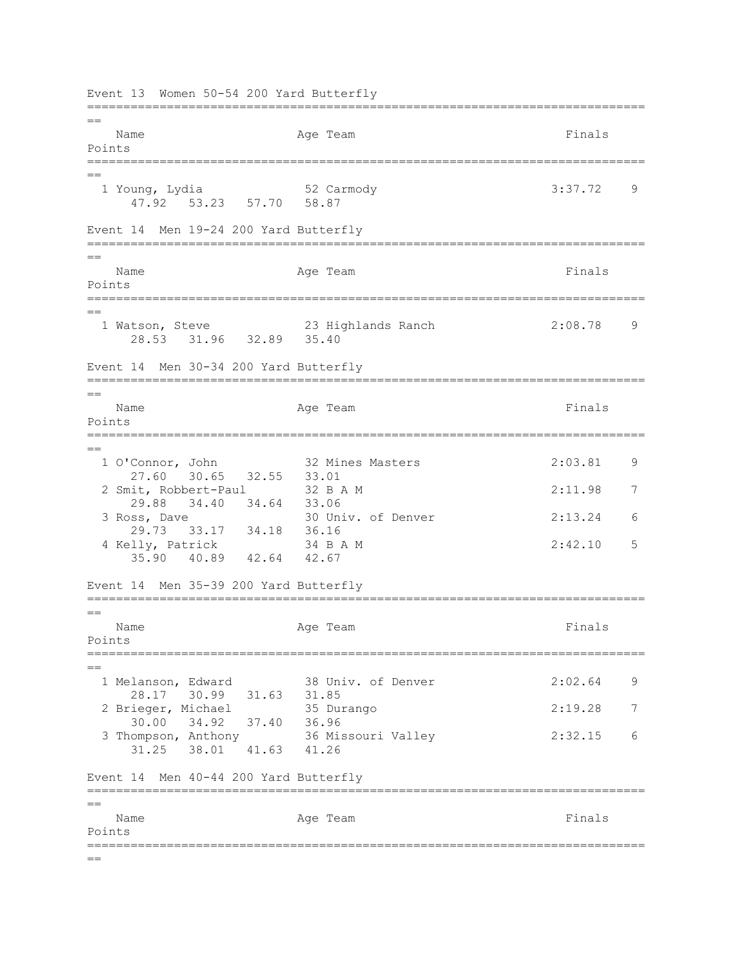Event 13 Women 50-54 200 Yard Butterfly =============================================================================  $-$ Name **Age Team** Age Team Finals Points ============================================================================= == 1 Young, Lydia 52 Carmody 3:37.72 9 47.92 53.23 57.70 58.87 Event 14 Men 19-24 200 Yard Butterfly =============================================================================  $=$ Name **Age Team** Age Team Finals Points ============================================================================= == 1 Watson, Steve 23 Highlands Ranch 2:08.78 9 28.53 31.96 32.89 35.40 Event 14 Men 30-34 200 Yard Butterfly =============================================================================  $-$ Name **Age Team** Age Team **Finals** Points =============================================================================  $=$  1 O'Connor, John 32 Mines Masters 2:03.81 9 27.60 30.65 32.55 33.01<br>it. Robbert-Paul 32 B A M 2 Smit, Robbert-Paul 32 B A M 2:11.98 7 29.88 34.40 34.64 33.06 3 Ross, Dave 30 Univ. of Denver 2:13.24 6 29.73 33.17 34.18 36.16 4 Kelly, Patrick 34 B A M 2:42.10 5 35.90 40.89 42.64 42.67 Event 14 Men 35-39 200 Yard Butterfly =============================================================================  $=$ Name **Age Team Age Team Age Team Primals** Points ============================================================================= == 1 Melanson, Edward 38 Univ. of Denver 2:02.64 9 28.17 30.99 31.63 31.85 2 Brieger, Michael 35 Durango 2:19.28 7 30.00 34.92 37.40 36.96 3 Thompson, Anthony 36 Missouri Valley 2:32.15 6 31.25 38.01 41.63 41.26 Event 14 Men 40-44 200 Yard Butterfly =============================================================================  $=$ Name **Age Team** Age Team **Finals** Points =============================================================================  $=$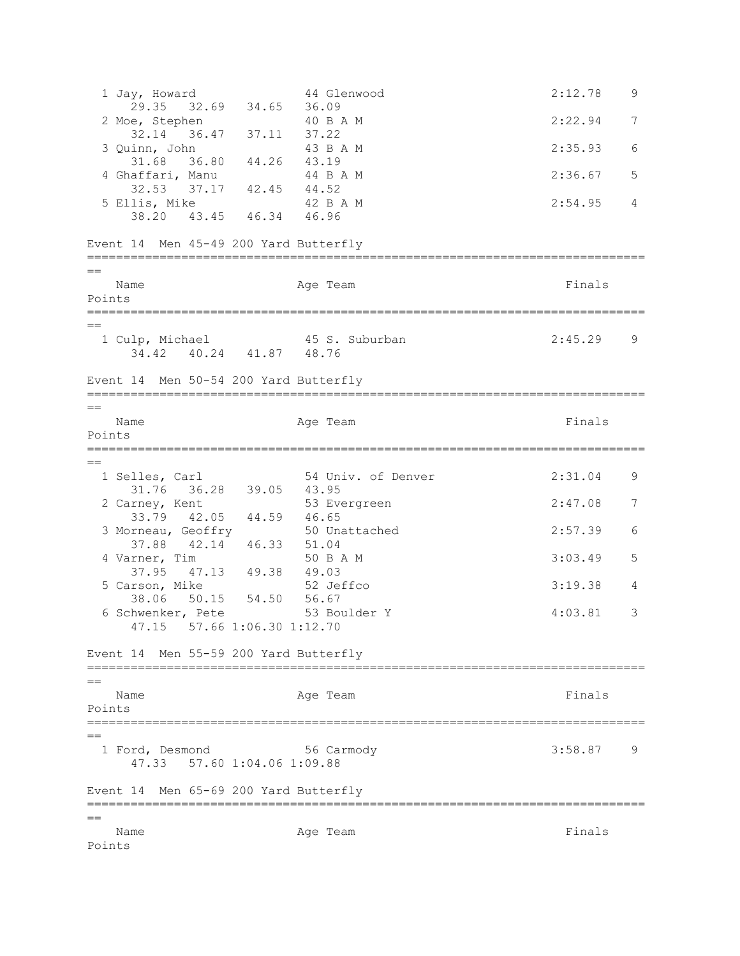1 Jay, Howard 44 Glenwood 2:12.78 9 29.35 32.69 34.65 36.09<br>e, Stephen 40 B A M 2 Moe, Stephen 40 B A M 2:22.94 7 32.14 36.47 37.11 37.22<br>
inn, John 43 B A M 3 Quinn, John 43 B A M 2:35.93 6 31.68 36.80 44.26 43.19 4 Ghaffari, Manu 44 B A M 2:36.67 5 32.53 37.17 42.45 44.52 5 Ellis, Mike 42 B A M 2:54.95 4 38.20 43.45 46.34 46.96 Event 14 Men 45-49 200 Yard Butterfly ============================================================================= == Name **Age Team** Age Team **Finals** Points ============================================================================= == 1 Culp, Michael 45 S. Suburban 2:45.29 9 34.42 40.24 41.87 48.76 Event 14 Men 50-54 200 Yard Butterfly =============================================================================  $=$ Name **Age Team** Age Team Finals Points ============================================================================= == 1 Selles, Carl 54 Univ. of Denver 2:31.04 9 31.76 36.28 39.05 43.95 2 Carney, Kent 53 Evergreen 2:47.08 7 33.79 42.05 44.59 46.65<br>
xneau, Geoffry 50 Unattached 3 Morneau, Geoffry 50 Unattached 2:57.39 6 37.88 42.14 46.33 51.04 4 Varner, Tim 50 B A M 3:03.49 5 37.95 47.13 49.38 49.03<br>arson, Mike 52 Jeffco 5 Carson, Mike 52 Jeffco 3:19.38 4 38.06 50.15 54.50 56.67 6 Schwenker, Pete 53 Boulder Y 4:03.81 3 47.15 57.66 1:06.30 1:12.70 Event 14 Men 55-59 200 Yard Butterfly =============================================================================  $=$ Name **Age Team** Age Team **Finals** Points =============================================================================  $=$  1 Ford, Desmond 56 Carmody 3:58.87 9 47.33 57.60 1:04.06 1:09.88 Event 14 Men 65-69 200 Yard Butterfly =============================================================================  $=$ Name **Age Team** Age Team **Finals** Points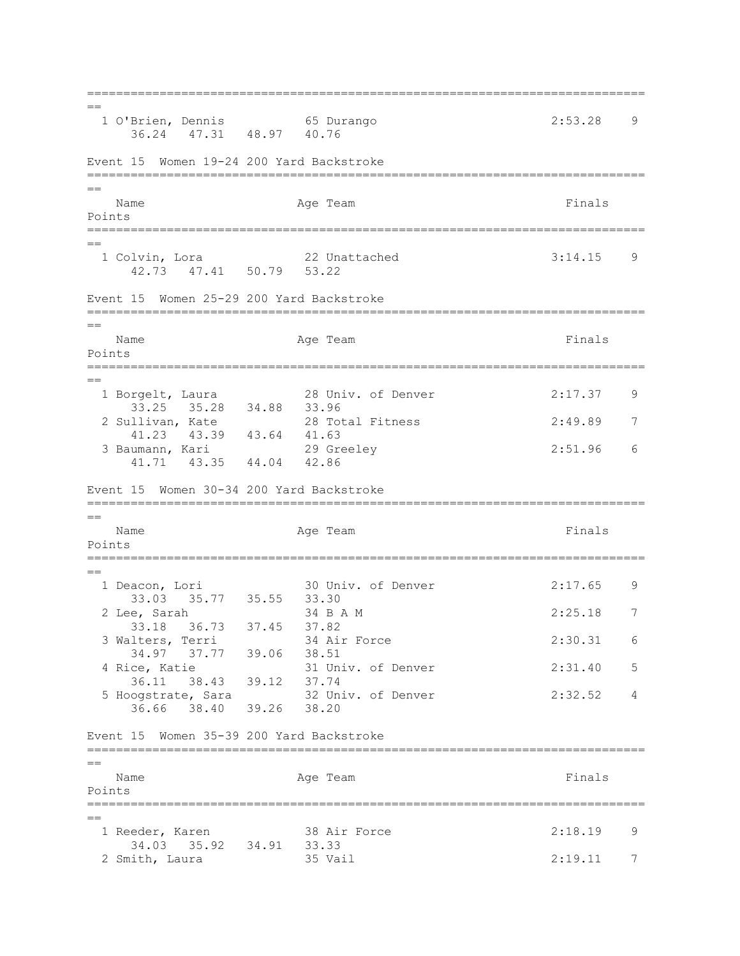=============================================================================  $=$  1 O'Brien, Dennis 65 Durango 2:53.28 9 36.24 47.31 48.97 40.76 Event 15 Women 19-24 200 Yard Backstroke ============================================================================= == Name **Age Team** Age Team **Finals** Points =============================================================================  $=$  1 Colvin, Lora 22 Unattached 3:14.15 9 42.73 47.41 50.79 53.22 Event 15 Women 25-29 200 Yard Backstroke ============================================================================= == Name **Age Team** Age Team Finals Points ============================================================================= == 1 Borgelt, Laura 28 Univ. of Denver 2:17.37 9 33.25 35.28 34.88 33.96 2 Sullivan, Kate 28 Total Fitness 2:49.89 7 41.23 43.39 43.64 41.63 3 Baumann, Kari 29 Greeley 2:51.96 6 41.71 43.35 44.04 42.86 Event 15 Women 30-34 200 Yard Backstroke ============================================================================= == Name **Age Team** Age Team Finals Points ============================================================================= == 1 Deacon, Lori 30 Univ. of Denver 2:17.65 9 33.03 35.77 35.55 33.30 2 Lee, Sarah 34 B A M 2:25.18 7 33.18 36.73 37.45 37.82 3 Walters, Terri 34 Air Force 2:30.31 6 34.97 37.77 39.06 38.51 4 Rice, Katie 31 Univ. of Denver 2:31.40 5 36.11 38.43 39.12 37.74 5 Hoogstrate, Sara 32 Univ. of Denver 2:32.52 4 36.66 38.40 39.26 38.20 Event 15 Women 35-39 200 Yard Backstroke =============================================================================  $=$ Name **Age Team** Age Team Finals Points =============================================================================  $=$ 1 Reeder, Karen 38 Air Force 2:18.19 9 34.03 35.92 34.91 33.33 2 Smith, Laura 35 Vail 2:19.11 7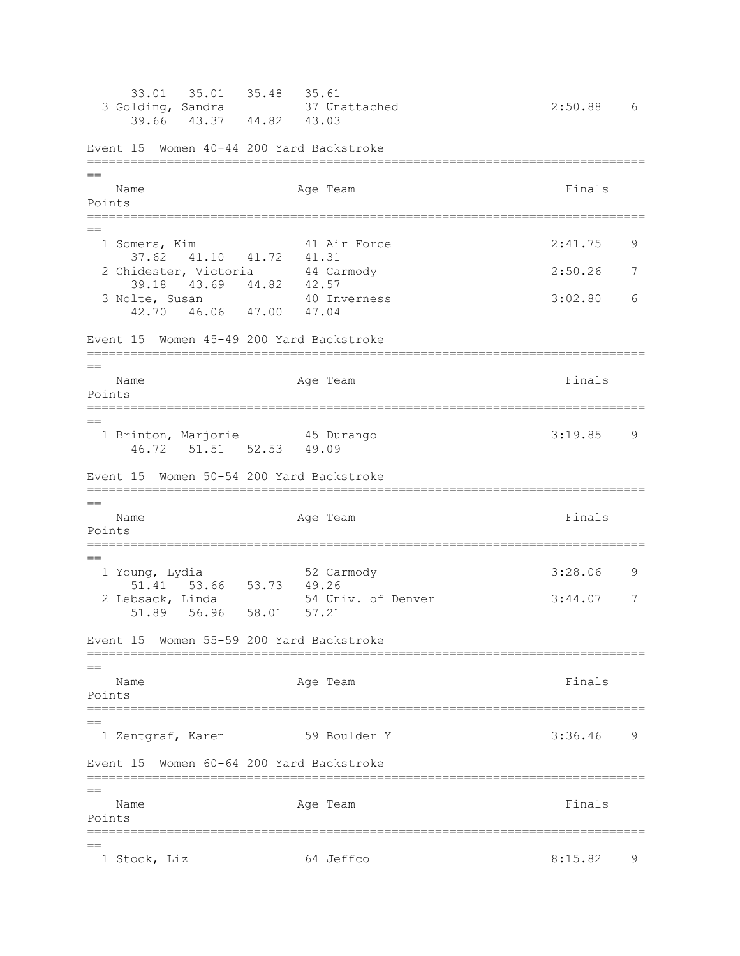33.01 35.01 35.48 35.61 3 Golding, Sandra 37 Unattached 2:50.88 6 39.66 43.37 44.82 43.03 Event 15 Women 40-44 200 Yard Backstroke ============================================================================= == Name **Age Team** Age Team **Finals** Points ============================================================================= == 1 Somers, Kim 41 Air Force 2:41.75 9 37.62 41.10 41.72 41.31 2 Chidester, Victoria 44 Carmody 2:50.26 7 39.18 43.69 44.82 42.57<br>1te, Susan 40 Inverness 3 Nolte, Susan 40 Inverness 3:02.80 6 42.70 46.06 47.00 47.04 Event 15 Women 45-49 200 Yard Backstroke ============================================================================= == Name **Age Team** Age Team **Finals** Points ============================================================================= == 1 Brinton, Marjorie 45 Durango 3:19.85 9 46.72 51.51 52.53 49.09 Event 15 Women 50-54 200 Yard Backstroke =============================================================================  $-$ Name **Age Team** Age Team **Finals** Points ============================================================================= == 1 Young, Lydia 52 Carmody 3:28.06 9 51.41 53.66 53.73 49.26<br>2 Lebsack, Linda 54 Uni 54 Univ. of Denver 3:44.07 7 51.89 56.96 58.01 57.21 Event 15 Women 55-59 200 Yard Backstroke =============================================================================  $=$ Name **Age Team** Age Team **Finals** Points =============================================================================  $=$  1 Zentgraf, Karen 59 Boulder Y 3:36.46 9 Event 15 Women 60-64 200 Yard Backstroke =============================================================================  $=$ Name Represent Age Team Age Team Rinals Points ============================================================================= == 1 Stock, Liz 64 Jeffco 8:15.82 9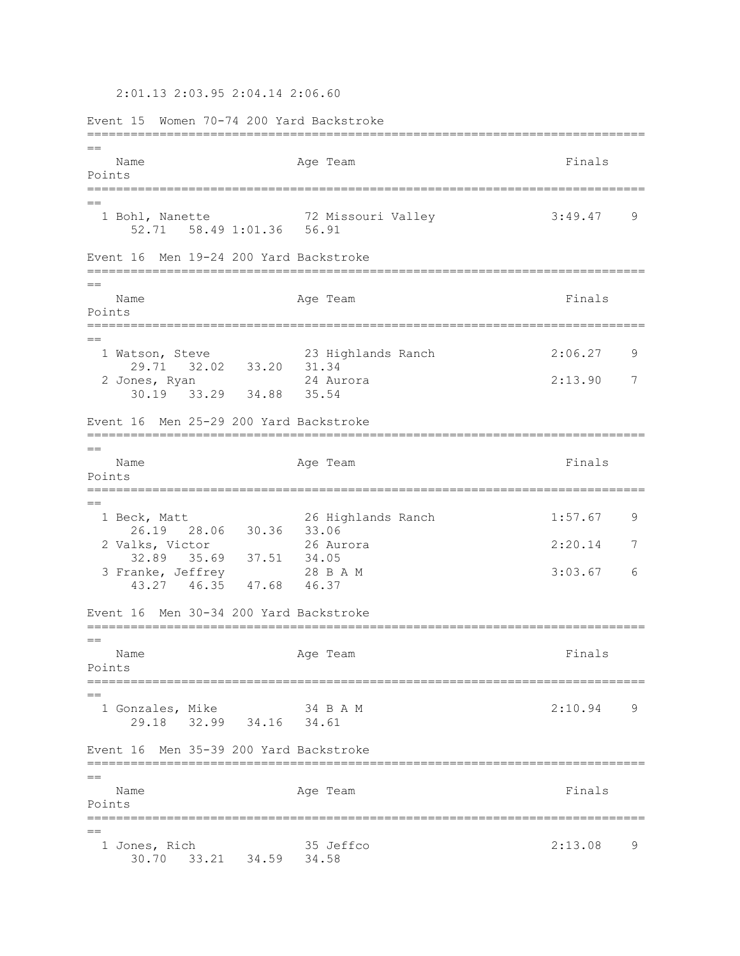2:01.13 2:03.95 2:04.14 2:06.60

Event 15 Women 70-74 200 Yard Backstroke =============================================================================  $=$ Name **Age Team** Age Team **Finals** Points =============================================================================  $=$  1 Bohl, Nanette 72 Missouri Valley 3:49.47 9 52.71 58.49 1:01.36 56.91 Event 16 Men 19-24 200 Yard Backstroke =============================================================================  $=$ Name Ream Age Team Readers and Finals Points =============================================================================  $=$  1 Watson, Steve 23 Highlands Ranch 2:06.27 9 29.71 32.02 33.20 31.34 2 Jones, Ryan 24 Aurora 2:13.90 7 30.19 33.29 34.88 35.54 Event 16 Men 25-29 200 Yard Backstroke =============================================================================  $=$ Name **Age Team** Age Team **Finals** Points ============================================================================= == 1 Beck, Matt 26 Highlands Ranch 1:57.67 9 26.19 28.06 30.36 33.06 2 Valks, Victor 26 Aurora 2:20.14 7 32.89 35.69 37.51 34.05 3 Franke, Jeffrey 28 B A M 3:03.67 6 43.27 46.35 47.68 46.37 Event 16 Men 30-34 200 Yard Backstroke =============================================================================  $-$ Name **Age Team** Age Team **Finals** Points ============================================================================= == 1 Gonzales, Mike 34 B A M 2:10.94 9 29.18 32.99 34.16 34.61 Event 16 Men 35-39 200 Yard Backstroke =============================================================================  $-$ Name **Age Team** Age Team **Finals** Points ============================================================================= == 1 Jones, Rich 35 Jeffco 2:13.08 9 30.70 33.21 34.59 34.58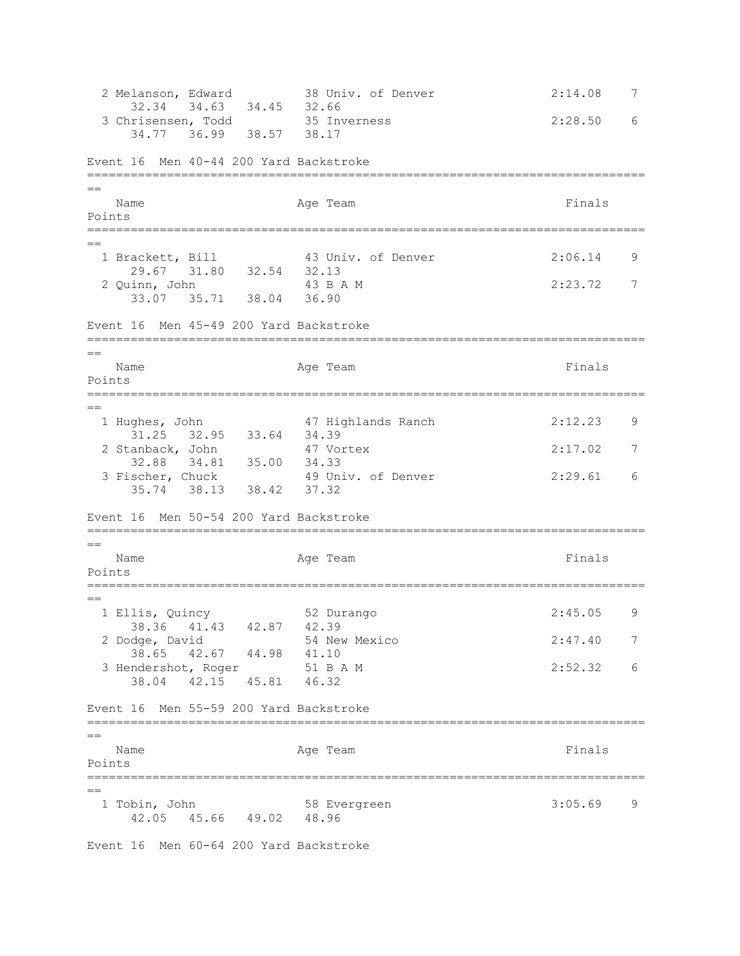2 Melanson, Edward 38 Univ. of Denver 2:14.08 7 32.34 34.63 34.45 32.66 3 Chrisensen, Todd 35 Inverness 2:28.50 6 34.77 36.99 38.57 38.17 Event 16 Men 40-44 200 Yard Backstroke =============================================================================  $=$ Name **Age Team** Age Team **Finals** Points ============================================================================= == 1 Brackett, Bill 43 Univ. of Denver 2:06.14 9 29.67 31.80 32.54 32.13<br>iinn, John 43 B A M 2 Quinn, John 43 B A M 2:23.72 7 33.07 35.71 38.04 36.90 Event 16 Men 45-49 200 Yard Backstroke =============================================================================  $=$ Name **Age Team** Age Team **Finals** Points ============================================================================= == 1 Hughes, John 47 Highlands Ranch 2:12.23 9 31.25 32.95 33.64 34.39 2 Stanback, John 47 Vortex 2:17.02 7 32.88 34.81 35.00 34.33 3 Fischer, Chuck 49 Univ. of Denver 2:29.61 6 35.74 38.13 38.42 37.32 Event 16 Men 50-54 200 Yard Backstroke =============================================================================  $=$ Name Represent Age Team Age Team Rinals Points ============================================================================= == 1 Ellis, Quincy 52 Durango 2:45.05 9 38.36 41.43 42.87 42.39 2 Dodge, David 54 New Mexico 2:47.40 7 38.65 42.67 44.98 41.10 3 Hendershot, Roger 51 B A M 2:52.32 6 38.04 42.15 45.81 46.32 Event 16 Men 55-59 200 Yard Backstroke =============================================================================  $=$ Name **Age Team** Age Team **Finals** Points =============================================================================  $=$  1 Tobin, John 58 Evergreen 3:05.69 9 42.05 45.66 49.02 48.96

Event 16 Men 60-64 200 Yard Backstroke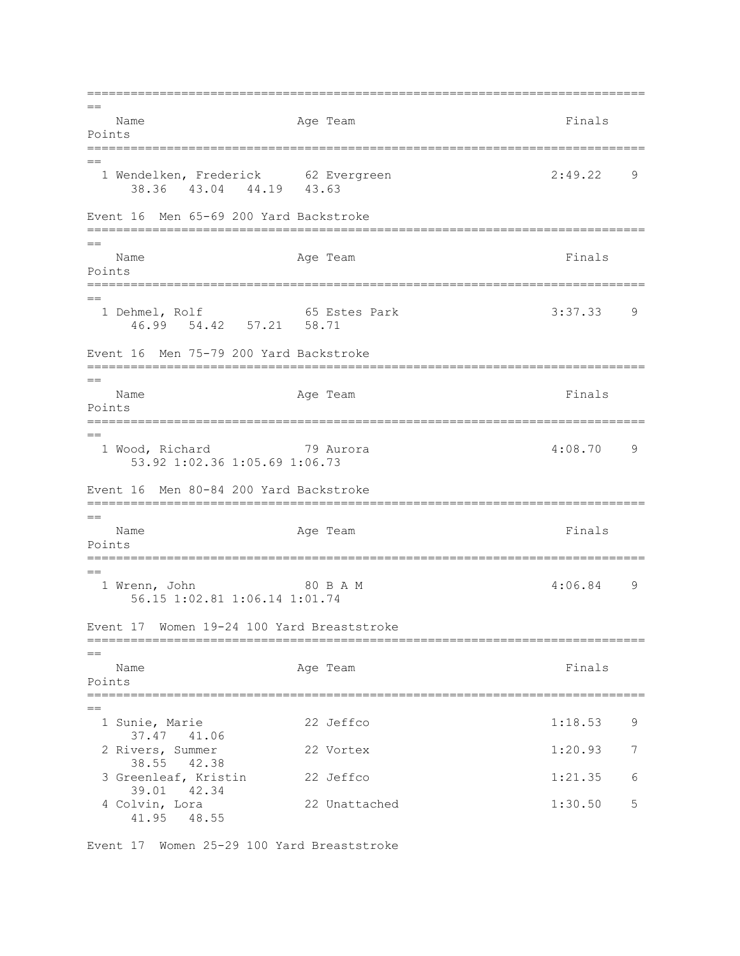=============================================================================  $=$ Name **Age Team** Age Team Finals Points =============================================================================  $=$  1 Wendelken, Frederick 62 Evergreen 2:49.22 9 38.36 43.04 44.19 43.63 Event 16 Men 65-69 200 Yard Backstroke =============================================================================  $=$ Name **Age Team** Age Team **Finals** Points ============================================================================= == 1 Dehmel, Rolf 65 Estes Park 3:37.33 9 46.99 54.42 57.21 58.71 Event 16 Men 75-79 200 Yard Backstroke =============================================================================  $=$ Name **Age Team** Age Team **Finals** Points =============================================================================  $=$  1 Wood, Richard 79 Aurora 4:08.70 9 53.92 1:02.36 1:05.69 1:06.73 Event 16 Men 80-84 200 Yard Backstroke ============================================================================= == Name **Age Team** Age Team Finals Points =============================================================================  $=$ 1 Wrenn, John 80 B A M 4:06.84 9 56.15 1:02.81 1:06.14 1:01.74 Event 17 Women 19-24 100 Yard Breaststroke ============================================================================= == Name **Age Team** Age Team **Finals** Points ============================================================================= == 1 Sunie, Marie 22 Jeffco 1:18.53 9 37.47 41.06 2 Rivers, Summer 22 Vortex 1:20.93 7 38.55 42.38 3 Greenleaf, Kristin 22 Jeffco 1:21.35 6 39.01 42.34 4 Colvin, Lora 22 Unattached 1:30.50 5 41.95 48.55

Event 17 Women 25-29 100 Yard Breaststroke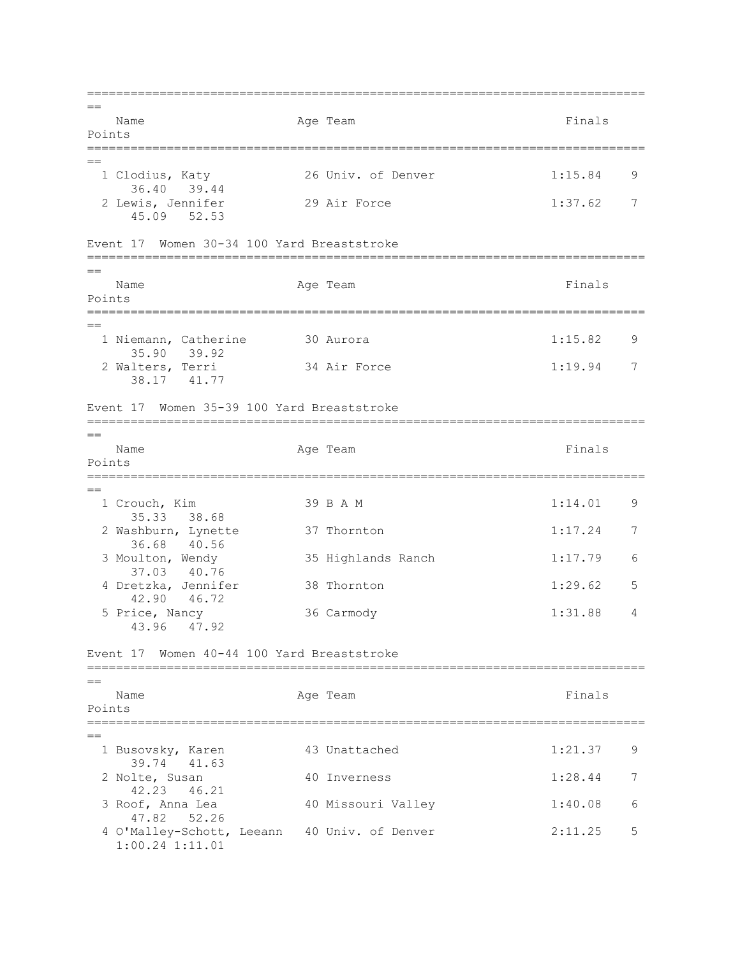=============================================================================  $=$ Name **Age Team** Age Team Finals Points =============================================================================  $=$  1 Clodius, Katy 26 Univ. of Denver 1:15.84 9 36.40 39.44<br>2 Lewis, Jennifer 29 Air Force 1:37.62 7 45.09 52.53 Event 17 Women 30-34 100 Yard Breaststroke ============================================================================= == Name **Age Team** Age Team **Finals** Points ============================================================================= == 1 Niemann, Catherine 30 Aurora 1:15.82 9 35.90 39.92 2 Walters, Terri 34 Air Force 1:19.94 7 38.17 41.77 Event 17 Women 35-39 100 Yard Breaststroke =============================================================================  $=$ Name **Age Team** Age Team **Finals** Points =============================================================================  $-$ 1 Crouch, Kim 39 B A M 1:14.01 9 35.33 38.68 2 Washburn, Lynette 37 Thornton 1:17.24 7 36.68 40.56<br>3 Moulton, Wendy 35 Highlands Ranch 1:17.79 6 37.03 40.76 4 Dretzka, Jennifer 38 Thornton 1:29.62 5 42.90 46.72 5 Price, Nancy 36 Carmody 1:31.88 4 43.96 47.92 Event 17 Women 40-44 100 Yard Breaststroke =============================================================================  $=$ Name **Age Team** Age Team **Finals** Points ============================================================================= == 1 Busovsky, Karen 43 Unattached 1:21.37 9 39.74 41.63 2 Nolte, Susan 40 Inverness 1:28.44 7 42.23 46.21 3 Roof, Anna Lea 40 Missouri Valley 1:40.08 6 47.82 52.26 4 O'Malley-Schott, Leeann 40 Univ. of Denver 2:11.25 5 1:00.24 1:11.01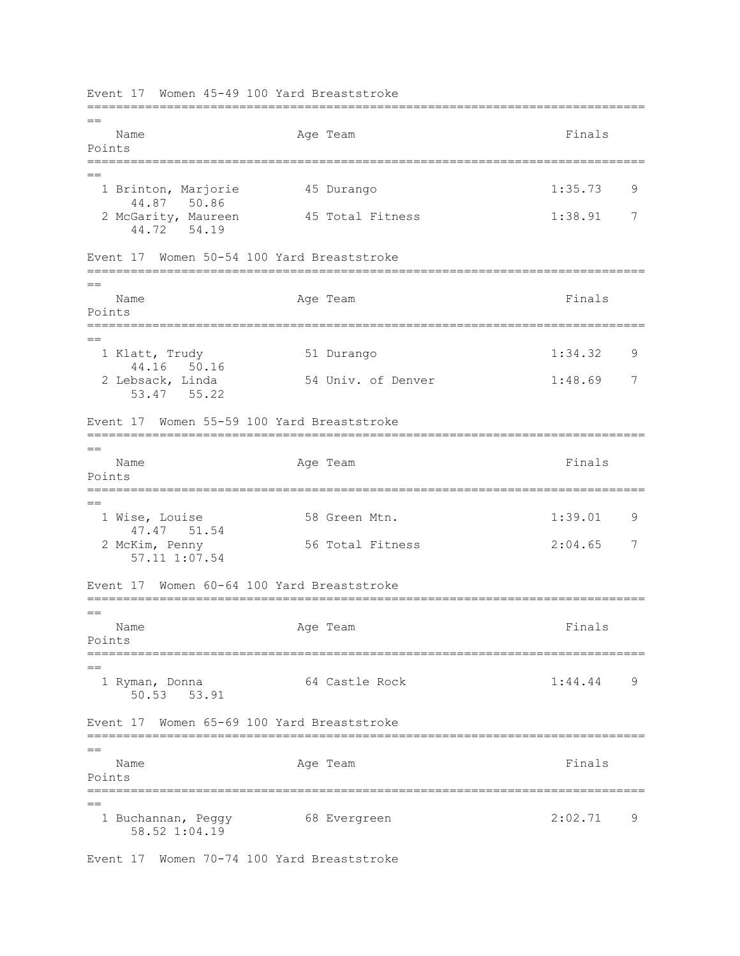=============================================================================  $-$ Name **Age Team** Age Team **Finals** Points ============================================================================= == 1 Brinton, Marjorie 45 Durango 1:35.73 9 44.87 50.86 2 McGarity, Maureen 45 Total Fitness 1:38.91 7 44.72 54.19 Event 17 Women 50-54 100 Yard Breaststroke =============================================================================  $=$ Name Ream Age Team Readers and Finals Points =============================================================================  $=$  1 Klatt, Trudy 51 Durango 1:34.32 9 44.16 50.16<br>2 Lebsack, Linda 54 Univ. of Denver 1:48.69 7 53.47 55.22 Event 17 Women 55-59 100 Yard Breaststroke =============================================================================  $=$ Name **Age Team** Age Team **Finals** Points ============================================================================= == 1 Wise, Louise 58 Green Mtn. 1:39.01 9 47.47 51.54 2 McKim, Penny 56 Total Fitness 2:04.65 7 57.11 1:07.54 Event 17 Women 60-64 100 Yard Breaststroke =============================================================================  $=$ Name **Age Team** Age Team **Finals** Points ============================================================================= == 1 Ryman, Donna 64 Castle Rock 1:44.44 9 50.53 53.91 Event 17 Women 65-69 100 Yard Breaststroke ============================================================================= == Name **Age Team** Age Team Finals Points ============================================================================= == 1 Buchannan, Peggy 68 Evergreen 2:02.71 9 58.52 1:04.19

Event 17 Women 70-74 100 Yard Breaststroke

Event 17 Women 45-49 100 Yard Breaststroke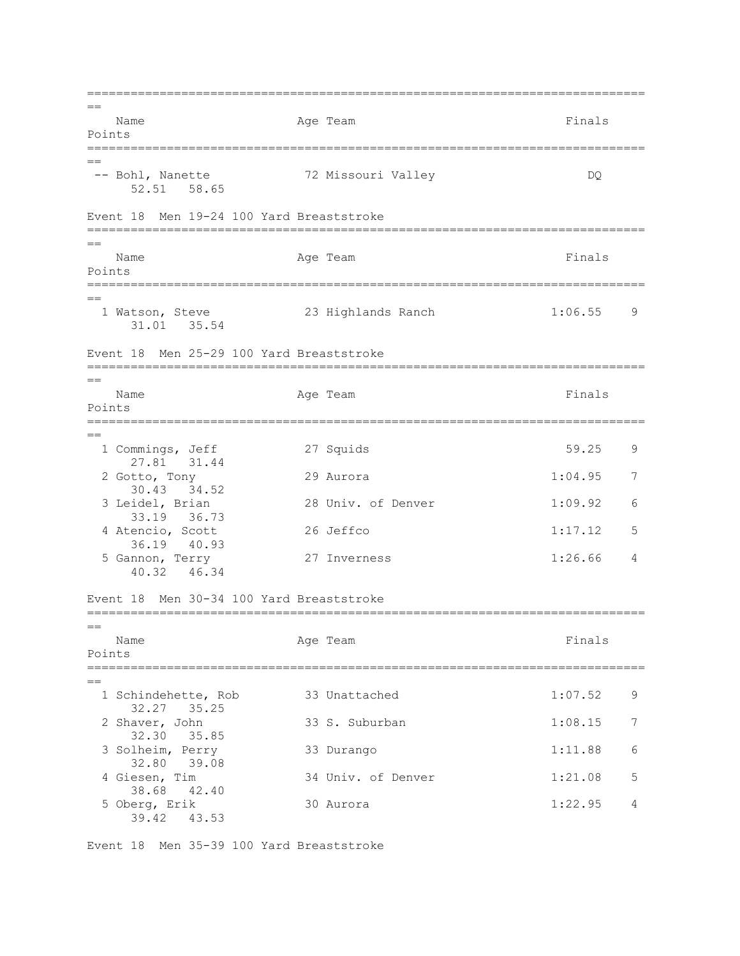=============================================================================  $=$ Name **Age Team** Age Team Finals Points =============================================================================  $=$ -- Bohl, Nanette 72 Missouri Valley DQ 52.51 58.65 Event 18 Men 19-24 100 Yard Breaststroke =============================================================================  $=$ Name **Age Team** Age Team **Finals** Points ============================================================================= == 1 Watson, Steve 23 Highlands Ranch 1:06.55 9 31.01 35.54 Event 18 Men 25-29 100 Yard Breaststroke =============================================================================  $=$ Name **Age Team** Age Team **Finals** Points =============================================================================  $=$  1 Commings, Jeff 27 Squids 59.25 9 27.81 31.44 2 Gotto, Tony 29 Aurora 1:04.95 7 30.43 34.52<br>3 Leidel, Brian 28 Univ. of Denver 1:09.92 6 33.19 36.73 4 Atencio, Scott 26 Jeffco 1:17.12 5 36.19 40.93 5 Gannon, Terry 27 Inverness 1:26.66 4 40.32 46.34 Event 18 Men 30-34 100 Yard Breaststroke =============================================================================  $=$ Name **Age Team** Age Team **Finals** Points ============================================================================= == 1 Schindehette, Rob 33 Unattached 1:07.52 9 32.27 35.25 2 Shaver, John 33 S. Suburban 1:08.15 7 32.30 35.85 3 Solheim, Perry 33 Durango 1:11.88 6 32.80 39.08<br>4 Giesen, Tim 34 Univ. of Denver 1:21.08 5 38.68 42.40 5 Oberg, Erik 30 Aurora 1:22.95 4 39.42 43.53

Event 18 Men 35-39 100 Yard Breaststroke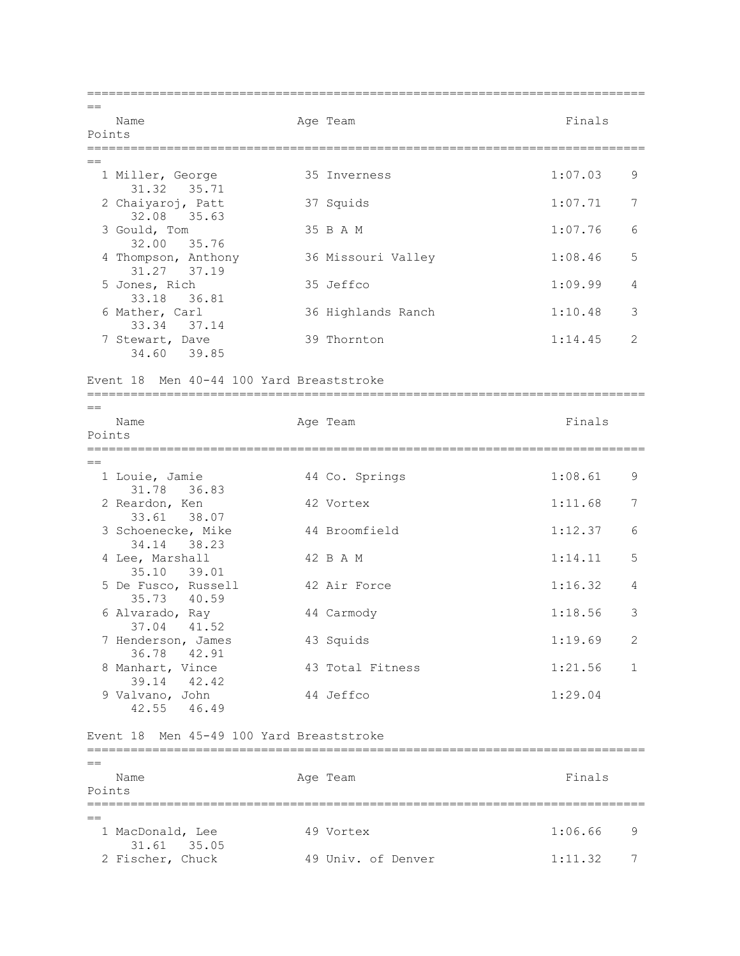=============================================================================  $=$ Name **Age Team** Age Team Finals Points =============================================================================  $=$  1 Miller, George 35 Inverness 1:07.03 9 31.32 35.71 2 Chaiyaroj, Patt 37 Squids 1:07.71 7 32.08 35.63 3 Gould, Tom 35 B A M 1:07.76 6 32.00 35.76 4 Thompson, Anthony 36 Missouri Valley 1:08.46 5 31.27 37.19 5 Jones, Rich 35 Jeffco 1:09.99 4 33.18 36.81<br>6 Mather, Carl 36 Highlands Ranch 1:10.48 3 33.34 37.14 7 Stewart, Dave 39 Thornton 1:14.45 2 34.60 39.85 Event 18 Men 40-44 100 Yard Breaststroke =============================================================================  $=$ Name **Age Team** Age Team Finals Points ============================================================================= == 1 Louie, Jamie 44 Co. Springs 1:08.61 9 31.78 36.83 2 Reardon, Ken 42 Vortex 1:11.68 7 33.61 38.07 3 Schoenecke, Mike 44 Broomfield 1:12.37 6 34.14 38.23 4 Lee, Marshall 42 B A M 1:14.11 5 35.10 39.01 5 De Fusco, Russell 42 Air Force 1:16.32 4 35.73 40.59 6 Alvarado, Ray 44 Carmody 1:18.56 3 37.04 41.52 7 Henderson, James 43 Squids 1:19.69 2 36.78 42.91 8 Manhart, Vince 43 Total Fitness 1:21.56 1 39.14 42.42 9 Valvano, John 44 Jeffco 1:29.04 42.55 46.49 Event 18 Men 45-49 100 Yard Breaststroke =============================================================================  $=$ Name **Age Team** Age Team Finals Points =============================================================================  $=$ 1 MacDonald, Lee 49 Vortex 1:06.66 9 31.61 35.05 2 Fischer, Chuck 49 Univ. of Denver 1:11.32 7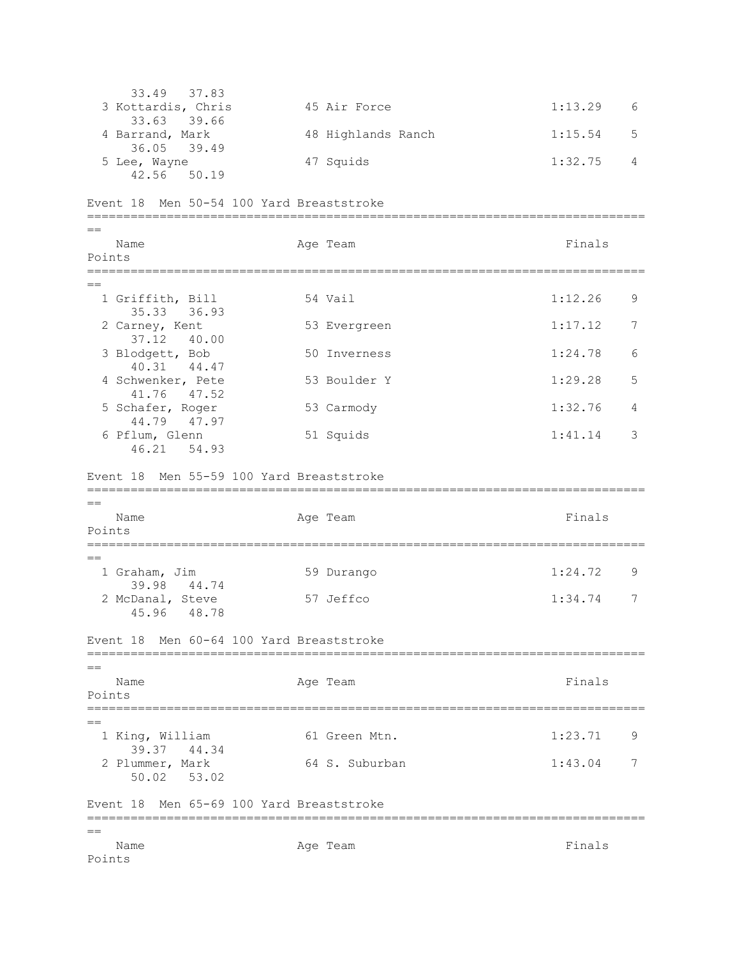33.49 37.83<br>3 Kottardis, Chris 45 Air Force 1:13.29 6 33.63 39.66 4 Barrand, Mark 48 Highlands Ranch 1:15.54 5 36.05 39.49 5 Lee, Wayne 47 Squids 1:32.75 4 42.56 50.19 Event 18 Men 50-54 100 Yard Breaststroke =============================================================================  $=$ Name **Age Team** Age Team Finals Points =============================================================================  $=$ 1 Griffith, Bill 54 Vail 1:12.26 9 35.33 36.93<br>2 Carney, Kent 53 Evergreen 1:17.12 7 37.12 40.00 3 Blodgett, Bob 50 Inverness 1:24.78 6 40.31 44.47 4 Schwenker, Pete 53 Boulder Y 1:29.28 5 41.76 47.52 5 Schafer, Roger 53 Carmody 1:32.76 4 44.79 47.97 6 Pflum, Glenn 51 Squids 1:41.14 3 46.21 54.93 Event 18 Men 55-59 100 Yard Breaststroke =============================================================================  $-$ Name **Age Team** Age Team **Finals** Points ============================================================================= == 1 Graham, Jim 59 Durango 1:24.72 9 39.98 44.74 2 McDanal, Steve 57 Jeffco 1:34.74 7 45.96 48.78 Event 18 Men 60-64 100 Yard Breaststroke =============================================================================  $=$ Name **Age Team** Age Team **Finals** Points =============================================================================  $=$  1 King, William 61 Green Mtn. 1:23.71 9 39.37 44.34<br>2 Plummer, Mark 2 Plummer, Mark 64 S. Suburban 1:43.04 7 50.02 53.02 Event 18 Men 65-69 100 Yard Breaststroke ============================================================================= == Name **Age Team** Age Team **Finals** Points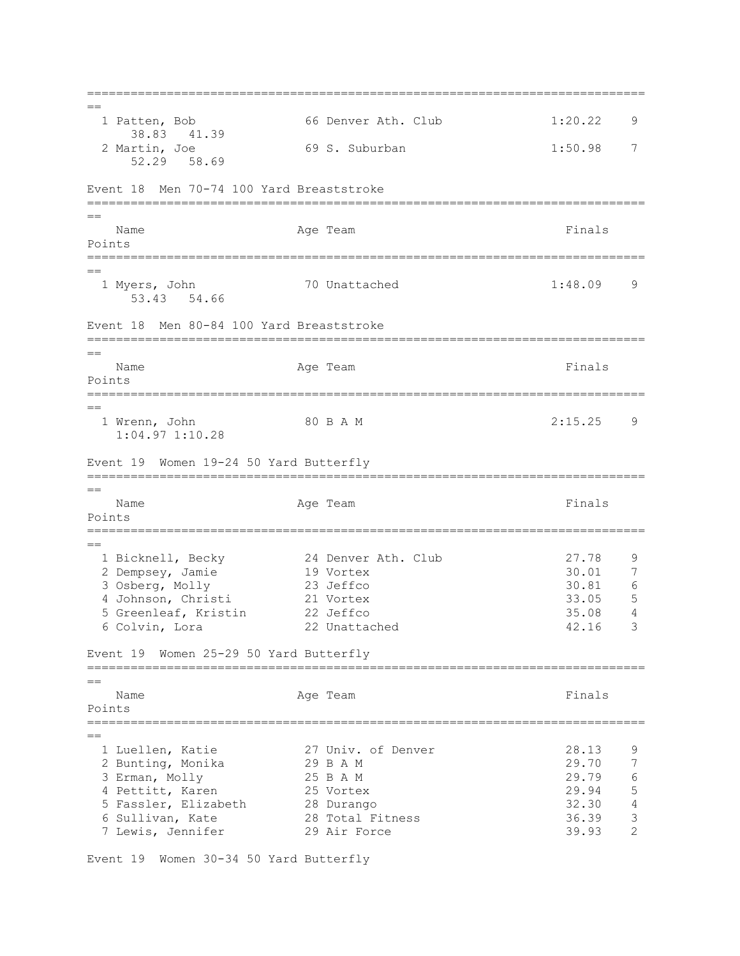=============================================================================  $=$  1 Patten, Bob 66 Denver Ath. Club 1:20.22 9 38.83 41.39 2 Martin, Joe 69 S. Suburban 1:50.98 7 52.29 58.69 Event 18 Men 70-74 100 Yard Breaststroke =============================================================================  $=$ Name **Age Team** Age Team **Finals** Points ============================================================================= == 1 Myers, John 70 Unattached 1:48.09 9 53.43 54.66 Event 18 Men 80-84 100 Yard Breaststroke =============================================================================  $=$ Name **Age Team** Age Team **Finals** Points ============================================================================= == 1 Wrenn, John 80 B A M 2:15.25 9 1:04.97 1:10.28 Event 19 Women 19-24 50 Yard Butterfly =============================================================================  $-$ Name **Age Team** Age Team **Finals** Points =============================================================================  $=$ 24 Denver Ath. Club 27.78 9<br>19 Vortex 30.01 7 1 Bicknell, Becky 24 Denver Ath. Club 27.78 9<br>
2 Dempsey, Jamie 19 Vortex 30.01 7<br>
3 Osberg, Molly 23 Jeffco 30.81 6 3 Osberg, Molly 4 Johnson, Christi 21 Vortex 33.05 5 5 Greenleaf, Kristin 22 Jeffco 35.08 4 6 Colvin, Lora 22 Unattached 42.16 3 Event 19 Women 25-29 50 Yard Butterfly =============================================================================  $=$ Name **Age Team** Age Team **Finals** Points =============================================================================  $=$  1 Luellen, Katie 27 Univ. of Denver 28.13 9 2 Bunting, Monika 29 B A M 29.70<br>3 Erman, Molly 25 B A M 29.79 3 Erman, Molly 25 B A M 29.79 6<br>4 Pettitt, Karen 25 Vortex 29.94 5 4 Pettitt, Karen 25 Vortex 29.94 5 5 Fassler, Elizabeth 28 Durango 32.30 4<br>5 Sullivan, Kate 38 Total Fitness 36.39 3 6 Sullivan, Kate 28 Total Fitness 36.39 3 7 Lewis, Jennifer 29 Air Force 39.93 2

Event 19 Women 30-34 50 Yard Butterfly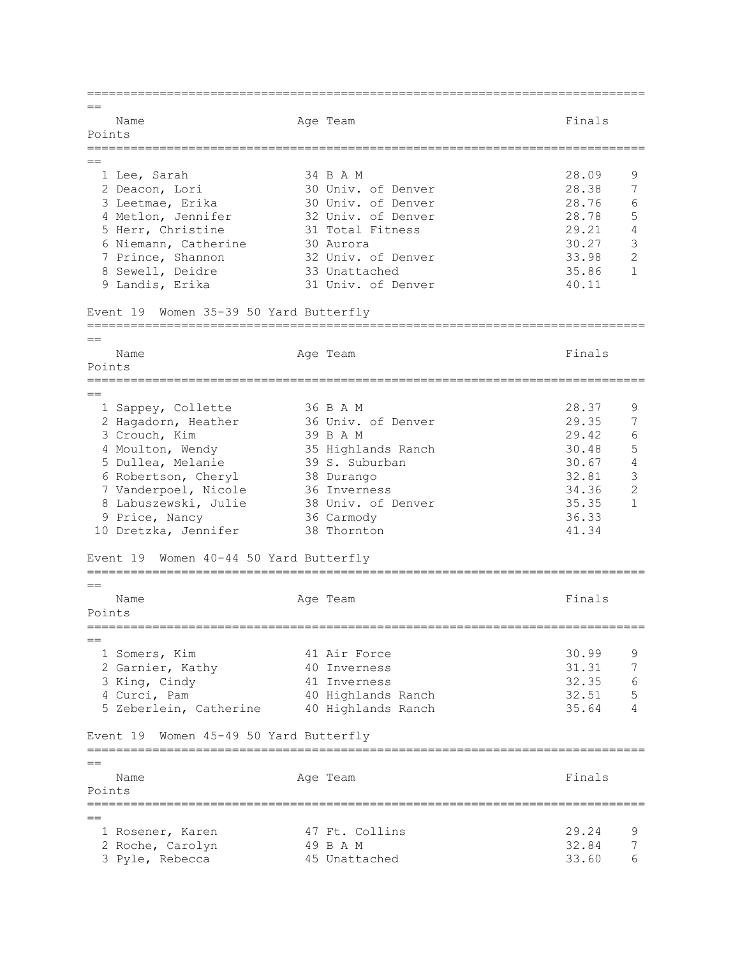=============================================================================  $=$ Name **Age Team** Age Team Finals Points =============================================================================  $=$  1 Lee, Sarah 34 B A M 28.09 9 2 Deacon, Lori 30 Univ. of Denver 28.38 7 3 Leetmae, Erika 30 Univ. of Denver 28.76 6 4 Metlon, Jennifer 32 Univ. of Denver 28.78 5 5 Herr, Christine 31 Total Fitness 29.21 4 6 Niemann, Catherine 30 Aurora 30.27 3 7 Prince, Shannon 32 Univ. of Denver 33.98 2 8 Sewell, Deidre 33 Unattached 35.86 1 9 Landis, Erika 31 Univ. of Denver 40.11 Event 19 Women 35-39 50 Yard Butterfly =============================================================================  $=$ Name Age Team Age Team Finals Points =============================================================================  $=$ 1 Sappey, Collette 36 B A M 28.37 9 2 Hagadorn, Heather 36 Univ. of Denver 29.35 7 3 Crouch, Kim 39 B A M 29.42 6 4 Moulton, Wendy 35 Highlands Ranch 30.48 5 5 Dullea, Melanie 39 S. Suburban 30.67 4 6 Robertson, Cheryl 38 Durango 32.81 3 7 Vanderpoel, Nicole 36 Inverness 34.36 2 8 Labuszewski, Julie 38 Univ. of Denver 35.35 1 9 Price, Nancy 36 Carmody 36.33 9 Price, Nancy 36 Carmody 36.33<br>10 Dretzka, Jennifer 38 Thornton 41.34 Event 19 Women 40-44 50 Yard Butterfly =============================================================================  $=$ Name **Age Team** Age Team Finals Points =============================================================================  $-$  1 Somers, Kim 41 Air Force 30.99 9 2 Garnier, Kathy 40 Inverness 31.31 7 3 King, Cindy 41 Inverness 32.35 6 4 Curci, Pam 40 Highlands Ranch 32.51 5 5 Zeberlein, Catherine 40 Highlands Ranch 35.64 4 Event 19 Women 45-49 50 Yard Butterfly =============================================================================  $-$ Name **Age Team** Age Team Finals Points =============================================================================  $=$  1 Rosener, Karen 47 Ft. Collins 29.24 9 2 Roche, Carolyn 49 B A M 32.84 7 3 Pyle, Rebecca 45 Unattached 33.60 6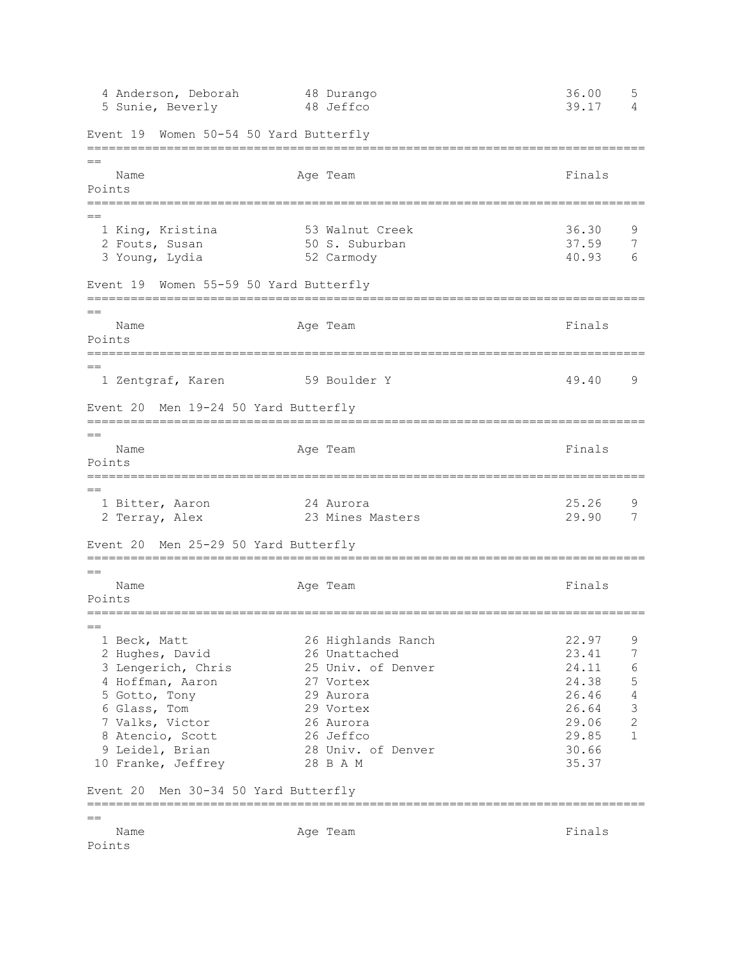4 Anderson, Deborah 48 Durango 36.00 5 5 Sunie, Beverly 48 Jeffco 39.17 4 Event 19 Women 50-54 50 Yard Butterfly =============================================================================  $=$ Name Age Team Age Team Finals Points ============================================================================= == 1 King, Kristina 53 Walnut Creek 36.30 9 2 Fouts, Susan 50 S. Suburban 37.59 7 3 Young, Lydia 52 Carmody 40.93 6 Event 19 Women 55-59 50 Yard Butterfly =============================================================================  $=$ Name Age Team Age Team Finals Points ============================================================================= == 1 Zentgraf, Karen 59 Boulder Y 49.40 9 Event 20 Men 19-24 50 Yard Butterfly =============================================================================  $=$ Name **Age Team** Age Team Finals Points ============================================================================= == 1 Bitter, Aaron 24 Aurora 25.26 9 2 Terray, Alex 23 Mines Masters 29.90 7 Event 20 Men 25-29 50 Yard Butterfly =============================================================================  $=$ Name **Age Team** Age Team **Finals** Points =============================================================================  $=$  1 Beck, Matt 26 Highlands Ranch 22.97 9 2 Hughes, David 26 Unattached 23.41 7<br>2 Hughes, David 26 Unattached 23.41 7<br>2 Jengerich, Chris 25 Univ. of Denver 24.11 6 3 Lengerich, Chris 25 Univ. of Denver 24.11 6 4 Hoffman, Aaron 27 Vortex 24.38 5 5 Gotto, Tony 29 Aurora 26.46 4 6 Glass, Tom 29 Vortex 26.64 3 7 Valks, Victor 26 Aurora 29.06 2 8 Atencio, Scott 26 Jeffco 29.85 1 9 Leidel, Brian 28 Univ. of Denver 30.66 10 Franke, Jeffrey 28 B A M 35.37 Event 20 Men 30-34 50 Yard Butterfly ============================================================================= == Name **Age Team** Age Team **Finals** Points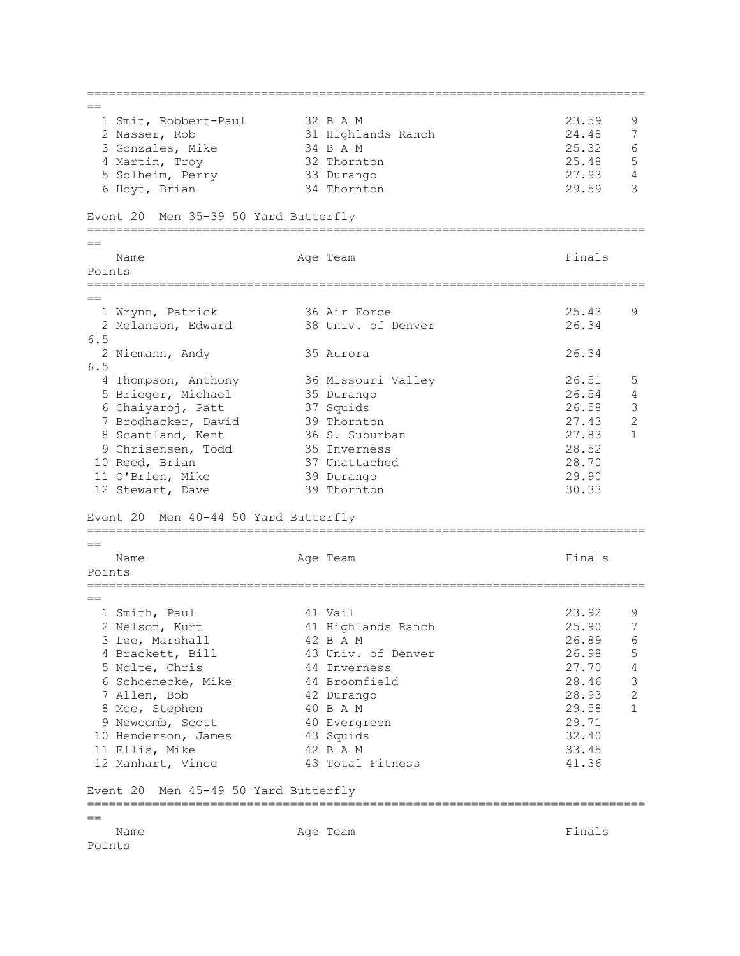=============================================================================  $=$ 1 Smit, Robbert-Paul 32 B A M 23.59 9 2 Nasser, Rob 31 Highlands Ranch 24.48 7 3 Gonzales, Mike 34 B A M 25.32 6 4 Martin, Troy 32 Thornton 25.48 5 5 Solheim, Perry 33 Durango 27.93 4 5 Solheim, Perry 33 Durango 32 27.93 4<br>6 Hoyt, Brian 34 Thornton 29.59 3 Event 20 Men 35-39 50 Yard Butterfly =============================================================================  $=$ Name **Age Team** Age Team **Finals** Points ============================================================================= == 1 Wrynn, Patrick 36 Air Force 25.43 9 2 Melanson, Edward 38 Univ. of Denver 26.34 6.5 2 Niemann, Andy 35 Aurora 26.34 6.5 4 Thompson, Anthony 36 Missouri Valley 26.51 5 5 Brieger, Michael 35 Durango 26.54 4<br>
6 Chaiyaroj, Patt 37 Squids 26.58 3 6 Chaiyaroj, Patt 37 Squids 26.58 3 7 Brodhacker, David 39 Thornton 27.43 2<br>
8 Scantland, Kent 36 S. Suburban 27.83 1 8 Scantland, Kent 36 S. Suburban 27.83 1 9 Chrisensen, Todd 35 Inverness 28.52 10 Reed, Brian 37 Unattached 28.70 11 O'Brien, Mike 39 Durango 29.90 12 Stewart, Dave 39 Thornton 30.33 Event 20 Men 40-44 50 Yard Butterfly =============================================================================  $=$ Name Age Team Age Team Finals Points ============================================================================= == 1 Smith, Paul **41 Vail 23.92** 9 2 Nelson, Kurt 41 Highlands Ranch 25.90 7 3 Lee, Marshall 42 B A M 26.89 6 4 Brackett, Bill 43 Univ. of Denver 26.09 5<br>4 Brackett, Bill 43 Univ. of Denver 26.98 5<br>5 Nolte Chris 44 Inverness 27.70 4 5 Nolte, Chris 44 Inverness 27.70 4 6 Schoenecke, Mike 44 Broomfield 28.46 3 7 Allen, Bob 42 Durango 28.93 2 8 Moe, Stephen 40 B A M 29.58 1 9 Newcomb, Scott 40 Evergreen 29.71 10 Henderson, James 43 Squids 32.40 10 Henderson, James (and A Social And A Society and A M 32.40)<br>
11 Ellis, Mike (42 B A M 33.45)<br>
12 Manhart, Vince (43 Total Fitness (41.36) 12 Manhart, Vince 43 Total Fitness 41.36 Event 20 Men 45-49 50 Yard Butterfly =============================================================================  $=$ Name **Age Team** Age Team **Finals** Points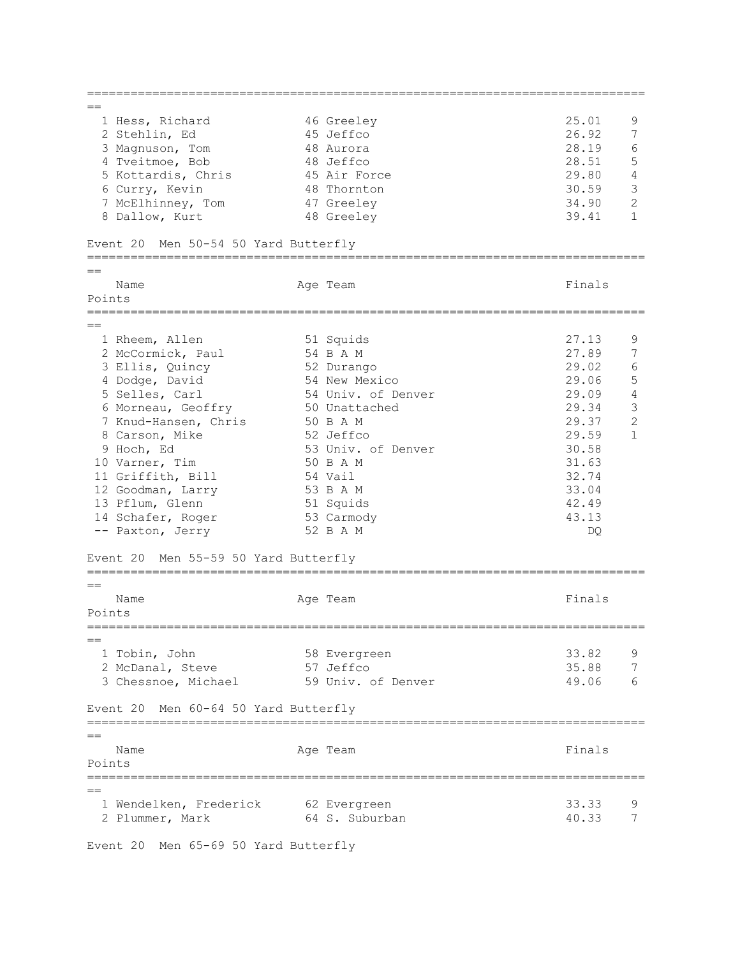=============================================================================  $=$ 1 Hess, Richard 16 Greeley 25.01 9<br>2 Stehlin, Ed 15 Jeffco 26.92 7 2 Stehlin, Ed 45 Jeffco 26.92 7 3 Magnuson, Tom 48 Aurora 28.19 6 4 Tveitmoe, Bob 48 Jeffco 28.51 5 5 Kottardis, Chris 45 Air Force 29.80 4 6 Curry, Kevin 48 Thornton 30.59 3 7 McElhinney, Tom 47 Greeley 34.90 2 8 Dallow, Kurt 48 Greeley 39.41 1 Event 20 Men 50-54 50 Yard Butterfly ============================================================================= == Name **Age Team** Age Team Finals Points ============================================================================= == 1 Rheem, Allen 51 Squids 27.13 9 2 McCormick, Paul 54 B A M 27.89<br>
3 Ellis, Quincy 52 Durango 29.02<br>
4 Dodge, David 54 New Mexico 29.06<br>
5 Selles, Carl 54 Univ. of Denver 29.09 3 Ellis, Quincy 52 Durango 29.02 6 4 Dodge, David 54 New Mexico 29.06 5 5 Selles, Carl 54 Univ. of Denver 29.09 4 6 Morneau, Geoffry 50 Unattached 29.34 3 7 Knud-Hansen, Chris 50 B A M 29.37 2 8 Carson, Mike 52 Jeffco 29.59 1 9 Hoch, Ed 53 Univ. of Denver 30.58 10 Varner, Tim 50 B A M 31.63 11 Griffith, Bill 54 Vail 32.74 12 Goodman, Larry 53 B A M 33.04 13 Pflum, Glenn 51 Squids 42.49 13 Pflum, Glenn 51 Squids 42.49<br>14 Schafer, Roger 53 Carmody 43.13<br>14 Schafer, Roger 53 Carmody 43.13 -- Paxton, Jerry 52 B A M DQ Event 20 Men 55-59 50 Yard Butterfly =============================================================================  $=$ Name **Age Team** Age Team Finals Points =============================================================================  $-$  1 Tobin, John 58 Evergreen 33.82 9 2 McDanal, Steve 57 Jeffco 35.88 7 3 Chessnoe, Michael 59 Univ. of Denver 19.06 6 Event 20 Men 60-64 50 Yard Butterfly =============================================================================  $=$ Name **Age Team** Age Team **Finals** Points =============================================================================  $=$  1 Wendelken, Frederick 62 Evergreen 33.33 9 2 Plummer, Mark 64 S. Suburban 10.33 7

Event 20 Men 65-69 50 Yard Butterfly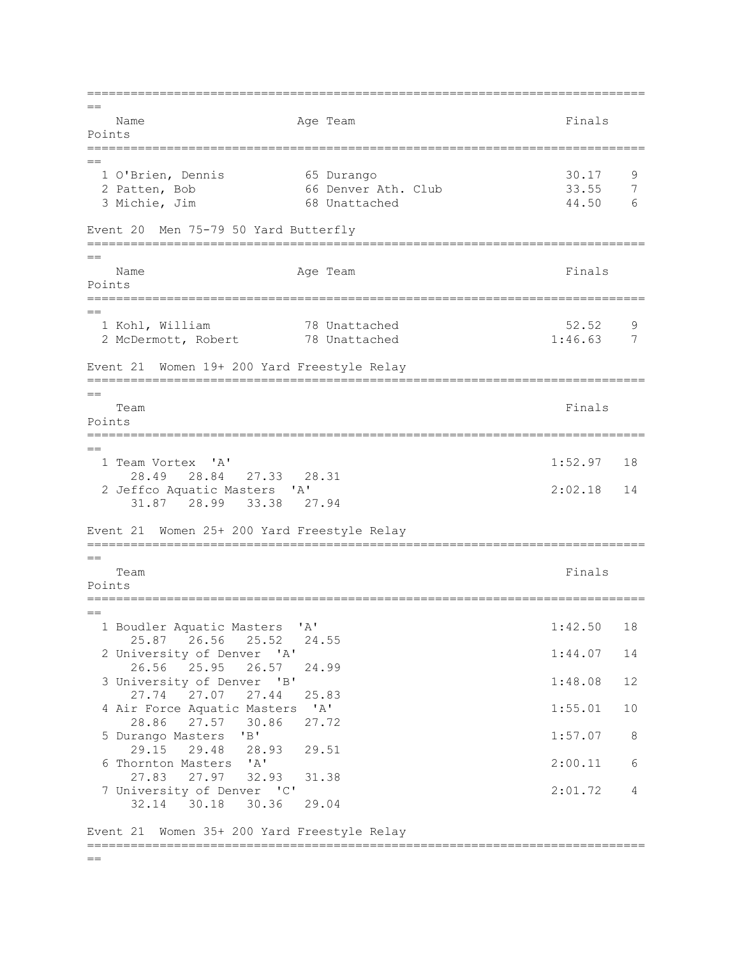=============================================================================  $=$ Name **Age Team** Age Team Finals Points =============================================================================  $=$  1 O'Brien, Dennis 65 Durango 30.17 9 2 Patten, Bob 66 Denver Ath. Club 33.55 7<br>3 Michie, Jim 68 Unattached 44.50 6 3 Michie, Jim 68 Unattached Event 20 Men 75-79 50 Yard Butterfly =============================================================================  $=$ Name **Age Team** Age Team Finals Points ============================================================================= == 1 Kohl, William 78 Unattached 52.52 9 2 McDermott, Robert 78 Unattached 1:46.63 7 Event 21 Women 19+ 200 Yard Freestyle Relay =============================================================================  $-$ Team Finals and the contract of the contract of the contract of the contract of the contract of the contract of the contract of the contract of the contract of the contract of the contract of the contract of the contract o Points =============================================================================  $=$  1 Team Vortex 'A' 1:52.97 18 28.49 28.84 27.33 28.31 2 Jeffco Aquatic Masters 'A' 2:02.18 14 31.87 28.99 33.38 27.94 Event 21 Women 25+ 200 Yard Freestyle Relay =============================================================================  $=$ Team Finals and the contract of the contract of the contract of the contract of the contract of the contract of the contract of the contract of the contract of the contract of the contract of the contract of the contract o Points ============================================================================= == 1 Boudler Aquatic Masters 'A' 1:42.50 18 25.87 26.56 25.52 24.55 2 University of Denver 'A' 1:44.07 14 26.56 25.95 26.57 24.99 3 University of Denver 'B' 1:48.08 12 27.74 27.07 27.44 25.83 4 Air Force Aquatic Masters 'A' 1:55.01 10 28.86 27.57 30.86 27.72 5 Durango Masters 'B' 1:57.07 8 29.15 29.48 28.93 29.51 6 Thornton Masters 'A' 2:00.11 6 27.83 27.97 32.93 31.38 7 University of Denver 'C' 2:01.72 4 32.14 30.18 30.36 29.04 Event 21 Women 35+ 200 Yard Freestyle Relay =============================================================================

 $=$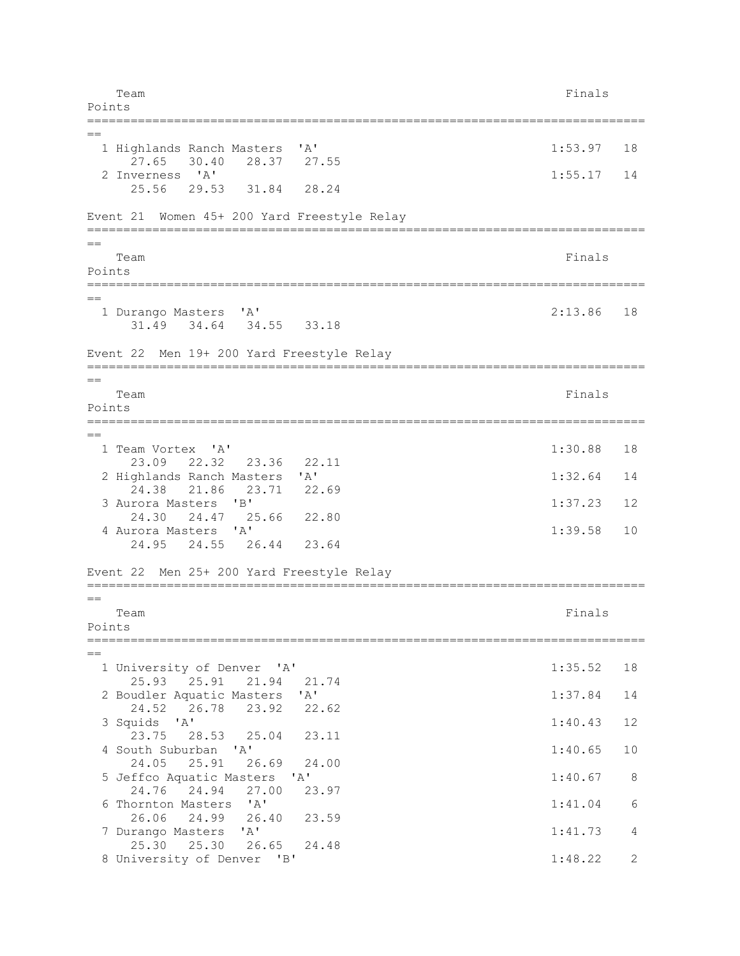Team Finals and the contract of the contract of the contract of the contract of the contract of the contract of the contract of the contract of the contract of the contract of the contract of the contract of the contract o Points ============================================================================= == 1 Highlands Ranch Masters 'A' 1:53.97 18 27.65 30.40 28.37 27.55 2 Inverness 'A' 1:55.17 14 25.56 29.53 31.84 28.24 Event 21 Women 45+ 200 Yard Freestyle Relay =============================================================================  $=$ Team Finals and the contract of the contract of the contract of the contract of the contract of the contract of the contract of the contract of the contract of the contract of the contract of the contract of the contract o Points ============================================================================= == 1 Durango Masters 'A' 2:13.86 18 31.49 34.64 34.55 33.18 Event 22 Men 19+ 200 Yard Freestyle Relay =============================================================================  $=$ Team Finals and the contract of the contract of the contract of the contract of the contract of the contract of the contract of the contract of the contract of the contract of the contract of the contract of the contract o Points =============================================================================  $=$  1 Team Vortex 'A' 1:30.88 18 23.09 22.32 23.36 22.11 2 Highlands Ranch Masters 'A' 1:32.64 14 24.38 21.86 23.71 22.69 3 Aurora Masters 'B' 1:37.23 12 24.30 24.47 25.66 22.80 4 Aurora Masters 'A' 1:39.58 10 24.95 24.55 26.44 23.64 Event 22 Men 25+ 200 Yard Freestyle Relay =============================================================================  $=$ Team Finals and the contract of the contract of the contract of the contract of the contract of the contract of the contract of the contract of the contract of the contract of the contract of the contract of the contract o Points ============================================================================= == 1 University of Denver 'A' 1:35.52 18 25.93 25.91 21.94 21.74 2 Boudler Aquatic Masters 'A' 1:37.84 14 24.52 26.78 23.92 22.62 3 Squids 'A' 1:40.43 12 23.75 28.53 25.04 23.11 4 South Suburban 'A' 1:40.65 10 24.05 25.91 26.69 24.00 5 Jeffco Aquatic Masters 'A' 1:40.67 8 24.76 24.94 27.00 23.97 6 Thornton Masters 'A' 1:41.04 6 26.06 24.99 26.40 23.59 7 Durango Masters 'A' 1:41.73 4 25.30 25.30 26.65 24.48 8 University of Denver 'B' 1:48.22 2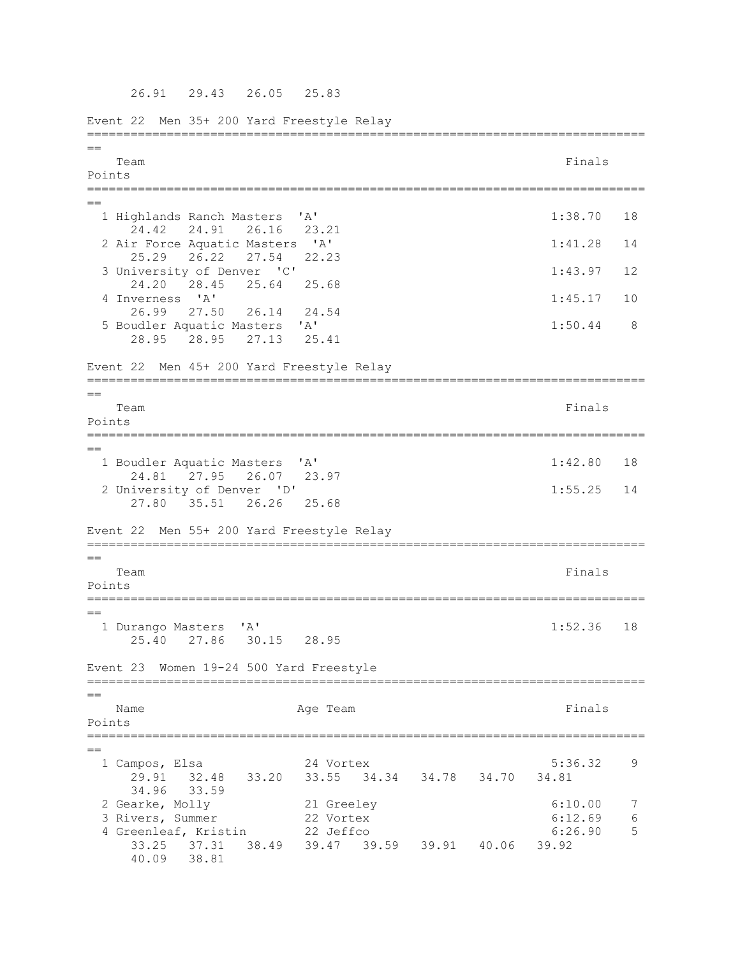Event 22 Men 35+ 200 Yard Freestyle Relay =============================================================================  $=$ Team Finals and the contract of the contract of the contract of the contract of the contract of the contract of the contract of the contract of the contract of the contract of the contract of the contract of the contract o Points =============================================================================  $=$  1 Highlands Ranch Masters 'A' 1:38.70 18 24.42 24.91 26.16 2 Air Force Aquatic Masters 'A' 1:41.28 14 25.29 26.22 27.54 22.23 3 University of Denver 'C' 1:43.97 12 24.20 28.45 25.64 25.68 4 Inverness 'A' 1:45.17 10 26.99 27.50 26.14 24.54 5 Boudler Aquatic Masters 'A' 1:50.44 8 28.95 28.95 27.13 25.41 Event 22 Men 45+ 200 Yard Freestyle Relay =============================================================================  $-$ Team Finals and the contract of the contract of the contract of the contract of the contract of the contract of the contract of the contract of the contract of the contract of the contract of the contract of the contract o Points =============================================================================  $=$  1 Boudler Aquatic Masters 'A' 1:42.80 18 24.81 27.95 26.07 23.97 2 University of Denver 'D' 1:55.25 14 27.80 35.51 26.26 25.68 Event 22 Men 55+ 200 Yard Freestyle Relay =============================================================================  $=$ Team Finals and the contract of the contract of the contract of the contract of the contract of the contract of the contract of the contract of the contract of the contract of the contract of the contract of the contract o Points =============================================================================  $=$  1 Durango Masters 'A' 1:52.36 18 25.40 27.86 30.15 28.95 Event 23 Women 19-24 500 Yard Freestyle ============================================================================= == Name **Age Team** Age Team Finals Points ============================================================================= == 1 Campos, Elsa 24 Vortex 5:36.32 9 29.91 32.48 33.20 33.55 34.34 34.78 34.70 34.81 34.96 33.59 2 Gearke, Molly 21 Greeley 6:10.00 7<br>3 Rivers, Summer 22 Vortex 6:12.69 6 3 Rivers, Summer 22 Vortex 6:12.69 6<br>
4 Greenleaf, Kristin 22 Jeffco 6:26.90 5 4 Greenleaf, Kristin 22 Jeffco 6:26.90 5 33.25 37.31 38.49 39.47 39.59 39.91 40.06 39.92 40.09 38.81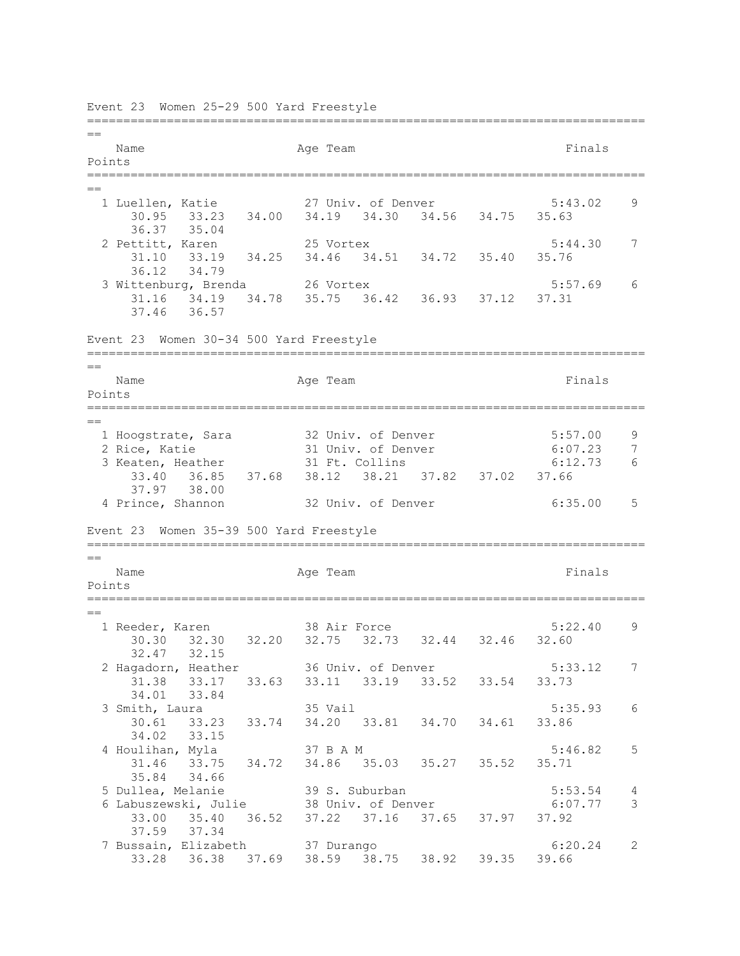============================================================================= == Name Ream Age Team Readers and Finals Points ============================================================================= == 1 Luellen, Katie 27 Univ. of Denver 5:43.02 9 30.95 33.23 34.00 34.19 34.30 34.56 34.75 35.63 36.37 35.04 2 Pettitt, Karen 25 Vortex 5:44.30 7 31.10 33.19 34.25 34.46 34.51 34.72 35.40 35.76 36.12 34.79 3 Wittenburg, Brenda 26 Vortex 5:57.69 6 31.16 34.19 34.78 35.75 36.42 36.93 37.12 37.31 37.46 36.57 Event 23 Women 30-34 500 Yard Freestyle ============================================================================= == Name **Age Team** Age Team **Finals** Points ============================================================================= == 1 Hoogstrate, Sara 32 Univ. of Denver 5:57.00 9 2 Rice, Katie 31 Univ. of Denver 6:07.23 7 2 Kitch, Natite<br>3 Keaten, Heather 31 Ft. Collins 6:12.73 6 33.40 36.85 37.68 38.12 38.21 37.82 37.02 37.66 37.97 38.00<br>4 Prince, Shannon 32 Univ. of Denver 6:35.00 5 Event 23 Women 35-39 500 Yard Freestyle =============================================================================  $=$ Name **Age Team** Age Team **Finals** Points =============================================================================  $=$  1 Reeder, Karen 38 Air Force 5:22.40 9 30.30 32.30 32.20 32.75 32.73 32.44 32.46 32.60 32.47 32.15 2 Hagadorn, Heather 36 Univ. of Denver 5:33.12 7 31.38 33.17 33.63 33.11 33.19 33.52 33.54 33.73 34.01 33.84 3 Smith, Laura 35 Vail 5:35.93 6 30.61 33.23 33.74 34.20 33.81 34.70 34.61 33.86 34.02 33.15 4 Houlihan, Myla 37 B A M 5:46.82 5 31.46 33.75 34.72 34.86 35.03 35.27 35.52 35.71 35.84 34.66 5 Dullea, Melanie 39 S. Suburban 5:53.54 4 6 Labuszewski, Julie 38 Univ. of Denver 6:07.77 3 33.00 35.40 36.52 37.22 37.16 37.65 37.97 37.92 37.59 37.34 7 Bussain, Elizabeth 37 Durango 6:20.24 2 33.28 36.38 37.69 38.59 38.75 38.92 39.35 39.66

Event 23 Women 25-29 500 Yard Freestyle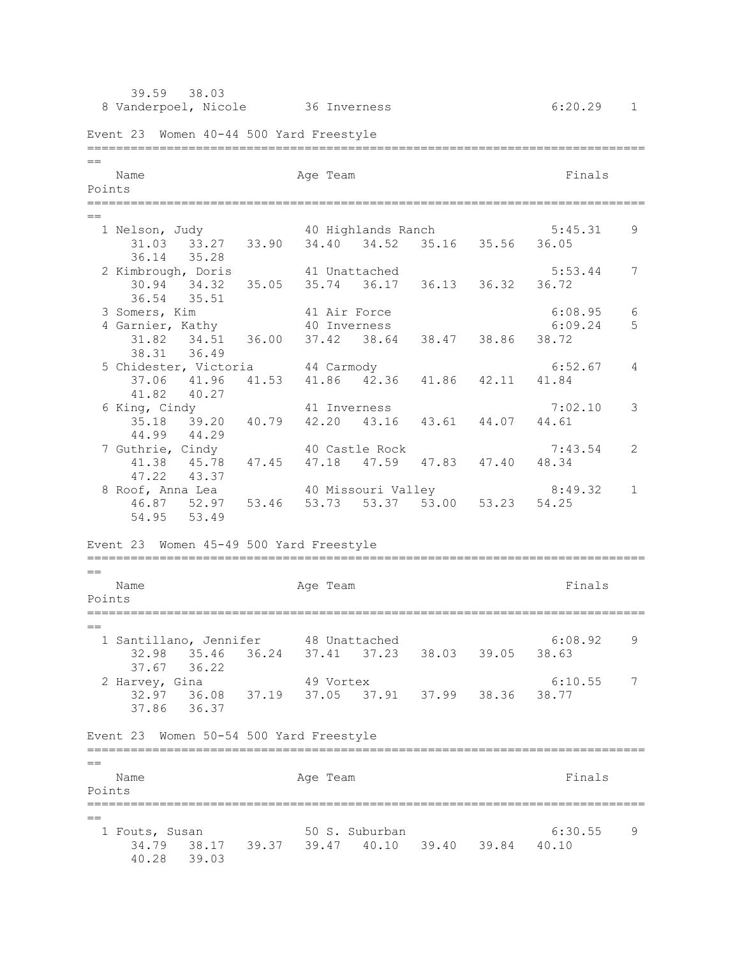39.59 38.03 8 Vanderpoel, Nicole 36 Inverness 6:20.29 1 Event 23 Women 40-44 500 Yard Freestyle =============================================================================  $=$ Name **Age Team** Age Team **Finals** Points ============================================================================= == 1 Nelson, Judy 40 Highlands Ranch 5:45.31 9 31.03 33.27 33.90 34.40 34.52 35.16 35.56 36.05 36.14 35.28 2 Kimbrough, Doris 41 Unattached 5:53.44 7 30.94 34.32 35.05 35.74 36.17 36.13 36.32 36.72 36.54 35.51<br>3 Somers, Kim 41 Air Force 6:08.95 6<br>40 Inverness 6:09.24 5 4 Garnier, Kathy 40 Inverness 6:09.24 5 31.82 34.51 36.00 37.42 38.64 38.47 38.86 38.72 38.31 36.49 5 Chidester, Victoria 44 Carmody 6:52.67 4 37.06 41.96 41.53 41.86 42.36 41.86 42.11 41.84 41.82 40.27 6 King, Cindy 41 Inverness 7:02.10 3 35.18 39.20 40.79 42.20 43.16 43.61 44.07 44.61 44.99 44.29 7 Guthrie, Cindy 40 Castle Rock 7:43.54 2 41.38 45.78 47.45 47.18 47.59 47.83 47.40 48.34 47.22 43.37 8 Roof, Anna Lea 40 Missouri Valley 8:49.32 1 46.87 52.97 53.46 53.73 53.37 53.00 53.23 54.25 54.95 53.49 Event 23 Women 45-49 500 Yard Freestyle ============================================================================= == Name **Age Team Age Team Age Team Finals** Points ============================================================================= == 1 Santillano, Jennifer 48 Unattached 6:08.92 9 32.98 35.46 36.24 37.41 37.23 38.03 39.05 38.63 37.67 36.22 2 Harvey, Gina 49 Vortex 6:10.55 7 32.97 36.08 37.19 37.05 37.91 37.99 38.36 38.77 37.86 36.37 Event 23 Women 50-54 500 Yard Freestyle =============================================================================  $-$ Name **Age Team** Age Team Finals Points =============================================================================  $=$  1 Fouts, Susan 50 S. Suburban 6:30.55 9 34.79 38.17 39.37 39.47 40.10 39.40 39.84 40.10 40.28 39.03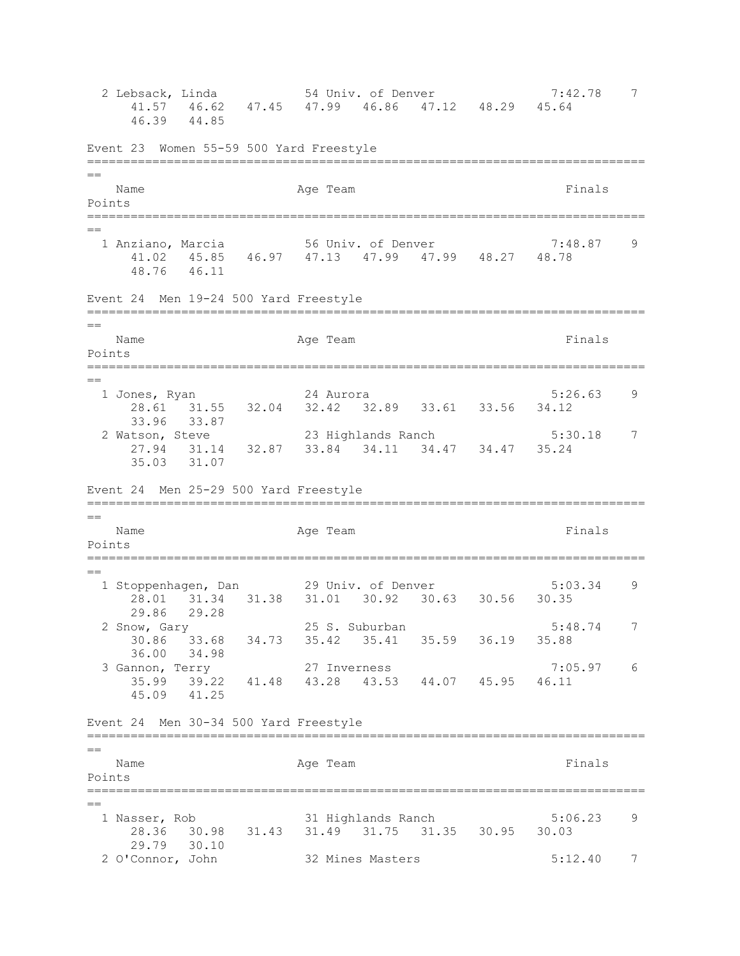2 Lebsack, Linda 54 Univ. of Denver 7:42.78 7 41.57 46.62 47.45 47.99 46.86 47.12 48.29 45.64 46.39 44.85 Event 23 Women 55-59 500 Yard Freestyle ============================================================================= == Name **Age Team** Age Team Finals Points ============================================================================= == 1 Anziano, Marcia 56 Univ. of Denver 7:48.87 9 41.02 45.85 46.97 47.13 47.99 47.99 48.27 48.78 48.76 46.11 Event 24 Men 19-24 500 Yard Freestyle ============================================================================= == Name **Age Team** Age Team Finals Points ============================================================================= == 1 Jones, Ryan 24 Aurora 5:26.63 9 28.61 31.55 32.04 32.42 32.89 33.61 33.56 34.12 33.96 33.87 2 Watson, Steve 23 Highlands Ranch 5:30.18 7 27.94 31.14 32.87 33.84 34.11 34.47 34.47 35.24 35.03 31.07 Event 24 Men 25-29 500 Yard Freestyle ============================================================================= == Name Age Team Age Team Finals Points ============================================================================= == 1 Stoppenhagen, Dan 29 Univ. of Denver 5:03.34 9 28.01 31.34 31.38 31.01 30.92 30.63 30.56 30.35 29.86 29.28 2 Snow, Gary 25 S. Suburban 5:48.74 7 30.86 33.68 34.73 35.42 35.41 35.59 36.19 35.88 36.00 34.98 3 Gannon, Terry 27 Inverness 7:05.97 6 35.99 39.22 41.48 43.28 43.53 44.07 45.95 46.11 45.09 41.25 Event 24 Men 30-34 500 Yard Freestyle ============================================================================= == Name **Age Team** Age Team Finals Points ============================================================================= == 1 Nasser, Rob 31 Highlands Ranch 5:06.23 9 28.36 30.98 31.43 31.49 31.75 31.35 30.95 30.03 29.79 30.10<br>2 O'Connor, John 32 Mines Masters 5:12.40 7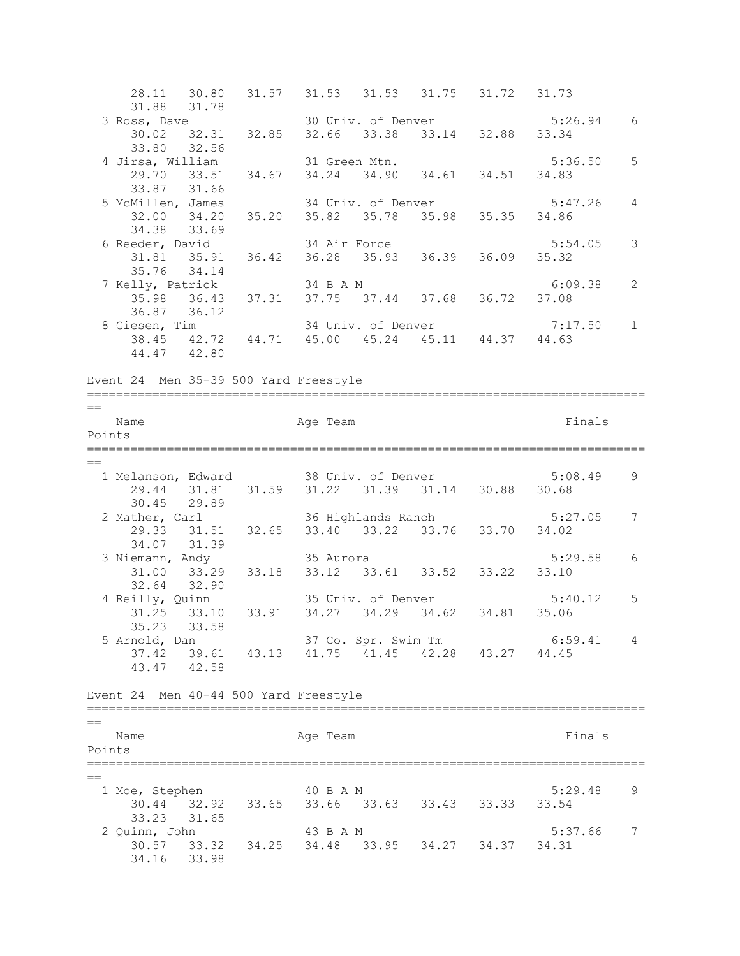28.11 30.80 31.57 31.53 31.53 31.75 31.72 31.73 31.88 31.78<br>3 Ross, Dave 30 Univ. of Denver 5:26.94 6 30.02 32.31 32.85 32.66 33.38 33.14 32.88 33.34 33.80 32.56 4 Jirsa, William 31 Green Mtn. 5:36.50 5 29.70 33.51 34.67 34.24 34.90 34.61 34.51 34.83 33.87 31.66<br>5 McMillen, James 5 McMillen, James 34 Univ. of Denver 5:47.26 4 32.00 34.20 35.20 35.82 35.78 35.98 35.35 34.86 34.38 33.69 6 Reeder, David 34 Air Force 5:54.05 3 31.81 35.91 36.42 36.28 35.93 36.39 36.09 35.32 35.76 34.14 7 Kelly, Patrick 34 B A M 6:09.38 2 35.98 36.43 37.31 37.75 37.44 37.68 36.72 37.08 36.87 36.12<br>8 Giesen, Tim 34 Univ. of Denver 7:17.50 1 38.45 42.72 44.71 45.00 45.24 45.11 44.37 44.63 44.47 42.80 Event 24 Men 35-39 500 Yard Freestyle =============================================================================  $=$ Name **Age Team** Age Team Finals Points ============================================================================= == 1 Melanson, Edward 38 Univ. of Denver 5:08.49 9 29.44 31.81 31.59 31.22 31.39 31.14 30.88 30.68 30.45 29.89 2 Mather, Carl 36 Highlands Ranch 5:27.05 7 29.33 31.51 32.65 33.40 33.22 33.76 33.70 34.02 34.07 31.39 3 Niemann, Andy 35 Aurora 5:29.58 6 31.00 33.29 33.18 33.12 33.61 33.52 33.22 33.10 32.64 32.90 4 Reilly, Quinn 35 Univ. of Denver 5:40.12 5 31.25 33.10 33.91 34.27 34.29 34.62 34.81 35.06 35.23 33.58 5 Arnold, Dan 37 Co. Spr. Swim Tm 6:59.41 4 37.42 39.61 43.13 41.75 41.45 42.28 43.27 44.45 43.47 42.58 Event 24 Men 40-44 500 Yard Freestyle =============================================================================  $=$ Name **Age Team** Age Team **Finals** Points ============================================================================= == 1 Moe, Stephen 40 B A M 5:29.48 9 30.44 32.92 33.65 33.66 33.63 33.43 33.33 33.54 33.23 31.65 2 Quinn, John 43 B A M 5:37.66 7 30.57 33.32 34.25 34.48 33.95 34.27 34.37 34.31 34.16 33.98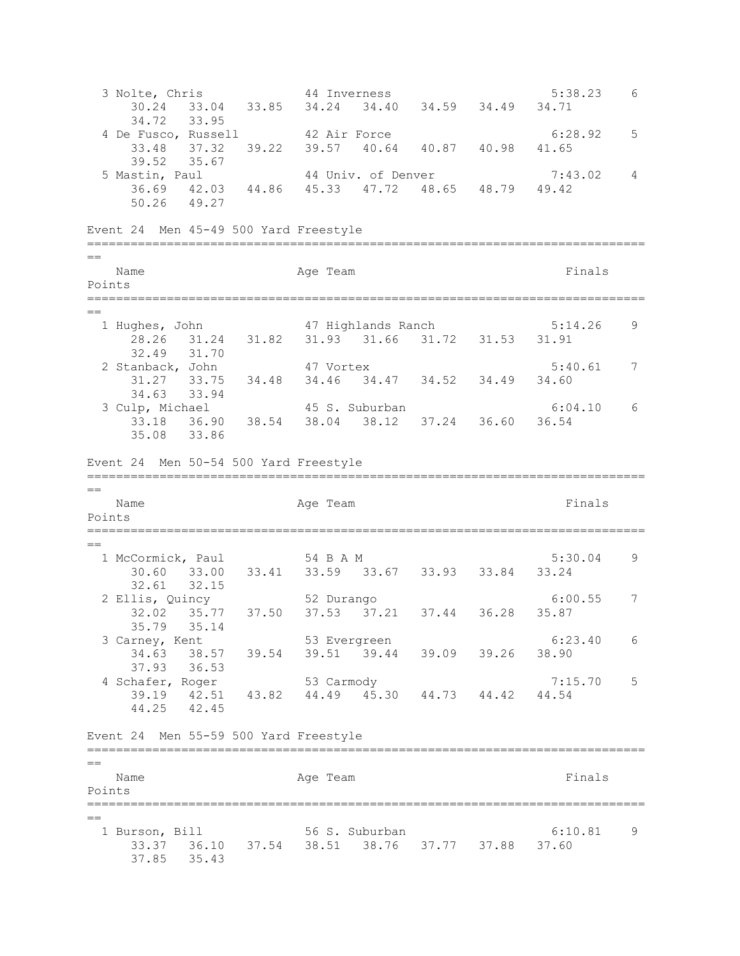3 Nolte, Chris 44 Inverness 5:38.23 6 30.24 33.04 33.85 34.24 34.40 34.59 34.49 34.71 34.72 33.95 4 De Fusco, Russell  $42$  Air Force  $6:28.92$  5 33.48 37.32 39.22 39.57 40.64 40.87 40.98 41.65 39.52 35.67 5 Mastin, Paul 44 Univ. of Denver 7:43.02 4 36.69 42.03 44.86 45.33 47.72 48.65 48.79 49.42 50.26 49.27 Event 24 Men 45-49 500 Yard Freestyle =============================================================================  $\overline{a}$ Name **Age Team** Age Team Finals Points ============================================================================= == 1 Hughes, John 47 Highlands Ranch 5:14.26 9 28.26 31.24 31.82 31.93 31.66 31.72 31.53 31.91 32.49 31.70 2 Stanback, John 47 Vortex 5:40.61 7 31.27 33.75 34.48 34.46 34.47 34.52 34.49 34.60 34.63 33.94 3 Culp, Michael 45 S. Suburban 6:04.10 6 33.18 36.90 38.54 38.04 38.12 37.24 36.60 36.54 35.08 33.86 Event 24 Men 50-54 500 Yard Freestyle =============================================================================  $\overline{a}$ Name **Age Team** Age Team **Finals** Points ============================================================================= == 1 McCormick, Paul 54 B A M 5:30.04 9 30.60 33.00 33.41 33.59 33.67 33.93 33.84 33.24 32.61 32.15 2 Ellis, Quincy 52 Durango 6:00.55 7 32.02 35.77 37.50 37.53 37.21 37.44 36.28 35.87 35.79 35.14 3 Carney, Kent 53 Evergreen 6:23.40 6 34.63 38.57 39.54 39.51 39.44 39.09 39.26 38.90 37.93 36.53 4 Schafer, Roger 53 Carmody 53 Carmody 7:15.70 5 39.19 42.51 43.82 44.49 45.30 44.73 44.42 44.54 44.25 42.45 Event 24 Men 55-59 500 Yard Freestyle =============================================================================  $\equiv$ Name **Age Team** Age Team Finals Points =============================================================================  $=$  1 Burson, Bill 56 S. Suburban 6:10.81 9 33.37 36.10 37.54 38.51 38.76 37.77 37.88 37.60 37.85 35.43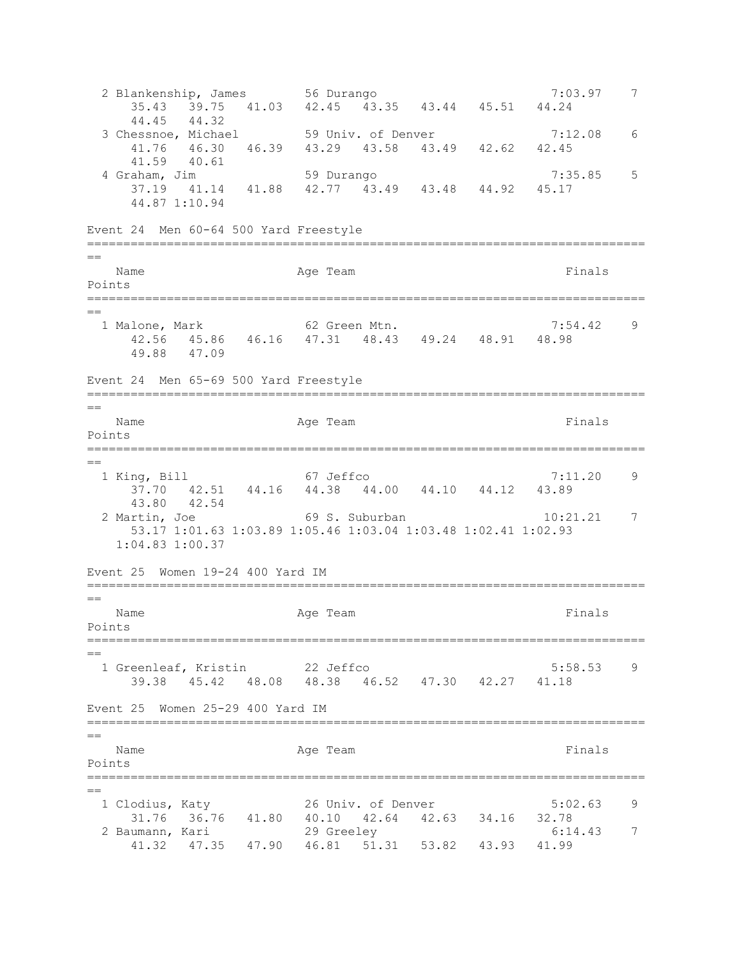2 Blankenship, James 56 Durango 1988 1999 7:03.97 7 35.43 39.75 41.03 42.45 43.35 43.44 45.51 44.24 44.45 44.32 3 Chessnoe, Michael 59 Univ. of Denver 7:12.08 6 41.76 46.30 46.39 43.29 43.58 43.49 42.62 42.45 41.59 40.61 4 Graham, Jim 59 Durango 7:35.85 5 37.19 41.14 41.88 42.77 43.49 43.48 44.92 45.17 44.87 1:10.94 Event 24 Men 60-64 500 Yard Freestyle =============================================================================  $=$ Name **Age Team** Age Team Finals Points ============================================================================= == 1 Malone, Mark 62 Green Mtn. 7:54.42 9 42.56 45.86 46.16 47.31 48.43 49.24 48.91 48.98 49.88 47.09 Event 24 Men 65-69 500 Yard Freestyle =============================================================================  $=$ Name **Age Team** Age Team Finals Points ============================================================================= == 1 King, Bill 67 Jeffco 7:11.20 9 37.70 42.51 44.16 44.38 44.00 44.10 44.12 43.89 43.80 42.54 2 Martin, Joe 69 S. Suburban 10:21.21 7 53.17 1:01.63 1:03.89 1:05.46 1:03.04 1:03.48 1:02.41 1:02.93 1:04.83 1:00.37 Event 25 Women 19-24 400 Yard IM ============================================================================= == Name **Age Team Age Team Randem Rimals** Points ============================================================================= == 1 Greenleaf, Kristin 22 Jeffco 5:58.53 9 39.38 45.42 48.08 48.38 46.52 47.30 42.27 41.18 Event 25 Women 25-29 400 Yard IM =============================================================================  $=$ Name **Age Team** Age Team **Finals** Points ============================================================================= == 1 Clodius, Katy 26 Univ. of Denver 5:02.63 9 31.76 36.76 41.80 40.10 42.64 42.63 34.16 32.78 2 Baumann, Kari 29 Greeley 6:14.43 7 41.32 47.35 47.90 46.81 51.31 53.82 43.93 41.99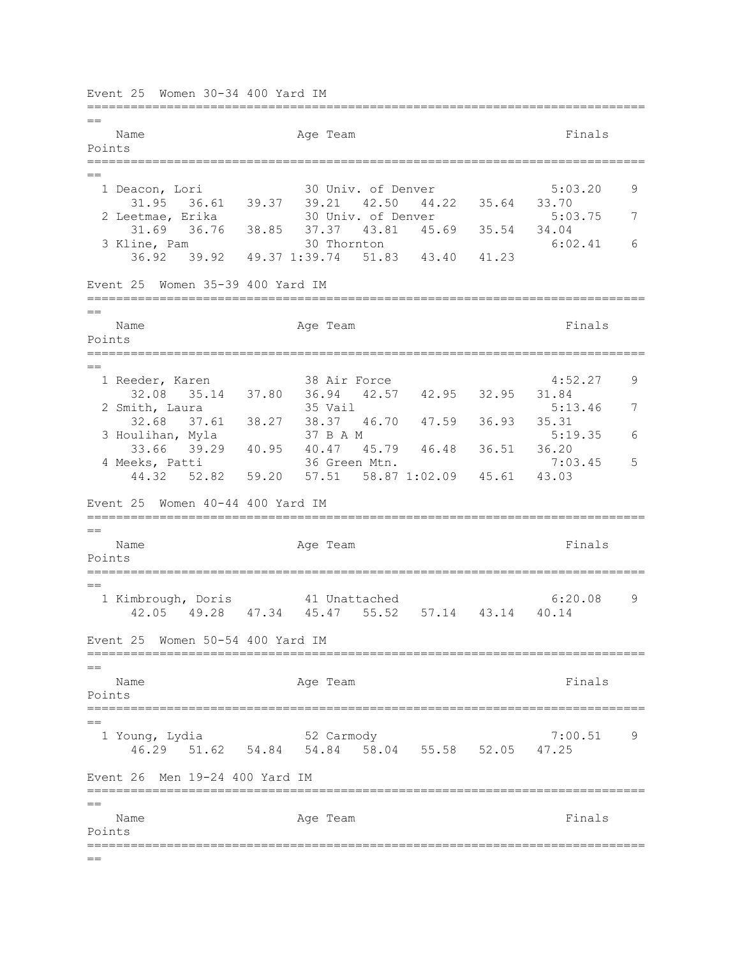Event 25 Women 30-34 400 Yard IM =============================================================================  $-$ Name **Age Team** Age Team **Finals** Points ============================================================================= == 1 Deacon, Lori 30 Univ. of Denver 5:03.20 9 31.95 36.61 39.37 39.21 42.50 44.22 35.64 33.70<br>2 Leetmae, Erika 30 Univ. of Denver 5:03 30 Univ. of Denver 5:03.75 7 31.69 36.76 38.85 37.37 43.81 45.69 35.54 34.04 3 Kline, Pam 30 Thornton 6:02.41 6 36.92 39.92 49.37 1:39.74 51.83 43.40 41.23 Event 25 Women 35-39 400 Yard IM ============================================================================= == Name **Age Team** Age Team Finals Points ============================================================================= == 1 Reeder, Karen 38 Air Force 4:52.27 9 32.08 35.14 37.80 36.94 42.57 42.95 32.95 31.84 2 Smith, Laura 35 Vail 35 Vail 5:13.46 7 32.68 37.61 38.27 38.37 46.70 47.59 36.93 35.31 3 Houlihan, Myla 37 B A M 5:19.35 6 33.66 39.29 40.95 40.47 45.79 46.48 36.51 36.20 4 Meeks, Patti 36 Green Mtn. 7:03.45 5 44.32 52.82 59.20 57.51 58.87 1:02.09 45.61 43.03 Event 25 Women 40-44 400 Yard IM =============================================================================  $=$ Name **Age Team** Age Team **Finals** Points =============================================================================  $=$  1 Kimbrough, Doris 41 Unattached 6:20.08 9 42.05 49.28 47.34 45.47 55.52 57.14 43.14 40.14 Event 25 Women 50-54 400 Yard IM =============================================================================  $=$ Name **Age Team** Age Team **Finals** Points =============================================================================  $=$  1 Young, Lydia 52 Carmody 7:00.51 9 46.29 51.62 54.84 54.84 58.04 55.58 52.05 47.25 Event 26 Men 19-24 400 Yard IM ============================================================================= == Name **Age Team** Age Team **Finals** Points =============================================================================  $=$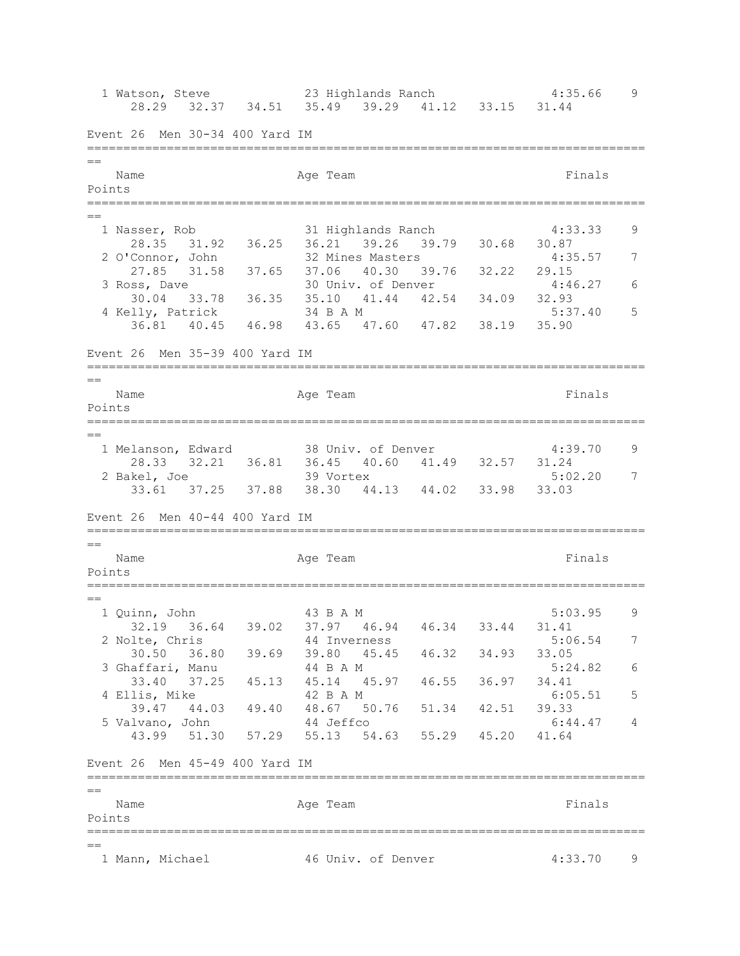1 Watson, Steve 23 Highlands Ranch 4:35.66 9 28.29 32.37 34.51 35.49 39.29 41.12 33.15 31.44 Event 26 Men 30-34 400 Yard IM =============================================================================  $=$ Name **Age Team** Age Team **Finals** Points ============================================================================= == 1 Nasser, Rob 31 Highlands Ranch 4:33.33 9 28.35 31.92 36.25 36.21 39.26 39.79 30.68 30.87 2 O'Connor, John 32 Mines Masters 4:35.57 7 27.85 31.58 37.65 37.06 40.30 39.76 32.22 29.15<br>3 Ross, Dave 30 Univ. of Denver 4:46 30 Univ. of Denver 4:46.27 6 30.04 33.78 36.35 35.10 41.44 42.54 34.09 32.93 4 Kelly, Patrick 34 B A M 5:37.40 5 36.81 40.45 46.98 43.65 47.60 47.82 38.19 35.90 Event 26 Men 35-39 400 Yard IM =============================================================================  $=$ Name **Age Team** Age Team **Finals** Points =============================================================================  $=$  1 Melanson, Edward 38 Univ. of Denver 4:39.70 9 28.33 32.21 36.81 36.45 40.60 41.49 32.57 31.24 2 Bakel, Joe 39 Vortex 5:02.20 7 33.61 37.25 37.88 38.30 44.13 44.02 33.98 33.03 Event 26 Men 40-44 400 Yard IM ============================================================================= == Name **Age Team** Age Team Finals Points ============================================================================= == 1 Quinn, John 43 B A M 5:03.95 9 32.19 36.64 39.02 37.97 46.94 46.34 33.44 31.41 2 Nolte, Chris 44 Inverness 5:06.54 7 30.50 36.80 39.69 39.80 45.45 46.32 34.93 33.05 3 Ghaffari, Manu 44 B A M 5:24.82 6 33.40 37.25 45.13 45.14 45.97 46.55 36.97 34.41 4 Ellis, Mike  $42$  B A M 6:05.51 5 39.47 44.03 49.40 48.67 50.76 51.34 42.51 39.33 5 Valvano, John 44 Jeffco 6:44.47 4 43.99 51.30 57.29 55.13 54.63 55.29 45.20 41.64 Event 26 Men 45-49 400 Yard IM =============================================================================  $=$ Name **Age Team** Age Team Finals Points ============================================================================= == 1 Mann, Michael 46 Univ. of Denver 4:33.70 9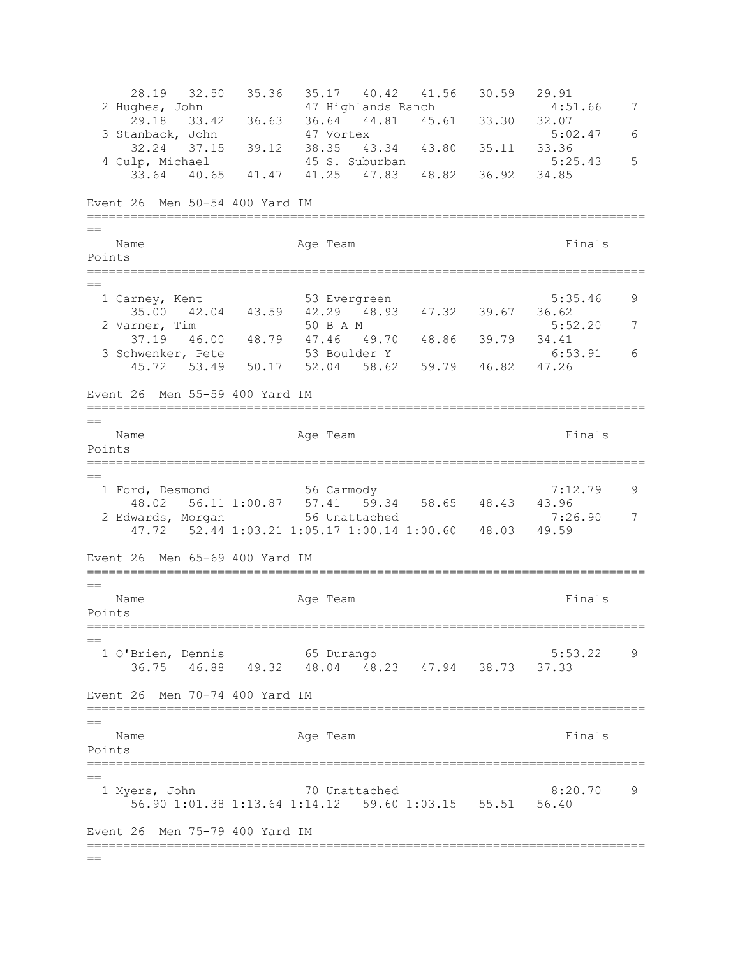28.19 32.50 35.36 35.17 40.42 41.56 30.59 29.91<br>2 Hughes, John 47 Highlands Ranch 4:51.66 7 2 Hughes, John 47 Highlands Ranch 4:51.66 7 29.18 33.42 36.63 36.64 44.81 45.61 33.30 32.07 3 Stanback, John 47 Vortex 5:02.47 6 32.24 37.15 39.12 38.35 43.34 43.80 35.11 33.36 4 Culp, Michael 45 S. Suburban 5:25.43 5 33.64 40.65 41.47 41.25 47.83 48.82 36.92 34.85 Event 26 Men 50-54 400 Yard IM ============================================================================= == Name **Age Team** Age Team Finals Points =============================================================================  $=$ 1 Carney, Kent 53 Evergreen 5:35.46 9 35.00 42.04 43.59 42.29 48.93 47.32 39.67 36.62 2 Varner, Tim 50 B A M 5:52.20 7 37.19 46.00 48.79 47.46 49.70 48.86 39.79 34.41 3 Schwenker, Pete 53 Boulder Y 6:53.91 6 45.72 53.49 50.17 52.04 58.62 59.79 46.82 47.26 Event 26 Men 55-59 400 Yard IM =============================================================================  $=$ Name **Age Team** Age Team **Finals** Points ============================================================================= == 1 Ford, Desmond 56 Carmody 7:12.79 9 48.02 56.11 1:00.87 57.41 59.34 58.65 48.43 43.96 2 Edwards, Morgan 56 Unattached 7:26.90 7 47.72 52.44 1:03.21 1:05.17 1:00.14 1:00.60 48.03 49.59 Event 26 Men 65-69 400 Yard IM =============================================================================  $=$ Name **Age Team** Age Team Finals Points =============================================================================  $-$  1 O'Brien, Dennis 65 Durango 5:53.22 9 36.75 46.88 49.32 48.04 48.23 47.94 38.73 37.33 Event 26 Men 70-74 400 Yard IM =============================================================================  $=$ Name **Age Team** Age Team **Finals** Points ============================================================================= == 1 Myers, John 70 Unattached 8:20.70 9 56.90 1:01.38 1:13.64 1:14.12 59.60 1:03.15 55.51 56.40 Event 26 Men 75-79 400 Yard IM =============================================================================  $=$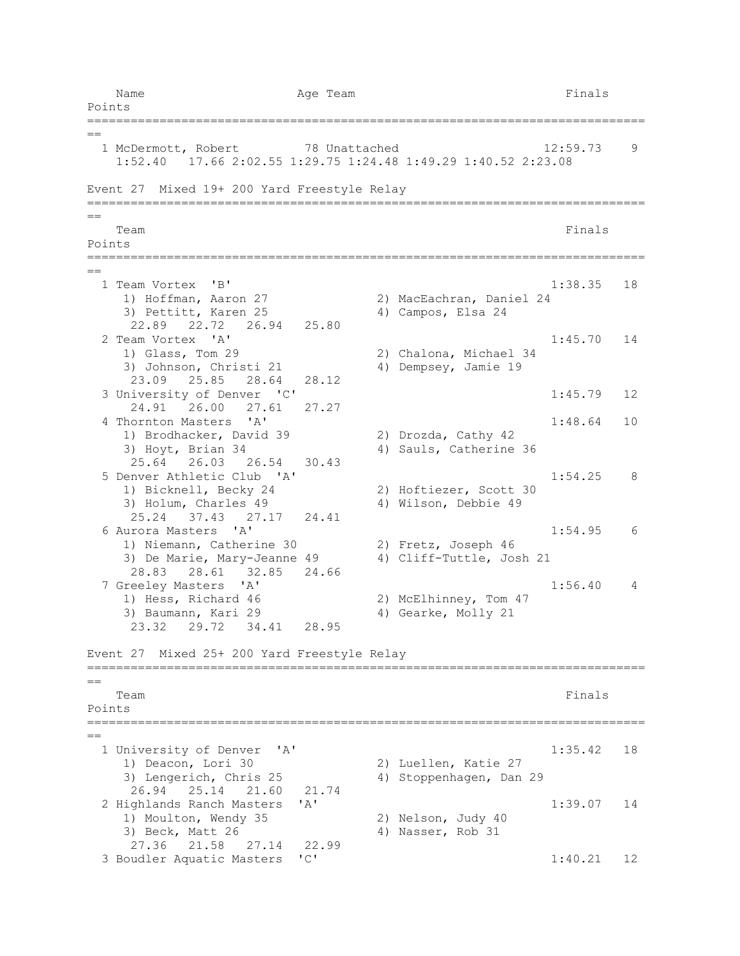Name **Age Team** Age Team **Finals** Points =============================================================================  $=$ 1 McDermott, Robert 78 Unattached 12:59.73 9 1:52.40 17.66 2:02.55 1:29.75 1:24.48 1:49.29 1:40.52 2:23.08 Event 27 Mixed 19+ 200 Yard Freestyle Relay =============================================================================  $=$ Team Finals and the contract of the contract of the contract of the contract of the contract of the contract of the contract of the contract of the contract of the contract of the contract of the contract of the contract o Points ============================================================================= == 1 Team Vortex 'B' 1:38.35 18<br>1) Hoffman, Aaron 27 2) MacEachran, Daniel 24 2) MacEachran, Daniel 24 3) Pettitt, Karen 25 4) Campos, Elsa 24 22.89 22.72 26.94 25.80 2 Team Vortex 'A' 1:45.70 14 1) Glass, Tom 29 2) Chalona, Michael 34 3) Johnson, Christi 21 4) Dempsey, Jamie 19 23.09 25.85 28.64 28.12 3 University of Denver 'C' 1:45.79 12 24.91 26.00 27.61 27.27 4 Thornton Masters 'A' 1:48.64 10 1) Brodhacker, David 39 2) Drozda, Cathy 42 3) Hoyt, Brian 34 4) Sauls, Catherine 36 25.64 26.03 26.54 30.43 5 Denver Athletic Club 'A' 1:54.25 8 1) Bicknell, Becky 24 2) Hoftiezer, Scott 30 3) Holum, Charles 49 4) Wilson, Debbie 49 25.24 37.43 27.17 24.41 6 Aurora Masters 'A' 1:54.95 6 1) Niemann, Catherine 30 2) Fretz, Joseph 46 3) De Marie, Mary-Jeanne 49 4) Cliff-Tuttle, Josh 21 28.83 28.61 32.85 24.66 7 Greeley Masters 'A' 1:56.40 4 1) Hess, Richard 46 2) McElhinney, Tom 47 3) Baumann, Kari 29 4) Gearke, Molly 21 23.32 29.72 34.41 28.95 Event 27 Mixed 25+ 200 Yard Freestyle Relay =============================================================================  $=$ Team Finals and the contract of the contract of the contract of the contract of the contract of the contract of the contract of the contract of the contract of the contract of the contract of the contract of the contract o Points ============================================================================= == 1 University of Denver 'A' 1:35.42 18<br>
1) Deacon, Lori 30 2) Luellen, Katie 27 2) Luellen, Katie 27 3) Lengerich, Chris 25 4) Stoppenhagen, Dan 29 26.94 25.14 21.60 21.74 2 Highlands Ranch Masters 'A' 1:39.07 14 1) Moulton, Wendy 35 2) Nelson, Judy 40 3) Beck, Matt 26 4) Nasser, Rob 31 27.36 21.58 27.14 22.99 3 Boudler Aquatic Masters 'C' 1:40.21 12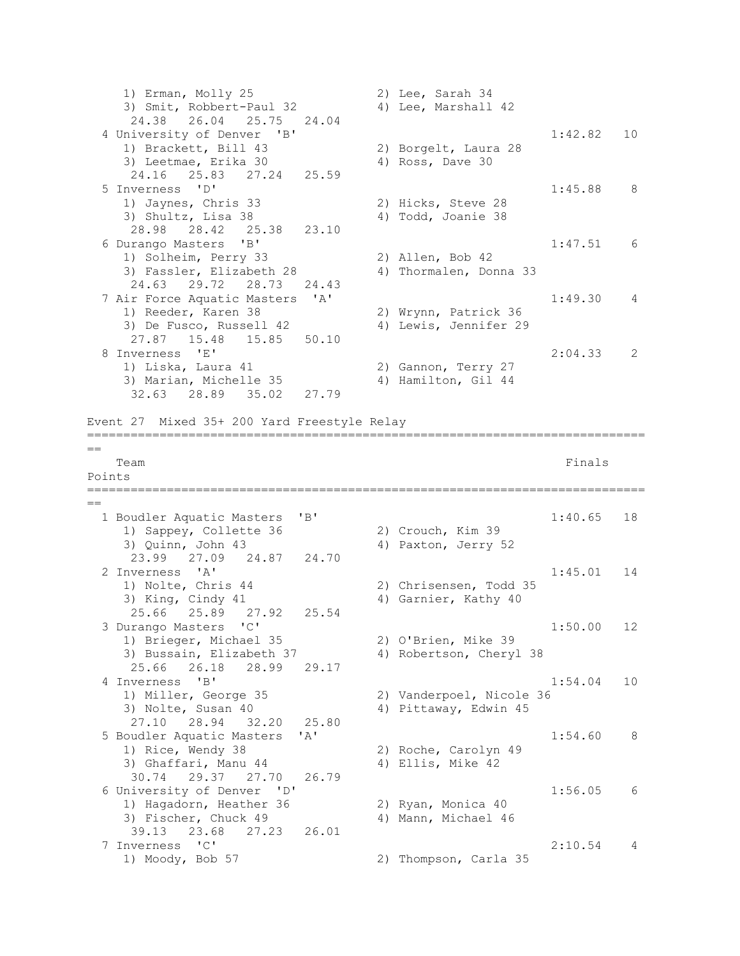1) Erman, Molly 25 2) Lee, Sarah 34 3) Smit, Robbert-Paul 32 4) Lee, Marshall 42 24.38 26.04 25.75 24.04 4 University of Denver 'B' 1:42.82 10 1) Brackett, Bill 43 2) Borgelt, Laura 28 3) Leetmae, Erika 30 4) Ross, Dave 30 24.16 25.83 27.24 25.59 5 Inverness 'D' 1:45.88 8<br>1) Jaynes, Chris 33 2) Hicks, Steve 28 1) Jaynes, Chris 33 3) Shultz, Lisa 38 4) Todd, Joanie 38 28.98 28.42 25.38 23.10 6 Durango Masters 'B' 1:47.51 6 1) Solheim, Perry 33 2) Allen, Bob 42 3) Fassler, Elizabeth 28 4) Thormalen, Donna 33 24.63 29.72 28.73 24.43 7 Air Force Aquatic Masters 'A' 1:49.30 4<br>1) Reeder, Karen 38 2) Wrynn, Patrick 36 2) Wrynn, Patrick 36 3) De Fusco, Russell 42 4) Lewis, Jennifer 29 27.87 15.48 15.85 50.10 8 Inverness 'E' 2:04.33 2 1) Liska, Laura 41 2) Gannon, Terry 27 3) Marian, Michelle 35 4) Hamilton, Gil 44 32.63 28.89 35.02 27.79 Event 27 Mixed 35+ 200 Yard Freestyle Relay =============================================================================  $=$ Team Finals and the contract of the contract of the contract of the contract of the contract of the contract of the contract of the contract of the contract of the contract of the contract of the contract of the contract o Points ============================================================================= == 1 Boudler Aquatic Masters 'B' 1:40.65 18<br>
1:40.65 18<br>
2) Crouch, Kim 39 1) Sappey, Collette 36 3) Quinn, John 43 4) Paxton, Jerry 52 23.99 27.09 24.87 24.70 2 Inverness 'A' 1:45.01 14<br>
1) Nolte, Chris 44 2) Chrisensen, Todd 35 2) Chrisensen, Todd 35 3) King, Cindy 41 4) Garnier, Kathy 40 25.66 25.89 27.92 25.54 3 Durango Masters 'C' 1:50.00 12 1) Brieger, Michael 35 2) O'Brien, Mike 39 3) Bussain, Elizabeth 37 4) Robertson, Cheryl 38 25.66 26.18 28.99 29.17 4 Inverness 'B' 1:54.04 10<br>1) Miller, George 35 2) Vanderpoel, Nicole 36 2) Vanderpoel, Nicole 36 3) Nolte, Susan 40 4) Pittaway, Edwin 45 27.10 28.94 32.20 25.80 5 Boudler Aquatic Masters 'A' 1:54.60 8 1) Rice, Wendy 38 2) Roche, Carolyn 49<br>3) Ghaffari, Manu 44 39 Ellis, Mike 42 3) Ghaffari, Manu 44 30.74 29.37 27.70 26.79 6 University of Denver 'D' 1:56.05 6<br>
1) Haqadorn, Heather 36 2) Ryan, Monica 40 1) Hagadorn, Heather 36 3) Fischer, Chuck 49 4) Mann, Michael 46 39.13 23.68 27.23 26.01 7 Inverness 'C' 2:10.54 4<br>1) Moody, Bob 57 2) Thompson, Carla 35 2) Thompson, Carla 35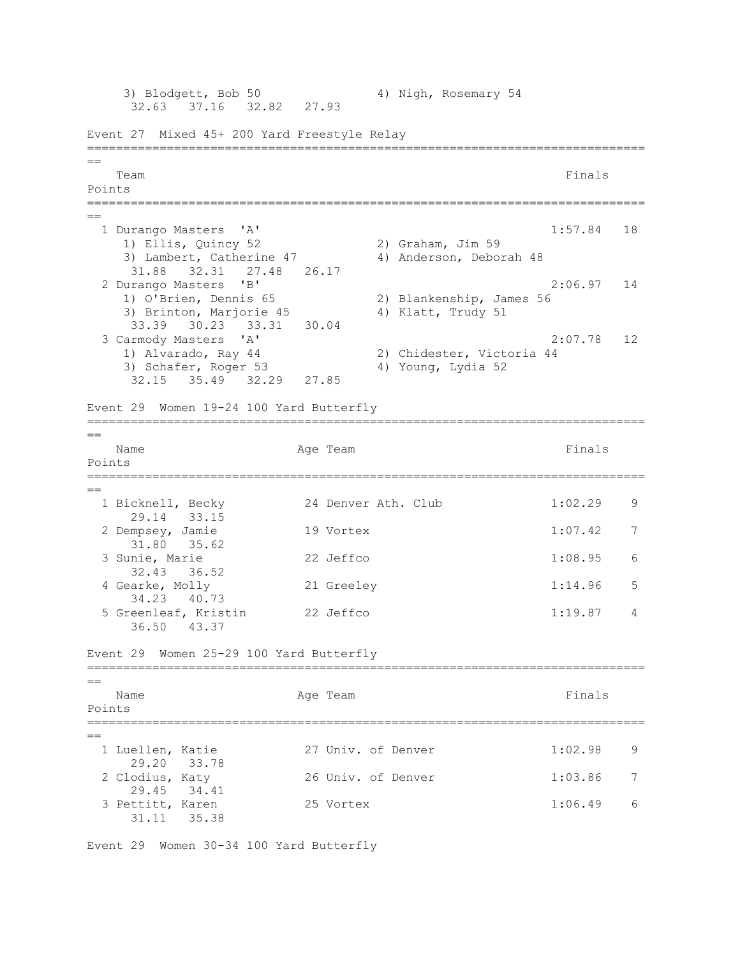3) Blodgett, Bob 50 4) Nigh, Rosemary 54 32.63 37.16 32.82 27.93 Event 27 Mixed 45+ 200 Yard Freestyle Relay =============================================================================  $=$ Team Finals and the contract of the contract of the contract of the contract of the contract of the contract of the contract of the contract of the contract of the contract of the contract of the contract of the contract o Points ============================================================================= == 1 Durango Masters 'A' 1:57.84 18 1) Ellis, Quincy 52 2) Graham, Jim 59 3) Lambert, Catherine 47 4) Anderson, Deborah 48 31.88 32.31 27.48 26.17 2 Durango Masters 'B' 2:06.97 14<br>
2) Blankenship, James 56<br>
2) Blankenship, James 56 1) O'Brien, Dennis 65 2) Blankenship, James 56 3) Brinton, Marjorie 45 (4) Klatt, Trudy 51 33.39 30.23 33.31 30.04 3 Carmody Masters 'A' 2:07.78 12 1) Alvarado, Ray 44 2) Chidester, Victoria 44 3) Schafer, Roger 53 4) Young, Lydia 52 32.15 35.49 32.29 27.85 Event 29 Women 19-24 100 Yard Butterfly =============================================================================  $=$ Name **Age Team** Age Team **Finals** Points =============================================================================  $-$ 1 Bicknell, Becky 24 Denver Ath. Club 1:02.29 9 29.14 33.15 2 Dempsey, Jamie 19 Vortex 1:07.42 7 31.80 35.62 3 Sunie, Marie 22 Jeffco 1:08.95 6 32.43 36.52 4 Gearke, Molly 21 Greeley 1:14.96 5 34.23 40.73 5 Greenleaf, Kristin 22 Jeffco 1:19.87 4 36.50 43.37 Event 29 Women 25-29 100 Yard Butterfly =============================================================================  $=$ Name **Age Team** Age Team **Finals** Points ============================================================================= == 1 Luellen, Katie  $27$  Univ. of Denver  $1:02.98$  9 29.20 33.78<br>2 Clodius, Katy 26 Univ. of Denver 1:03.86 7 29.45 34.41 3 Pettitt, Karen 25 Vortex 1:06.49 6 31.11 35.38

Event 29 Women 30-34 100 Yard Butterfly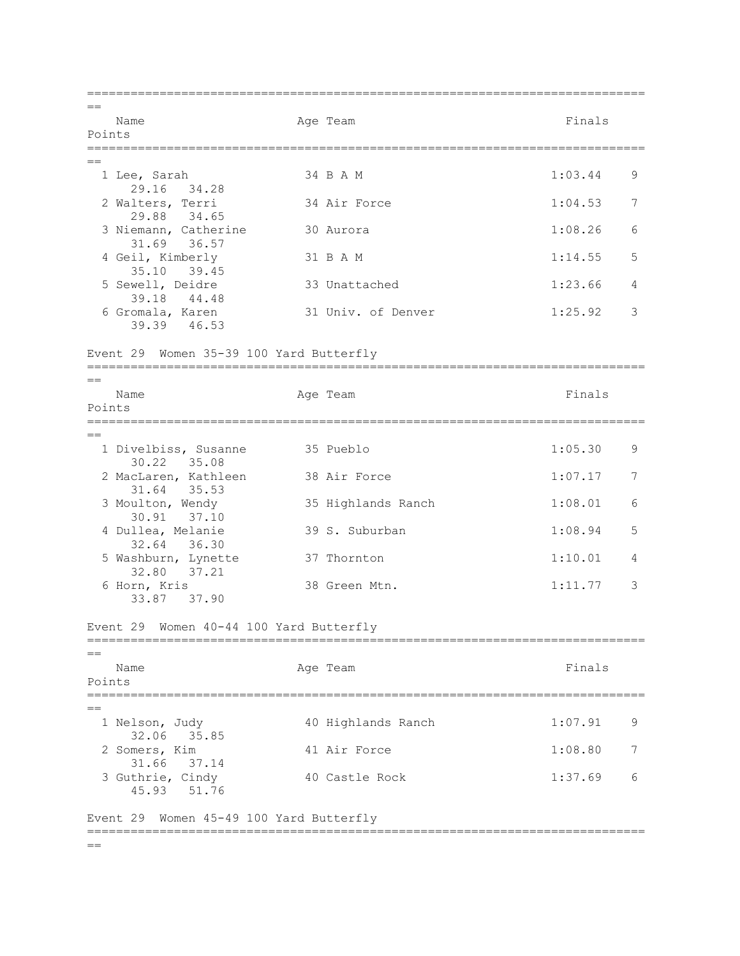=============================================================================  $=$ Name **Age Team** Age Team Finals Points =============================================================================  $=$  1 Lee, Sarah 34 B A M 1:03.44 9 29.16 34.28 2 Walters, Terri 34 Air Force 1:04.53 7 29.88 34.65 3 Niemann, Catherine 30 Aurora 1:08.26 6 31.69 36.57 4 Geil, Kimberly 31 B A M 1:14.55 5 35.10 39.45<br>5 Sewell, Deidre 33 Unattached 1:23.66 4 39.18 44.48<br>6 Gromala, Karen 31 Univ. of Denver 1:25.92 3 39.39 46.53 Event 29 Women 35-39 100 Yard Butterfly =============================================================================  $=$ Name **Age Team** Age Team **Finals** Points =============================================================================  $=$ 1 Divelbiss, Susanne 35 Pueblo 1:05.30 9 30.22 35.08 2 MacLaren, Kathleen 38 Air Force 1:07.17 7 31.64 35.53<br>3 Moulton, Wendy 35 Highlands Ranch 1:08.01 6 30.91 37.10<br>4 Dullea, Melanie 4 39 S. Suburban 1:08.94 5 32.64 36.30 5 Washburn, Lynette 37 Thornton 1:10.01 4 32.80 37.21<br>6 Horn, Kris 38 Green Mtn. 1:11.77 3 33.87 37.90 Event 29 Women 40-44 100 Yard Butterfly ============================================================================= == Name **Age Team** Age Team **Finals** Points ============================================================================= == 1 Nelson, Judy 10 Highlands Ranch 1:07.91 9 32.06 35.85<br>2 Somers, Kim 41 Air Force 1:08.80 7 31.66 37.14 3 Guthrie, Cindy 40 Castle Rock 1:37.69 6 45.93 51.76 Event 29 Women 45-49 100 Yard Butterfly =============================================================================  $=$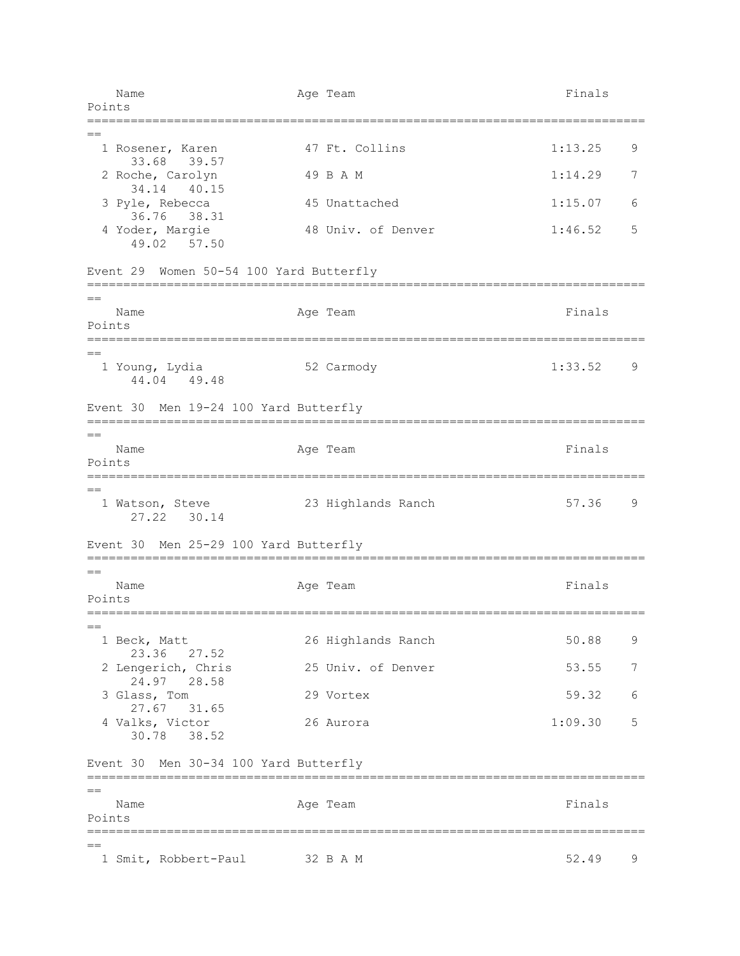Name **Age Team** Age Team **Finals** Points ============================================================================= == 1 Rosener, Karen 1:13.25 and 47 Ft. Collins 1:13.25 9 33.68 39.57 2 Roche, Carolyn 1:14.29 7 34.14 40.15 3 Pyle, Rebecca 45 Unattached 1:15.07 6 36.76 38.31 4 Yoder, Margie 48 Univ. of Denver 1:46.52 5 49.02 57.50 Event 29 Women 50-54 100 Yard Butterfly =============================================================================  $=$ Name **Age Team** Age Team **Finals** Points =============================================================================  $=$  1 Young, Lydia 52 Carmody 1:33.52 9 44.04 49.48 Event 30 Men 19-24 100 Yard Butterfly =============================================================================  $=$ Name **Age Team** Age Team Finals Points =============================================================================  $-$  1 Watson, Steve 23 Highlands Ranch 57.36 9 27.22 30.14 Event 30 Men 25-29 100 Yard Butterfly =============================================================================  $=$ Name **Age Team** Age Team **Finals** Points =============================================================================  $=$  1 Beck, Matt 26 Highlands Ranch 50.88 9 23.36 27.52 2 Lengerich, Chris 25 Univ. of Denver 53.55 7 24.97 28.58 3 Glass, Tom 29 Vortex 59.32 6 27.67 31.65 4 Valks, Victor 26 Aurora 1:09.30 5 30.78 38.52 Event 30 Men 30-34 100 Yard Butterfly =============================================================================  $=$ Name **Age Team** Age Team **Finals** Points ============================================================================= == 1 Smit, Robbert-Paul 32 B A M 52.49 9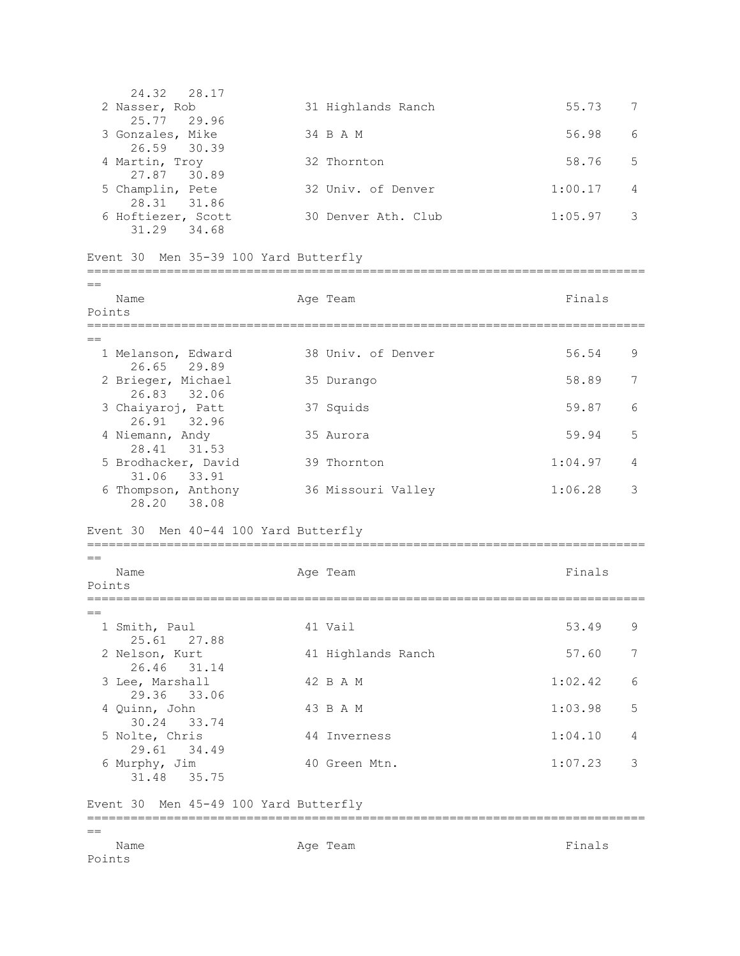| 24.32 28.17        |                     |         |    |
|--------------------|---------------------|---------|----|
| 2 Nasser, Rob      | 31 Highlands Ranch  | 55.73   |    |
| 25.77 29.96        |                     |         |    |
| 3 Gonzales, Mike   | 34 B A M            | 56.98   | 6  |
| 26.59 30.39        |                     |         |    |
| 4 Martin, Troy     | 32 Thornton         | 58.76   | .5 |
| 27.87 30.89        |                     |         |    |
| 5 Champlin, Pete   | 32 Univ. of Denver  | 1:00.17 | 4  |
| 28.31 31.86        |                     |         |    |
| 6 Hoftiezer, Scott | 30 Denver Ath. Club | 1:05.97 |    |
| 31.29 34.68        |                     |         |    |
|                    |                     |         |    |

=============================================================================

## Event 30 Men 35-39 100 Yard Butterfly

| $=$                                   | Name                                   |  | Age Team                    | Finals  |   |  |  |  |
|---------------------------------------|----------------------------------------|--|-----------------------------|---------|---|--|--|--|
|                                       | Points                                 |  |                             |         |   |  |  |  |
|                                       | _________<br>========================= |  | ;========================== |         |   |  |  |  |
|                                       | 1 Melanson, Edward<br>26.65<br>29.89   |  | 38 Univ. of Denver          | 56.54   | 9 |  |  |  |
|                                       | 2 Brieger, Michael<br>26.83<br>32.06   |  | 35 Durango                  | 58.89   | 7 |  |  |  |
|                                       | 3 Chaiyaroj, Patt<br>26.91 32.96       |  | 37 Squids                   | 59.87   | 6 |  |  |  |
|                                       | 4 Niemann, Andy<br>28.41 31.53         |  | 35 Aurora                   | 59.94   | 5 |  |  |  |
|                                       | 5 Brodhacker, David<br>33.91<br>31.06  |  | 39 Thornton                 | 1:04.97 | 4 |  |  |  |
|                                       | 6 Thompson, Anthony<br>28.20<br>38.08  |  | 36 Missouri Valley          | 1:06.28 | 3 |  |  |  |
|                                       | Event 30 Men 40-44 100 Yard Butterfly  |  |                             |         |   |  |  |  |
| $=$                                   |                                        |  |                             |         |   |  |  |  |
| Points                                | Name                                   |  | Age Team                    | Finals  |   |  |  |  |
|                                       |                                        |  |                             |         |   |  |  |  |
|                                       | 1 Smith, Paul<br>25.61<br>27.88        |  | 41 Vail                     | 53.49   | 9 |  |  |  |
|                                       | 2 Nelson, Kurt<br>26.46<br>31.14       |  | 41 Highlands Ranch          | 57.60   | 7 |  |  |  |
|                                       | 3 Lee, Marshall<br>29.36<br>33.06      |  | 42 B A M                    | 1:02.42 | 6 |  |  |  |
|                                       | 4 Quinn, John<br>30.24<br>33.74        |  | 43 B A M                    | 1:03.98 | 5 |  |  |  |
|                                       | 5 Nolte, Chris<br>29.61<br>34.49       |  | 44 Inverness                | 1:04.10 | 4 |  |  |  |
|                                       | 6 Murphy, Jim<br>31.48<br>35.75        |  | 40 Green Mtn.               | 1:07.23 | 3 |  |  |  |
| Event 30 Men 45-49 100 Yard Butterfly |                                        |  |                             |         |   |  |  |  |
| Points                                | Name                                   |  | Age Team                    | Finals  |   |  |  |  |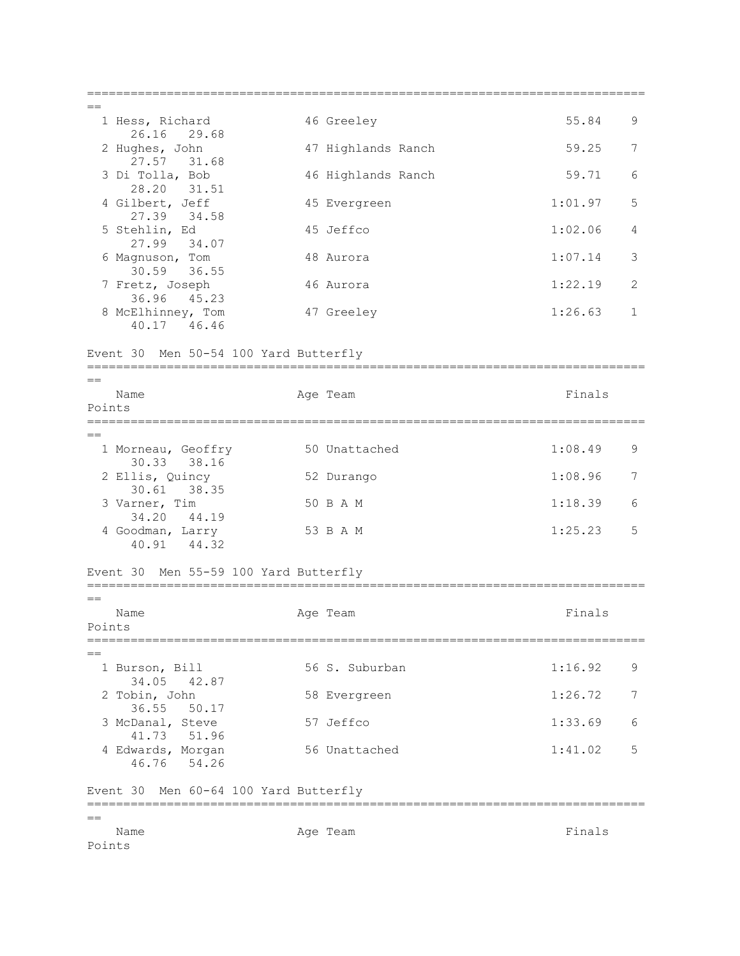| $=$ $=$        |                                       |                         |         |              |
|----------------|---------------------------------------|-------------------------|---------|--------------|
|                | 1 Hess, Richard<br>26.16<br>29.68     | 46 Greeley              | 55.84   | 9            |
|                | 2 Hughes, John<br>27.57<br>31.68      | 47 Highlands Ranch      | 59.25   | 7            |
|                | 3 Di Tolla, Bob<br>28.20 31.51        | 46 Highlands Ranch      | 59.71   | 6            |
|                | 4 Gilbert, Jeff<br>27.39 34.58        | 45 Evergreen            | 1:01.97 | 5            |
|                | 5 Stehlin, Ed<br>27.99 34.07          | 45 Jeffco               | 1:02.06 | 4            |
|                | 6 Magnuson, Tom<br>30.59 36.55        | 48 Aurora               | 1:07.14 | 3            |
|                | 7 Fretz, Joseph<br>36.96<br>45.23     | 46 Aurora               | 1:22.19 | 2            |
|                | 8 McElhinney, Tom<br>40.17 46.46      | 47 Greeley              | 1:26.63 | $\mathbf{1}$ |
|                | Event 30 Men 50-54 100 Yard Butterfly |                         |         |              |
| $=$            |                                       |                         |         |              |
| Name<br>Points |                                       | Age Team                | Finals  |              |
| $=$            |                                       |                         |         |              |
|                | 1 Morneau, Geoffry<br>30.33<br>38.16  | 50 Unattached           | 1:08.49 | 9            |
|                | 2 Ellis, Quincy<br>30.61 38.35        | 52 Durango              | 1:08.96 | 7            |
|                | 3 Varner, Tim<br>34.20<br>44.19       | 50 B A M                | 1:18.39 | 6            |
|                | 4 Goodman, Larry<br>40.91 44.32       | 53 B A M                | 1:25.23 | 5            |
|                | Event 30 Men 55-59 100 Yard Butterfly |                         |         |              |
| $==$           |                                       |                         |         |              |
| Name<br>Points |                                       | Age Team                | Finals  |              |
|                |                                       | ======================= |         |              |
|                | 1 Burson, Bill<br>34.05<br>42.87      | 56 S. Suburban          | 1:16.92 | 9            |
|                | 2 Tobin, John<br>36.55<br>50.17       | 58 Evergreen            | 1:26.72 | 7            |
|                | 3 McDanal, Steve<br>51.96<br>41.73    | 57 Jeffco               | 1:33.69 | 6            |
|                | 4 Edwards, Morgan<br>54.26<br>46.76   | 56 Unattached           | 1:41.02 | 5            |
| Event 30       | Men 60-64 100 Yard Butterfly          | :===========            |         |              |
|                |                                       |                         |         |              |
| Name<br>Points |                                       | Age Team                | Finals  |              |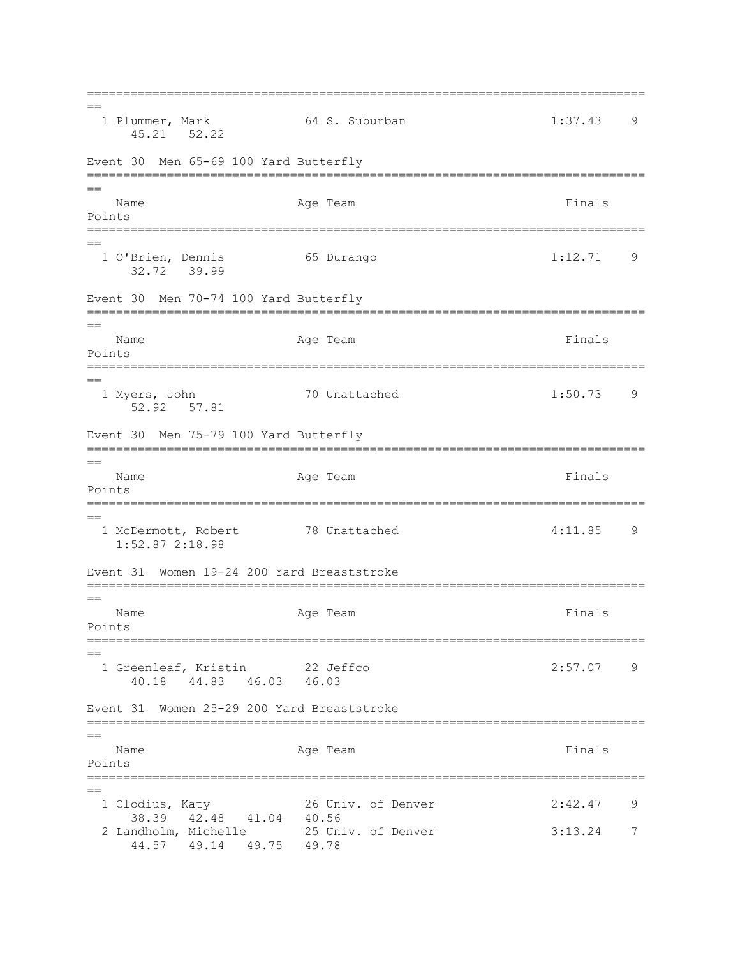=============================================================================  $=$  1 Plummer, Mark 64 S. Suburban 1:37.43 9 45.21 52.22 Event 30 Men 65-69 100 Yard Butterfly ============================================================================= == Name **Age Team** Age Team **Finals** Points =============================================================================  $=$  1 O'Brien, Dennis 65 Durango 1:12.71 9 32.72 39.99 Event 30 Men 70-74 100 Yard Butterfly ============================================================================= == Name **Age Team** Age Team Finals Points ============================================================================= == 1 Myers, John 70 Unattached 1:50.73 9 52.92 57.81 Event 30 Men 75-79 100 Yard Butterfly =============================================================================  $=$ Name Age Team Age Team Finals Points ============================================================================= == 1 McDermott, Robert 78 Unattached 4:11.85 9 1:52.87 2:18.98 Event 31 Women 19-24 200 Yard Breaststroke ============================================================================= == Name **Age Team** Age Team **Finals** Points ============================================================================= == 1 Greenleaf, Kristin 22 Jeffco 2:57.07 9 40.18 44.83 46.03 46.03 Event 31 Women 25-29 200 Yard Breaststroke =============================================================================  $=$ Name **Age Team** Age Team **Finals** Points ============================================================================= == 1 Clodius, Katy 26 Univ. of Denver 2:42.47 9 38.39 42.48 41.04 40.56 2 Landholm, Michelle 25 Univ. of Denver 3:13.24 7 44.57 49.14 49.75 49.78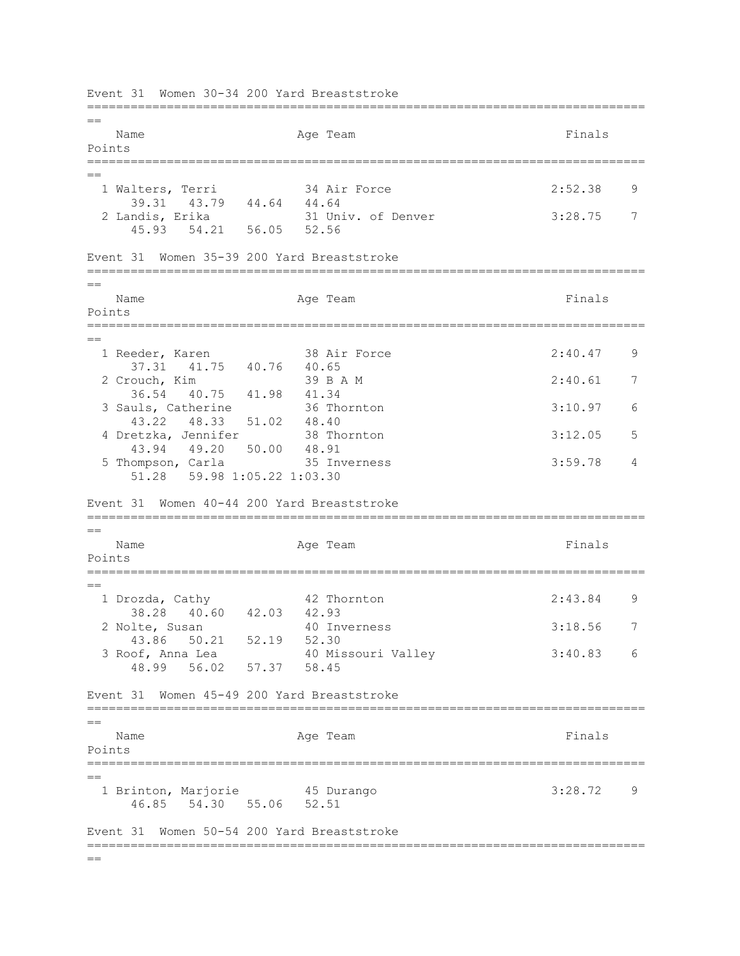Event 31 Women 30-34 200 Yard Breaststroke =============================================================================  $-$ Name **Age Team** Age Team **Finals** Points ============================================================================= == 1 Walters, Terri 34 Air Force 2:52.38 9 39.31 43.79 44.64 44.64<br>2 Landis, Erika 31 Uni 31 Univ. of Denver 3:28.75 7 45.93 54.21 56.05 52.56 Event 31 Women 35-39 200 Yard Breaststroke =============================================================================  $=$ Name Ream Age Team Readers and Finals Points =============================================================================  $=$  1 Reeder, Karen 38 Air Force 2:40.47 9 37.31 41.75 40.76 40.65 2 Crouch, Kim 39 B A M 2:40.61 7 36.54 40.75 41.98 41.34 3 Sauls, Catherine 36 Thornton 3:10.97 6 43.22 48.33 51.02 48.40 4 Dretzka, Jennifer 38 Thornton 3:12.05 5 43.94 49.20 50.00 48.91 5 Thompson, Carla 35 Inverness 3:59.78 4 51.28 59.98 1:05.22 1:03.30 Event 31 Women 40-44 200 Yard Breaststroke =============================================================================  $=$ Name **Age Team** Age Team **Finals** Points =============================================================================  $=$  1 Drozda, Cathy 42 Thornton 2:43.84 9 38.28 40.60 42.03 42.93 2 Nolte, Susan 40 Inverness 3:18.56 7 43.86 50.21 52.19 52.30 3 Roof, Anna Lea 40 Missouri Valley 3:40.83 6 48.99 56.02 57.37 58.45 Event 31 Women 45-49 200 Yard Breaststroke =============================================================================  $=$ Name **Age Team** Age Team **Finals** Points ============================================================================= == 1 Brinton, Marjorie 45 Durango 3:28.72 9 46.85 54.30 55.06 52.51 Event 31 Women 50-54 200 Yard Breaststroke =============================================================================  $=$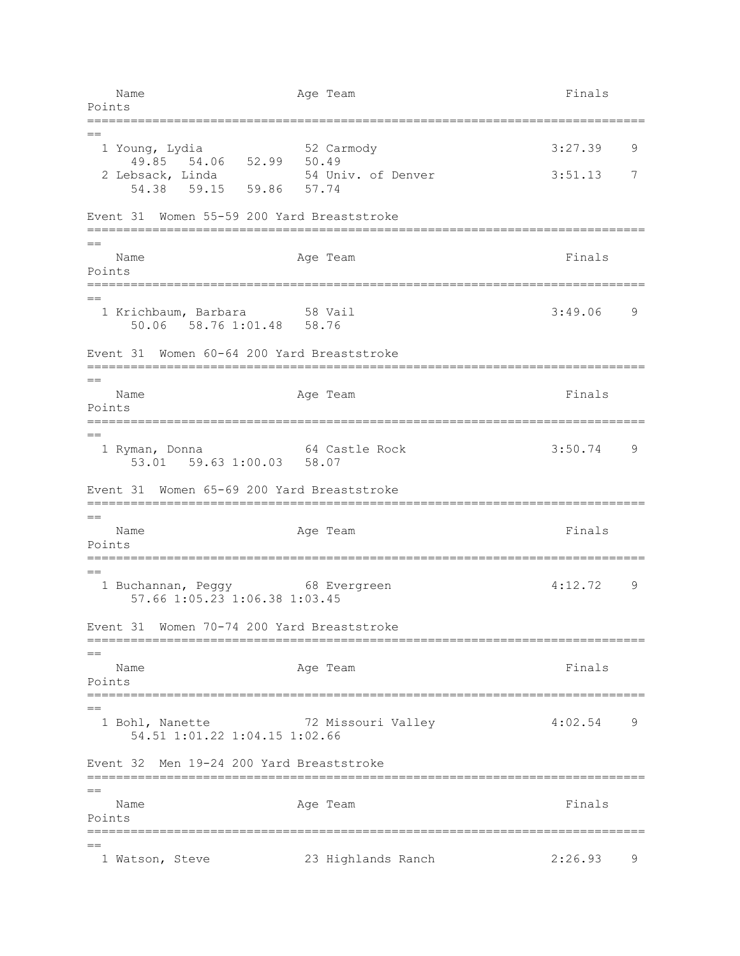Name Age Team Age Team Finals Points ============================================================================= == 1 Young, Lydia 52 Carmody 3:27.39 9 49.85 54.06 52.99 50.49 2 Lebsack, Linda 54 Univ. of Denver 3:51.13 7 54.38 59.15 59.86 57.74 Event 31 Women 55-59 200 Yard Breaststroke =============================================================================  $=$ Name **Age Team** Age Team **Finals** Points ============================================================================= == 1 Krichbaum, Barbara 3:49.06 9 50.06 58.76 1:01.48 58.76 Event 31 Women 60-64 200 Yard Breaststroke =============================================================================  $=$ Name **Age Team** Age Team **Finals** Points =============================================================================  $=$  1 Ryman, Donna 64 Castle Rock 3:50.74 9 53.01 59.63 1:00.03 58.07 Event 31 Women 65-69 200 Yard Breaststroke ============================================================================= == Name **Age Team** Age Team Finals Points =============================================================================  $=$  1 Buchannan, Peggy 68 Evergreen 4:12.72 9 57.66 1:05.23 1:06.38 1:03.45 Event 31 Women 70-74 200 Yard Breaststroke ============================================================================= == Name **Age Team** Age Team **Finals** Points ============================================================================= == 1 Bohl, Nanette 72 Missouri Valley 4:02.54 9 54.51 1:01.22 1:04.15 1:02.66 Event 32 Men 19-24 200 Yard Breaststroke =============================================================================  $=$ Name **Age Team** Age Team Finals Points ============================================================================= == 1 Watson, Steve 23 Highlands Ranch 2:26.93 9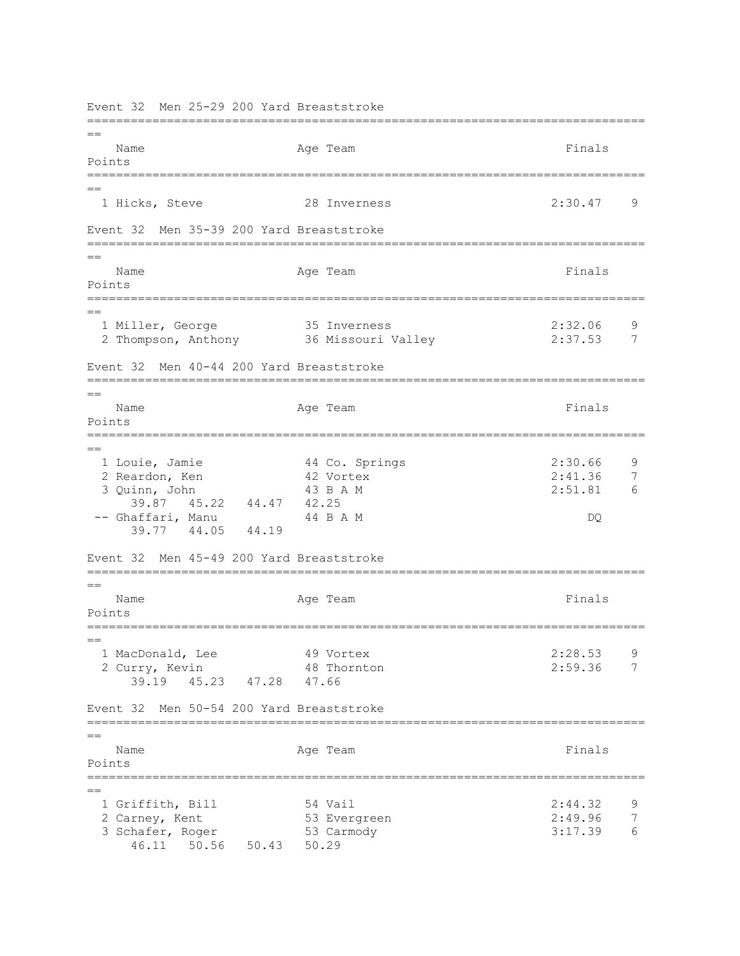Event 32 Men 25-29 200 Yard Breaststroke ============================================================================= == Name Ream Age Team Readers and Finals Points ============================================================================= == 1 Hicks, Steve 28 Inverness 2:30.47 9 Event 32 Men 35-39 200 Yard Breaststroke =============================================================================  $=$ Name **Age Team** Age Team Finals Points ============================================================================= == 1 Miller, George 35 Inverness 2:32.06 9 2 Thompson, Anthony 36 Missouri Valley 2:37.53 7 Event 32 Men 40-44 200 Yard Breaststroke =============================================================================  $-$ Name **Age Team** Age Team **Finals** Points =============================================================================  $=$  1 Louie, Jamie 44 Co. Springs 2:30.66 9 2 Reardon, Ken 42 Vortex 2:41.36 7 3 Quinn, John 43 B A M 2:51.81 6 39.87 45.22 44.47 42.25 -- Ghaffari, Manu 44 B A M DQ 39.77 44.05 44.19 Event 32 Men 45-49 200 Yard Breaststroke =============================================================================  $=$ Name **Age Team** Age Team Finals Points =============================================================================  $-$  1 MacDonald, Lee 49 Vortex 2:28.53 9 2 Curry, Kevin 48 Thornton 2:59.36 7 39.19 45.23 47.28 47.66 Event 32 Men 50-54 200 Yard Breaststroke =============================================================================  $=$ Name **Age Team** Age Team **Finals** Points =============================================================================  $=$ 1 Griffith, Bill 54 Vail 32 2:44.32 9<br>2 Carney, Kent 53 Evergreen 2:49.96 7 2 Carney, Kent 53 Evergreen 3 Schafer, Roger 53 Carmody 53 Carmony 3:17.39 6 46.11 50.56 50.43 50.29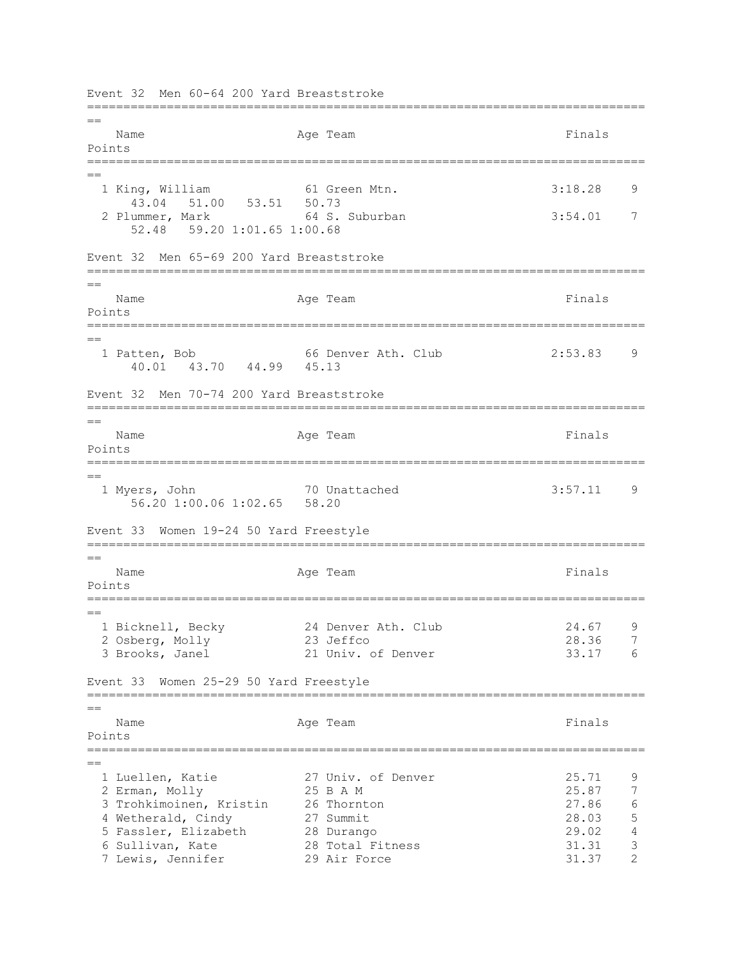Event 32 Men 60-64 200 Yard Breaststroke =============================================================================  $-$ Name **Age Team** Age Team **Finals** Points ============================================================================= == 1 King, William 61 Green Mtn. 3:18.28 9 43.04 51.00 53.51 50.73<br>2 Plummer, Mark 64 S. 64 S. Suburban 3:54.01 7 52.48 59.20 1:01.65 1:00.68 Event 32 Men 65-69 200 Yard Breaststroke =============================================================================  $=$ Name Ream Age Team Readers and Finals Points =============================================================================  $=$  1 Patten, Bob 66 Denver Ath. Club 2:53.83 9 40.01 43.70 44.99 45.13 Event 32 Men 70-74 200 Yard Breaststroke =============================================================================  $=$ Name **Age Team** Age Team **Finals** Points ============================================================================= == 1 Myers, John 70 Unattached 3:57.11 9 56.20 1:00.06 1:02.65 58.20 Event 33 Women 19-24 50 Yard Freestyle =============================================================================  $=$ Name Age Team Age Team Finals Points ============================================================================= == 1 Bicknell, Becky 24 Denver Ath. Club 24.67 9 2 Osberg, Molly 23 Jeffco 28.36 7 3 Brooks, Janel 21 Univ. of Denver 33.17 6 Event 33 Women 25-29 50 Yard Freestyle =============================================================================  $=$ Name **Age Team** Age Team **Finals** Points ============================================================================= ==<br>1 Luellen, Katie 27 Univ. of Denver 25.71 9 2 Erman, Molly 25 B A M 25.87 7 3 Trohkimoinen, Kristin 26 Thornton 27.86 6 4 Wetherald, Cindy 27 Summit 28.03 5 5 Fassler, Elizabeth 28 Durango 29.02 4 6 Sullivan, Kate 28 Total Fitness 31.31 3 7 Lewis, Jennifer 29 Air Force 31.37 2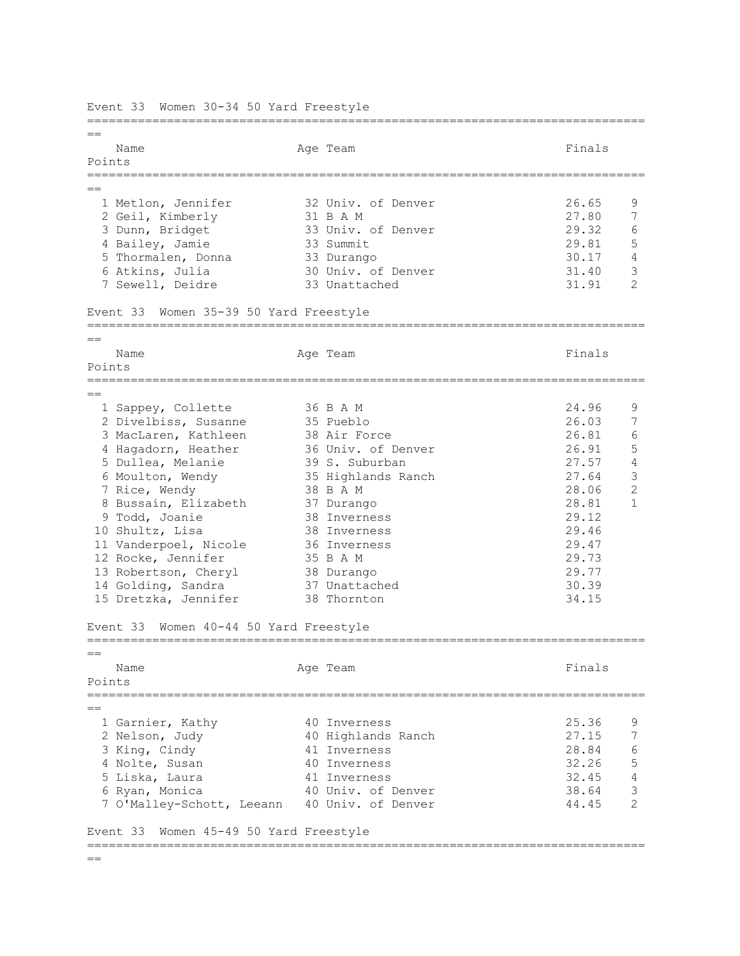============================================================================= == Name Ream Age Team Readers and Finals Points ============================================================================= == 1 Metlon, Jennifer 32 Univ. of Denver 26.65 9 2 Geil, Kimberly 31 B A M 27.80 7 3 Dunn, Bridget 33 Univ. of Denver 29.32 6 4 Bailey, Jamie 33 Summit 29.81 5 5 Thormalen, Donna 33 Durango 30.17 4 6 Atkins, Julia 30 Univ. of Denver 31.40 3 7 Sewell, Deidre 33 Unattached 31.91 2 Event 33 Women 35-39 50 Yard Freestyle =============================================================================  $=$ Name **Age Team** Age Team **Finals** Points ============================================================================= == 1 Sappey, Collette 36 B A M 24.96 9 2 Divelbiss, Susanne 35 Pueblo 26.03 7 3 MacLaren, Kathleen 38 Air Force 26.81 6 4 Hagadorn, Heather 36 Univ. of Denver 26.91 5 5 Dullea, Melanie 39 S. Suburban 27.57 4 6 Moulton, Wendy 35 Highlands Ranch 27.64 3 7 Rice, Wendy 38 B A M 28.06 2 8 Bussain, Elizabeth 37 Durango 28.81 1 9 Todd, Joanie 39 September 2012<br>
9 Todd, Joanie 38 Inverness 29.12<br>
9 Todd, Joanie 38 Inverness 29.12<br>
9 September 28.81<br>
9 Todd, Joanie 38 Inverness 29.46 10 Shultz, Lisa 38 Inverness 29.46 11 Vanderpoel, Nicole 36 Inverness 29.47 12 Rocke, Jennifer 35 B A M 29.73 13 Robertson, Cheryl 38 Durango 29.77 14 Golding, Sandra 37 Unattached 30.39 15 Dretzka, Jennifer 38 Thornton 34.15 Event 33 Women 40-44 50 Yard Freestyle ============================================================================= == Name **Age Team** Age Team **Finals** Points =============================================================================  $=$ 1 Garnier, Kathy  $10$  Inverness 25.36 9 1 Garnier, Rachy<br>2 Nelson, Judy 40 Highlands Ranch 27.15 7 3 King, Cindy 41 Inverness 28.84 6 4 Nolte, Susan 40 Inverness 32.26 5 5 Liska, Laura 41 Inverness 32.45 4 6 Ryan, Monica 40 Univ. of Denver 38.64 3 7 O'Malley-Schott, Leeann 40 Univ. of Denver 44.45 2 Event 33 Women 45-49 50 Yard Freestyle =============================================================================

Event 33 Women 30-34 50 Yard Freestyle

 $=$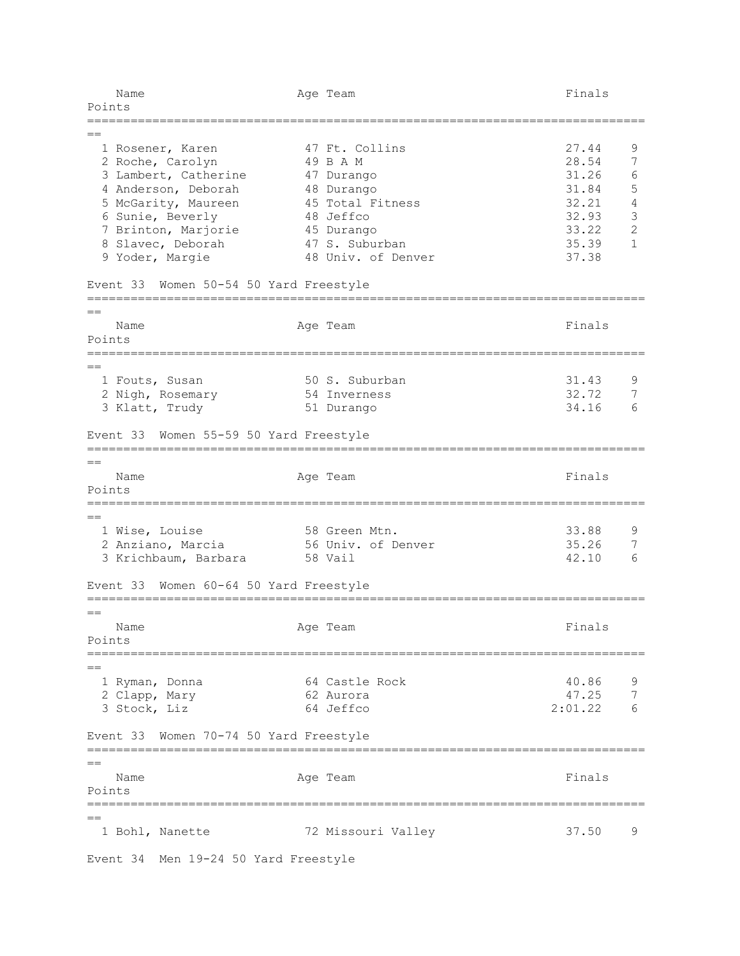| Name<br>Points                                | Age Team                   | Finals  |                |
|-----------------------------------------------|----------------------------|---------|----------------|
|                                               |                            |         |                |
| 1 Rosener, Karen                              | 47 Ft. Collins             | 27.44   | 9              |
| 2 Roche, Carolyn                              | 49 B A M                   | 28.54   | 7              |
| 3 Lambert, Catherine                          | 47 Durango                 | 31.26   | 6              |
| 4 Anderson, Deborah                           | 48 Durango                 | 31.84   | $\mathsf S$    |
| 5 McGarity, Maureen                           | 45 Total Fitness           | 32.21   | $\sqrt{4}$     |
| 6 Sunie, Beverly                              | 48 Jeffco                  | 32.93   | $\mathfrak{Z}$ |
| 7 Brinton, Marjorie                           | 45 Durango                 | 33.22   | $\mathbf{2}$   |
| 8 Slavec, Deborah                             | 47 S. Suburban             | 35.39   | $\mathbf{1}$   |
| 9 Yoder, Margie                               | 48 Univ. of Denver         | 37.38   |                |
| Event 33<br>Women 50-54 50 Yard Freestyle     |                            |         |                |
|                                               |                            |         |                |
| Name                                          | Age Team                   | Finals  |                |
| Points                                        |                            |         |                |
| $=$                                           |                            |         |                |
| 1 Fouts, Susan                                | 50 S. Suburban             | 31.43   | 9              |
| 2 Nigh, Rosemary                              | 54 Inverness               | 32.72   | 7              |
| 3 Klatt, Trudy                                | 51 Durango                 | 34.16   | 6              |
| Women 55-59 50 Yard Freestyle<br>Event 33     |                            |         |                |
|                                               |                            |         |                |
| $=$                                           |                            |         |                |
| Name                                          | Age Team                   | Finals  |                |
| Points<br>=================================== | :========================= |         |                |
| $=$                                           |                            |         |                |
| 1 Wise, Louise                                | 58 Green Mtn.              | 33.88   | 9              |
| 2 Anziano, Marcia                             | 56 Univ. of Denver         | 35.26   | 7              |
| 3 Krichbaum, Barbara                          | 58 Vail                    | 42.10   | 6              |
| Women 60-64 50 Yard Freestyle<br>Event 33     |                            |         |                |
| $==$                                          |                            |         |                |
| Name                                          | Age Team                   | Finals  |                |
| Points                                        |                            |         |                |
|                                               |                            |         |                |
| 1 Ryman, Donna                                | 64 Castle Rock             | 40.86   | 9              |
| 2 Clapp, Mary                                 | 62 Aurora                  | 47.25   | 7              |
| 3 Stock, Liz                                  | 64 Jeffco                  | 2:01.22 |                |
| Event 33 Women 70-74 50 Yard Freestyle        |                            |         |                |
|                                               |                            |         |                |
| $=$                                           |                            |         |                |
| Name                                          | Age Team                   | Finals  |                |
| Points                                        |                            |         |                |
| $==$                                          |                            |         |                |
| 1 Bohl, Nanette                               | 72 Missouri Valley         | 37.50   | 9              |
| Event 34 Men 19-24 50 Yard Freestyle          |                            |         |                |
|                                               |                            |         |                |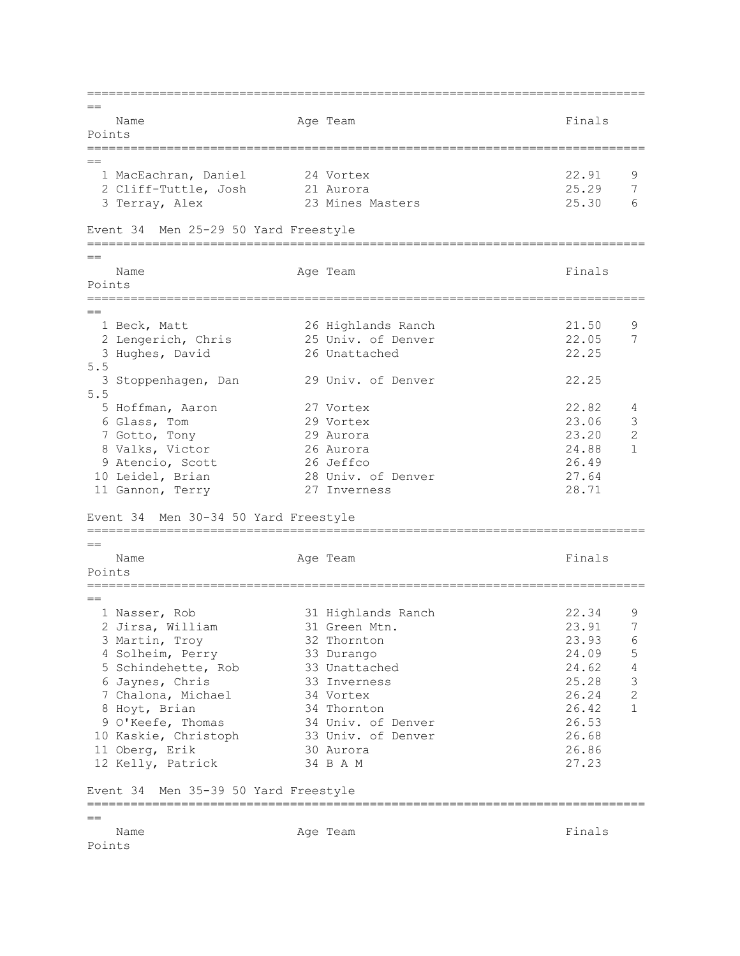=============================================================================  $=$ Name **Age Team** Age Team Finals Points =============================================================================  $=$  1 MacEachran, Daniel 24 Vortex 22.91 9 2 Cliff-Tuttle, Josh 21 Aurora 25.29 7<br>3 Terray, Alex 23 Mines Masters 25.30 6 3 Terray, Alex 23 Mines Masters Event 34 Men 25-29 50 Yard Freestyle =============================================================================  $=$ Name **Age Team** Age Team Finals Points ============================================================================= == 1 Beck, Matt 26 Highlands Ranch 21.50 9 2 Lengerich, Chris 25 Univ. of Denver 22.05 7 3 Hughes, David 26 Unattached 22.25 5.5 3 Stoppenhagen, Dan 29 Univ. of Denver 22.25 5.5 5 Hoffman, Aaron 27 Vortex 22.82 4 6 Glass, Tom 29 Vortex 23.06 3 7 Gotto, Tony 29 Aurora 23.20 2 8 Valks, Victor 26 Aurora 24.88 1 9 Atencio, Scott 26 Jeffco 26.49 10 Leidel, Brian 28 Univ. of Denver 27.64 11 Gannon, Terry 27 Inverness 28.71 Event 34 Men 30-34 50 Yard Freestyle =============================================================================  $=$ Name **Age Team** Age Team Finals Points ============================================================================= == 1 Nasser, Rob 31 Highlands Ranch 22.34 9 2 Jirsa, William 31 Green Mtn. 23.91 7 3 Martin, Troy 32 Thornton 23.93 6 4 Solheim, Perry 33 Durango 24.09 5 5 Schindehette, Rob 33 Unattached 24.62 4 6 Jaynes, Chris 33 Inverness 25.28 3 1 6 Jaynes, Chris 33 Inverness<br>
25.28 3 7 Chalona, Michael 34 Vortex 26.24 2<br>
34 Thornton 26.42 1 8 Hoyt, Brian 34 Thornton 26.42 1 9 O'Keefe, Thomas 34 Univ. of Denver 26.53 10 Kaskie, Christoph 33 Univ. of Denver 26.68 11 Oberg, Erik 30 Aurora 26.86 12 Kelly, Patrick 34 B A M 27.23 Event 34 Men 35-39 50 Yard Freestyle ============================================================================= == Name **Age Team Age Team Age Team Finals** Points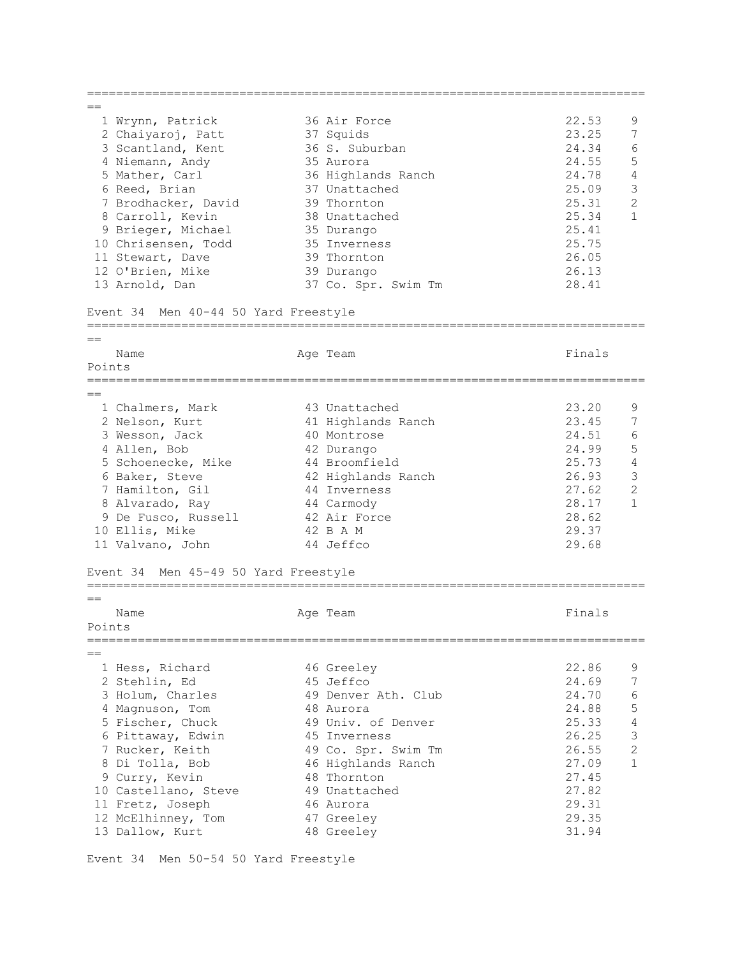| $=$ $=$ |                                      |  |                     |        |                |  |  |  |  |  |
|---------|--------------------------------------|--|---------------------|--------|----------------|--|--|--|--|--|
|         | 1 Wrynn, Patrick                     |  | 36 Air Force        | 22.53  | 9              |  |  |  |  |  |
|         | 2 Chaiyaroj, Patt                    |  | 37 Squids           | 23.25  | 7              |  |  |  |  |  |
|         | 3 Scantland, Kent                    |  | 36 S. Suburban      | 24.34  | 6              |  |  |  |  |  |
|         | 4 Niemann, Andy                      |  | 35 Aurora           | 24.55  | 5              |  |  |  |  |  |
|         | 5 Mather, Carl                       |  | 36 Highlands Ranch  | 24.78  | $\sqrt{4}$     |  |  |  |  |  |
|         | 6 Reed, Brian                        |  | 37 Unattached       | 25.09  | $\mathfrak{Z}$ |  |  |  |  |  |
|         | 7 Brodhacker, David                  |  | 39 Thornton         | 25.31  | 2              |  |  |  |  |  |
|         |                                      |  |                     |        | $\mathbf{1}$   |  |  |  |  |  |
|         | 8 Carroll, Kevin                     |  | 38 Unattached       | 25.34  |                |  |  |  |  |  |
|         | 9 Brieger, Michael                   |  | 35 Durango          | 25.41  |                |  |  |  |  |  |
|         | 10 Chrisensen, Todd                  |  | 35 Inverness        | 25.75  |                |  |  |  |  |  |
|         | 11 Stewart, Dave                     |  | 39 Thornton         | 26.05  |                |  |  |  |  |  |
|         | 12 O'Brien, Mike                     |  | 39 Durango          | 26.13  |                |  |  |  |  |  |
|         | 13 Arnold, Dan                       |  | 37 Co. Spr. Swim Tm | 28.41  |                |  |  |  |  |  |
|         | Event 34 Men 40-44 50 Yard Freestyle |  |                     |        |                |  |  |  |  |  |
|         |                                      |  |                     |        |                |  |  |  |  |  |
|         | Name                                 |  | Age Team            | Finals |                |  |  |  |  |  |
| Points  |                                      |  |                     |        |                |  |  |  |  |  |
|         |                                      |  |                     |        |                |  |  |  |  |  |
|         |                                      |  |                     |        |                |  |  |  |  |  |
|         | 1 Chalmers, Mark                     |  | 43 Unattached       | 23.20  | 9              |  |  |  |  |  |
|         | 2 Nelson, Kurt                       |  | 41 Highlands Ranch  | 23.45  | 7              |  |  |  |  |  |
|         | 3 Wesson, Jack                       |  | 40 Montrose         | 24.51  | 6              |  |  |  |  |  |
|         | 4 Allen, Bob                         |  | 42 Durango          | 24.99  | $\mathsf S$    |  |  |  |  |  |
|         | 5 Schoenecke, Mike                   |  | 44 Broomfield       | 25.73  | $\sqrt{4}$     |  |  |  |  |  |
|         | 6 Baker, Steve                       |  | 42 Highlands Ranch  | 26.93  | $\mathcal{S}$  |  |  |  |  |  |
|         | 7 Hamilton, Gil                      |  | 44 Inverness        | 27.62  | $\overline{2}$ |  |  |  |  |  |
|         | 8 Alvarado, Ray                      |  | 44 Carmody          | 28.17  | $\mathbf{1}$   |  |  |  |  |  |
|         | 9 De Fusco, Russell                  |  | 42 Air Force        | 28.62  |                |  |  |  |  |  |
|         | 10 Ellis, Mike                       |  | 42 B A M            | 29.37  |                |  |  |  |  |  |
|         | 11 Valvano, John                     |  | 44 Jeffco           | 29.68  |                |  |  |  |  |  |
|         |                                      |  |                     |        |                |  |  |  |  |  |
|         | Event 34 Men 45-49 50 Yard Freestyle |  |                     |        |                |  |  |  |  |  |
|         |                                      |  |                     |        |                |  |  |  |  |  |
|         | Name                                 |  | Age Team            | Finals |                |  |  |  |  |  |
| Points  |                                      |  |                     |        |                |  |  |  |  |  |
|         |                                      |  |                     |        |                |  |  |  |  |  |
|         |                                      |  |                     |        |                |  |  |  |  |  |
|         | 1 Hess, Richard                      |  | 46 Greeley          | 22.86  | 9              |  |  |  |  |  |
|         | 2 Stehlin, Ed                        |  | 45 Jeffco           | 24.69  | 7              |  |  |  |  |  |
|         | 3 Holum, Charles                     |  | 49 Denver Ath. Club | 24.70  | $\sqrt{6}$     |  |  |  |  |  |
|         | 4 Magnuson, Tom                      |  | 48 Aurora           | 24.88  | $\mathsf S$    |  |  |  |  |  |
|         | 5 Fischer, Chuck                     |  | 49 Univ. of Denver  | 25.33  | $\sqrt{4}$     |  |  |  |  |  |
|         | 6 Pittaway, Edwin                    |  | 45 Inverness        | 26.25  | $\mathfrak{Z}$ |  |  |  |  |  |
|         | 7 Rucker, Keith                      |  | 49 Co. Spr. Swim Tm | 26.55  | $\overline{c}$ |  |  |  |  |  |
|         | 8 Di Tolla, Bob                      |  | 46 Highlands Ranch  | 27.09  | $\mathbf{1}$   |  |  |  |  |  |
|         |                                      |  | 48 Thornton         | 27.45  |                |  |  |  |  |  |
|         | 9 Curry, Kevin                       |  |                     |        |                |  |  |  |  |  |
|         | 10 Castellano, Steve                 |  | 49 Unattached       | 27.82  |                |  |  |  |  |  |
|         | 11 Fretz, Joseph                     |  | 46 Aurora           | 29.31  |                |  |  |  |  |  |
|         | 12 McElhinney, Tom                   |  | 47 Greeley          | 29.35  |                |  |  |  |  |  |
|         | 13 Dallow, Kurt                      |  | 48 Greeley          | 31.94  |                |  |  |  |  |  |
|         |                                      |  |                     |        |                |  |  |  |  |  |

Event 34 Men 50-54 50 Yard Freestyle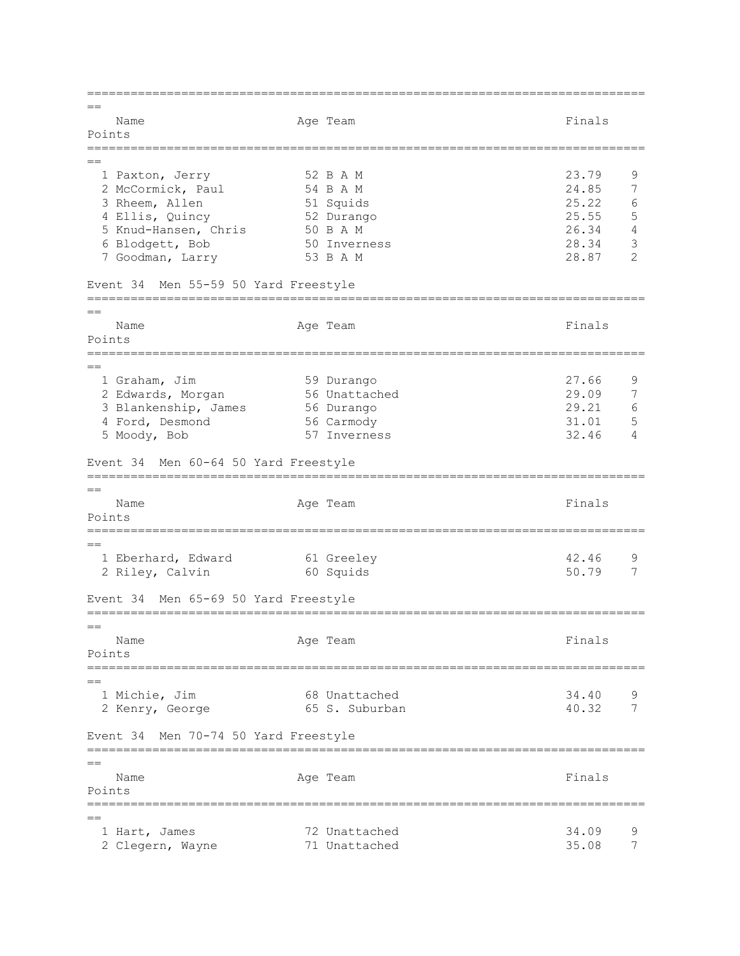=============================================================================  $=$ Name **Age Team** Age Team Finals Points =============================================================================  $=$ 1 Paxton, Jerry 52 B A M 33.79 9<br>2 McCormick, Paul 54 B A M 34.85 7 2 McCormick, Paul 54 B A M 24.85 7<br>3 Rheem, Allen 51 Squids 25.22 6<br>4 Ellis, Quincy 52 Durango 25.55 5 3 Rheem, Allen 51 Squids 25.22 6 4 Ellis, Quincy 52 Durango 25.55 5 5 Knud-Hansen, Chris 50 B A M 26.34 4 6 Blodgett, Bob 50 Inverness 28.34 3 7 Goodman, Larry 53 B A M 28.87 2 Event 34 Men 55-59 50 Yard Freestyle =============================================================================  $=$ Name Age Team Age Team Finals Points ============================================================================= == 1 Graham, Jim 59 Durango 27.66 9<br>2 Edwards, Morgan 56 Unattached 29.09 7 2 Edwards, Morgan 56 Unattached 29.09 7 3 Blankenship, James 56 Durango 29.21 6 4 Ford, Desmond 56 Carmody 31.01 5 5 Moody, Bob 57 Inverness 32.46 4 Event 34 Men 60-64 50 Yard Freestyle =============================================================================  $-$ Name **Age Team** Age Team **Finals** Points ============================================================================= == 1 Eberhard, Edward 61 Greeley 1994 12.46 9 2 Riley, Calvin 60 Squids 50.79 7 Event 34 Men 65-69 50 Yard Freestyle =============================================================================  $=$ Name **Age Team** Age Team **Finals** Points ============================================================================= == 1 Michie, Jim 68 Unattached 34.40 9 2 Kenry, George 65 S. Suburban 40.32 7 Event 34 Men 70-74 50 Yard Freestyle =============================================================================  $=$ Name **Age Team** Age Team Finals Points =============================================================================  $=$  1 Hart, James 72 Unattached 34.09 9 2 Clegern, Wayne 71 Unattached 35.08 7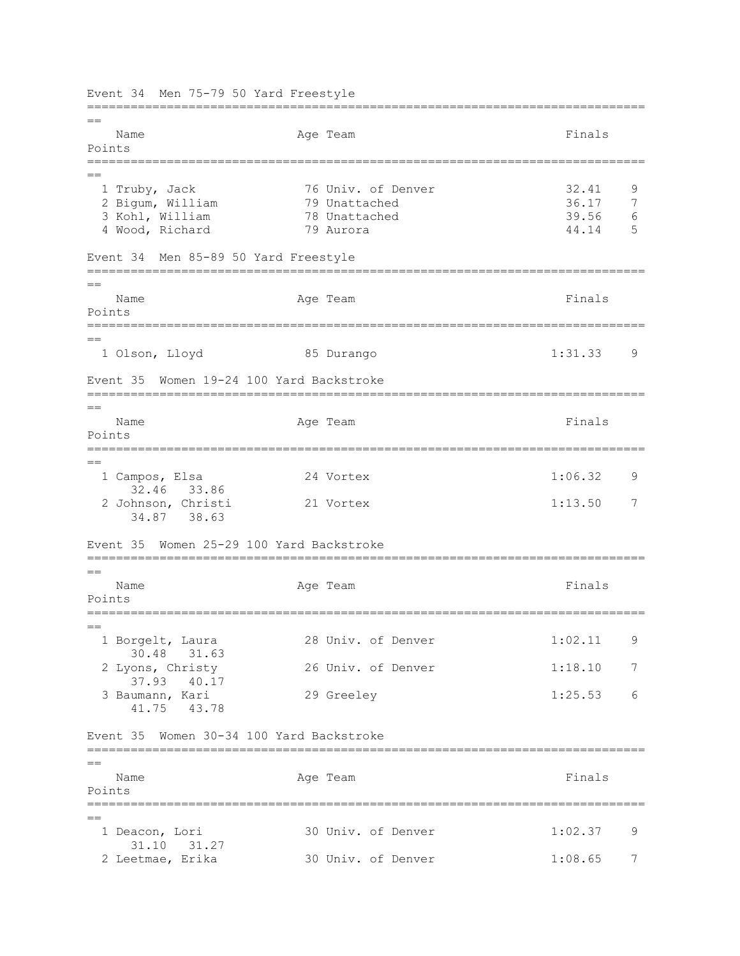Event 34 Men 75-79 50 Yard Freestyle =============================================================================  $-$ Name **Age Team** Age Team Finals Points ============================================================================= == 1 Truby, Jack 76 Univ. of Denver 32.41 9 2 Bigum, William 79 Unattached 36.17 7 3 Kohl, William 4 Wood, Richard 79 Aurora 44.14 5 Event 34 Men 85-89 50 Yard Freestyle =============================================================================  $=$ Name Readers Age Team Age Team Rinals Points =============================================================================  $=$  1 Olson, Lloyd 85 Durango 1:31.33 9 Event 35 Women 19-24 100 Yard Backstroke =============================================================================  $=$ Name **Age Team** Age Team Finals Points ============================================================================= == 1 Campos, Elsa 24 Vortex 1:06.32 9 32.46 33.86 2 Johnson, Christi 21 Vortex 1:13.50 7 34.87 38.63 Event 35 Women 25-29 100 Yard Backstroke =============================================================================  $=$ Name **Age Team** Age Team Finals Points =============================================================================  $=$ 1 Borgelt, Laura 28 Univ. of Denver 1:02.11 9 30.48 31.63 2 Lyons, Christy 26 Univ. of Denver 1:18.10 7 37.93 40.17 3 Baumann, Kari 29 Greeley 1:25.53 6 41.75 43.78 Event 35 Women 30-34 100 Yard Backstroke =============================================================================  $=$ Name **Age Team** Age Team Finals Points =============================================================================  $=$  1 Deacon, Lori 30 Univ. of Denver 1:02.37 9 31.10 31.27<br>2 Leetmae, Erika 30 Univ. of Denver 1:08.65 7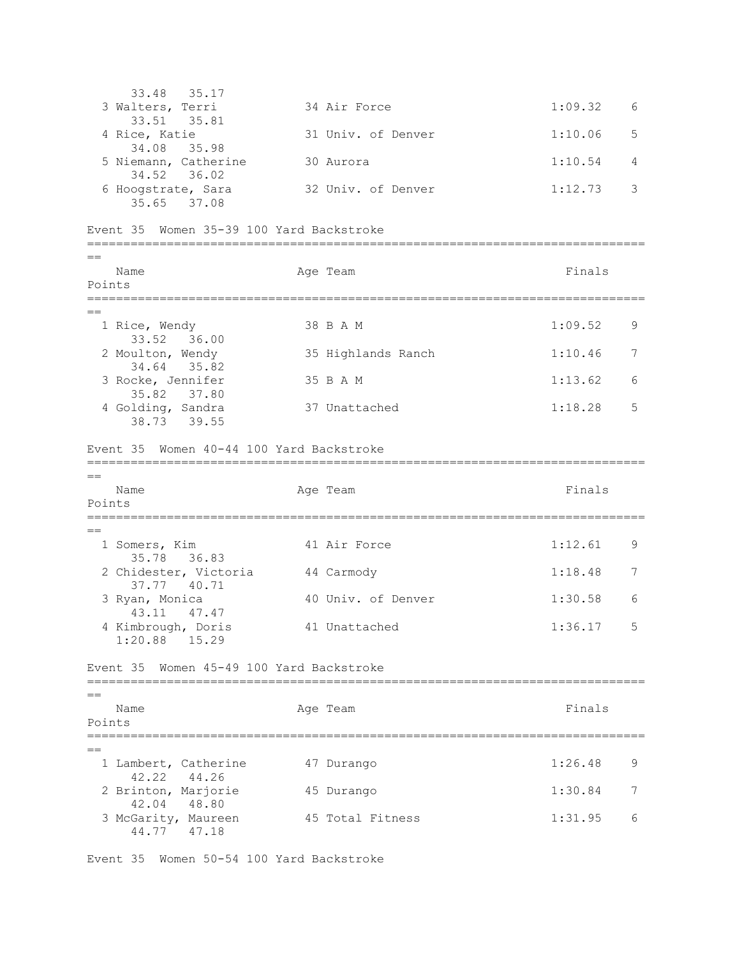33.48 35.17 3 Walters, Terri 34 Air Force 1:09.32 6 33.51 35.81 4 Rice, Katie 31 Univ. of Denver 1:10.06 5 34.08 35.98 5 Niemann, Catherine 30 Aurora 1:10.54 4 34.52 36.02 6 Hoogstrate, Sara 32 Univ. of Denver 1:12.73 3 35.65 37.08 Event 35 Women 35-39 100 Yard Backstroke =============================================================================  $=$ Name **Age Team** Age Team Finals Points ============================================================================= == 1 Rice, Wendy 38 B A M 1:09.52 9 33.52 36.00 2 Moulton, Wendy 35 Highlands Ranch 1:10.46 7 34.64 35.82 3 Rocke, Jennifer 35 B A M 1:13.62 6 35.82 37.80 4 Golding, Sandra 37 Unattached 1:18.28 5 38.73 39.55 Event 35 Women 40-44 100 Yard Backstroke =============================================================================  $=$ Name **Age Team** Age Team **Finals** Points =============================================================================  $-$ 1 Somers, Kim 41 Air Force 1:12.61 9 35.78 36.83 2 Chidester, Victoria and 44 Carmody 1:18.48 7 37.77 40.71 3 Ryan, Monica 40 Univ. of Denver 1:30.58 6 43.11 47.47 4 Kimbrough, Doris 41 Unattached 1:36.17 5 1:20.88 15.29 Event 35 Women 45-49 100 Yard Backstroke ============================================================================= == Name Age Team Age Team Finals Points ============================================================================= == 1 Lambert, Catherine 47 Durango 1:26.48 9 42.22 44.26 2 Brinton, Marjorie 45 Durango 1:30.84 7 42.04 48.80 3 McGarity, Maureen 45 Total Fitness 1:31.95 6 44.77 47.18

Event 35 Women 50-54 100 Yard Backstroke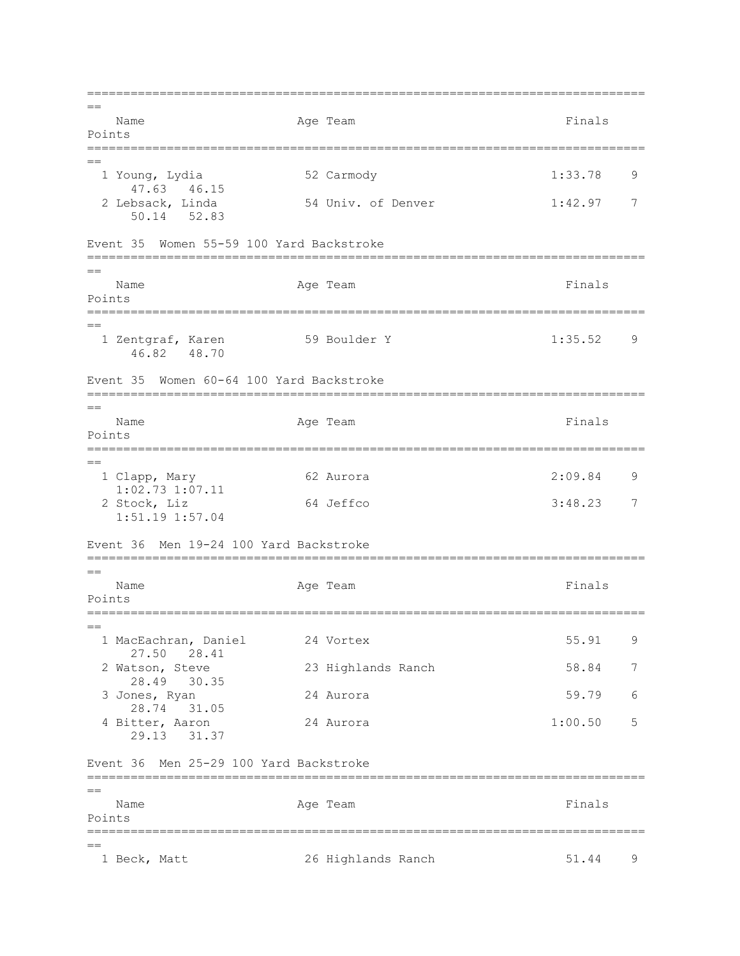=============================================================================  $=$ Name **Age Team** Age Team Finals Points =============================================================================  $=$  1 Young, Lydia 52 Carmody 1:33.78 9 47.63 46.15<br>2 Lebsack, Linda 54 Univ. of Denver 1:42.97 7 50.14 52.83 Event 35 Women 55-59 100 Yard Backstroke ============================================================================= == Name **Age Team** Age Team Finals Points ============================================================================= == 1 Zentgraf, Karen 1:35.52 9 46.82 48.70 Event 35 Women 60-64 100 Yard Backstroke =============================================================================  $=$ Name **Age Team** Age Team Finals Points ============================================================================= == 1 Clapp, Mary 62 Aurora 2:09.84 9 1:02.73 1:07.11 2 Stock, Liz 64 Jeffco 3:48.23 7 1:51.19 1:57.04 Event 36 Men 19-24 100 Yard Backstroke =============================================================================  $=$ Name **Age Team** Age Team **Finals** Points =============================================================================  $-$  1 MacEachran, Daniel 24 Vortex 55.91 9 27.50 28.41 2 Watson, Steve 23 Highlands Ranch 58.84 7 28.49 30.35 3 Jones, Ryan 24 Aurora 59.79 6 28.74 31.05 4 Bitter, Aaron 24 Aurora 1:00.50 5 29.13 31.37 Event 36 Men 25-29 100 Yard Backstroke =============================================================================  $=$ Name Age Team Age Team Finals Points ============================================================================= == 1 Beck, Matt 26 Highlands Ranch 51.44 9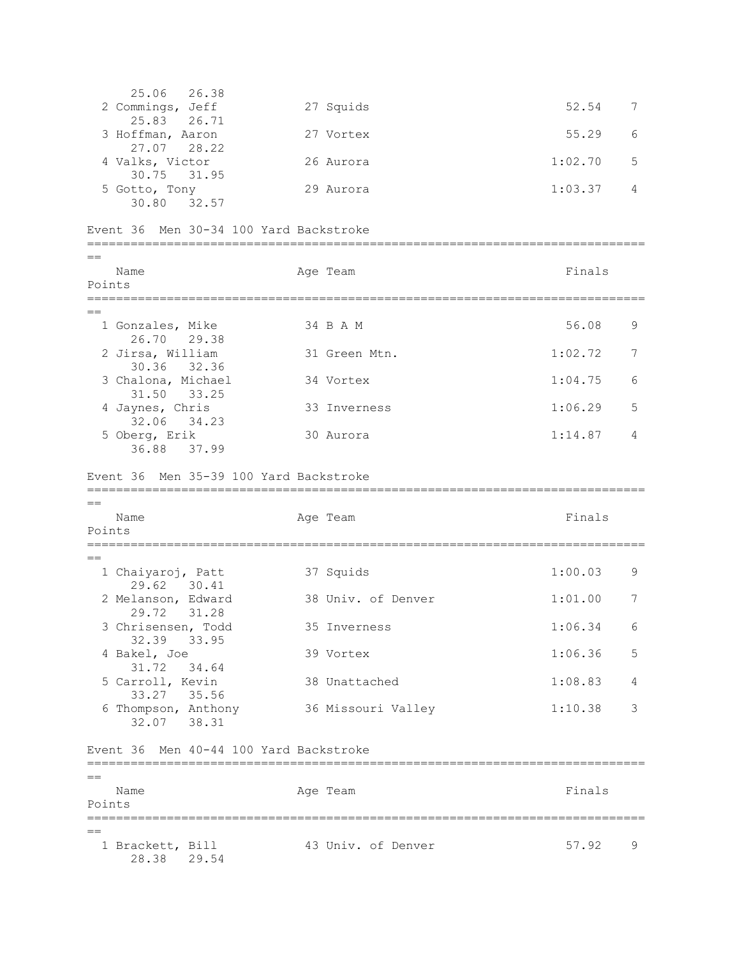25.06 26.38 2 Commings, Jeff 27 Squids 52.54 7 25.83 26.71 3 Hoffman, Aaron 27 Vortex 55.29 6 27.07 28.22 4 Valks, Victor 26 Aurora 1:02.70 5 30.75 31.95 5 Gotto, Tony 29 Aurora 1:03.37 4 30.80 32.57 Event 36 Men 30-34 100 Yard Backstroke =============================================================================  $=$ Name **Age Team** Age Team Finals Points ============================================================================= == 1 Gonzales, Mike 34 B A M 56.08 9 26.70 29.38 2 Jirsa, William 31 Green Mtn. 1:02.72 7 30.36 32.36 3 Chalona, Michael 34 Vortex 1:04.75 6 31.50 33.25 4 Jaynes, Chris 33 Inverness 1:06.29 5 32.06 34.23 5 Oberg, Erik 30 Aurora 1:14.87 4 36.88 37.99 Event 36 Men 35-39 100 Yard Backstroke =============================================================================  $-$ Name **Age Team** Age Team **Finals** Points ============================================================================= == 1 Chaiyaroj, Patt 1:00.03 9 29.62 30.41 2 Melanson, Edward 38 Univ. of Denver 1:01.00 7 29.72 31.28 3 Chrisensen, Todd 35 Inverness 1:06.34 6 32.39 33.95 4 Bakel, Joe 39 Vortex 1:06.36 5 31.72 34.64 5 Carroll, Kevin 38 Unattached 1:08.83 4 33.27 35.56 6 Thompson, Anthony 36 Missouri Valley 1:10.38 3 32.07 38.31 Event 36 Men 40-44 100 Yard Backstroke =============================================================================  $-$ Name **Age Team** Age Team **Finals** Points ============================================================================= == 1 Brackett, Bill 43 Univ. of Denver 57.92 9 28.38 29.54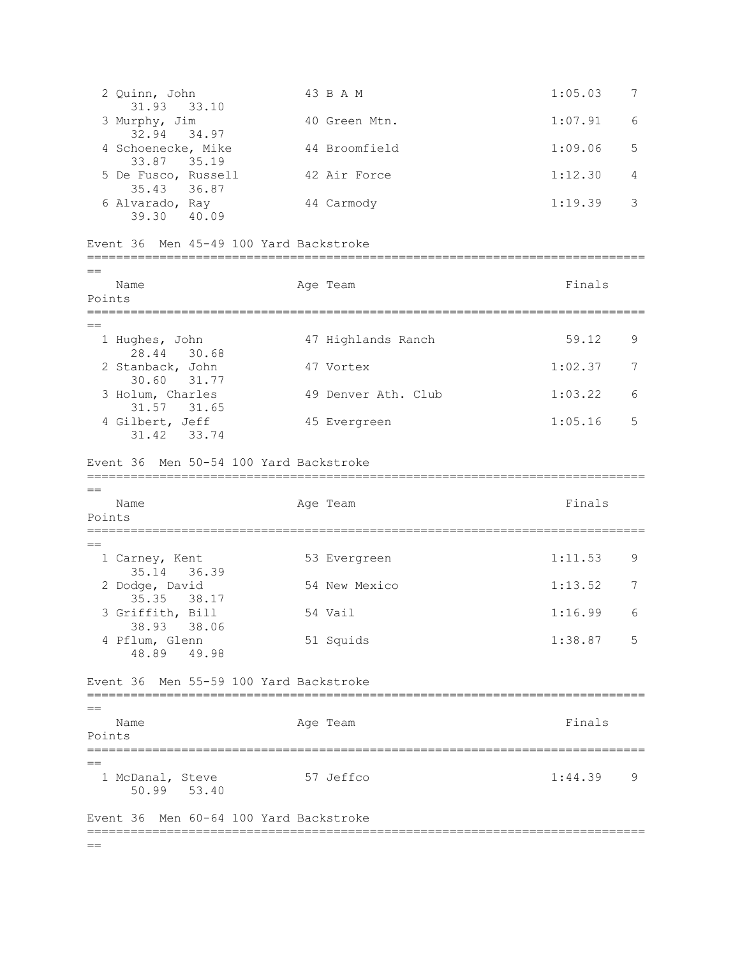2 Quinn, John 43 B A M 1:05.03 7 31.93 33.10 3 Murphy, Jim  $40$  Green Mtn.  $1:07.91$  6 32.94 34.97 4 Schoenecke, Mike  $44$  Broomfield  $1:09.06$  5 33.87 35.19 5 De Fusco, Russell 42 Air Force 1:12.30 4 35.43 36.87 6 Alvarado, Ray 44 Carmody 1:19.39 3 39.30 40.09 Event 36 Men 45-49 100 Yard Backstroke ============================================================================= == Name Age Team Age Team Finals Points ============================================================================= == 1 Hughes, John 47 Highlands Ranch 59.12 9 28.44 30.68 2 Stanback, John 47 Vortex 1:02.37 7 30.60 31.77<br>3 Holum, Charles 49 Denver Ath. Club 1:03.22 6 31.57 31.65 4 Gilbert, Jeff 45 Evergreen 1:05.16 5 31.42 33.74 Event 36 Men 50-54 100 Yard Backstroke =============================================================================  $-$ Name **Age Team** Age Team **Finals** Points =============================================================================  $=$ 1 Carney, Kent 53 Evergreen 1:11.53 9 35.14 36.39 2 Dodge, David 54 New Mexico 1:13.52 7 35.35 38.17 3 Griffith, Bill 54 Vail 1:16.99 6 38.93 38.06 4 Pflum, Glenn 51 Squids 1:38.87 5 48.89 49.98 Event 36 Men 55-59 100 Yard Backstroke =============================================================================  $=$ Name **Age Team** Age Team Finals Points =============================================================================  $-$ 1 McDanal, Steve 57 Jeffco 1:44.39 9 50.99 53.40 Event 36 Men 60-64 100 Yard Backstroke =============================================================================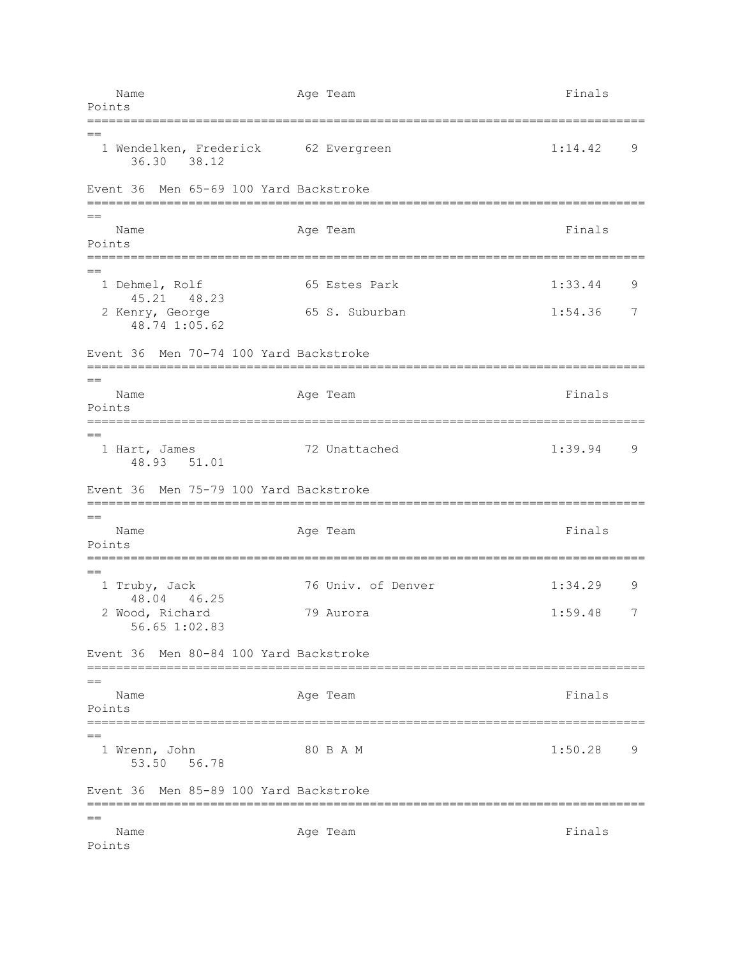| Points         | Name                              |                              |  | Age Team                                                    | Finals             |        |
|----------------|-----------------------------------|------------------------------|--|-------------------------------------------------------------|--------------------|--------|
| $=$            |                                   | 36.30 38.12                  |  | 1 Wendelken, Frederick 62 Evergreen                         | 1:14.42            | 9      |
|                | Event 36                          |                              |  | Men 65-69 100 Yard Backstroke                               |                    |        |
| Points         | Name                              |                              |  | Age Team                                                    | Finals             |        |
|                | 1 Dehmel, Rolf<br>2 Kenry, George | 45.21 48.23<br>48.74 1:05.62 |  | 65 Estes Park<br>65 S. Suburban                             | 1:33.44<br>1:54.36 | 9<br>7 |
|                | Event 36                          |                              |  | Men 70-74 100 Yard Backstroke                               |                    |        |
| $=$<br>Points  | Name                              |                              |  | Age Team                                                    | Finals             |        |
| $==$           | 1 Hart, James                     | 48.93 51.01                  |  | 72 Unattached                                               | 1:39.94            | 9      |
|                | Event 36                          |                              |  | Men 75-79 100 Yard Backstroke                               |                    |        |
| $==$<br>Points | Name                              |                              |  | Age Team                                                    | Finals             |        |
|                | 1 Truby, Jack<br>2 Wood, Richard  | 48.04 46.25<br>56.65 1:02.83 |  | ========================<br>76 Univ. of Denver<br>79 Aurora | 1:34.29<br>1:59.48 | 9<br>7 |
|                | Event 36                          |                              |  | Men 80-84 100 Yard Backstroke                               |                    |        |
| Points         | Name                              |                              |  | Age Team                                                    | Finals             |        |
| $=$            | 1 Wrenn, John                     | 53.50 56.78                  |  | 80 B A M                                                    | 1:50.28            | 9      |
|                |                                   |                              |  | Event 36 Men 85-89 100 Yard Backstroke                      |                    |        |
| $=$<br>Points  | Name                              |                              |  | Age Team                                                    | Finals             |        |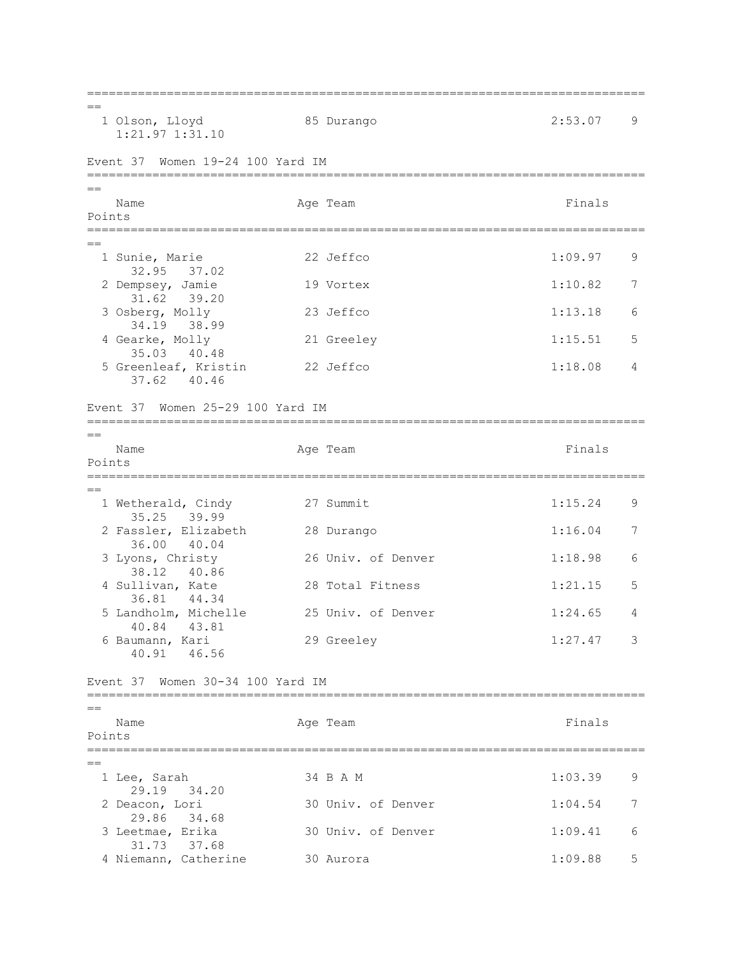=============================================================================  $=$  1 Olson, Lloyd 85 Durango 2:53.07 9 1:21.97 1:31.10 Event 37 Women 19-24 100 Yard IM ============================================================================= == Name **Age Team** Age Team **Finals** Points ============================================================================= == 1 Sunie, Marie 22 Jeffco 1:09.97 9 32.95 37.02 2 Dempsey, Jamie 19 Vortex 1:10.82 7 31.62 39.20 3 Osberg, Molly 23 Jeffco 1:13.18 6 34.19 38.99 4 Gearke, Molly 21 Greeley 1:15.51 5 35.03 40.48 5 Greenleaf, Kristin 22 Jeffco 1:18.08 4 37.62 40.46 Event 37 Women 25-29 100 Yard IM =============================================================================  $=$ Name **Age Team** Age Team Finals Points =============================================================================  $-$ 1 Wetherald, Cindy 27 Summit 1:15.24 9 35.25 39.99 2 Fassler, Elizabeth 28 Durango 1:16.04 7 36.00 40.04 3 Lyons, Christy 26 Univ. of Denver 1:18.98 6 38.12 40.86<br>4 Sullivan, Kate 28 Total Fitness 1:21.15 5 36.81 44.34 5 Landholm, Michelle 25 Univ. of Denver 1:24.65 4 40.84 43.81 6 Baumann, Kari 29 Greeley 1:27.47 3 40.91 46.56 Event 37 Women 30-34 100 Yard IM =============================================================================  $=$ Name **Age Team** Age Team Finals Points =============================================================================  $-$ 1 Lee, Sarah 34 B A M 1:03.39 9 29.19 34.20<br>2 Deacon, Lori 30 Univ. of Denver 1:04.54 7 29.86 34.68 3 Leetmae, Erika 30 Univ. of Denver 1:09.41 6 31.73 37.68 4 Niemann, Catherine 30 Aurora 1:09.88 5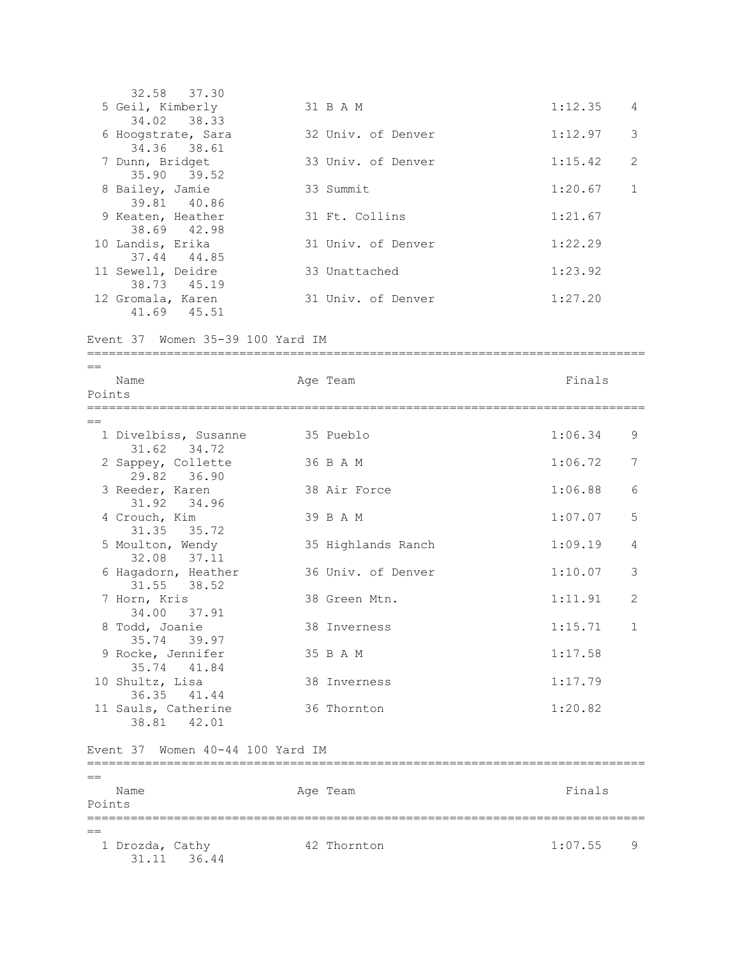32.58 37.30 5 Geil, Kimberly 31 B A M 1:12.35 4 34.02 38.33 6 Hoogstrate, Sara 32 Univ. of Denver 1:12.97 3 34.36 38.61 7 Dunn, Bridget 33 Univ. of Denver 1:15.42 2 35.90 39.52 8 Bailey, Jamie 33 Summit 1:20.67 1 39.81 40.86 9 Keaten, Heather 31 Ft. Collins 1:21.67 38.69 42.98 10 Landis, Erika 31 Univ. of Denver 1:22.29 37.44 44.85 11 Sewell, Deidre 33 Unattached 1:23.92 38.73 45.19<br>12 Gromala, Karen 31 Univ. of Denver 1:27.20 41.69 45.51

=============================================================================

Event 37 Women 35-39 100 Yard IM

== Name **Age Team** Age Team **Finals** Points =============================================================================  $=$ 1 Divelbiss, Susanne 35 Pueblo 1:06.34 9 31.62 34.72 2 Sappey, Collette 36 B A M 1:06.72 7 29.82 36.90 3 Reeder, Karen 38 Air Force 1:06.88 6 31.92 34.96 4 Crouch, Kim 39 B A M 1:07.07 5 31.35 35.72 5 Moulton, Wendy 35 Highlands Ranch 1:09.19 4 32.08 37.11 82.00 37.11<br>6 Hagadorn, Heather 36 Univ. of Denver 1:10.07 3 31.55 38.52 7 Horn, Kris 38 Green Mtn. 1:11.91 2 34.00 37.91 8 Todd, Joanie 28 Inverness 1:15.71 1 35.74 39.97 9 Rocke, Jennifer 35 B A M 1:17.58 35.74 41.84 10 Shultz, Lisa 38 Inverness 1:17.79 36.35 41.44 11 Sauls, Catherine 36 Thornton 1:20.82 38.81 42.01 Event 37 Women 40-44 100 Yard IM ============================================================================= == Name **Age Team** Age Team **Finals** Points

============================================================================= == 1 Drozda, Cathy **42 Thornton** 1:07.55 9 31.11 36.44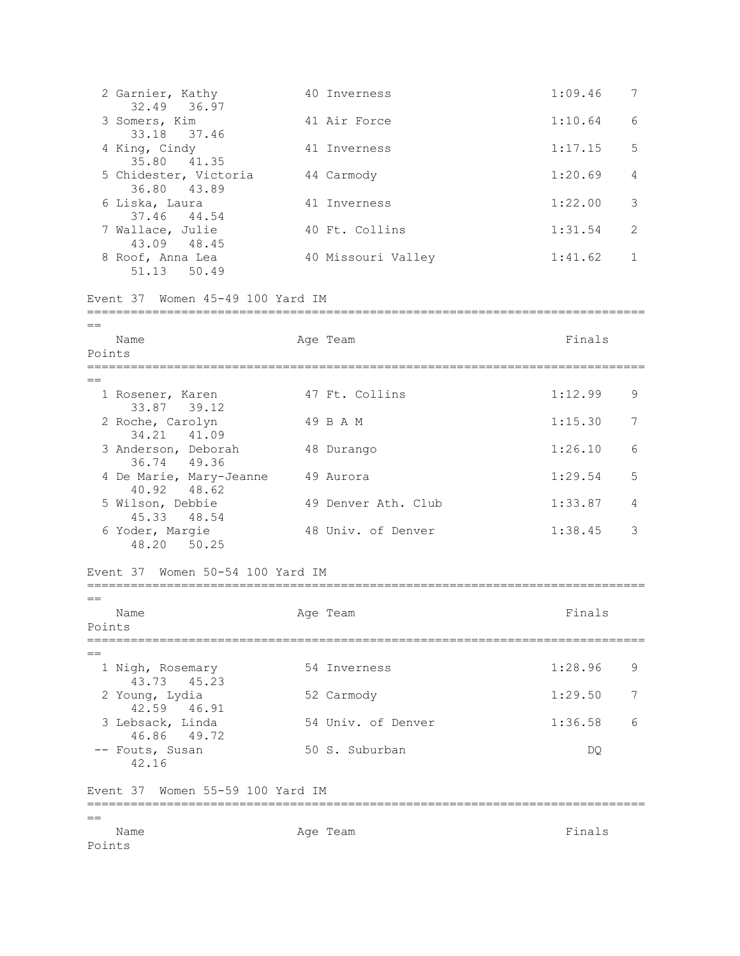| $=$ $=$<br>Name<br>Points |                                                | Age Team            | Finals  |              |
|---------------------------|------------------------------------------------|---------------------|---------|--------------|
|                           |                                                |                     |         |              |
|                           | Event 37 Women 55-59 100 Yard IM               |                     |         |              |
|                           | 49.72<br>-- Fouts, Susan<br>42.16              | 50 S. Suburban      | DQ.     |              |
|                           | 42.59  46.91<br>3 Lebsack, Linda<br>46.86      | 54 Univ. of Denver  | 1:36.58 | 6            |
|                           | 43.73<br>45.23<br>2 Young, Lydia               | 52 Carmody          | 1:29.50 | 7            |
| $=$                       | 1 Nigh, Rosemary                               | 54 Inverness        | 1:28.96 | 9            |
| Points                    | ===============================                |                     |         |              |
| $==$<br>Name              |                                                | Age Team            | Finals  |              |
|                           | Event 37 Women 50-54 100 Yard IM               |                     |         |              |
|                           | 45.33 48.54<br>6 Yoder, Margie<br>48.20 50.25  | 48 Univ. of Denver  | 1:38.45 | 3            |
|                           | 40.92 48.62<br>5 Wilson, Debbie                | 49 Denver Ath. Club | 1:33.87 | 4            |
|                           | 36.74 49.36<br>4 De Marie, Mary-Jeanne         | 49 Aurora           | 1:29.54 | 5            |
|                           | 34.21 41.09<br>3 Anderson, Deborah             | 48 Durango          | 1:26.10 | 6            |
|                           | 33.87 39.12<br>2 Roche, Carolyn                | 49 B A M            | 1:15.30 | 7            |
|                           | 1 Rosener, Karen                               | 47 Ft. Collins      | 1:12.99 | 9            |
| Name<br>Points            |                                                | Age Team            | Finals  |              |
| $==$                      |                                                |                     |         |              |
|                           | Event 37 Women 45-49 100 Yard IM               |                     |         |              |
|                           | 8 Roof, Anna Lea<br>51.13 50.49                | 40 Missouri Valley  | 1:41.62 | $\mathbf{1}$ |
|                           | 7 Wallace, Julie<br>43.09 48.45                | 40 Ft. Collins      | 1:31.54 | 2            |
|                           | 36.80 43.89<br>6 Liska, Laura<br>37.46 44.54   | 41 Inverness        | 1:22.00 | 3            |
|                           | 5 Chidester, Victoria                          | 44 Carmody          | 1:20.69 | 4            |
|                           | 33.18<br>37.46<br>4 King, Cindy<br>35.80 41.35 | 41 Inverness        | 1:17.15 | 5            |
|                           | 32.49 36.97<br>3 Somers, Kim                   | 41 Air Force        | 1:10.64 | 6            |
|                           | 2 Garnier, Kathy                               | 40 Inverness        | 1:09.46 | 7            |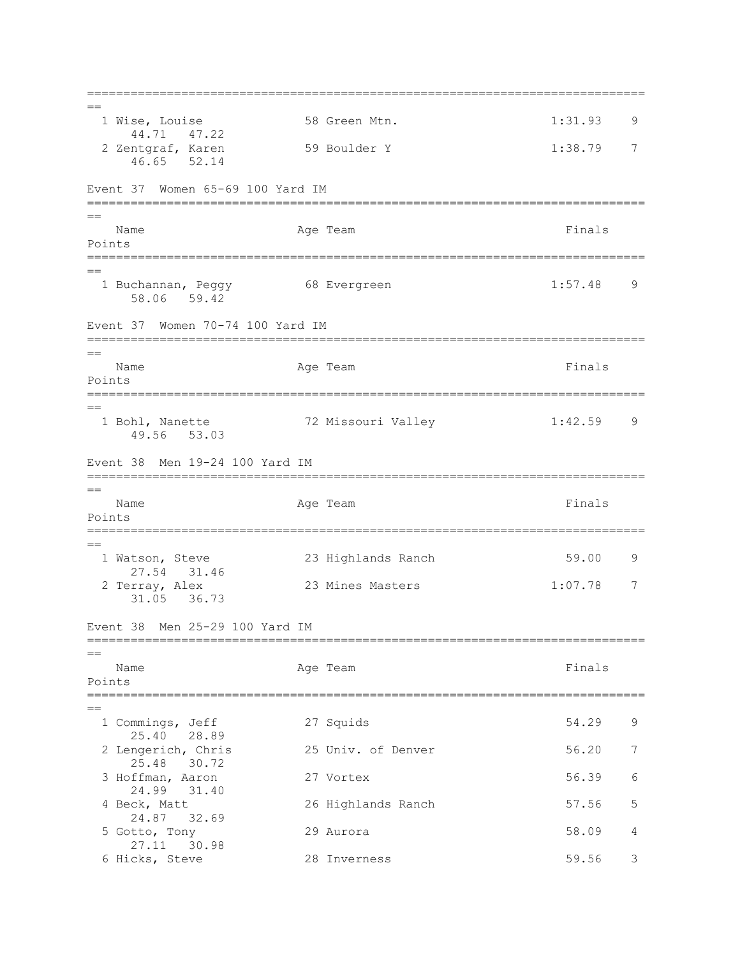=============================================================================  $=$ 1 Wise, Louise 58 Green Mtn. 1:31.93 9 44.71 47.22 2 Zentgraf, Karen 1:38.79 7 46.65 52.14 Event 37 Women 65-69 100 Yard IM =============================================================================  $=$ Name **Age Team** Age Team **Finals** Points ============================================================================= == 1 Buchannan, Peggy 68 Evergreen 1:57.48 9 58.06 59.42 Event 37 Women 70-74 100 Yard IM =============================================================================  $=$ Name **Age Team** Age Team **Finals** Points ============================================================================= == 1 Bohl, Nanette 72 Missouri Valley 1:42.59 9 49.56 53.03 Event 38 Men 19-24 100 Yard IM =============================================================================  $-$ Name **Age Team** Age Team **Finals** Points ============================================================================= == 1 Watson, Steve 23 Highlands Ranch 59.00 9 27.54 31.46<br>2 Terray, Alex 23 Mines Masters 1:07.78 7 31.05 36.73 Event 38 Men 25-29 100 Yard IM ============================================================================= == Name **Age Team** Age Team **Finals** Points ============================================================================= == 1 Commings, Jeff 27 Squids 54.29 9 25.40 28.89 2 Lengerich, Chris 25 Univ. of Denver 56.20 7 25.48 30.72 3 Hoffman, Aaron 27 Vortex 56.39 6 24.99 31.40 4 Beck, Matt 26 Highlands Ranch 57.56 5 24.87 32.69 5 Gotto, Tony 29 Aurora 58.09 4 27.11 30.98 6 Hicks, Steve 28 Inverness 59.56 3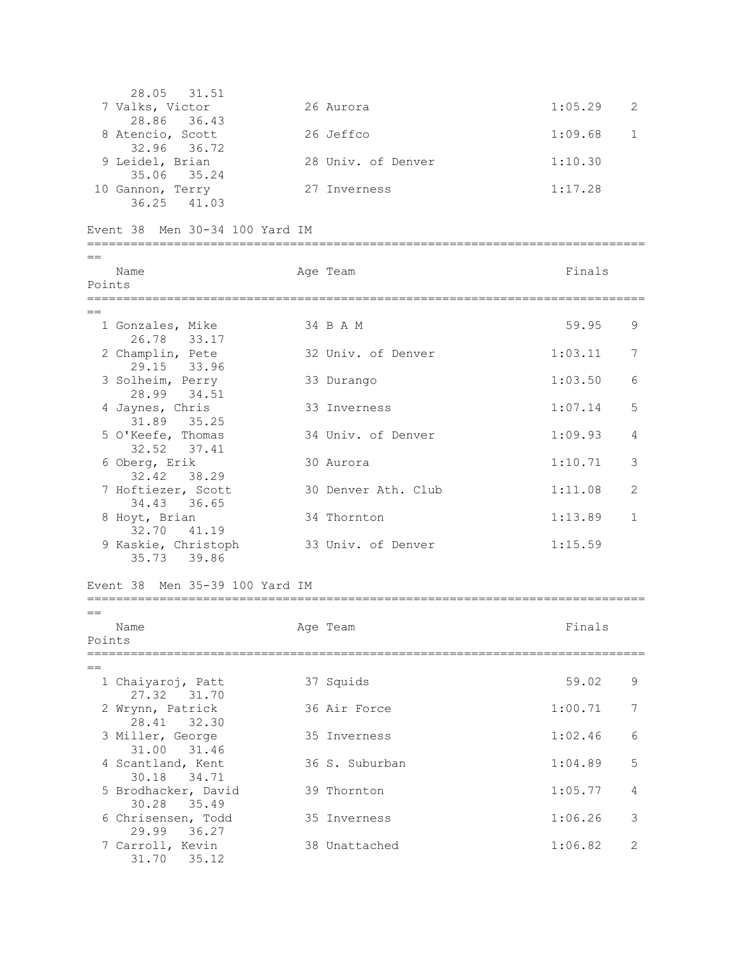28.05 31.51<br>7 Valks, Victor 26 Aurora 1:05.29 2 28.86 36.43 8 Atencio, Scott 26 Jeffco 1:09.68 1 32.96 36.72 9 Leidel, Brian 28 Univ. of Denver 1:10.30 35.06 35.24 10 Gannon, Terry 27 Inverness 1:17.28 36.25 41.03 Event 38 Men 30-34 100 Yard IM =============================================================================  $=$ Name **Age Team** Age Team Finals Points ============================================================================= == 1 Gonzales, Mike 34 B A M 59.95 9 26.78 33.17 2 Champlin, Pete 32 Univ. of Denver 1:03.11 7 29.15 33.96 3 Solheim, Perry 33 Durango 1:03.50 6 28.99 34.51 4 Jaynes, Chris 33 Inverness 1:07.14 5 31.89 35.25 5 O'Keefe, Thomas 34 Univ. of Denver 1:09.93 4 32.52 37.41 6 Oberg, Erik 30 Aurora 1:10.71 3 32.42 38.29 7 Hoftiezer, Scott 30 Denver Ath. Club 1:11.08 2 34.43 36.65 8 Hoyt, Brian 34 Thornton 1:13.89 1 32.70 41.19 9 Kaskie, Christoph 33 Univ. of Denver 1:15.59 35.73 39.86 Event 38 Men 35-39 100 Yard IM =============================================================================  $=$ Name **Age Team Age Team Age Team Finals** Points =============================================================================  $=$ 1 Chaiyaroj, Patt 37 Squids 59.02 9 27.32 31.70 2 Wrynn, Patrick 36 Air Force 1:00.71 7 28.41 32.30 3 Miller, George 35 Inverness 1:02.46 6 31.00 31.46 4 Scantland, Kent 36 S. Suburban 1:04.89 5 30.18 34.71 5 Brodhacker, David 39 Thornton 1:05.77 4 30.28 35.49 6 Chrisensen, Todd 35 Inverness 1:06.26 3 29.99 36.27 7 Carroll, Kevin 38 Unattached 1:06.82 2 31.70 35.12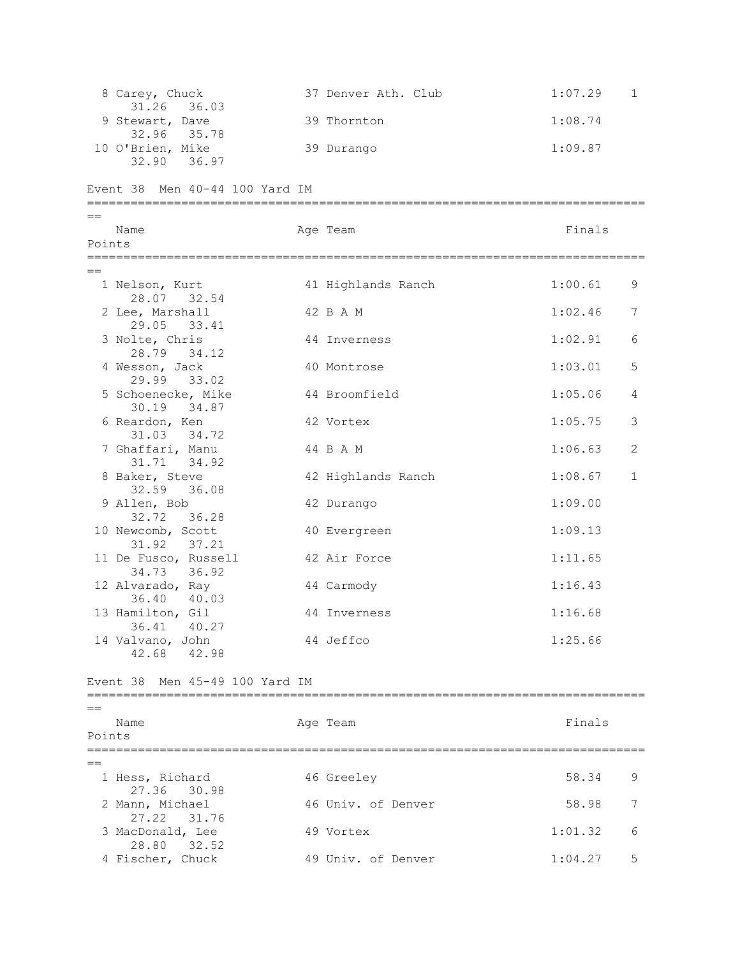8 Carey, Chuck 37 Denver Ath. Club 1:07.29 1 31.26 36.03 9 Stewart, Dave 39 Thornton 30 Thomas 39 Thornton 39 Thomas 39 Thornton 39 Thomas 39 Thomas 39 Thomas 39 Thomas 39 Thomas 39 Thomas 39 Thomas 39 Thomas 39 Thomas 39 Thomas 39 Thomas 39 Thomas 39 Thomas 39 Thomas 39 Thomas 32.96 35.78 10 O'Brien, Mike 39 Durango 1:09.87 32.90 36.97 Event 38 Men 40-44 100 Yard IM =============================================================================  $=$ Name **Age Team** Age Team **Finals** Points ============================================================================= == 1 Nelson, Kurt 41 Highlands Ranch 1:00.61 9 28.07 32.54 2 Lee, Marshall 42 B A M 1:02.46 7 29.05 33.41 3 Nolte, Chris 44 Inverness 1:02.91 6 28.79 34.12 4 Wesson, Jack 30 Montrose 1:03.01 5 29.99 33.02 5 Schoenecke, Mike  $44$  Broomfield 1:05.06 4 30.19 34.87 6 Reardon, Ken 42 Vortex 1:05.75 3 31.03 34.72 7 Ghaffari, Manu  $44$  B A M  $1:06.63$  2 31.71 34.92 8 Baker, Steve 42 Highlands Ranch 1:08.67 1 32.59 36.08 9 Allen, Bob 42 Durango 1:09.00 32.72 36.28 10 Newcomb, Scott 40 Evergreen 1:09.13 31.92 37.21 11 De Fusco, Russell 42 Air Force 1:11.65 34.73 36.92 12 Alvarado, Ray 44 Carmody 1:16.43 36.40 40.03 13 Hamilton, Gil 44 Inverness 1:16.68 36.41 40.27 14 Valvano, John 44 Jeffco 1:25.66 42.68 42.98 Event 38 Men 45-49 100 Yard IM =============================================================================  $=$ Name **Age Team** Age Team Finals Points =============================================================================  $-$  1 Hess, Richard 46 Greeley 58.34 9 27.36 30.98 2 Mann, Michael 46 Univ. of Denver 58.98 7 27.22 31.76 3 MacDonald, Lee 49 Vortex 1:01.32 6 28.80 32.52 4 Fischer, Chuck 49 Univ. of Denver 1:04.27 5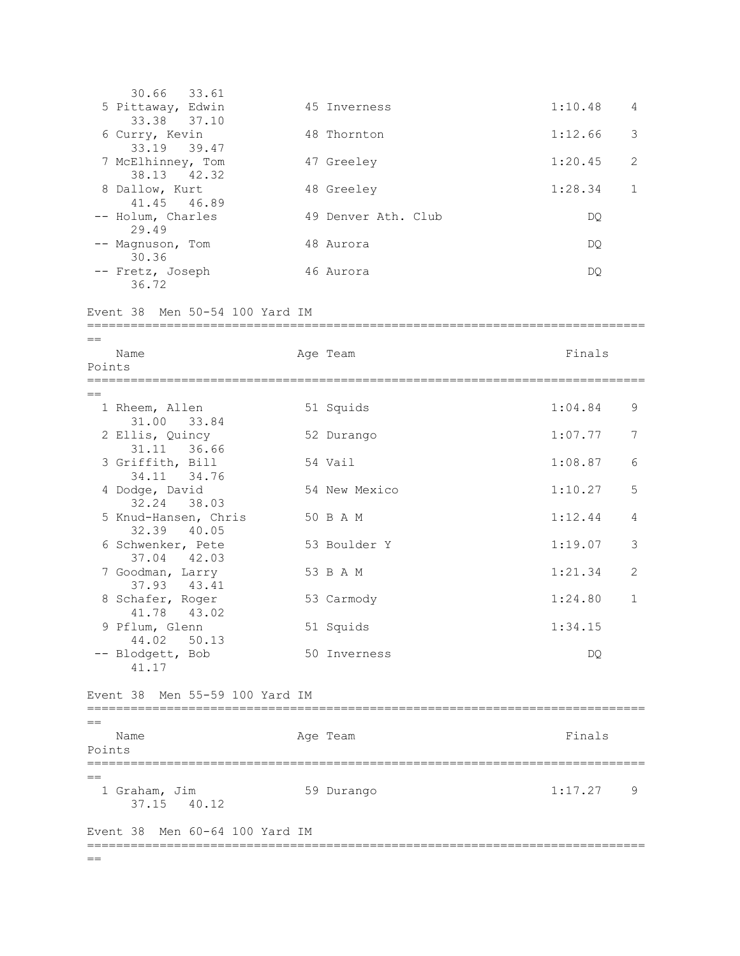|        | 30.66<br>33.61                         |                     |         |              |
|--------|----------------------------------------|---------------------|---------|--------------|
|        | 5 Pittaway, Edwin<br>33.38<br>37.10    | 45 Inverness        | 1:10.48 | 4            |
|        | 6 Curry, Kevin<br>33.19 39.47          | 48 Thornton         | 1:12.66 | 3            |
|        | 7 McElhinney, Tom<br>38.13 42.32       | 47 Greeley          | 1:20.45 | 2            |
|        | 8 Dallow, Kurt<br>41.45 46.89          | 48 Greeley          | 1:28.34 | $\mathbf{1}$ |
|        | -- Holum, Charles<br>29.49             | 49 Denver Ath. Club | DQ.     |              |
|        | -- Magnuson, Tom<br>30.36              | 48 Aurora           | DQ.     |              |
|        | -- Fretz, Joseph<br>36.72              | 46 Aurora           | DQ.     |              |
|        | Event 38 Men 50-54 100 Yard IM         |                     |         |              |
| $=$    | Name                                   | Age Team            | Finals  |              |
| Points |                                        |                     |         |              |
| $==$   |                                        |                     |         |              |
|        | 1 Rheem, Allen<br>31.00 33.84          | 51 Squids           | 1:04.84 | 9            |
|        | 2 Ellis, Quincy<br>31.11 36.66         | 52 Durango          | 1:07.77 | 7            |
|        | 3 Griffith, Bill<br>34.11 34.76        | 54 Vail             | 1:08.87 | 6            |
|        | 4 Dodge, David<br>32.24 38.03          | 54 New Mexico       | 1:10.27 | 5            |
|        | 5 Knud-Hansen, Chris<br>32.39<br>40.05 | 50 B A M            | 1:12.44 | 4            |
|        | 6 Schwenker, Pete<br>37.04 42.03       | 53 Boulder Y        | 1:19.07 | 3            |
|        | 7 Goodman, Larry<br>37.93 43.41        | 53 B A M            | 1:21.34 | $\mathbf{2}$ |
|        | 8 Schafer, Roger<br>41.78 43.02        | 53 Carmody          | 1:24.80 | $\mathbf{1}$ |
|        | 9 Pflum, Glenn<br>50.13<br>44.02       | 51 Squids           | 1:34.15 |              |
|        | -- Blodgett, Bob<br>41.17              | 50 Inverness        | DQ.     |              |
|        | Event 38 Men 55-59 100 Yard IM         |                     |         |              |
| $=$    |                                        |                     |         |              |
| Points | Name                                   | Age Team            | Finals  |              |
| ==     | 1 Graham, Jim<br>37.15 40.12           | 59 Durango          | 1:17.27 | 9            |
|        | Men 60-64 100 Yard IM<br>Event 38      |                     |         |              |
| $==$   |                                        |                     |         |              |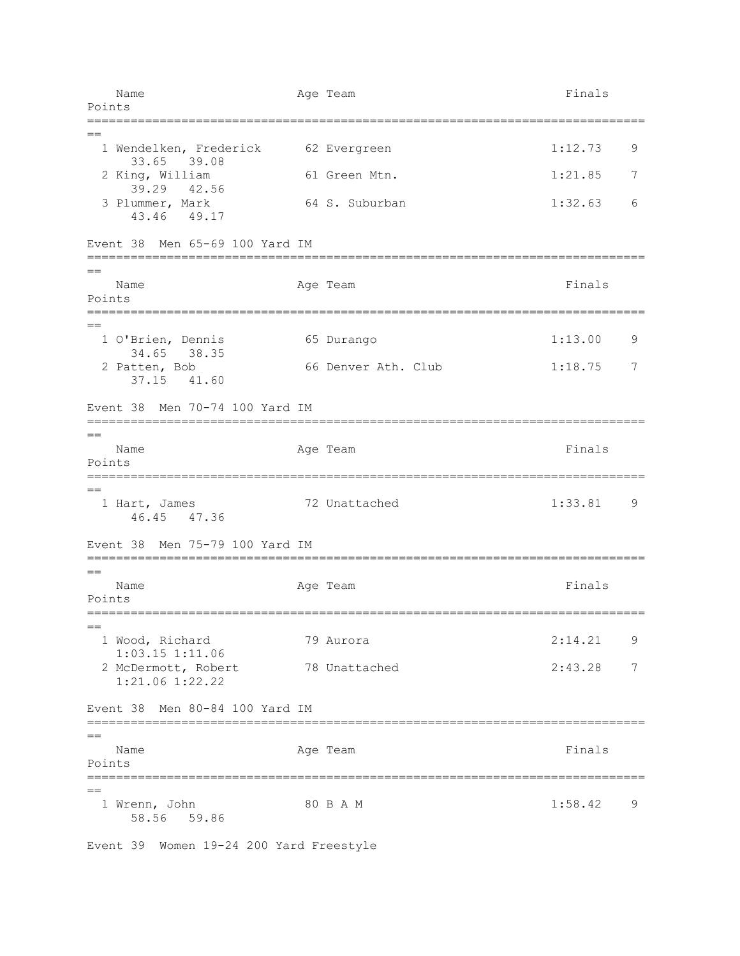Name Age Team Age Team Finals Points ============================================================================= == 1 Wendelken, Frederick 62 Evergreen 1:12.73 9 33.65 39.08 2 King, William 61 Green Mtn. 1:21.85 7 39.29 42.56 3 Plummer, Mark 64 S. Suburban 1:32.63 6 43.46 49.17 Event 38 Men 65-69 100 Yard IM ============================================================================= == Name **Age Team** Age Team Finals Points ============================================================================= == 1 O'Brien, Dennis 65 Durango 1:13.00 9 34.65 38.35 2 Patten, Bob 66 Denver Ath. Club 1:18.75 7 37.15 41.60 Event 38 Men 70-74 100 Yard IM =============================================================================  $=$ Name **Age Team** Age Team **Finals** Points =============================================================================  $-$ 1 Hart, James 72 Unattached 1:33.81 9 46.45 47.36 Event 38 Men 75-79 100 Yard IM =============================================================================  $=$ Name **Age Team** Age Team **Finals** Points =============================================================================  $=$  1 Wood, Richard 79 Aurora 2:14.21 9 1:03.15 1:11.06 2 McDermott, Robert 78 Unattached 2:43.28 7 1:21.06 1:22.22 Event 38 Men 80-84 100 Yard IM =============================================================================  $=$ Name **Age Team** Age Team **Finals** Points =============================================================================  $=$ 1 Wrenn, John 80 B A M 1:58.42 9 58.56 59.86

Event 39 Women 19-24 200 Yard Freestyle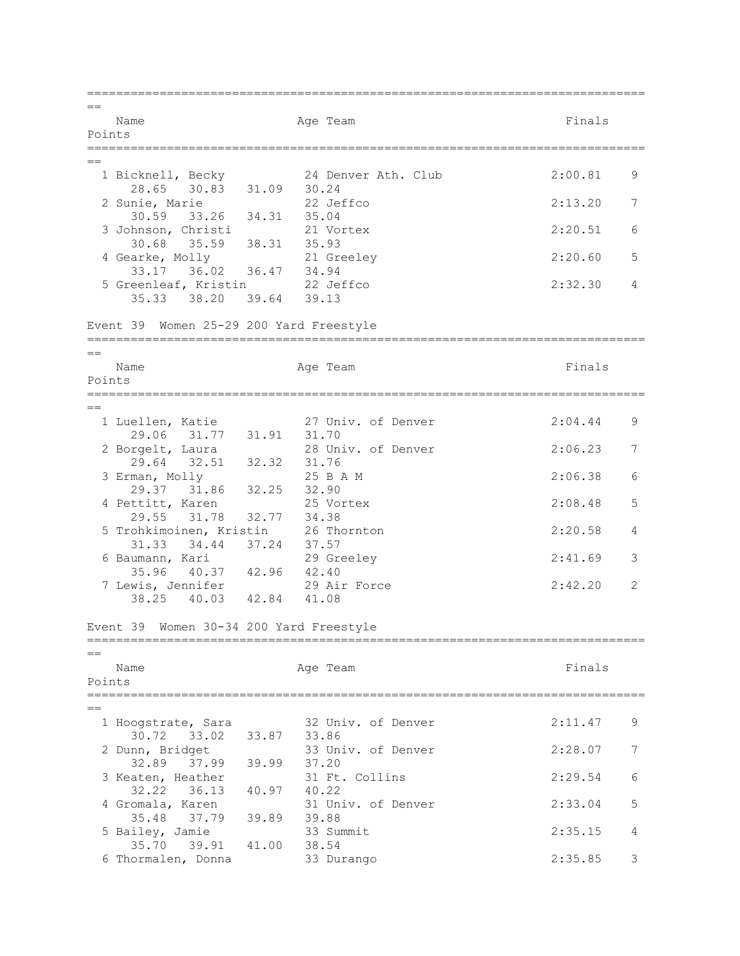=============================================================================  $=$ Name **Age Team** Age Team Finals Points =============================================================================  $=$  1 Bicknell, Becky 24 Denver Ath. Club 2:00.81 9 28.65 30.83 31.09 30.24<br>2 Sunie, Marie 22 Jeffco 2 Sunie, Marie 22 Jeffco 2:13.20 7 30.59 33.26 34.31 35.04 3 Johnson, Christi 21 Vortex 2:20.51 6 30.68 35.59 38.31 35.93 4 Gearke, Molly 21 Greeley 2:20.60 5 33.17 36.02 36.47 34.94 5 Greenleaf, Kristin 22 Jeffco 2:32.30 4 35.33 38.20 39.64 39.13 Event 39 Women 25-29 200 Yard Freestyle =============================================================================  $=$ Name **Age Team** Age Team **Finals** Points ============================================================================= == 1 Luellen, Katie 27 Univ. of Denver 2:04.44 9 29.06 31.77 31.91 31.70 2 Borgelt, Laura 28 Univ. of Denver 2:06.23 7 29.64 32.51 32.32 31.76<br>rman, Molly 25 B A M 3 Erman, Molly 25 B A M 2:06.38 6 29.37 31.86 32.25 32.90 4 Pettitt, Karen 25 Vortex 2:08.48 5 29.55 31.78 32.77 34.38 5 Trohkimoinen, Kristin 26 Thornton 2:20.58 4 31.33 34.44 37.24 37.57 6 Baumann, Kari 29 Greeley 2:41.69 3 35.96 40.37 42.96 42.40<br>7 Lewis, Jennifer 29 Air 7 Lewis, Jennifer 29 Air Force 2:42.20 2 38.25 40.03 42.84 41.08 Event 39 Women 30-34 200 Yard Freestyle ============================================================================= == Name **Age Team** Age Team **Finals** Points ============================================================================= == 1 Hoogstrate, Sara 32 Univ. of Denver 2:11.47 9 30.72 33.02 33.87 33.86 2 Dunn, Bridget 33 Univ. of Denver 2:28.07 7 32.89 37.99 39.99 37.20<br>3 Keaten, Heather 31 Ft. 3 Keaten, Heather 31 Ft. Collins 2:29.54 6 32.22 36.13 40.97 40.22 4 Gromala, Karen 31 Univ. of Denver 2:33.04 5 35.48 37.79 39.89 39.88 5 Bailey, Jamie 33 Summit 2:35.15 4 35.70 39.91 41.00 38.54<br>
ormalen, Donna 33 Durango 6 Thormalen, Donna 33 Durango 2:35.85 3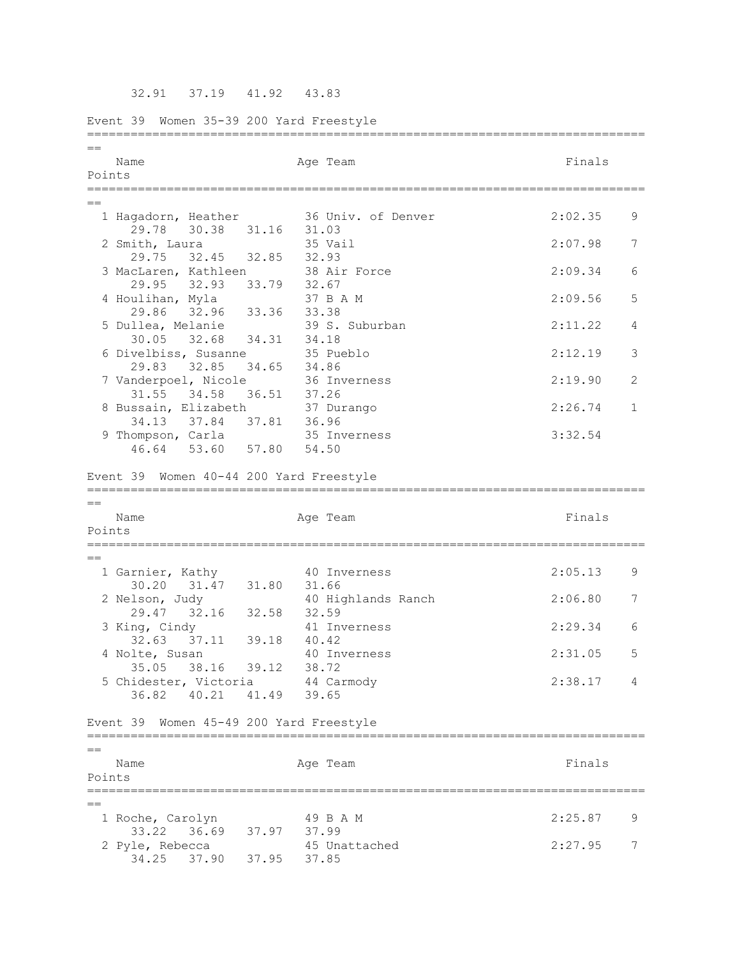32.91 37.19 41.92 43.83

Event 39 Women 35-39 200 Yard Freestyle =============================================================================  $=$ Name **Age Team** Age Team **Finals** Points =============================================================================  $=$  1 Hagadorn, Heather 36 Univ. of Denver 2:02.35 9 29.78 30.38 31.16 31.03 2 Smith, Laura 35 Vail 2:07.98 7 29.75 32.45 32.85 32.93 3 MacLaren, Kathleen 38 Air Force 2:09.34 6 29.95 32.93 33.79 32.67<br>
2011han, Myla 37 B A M 4 Houlihan, Myla 37 B A M 2:09.56 5 29.86 32.96 33.36 33.38 5 Dullea, Melanie 39 S. Suburban 2:11.22 4 30.05 32.68 34.31 34.18 6 Divelbiss, Susanne 35 Pueblo 2:12.19 3 29.83 32.85 34.65 34.86 7 Vanderpoel, Nicole 36 Inverness 2:19.90 2 31.55 34.58 36.51 37.26 8 Bussain, Elizabeth 37 Durango 1988 2:26.74 1 34.13 37.84 37.81 36.96 9 Thompson, Carla 35 Inverness 3:32.54 46.64 53.60 57.80 54.50 Event 39 Women 40-44 200 Yard Freestyle =============================================================================  $-$ Name **Age Team** Age Team **Finals** Points ============================================================================= == 1 Garnier, Kathy  $10$  Inverness  $2:05.13$  9 30.20 31.47 31.80 31.66<br>2 Nelson, Judy 40 Hig 40 Highlands Ranch 2:06.80 7 29.47 32.16 32.58 32.59 3 King, Cindy 41 Inverness 2:29.34 6 32.63 37.11 39.18 40.42 4 Nolte, Susan 40 Inverness 2:31.05 5 35.05 38.16 39.12 38.72 5 Chidester, Victoria 44 Carmody 2:38.17 4 36.82 40.21 41.49 39.65 Event 39 Women 45-49 200 Yard Freestyle ============================================================================= == Name **Age Team** Age Team Finals Points ============================================================================= == 1 Roche, Carolyn 49 B A M 2:25.87 9 33.22 36.69 37.97 37.99 2 Pyle, Rebecca 45 Unattached 2:27.95 7 34.25 37.90 37.95 37.85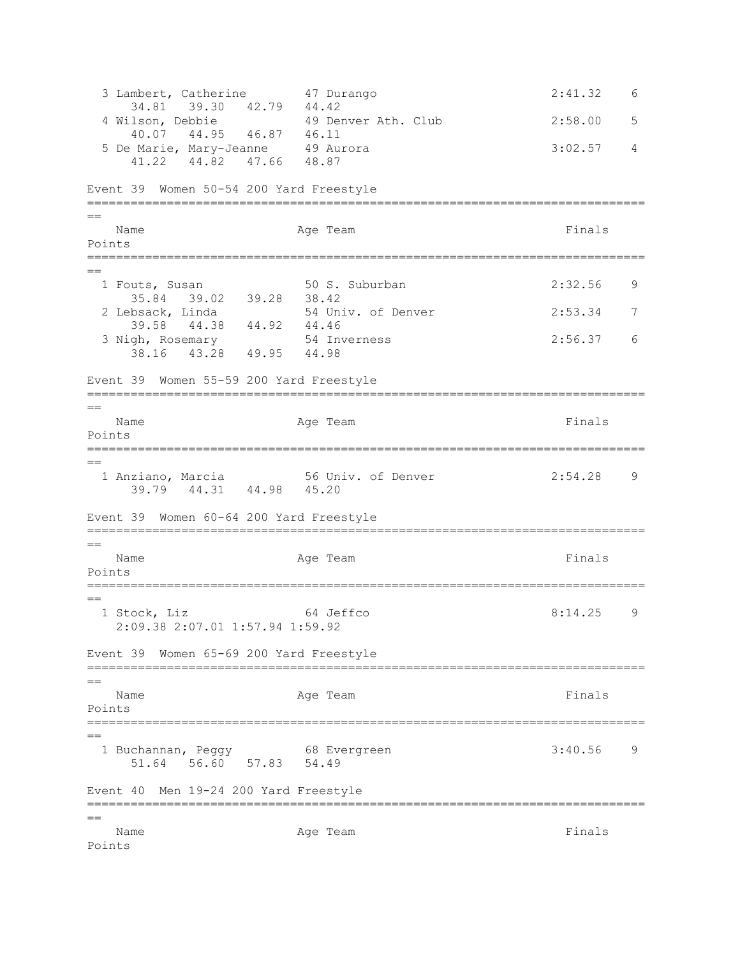3 Lambert, Catherine 47 Durango 2:41.32 6 34.81 39.30 42.79 44.42 4 Wilson, Debbie 49 Denver Ath. Club 2:58.00 5 40.07 44.95 46.87 46.11 5 De Marie, Mary-Jeanne 49 Aurora 19 (1998) 3:02.57 4 41.22 44.82 47.66 48.87 Event 39 Women 50-54 200 Yard Freestyle =============================================================================  $=$ Name **Age Team** Age Team **Finals** Points ============================================================================= == 1 Fouts, Susan 50 S. Suburban 2:32.56 9 35.84 39.02 39.28 38.42<br>2 Lebsack, Linda 54 Un. 54 Univ. of Denver 2:53.34 7 39.58 44.38 44.92 44.46<br>gh, Rosemary 54 Inverness 3 Nigh, Rosemary 54 Inverness 2:56.37 6 38.16 43.28 49.95 44.98 Event 39 Women 55-59 200 Yard Freestyle =============================================================================  $=$ Name **Age Team** Age Team Finals Points ============================================================================= == 1 Anziano, Marcia 56 Univ. of Denver 2:54.28 9 39.79 44.31 44.98 45.20 Event 39 Women 60-64 200 Yard Freestyle =============================================================================  $=$ Name Represent Age Team Age Team Rinals Points ============================================================================= == 1 Stock, Liz 64 Jeffco 8:14.25 9 2:09.38 2:07.01 1:57.94 1:59.92 Event 39 Women 65-69 200 Yard Freestyle =============================================================================  $=$ Name **Age Team** Age Team **Finals** Points ============================================================================= == 1 Buchannan, Peggy 68 Evergreen 3:40.56 9 51.64 56.60 57.83 54.49 Event 40 Men 19-24 200 Yard Freestyle ============================================================================= == Name **Age Team** Age Team **Finals** Points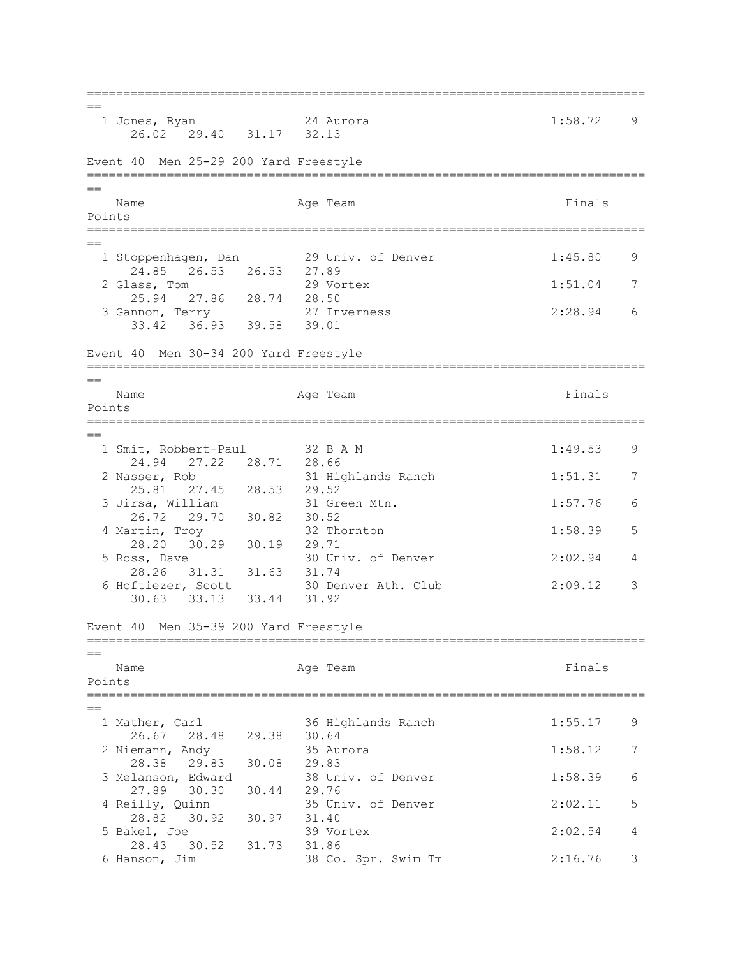=============================================================================  $=$  1 Jones, Ryan 24 Aurora 1:58.72 9 26.02 29.40 31.17 32.13 Event 40 Men 25-29 200 Yard Freestyle ============================================================================= == Name **Age Team** Age Team Finals Points ============================================================================= == 1 Stoppenhagen, Dan 29 Univ. of Denver 1:45.80 9 24.85 26.53 26.53 27.89<br>lass, Tom 29 Vortex 2 Glass, Tom 29 Vortex 1:51.04 7 25.94 27.86 28.74 28.50<br>nnon, Terry 27 Inverness 3 Gannon, Terry 27 Inverness 2:28.94 6 33.42 36.93 39.58 39.01 Event 40 Men 30-34 200 Yard Freestyle =============================================================================  $=$ Name **Age Team** Age Team **Finals** Points =============================================================================  $=$ 1 Smit, Robbert-Paul 32 B A M 1:49.53 9 24.94 27.22 28.71 28.66 2 Nasser, Rob 31 Highlands Ranch 1:51.31 7 25.81 27.45 28.53 29.52<br>3 Jirsa, William 31 Gre 3 Jirsa, William 31 Green Mtn. 1:57.76 6 26.72 29.70 30.82 30.52 4 Martin, Troy 32 Thornton 1:58.39 5 28.20 30.29 30.19 29.71 5 Ross, Dave 30 Univ. of Denver 2:02.94 4 28.26 31.31 31.63 31.74<br>6 Hoftiezer, Scott 30 Der 30 Denver Ath. Club 2:09.12 3 30.63 33.13 33.44 31.92 Event 40 Men 35-39 200 Yard Freestyle ============================================================================= == Name **Age Team** Age Team **Finals** Points ============================================================================= == 1 Mather, Carl 36 Highlands Ranch 1:55.17 9 26.67 28.48 29.38 30.64 2 Niemann, Andy 35 Aurora 1:58.12 7 28.38 29.83 30.08 29.83<br>3 Melanson, Edward 38 Uni 38 Univ. of Denver 1:58.39 6 27.89 30.30 30.44 29.76 4 Reilly, Quinn 35 Univ. of Denver 2:02.11 5 28.82 30.92 30.97 31.40 5 Bakel, Joe 39 Vortex 2:02.54 4 28.43 30.52 31.73 31.86 6 Hanson, Jim 38 Co. Spr. Swim Tm 2:16.76 3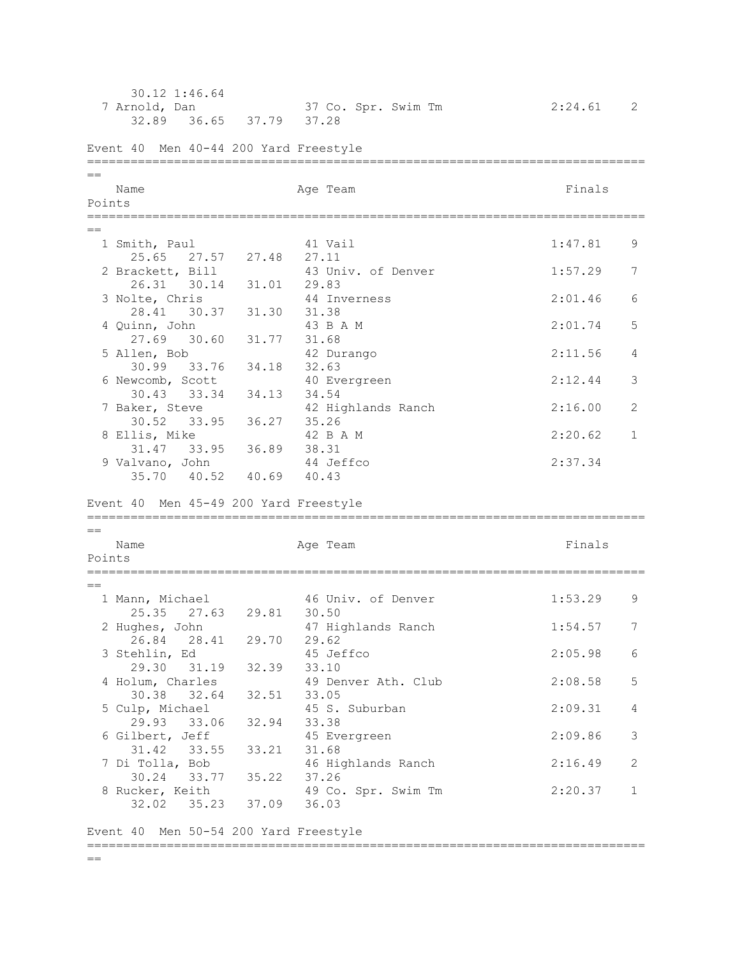30.12 1:46.64<br>7 Arnold, Dan 37 Co. Spr. Swim Tm 2:24.61 2 32.89 36.65 37.79 37.28 Event 40 Men 40-44 200 Yard Freestyle ============================================================================= == Name **Age Team Age Team Age Team Finals** Points ============================================================================= == 1 Smith, Paul 41 Vail 1:47.81 9 25.65 27.57 27.48 27.11 2 Brackett, Bill 43 Univ. of Denver 1:57.29 7 26.31 30.14 31.01 29.83<br>
olte, Chris 44 Inverness 3 Nolte, Chris 44 Inverness 2:01.46 6 28.41 30.37 31.30 31.38<br>4 Quinn, John 43 B A M  $2:01.74$  5 27.69 30.60 31.77 31.68 5 Allen, Bob 42 Durango 2:11.56 4 30.99 33.76 34.18 32.63 6 Newcomb, Scott 40 Evergreen 2:12.44 3 30.43 33.34 34.13 34.54 7 Baker, Steve 42 Highlands Ranch 2:16.00 2 30.52 33.95 36.27 35.26 8 Ellis, Mike  $42$  B A M  $2:20.62$  1 31.47 33.95 36.89 38.31 9 Valvano, John 44 Jeffco 2:37.34 35.70 40.52 40.69 40.43 Event 40 Men 45-49 200 Yard Freestyle =============================================================================  $=$ Name **Age Team** Age Team **Finals** Points =============================================================================  $=$ 1 Mann, Michael 46 Univ. of Denver 1:53.29 9 allii, Michael (1988)<br>25.35 27.63 29.81 30.50 2 Hughes, John 47 Highlands Ranch 1:54.57 7 26.84 28.41 29.70 29.62 3 Stehlin, Ed 45 Jeffco 2:05.98 6 29.30 31.19 32.39 33.10 4 Holum, Charles 49 Denver Ath. Club 2:08.58 5 30.38 32.64 32.51 33.05 5 Culp, Michael 45 S. Suburban 2:09.31 4 29.93 33.06 32.94 33.38 6 Gilbert, Jeff 45 Evergreen 2:09.86 3 31.42 33.55 33.21 31.68<br>7 Di Tolla, Bob 46 Hic 46 Highlands Ranch 2:16.49 2 30.24 33.77 35.22 37.26 8 Rucker, Keith 49 Co. Spr. Swim Tm 2:20.37 1 32.02 35.23 37.09 36.03 Event 40 Men 50-54 200 Yard Freestyle =============================================================================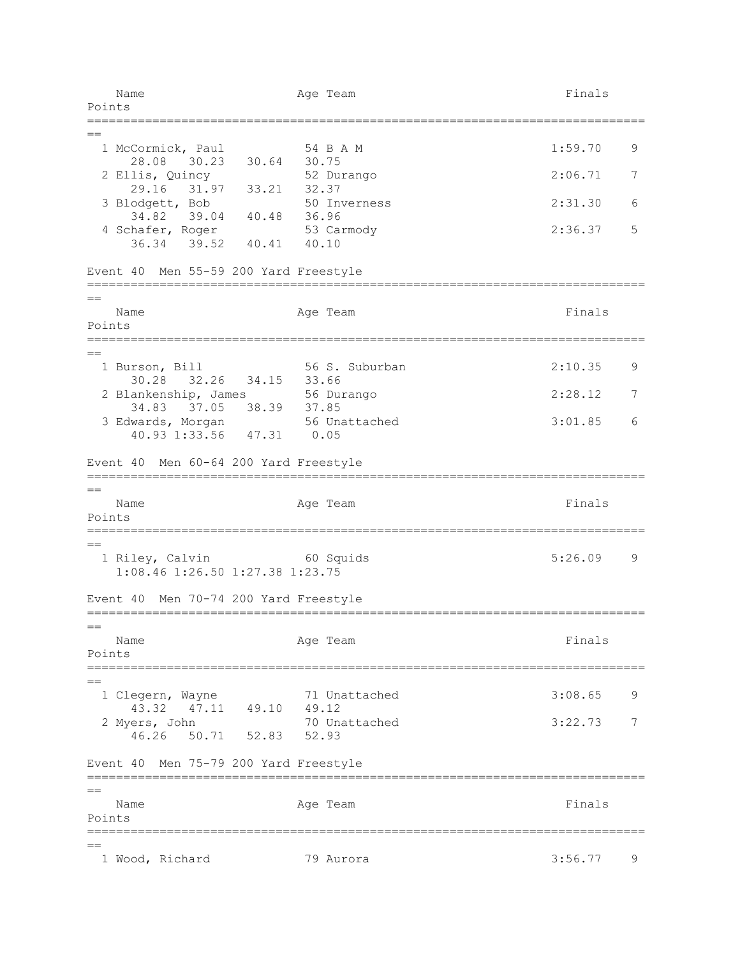Name **Age Team** Age Team **Finals** Points ============================================================================= == 1 McCormick, Paul 54 B A M 1:59.70 9 28.08 30.23 30.64 30.75 2 Ellis, Quincy 52 Durango 2:06.71 7 29.16 31.97 33.21 32.37<br>lodgett, Bob 50 Inverness 3 Blodgett, Bob 50 Inverness 2:31.30 6 34.82 39.04 40.48 36.96 4 Schafer, Roger 53 Carmody 53 2:36.37 5 36.34 39.52 40.41 40.10 Event 40 Men 55-59 200 Yard Freestyle =============================================================================  $=$ Name **Age Team** Age Team **Finals** Points ============================================================================= == 1 Burson, Bill 56 S. Suburban 2:10.35 9 30.28 32.26 34.15 33.66 2 Blankenship, James 56 Durango 2:28.12 7 34.83 37.05 38.39 37.85 3 Edwards, Morgan 56 Unattached 3:01.85 6 40.93 1:33.56 47.31 0.05 Event 40 Men 60-64 200 Yard Freestyle =============================================================================  $=$ Name **Age Team** Age Team **Finals** Points ============================================================================= == 1 Riley, Calvin 60 Squids 5:26.09 9 1:08.46 1:26.50 1:27.38 1:23.75 Event 40 Men 70-74 200 Yard Freestyle =============================================================================  $=$ Name **Age Team** Age Team **Finals** Points ============================================================================= == 1 Clegern, Wayne 71 Unattached 3:08.65 9 43.32 47.11 49.10 49.12 2 Myers, John 70 Unattached 3:22.73 7 46.26 50.71 52.83 52.93 Event 40 Men 75-79 200 Yard Freestyle =============================================================================  $=$ Name Age Team Age Team Finals Points ============================================================================= == 1 Wood, Richard 79 Aurora 3:56.77 9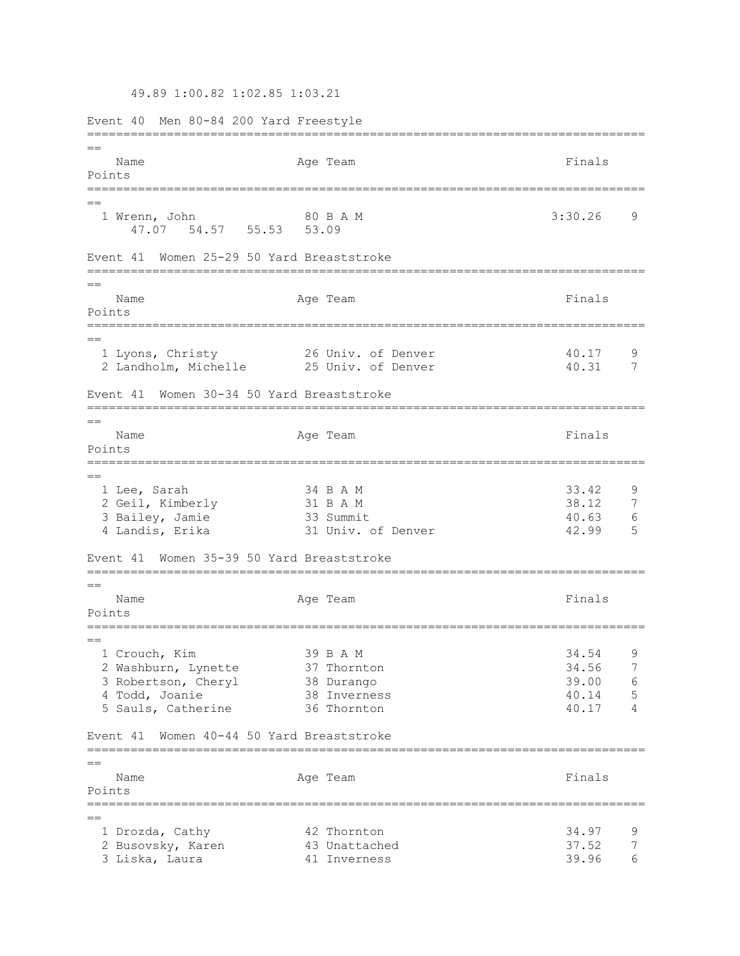49.89 1:00.82 1:02.85 1:03.21

Event 40 Men 80-84 200 Yard Freestyle =============================================================================  $=$ Name **Age Team** Age Team **Finals** Points =============================================================================  $=$ 1 Wrenn, John 80 B A M 3:30.26 9 47.07 54.57 55.53 53.09 Event 41 Women 25-29 50 Yard Breaststroke =============================================================================  $=$ Name Readers Age Team Age Team Rinals Points =============================================================================  $=$ 1 Lyons, Christy 26 Univ. of Denver 40.17 9 2 Landholm, Michelle 25 Univ. of Denver 40.31 7 Event 41 Women 30-34 50 Yard Breaststroke ============================================================================= == Name **Age Team** Age Team **Finals** Points ============================================================================= == 1 Lee, Sarah 34 B A M 33.42 9 2 Geil, Kimberly 31 B A M 38.12 7<br>3 Bailey, Jamie 33 Summit 33 August 38.12 7 3 Bailey, Jamie 33 Summit 40.63 6 4 Landis, Erika 31 Univ. of Denver 42.99 5 Event 41 Women 35-39 50 Yard Breaststroke =============================================================================  $=$ Name **Age Team** Age Team Finals Points =============================================================================  $-$  1 Crouch, Kim 39 B A M 34.54 9 2 Washburn, Lynette 37 Thornton 34.56 7 3 Robertson, Cheryl 38 Durango 39.00 6 4 Todd, Joanie 38 Inverness 40.14 5 5 Sauls, Catherine 36 Thornton 40.17 4 Event 41 Women 40-44 50 Yard Breaststroke =============================================================================  $-$ Name **Age Team** Age Team Finals Points =============================================================================  $=$  1 Drozda, Cathy 42 Thornton 34.97 9 2 Busovsky, Karen 12 Horncon<br>
2 Busovsky, Karen 13 Unattached 37.52 7<br>
3 Liska, Laura 11 Inverness 39.96 6 3 Liska, Laura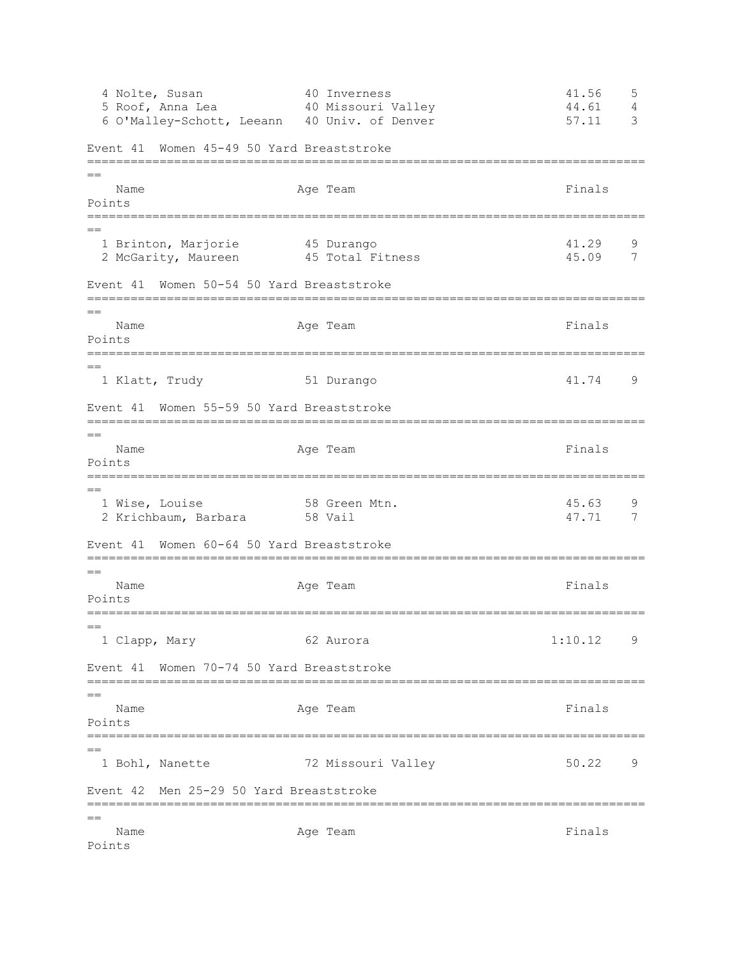4 Nolte, Susan 40 Inverness 41.56 5 5 Roof, Anna Lea 40 Missouri Valley 44.61 4 6 O'Malley-Schott, Leeann 40 Univ. of Denver 57.11 3 Event 41 Women 45-49 50 Yard Breaststroke ============================================================================= == Name **Age Team** Age Team **Finals** Points ============================================================================= == 1 Brinton, Marjorie 45 Durango 41.29 9 2 McGarity, Maureen 45 Total Fitness 45.09 7 Event 41 Women 50-54 50 Yard Breaststroke =============================================================================  $=$ Name Age Team Age Team Finals Points ============================================================================= == 1 Klatt, Trudy 51 Durango 41.74 9 Event 41 Women 55-59 50 Yard Breaststroke =============================================================================  $=$ Name **Age Team** Age Team **Finals** Points =============================================================================  $-$  1 Wise, Louise 58 Green Mtn. 45.63 9 2 Krichbaum, Barbara 58 Vail 47.71 7 Event 41 Women 60-64 50 Yard Breaststroke =============================================================================  $=$ Name **Age Team** Age Team **Finals** Points =============================================================================  $=$  1 Clapp, Mary 62 Aurora 1:10.12 9 Event 41 Women 70-74 50 Yard Breaststroke ============================================================================= == Name **Age Team** Age Team Finals Points ============================================================================= == 1 Bohl, Nanette 72 Missouri Valley 50.22 9 Event 42 Men 25-29 50 Yard Breaststroke ============================================================================= == Name **Age Team** Age Team **Finals** Points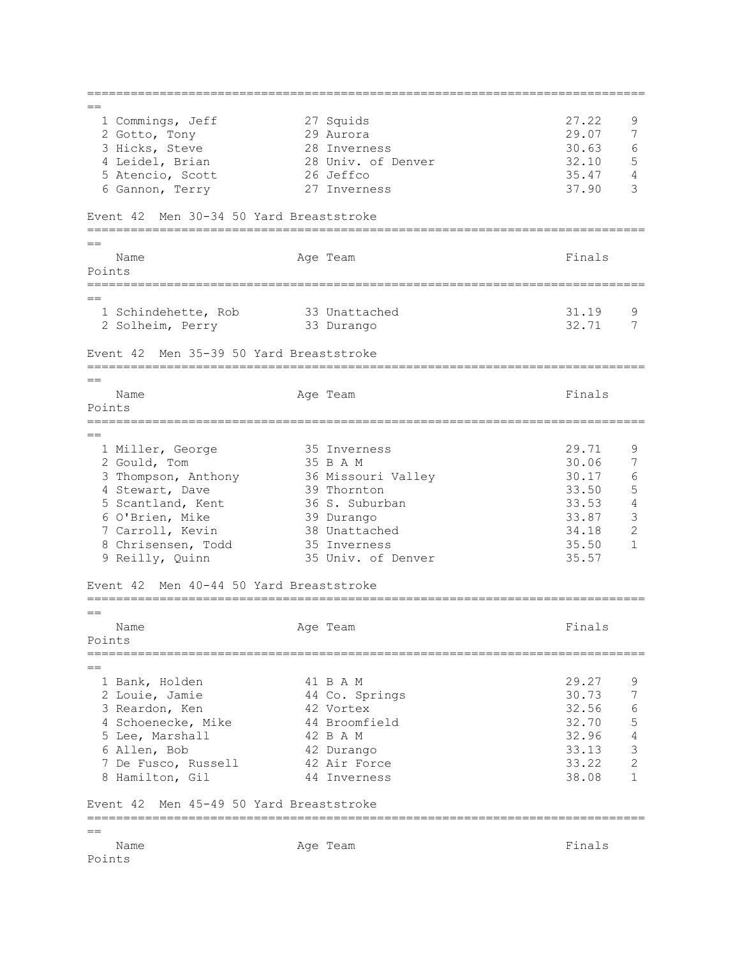=============================================================================  $=$  1 Commings, Jeff 27 Squids 27.22 9 2 Gotto, Tony 29 Aurora 29.07 7 3 Hicks, Steve 28 Inverness 30.63 6<br>
4 Leidel, Brian 28 Univ. of Denver 32.10 5 4 Leidel, Brian 28 Univ. of Denver 32.10 5 Atencio, Scott  $\begin{array}{ccccccccc}\n & & & & & \text{for } & \text{otherwise}\n\end{array}$ <br>
5 Atencio, Scott  $\begin{array}{ccccccccc}\n & & & & \text{for } & \text{otherwise}\n\end{array}$ <br>
35.47 4<br>
6 Gannon, Terry  $\begin{array}{ccccccccc}\n & & & & \text{for } & \text{otherwise}\n\end{array}$  6 Gannon, Terry 27 Inverness 37.90 3 Event 42 Men 30-34 50 Yard Breaststroke =============================================================================  $=$ Name **Age Team** Age Team **Finals** Points ============================================================================= == 1 Schindehette, Rob 33 Unattached 31.19 9 2 Solheim, Perry 33 Durango 32.71 7 Event 42 Men 35-39 50 Yard Breaststroke =============================================================================  $=$ Name **Age Team Age Team Age Team Age Team Pinals** Points =============================================================================  $=$  1 Miller, George 35 Inverness 29.71 9 2 Gould, Tom 35 B A M 30.06 7 3 Thompson, Anthony 36 Missouri Valley 30.17 6<br>4 Stewart, Dave 39 Thornton 33.50 5 4 Stewart, Dave 39 Thornton 31.50 5<br>
5 Scantland, Kent 36 S. Suburban 33.53 4<br>
6 O'Brien, Mike 39 Durango 33.87 3 5 Scantland, Kent 36 S. Suburban 33.53 4 6 O'Brien, Mike 39 Durango 33.87 3 7 Carroll, Kevin 38 Unattached 34.18 2 8 Chrisensen, Todd 35 Inverness 35.50 1 9 Reilly, Quinn 35 Univ. of Denver 35.57 Event 42 Men 40-44 50 Yard Breaststroke =============================================================================  $=$ Name **Age Team** Age Team **Finals** Points ============================================================================= == 1 Bank, Holden 41 B A M 29.27 9 2 Louie, Jamie 44 Co. Springs 30.73 7 3 Reardon, Ken 42 Vortex 32.56 6 4 Schoenecke, Mike 44 Broomfield 32.70 5 5 Lee, Marshall 42 B A M 32.96 4 6 Allen, Bob 42 Durango 33.13 3 7 De Fusco, Russell 42 Air Force 33.22 2 8 Hamilton, Gil 44 Inverness 38.08 1 Event 42 Men 45-49 50 Yard Breaststroke ============================================================================= == Name **Age Team** Age Team **Finals** Points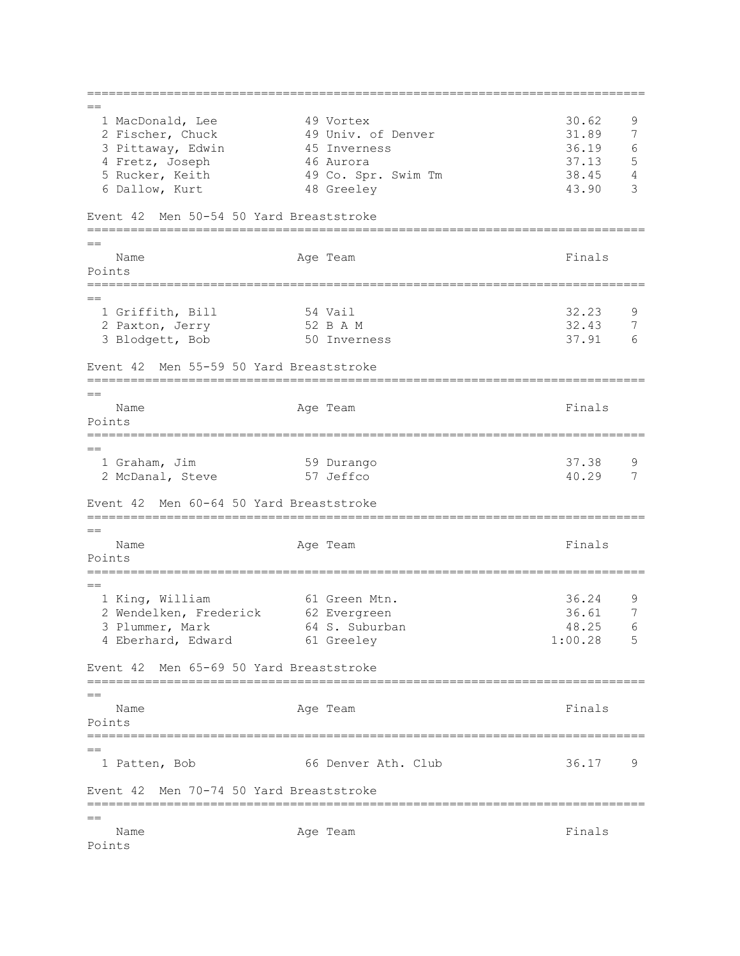=============================================================================  $=$  1 MacDonald, Lee 49 Vortex 30.62 9 2 Fischer, Chuck 49 Univ. of Denver 31.89 7<br>3 Pittaway, Edwin 45 Inverness 36.19 6 3 Pittaway, Edwin 45 Inverness 36.19 4 Fretz, Joseph 46 Aurora 37.13 5 5 Rucker, Keith 49 Co. Spr. Swim Tm 38.45 4 6 Dallow, Kurt 48 Greeley 43.90 3 Event 42 Men 50-54 50 Yard Breaststroke =============================================================================  $=$ Name **Age Team** Age Team Finals Points ============================================================================= == 1 Griffith, Bill 32.23 9<br>2 Paxton, Jerry 32 B A M 32.43 7 2 Paxton, Jerry 52 B A M 32.43 7<br>3 Blodgett, Bob 37.91 6 3 Blodgett, Bob Event 42 Men 55-59 50 Yard Breaststroke =============================================================================  $-$ Name **Age Team** Age Team **Finals** Points =============================================================================  $=$  1 Graham, Jim 59 Durango 37.38 9 2 McDanal, Steve 57 Jeffco 40.29 7 Event 42 Men 60-64 50 Yard Breaststroke =============================================================================  $=$ Name **Age Team** Age Team **Finals** Points =============================================================================  $=$  1 King, William 61 Green Mtn. 36.24 9 2 Wendelken, Frederick 62 Evergreen 1988 1996.61 7 3 Plummer, Mark 64 S. Suburban 18.25 6 4 Eberhard, Edward 61 Greeley 1:00.28 5 Event 42 Men 65-69 50 Yard Breaststroke ============================================================================= == Name **Age Team** Age Team Finals Points ============================================================================= == 1 Patten, Bob 66 Denver Ath. Club 36.17 9 Event 42 Men 70-74 50 Yard Breaststroke ============================================================================= == Name **Age Team** Age Team **Finals** Points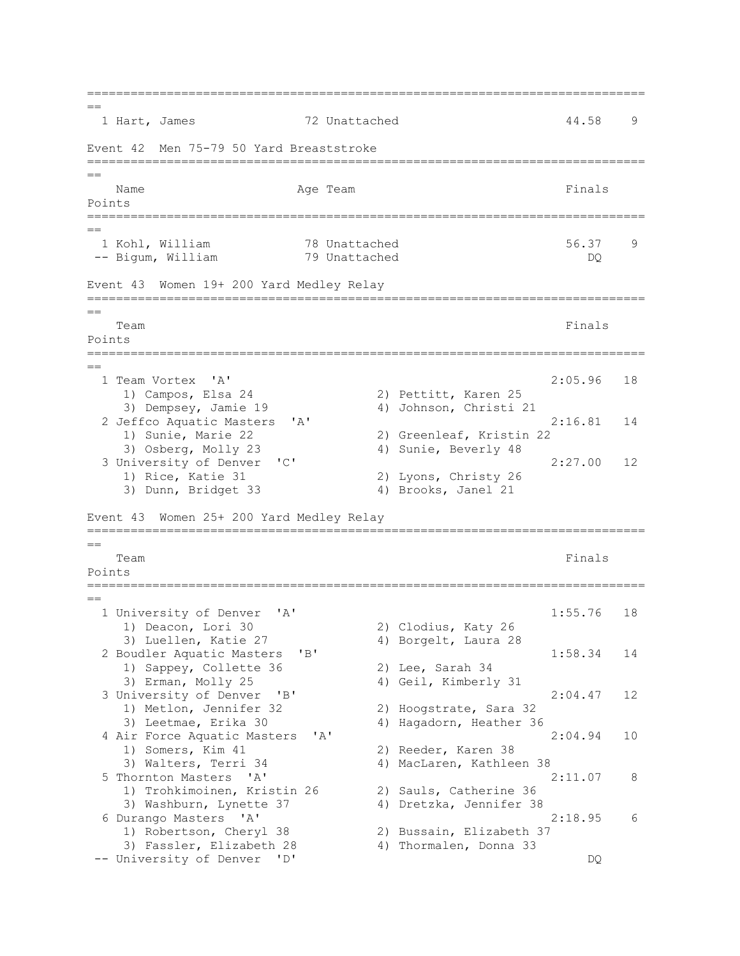=============================================================================  $=$ 1 Hart, James 3 72 Unattached 3 44.58 9 Event 42 Men 75-79 50 Yard Breaststroke ============================================================================= == Name **Age Team** Age Team **Finals** Points ============================================================================= == 1 Kohl, William 78 Unattached 56.37 9 -- Bigum, William 79 Unattached DQ Event 43 Women 19+ 200 Yard Medley Relay =============================================================================  $=$ Team Finals and the contract of the contract of the contract of the contract of the contract of the contract of the contract of the contract of the contract of the contract of the contract of the contract of the contract o Points ============================================================================= == 1 Team Vortex 'A' 2:05.96 18 1) Campos, Elsa 24 2) Pettitt, Karen 25 3) Dempsey, Jamie 19 4) Johnson, Christi 21 2 Jeffco Aquatic Masters 'A' 2:16.81 14 1) Sunie, Marie 22 2) Greenleaf, Kristin 22 3) Osberg, Molly 23 4) Sunie, Beverly 48 3 University of Denver 'C' 2:27.00 12 1) Rice, Katie 31 2) Lyons, Christy 26 3) Dunn, Bridget 33 4) Brooks, Janel 21 Event 43 Women 25+ 200 Yard Medley Relay =============================================================================  $=$ Team Finals and the contract of the contract of the contract of the contract of the contract of the contract of the contract of the contract of the contract of the contract of the contract of the contract of the contract o Points ============================================================================= == 1 University of Denver 'A' 1:55.76 18 1) Deacon, Lori 30 2) Clodius, Katy 26 3) Luellen, Katie 27 4) Borgelt, Laura 28 2 Boudler Aquatic Masters 'B' 1:58.34 14 1) Sappey, Collette 36 2) Lee, Sarah 34 3) Erman, Molly 25 4) Geil, Kimberly 31 3 University of Denver 'B' 2:04.47 12 1) Metlon, Jennifer 32 2) Hoogstrate, Sara 32 3) Leetmae, Erika 30 4) Hagadorn, Heather 36 4 Air Force Aquatic Masters 'A' 2:04.94 10 1) Somers, Kim 41 2) Reeder, Karen 38<br>3) Walters, Terri 34 34 4) MacLaren, Kathlee 4) MacLaren, Kathleen 38 5 Thornton Masters 'A' 2:11.07 8 1) Trohkimoinen, Kristin 26 3) Washburn, Lynette 37 4) Dretzka, Jennifer 38 6 Durango Masters 'A' 2:18.95 6 1) Robertson, Cheryl 38 2) Bussain, Elizabeth 37 3) Fassler, Elizabeth 28 4) Thormalen, Donna 33 -- University of Denver 'D' DO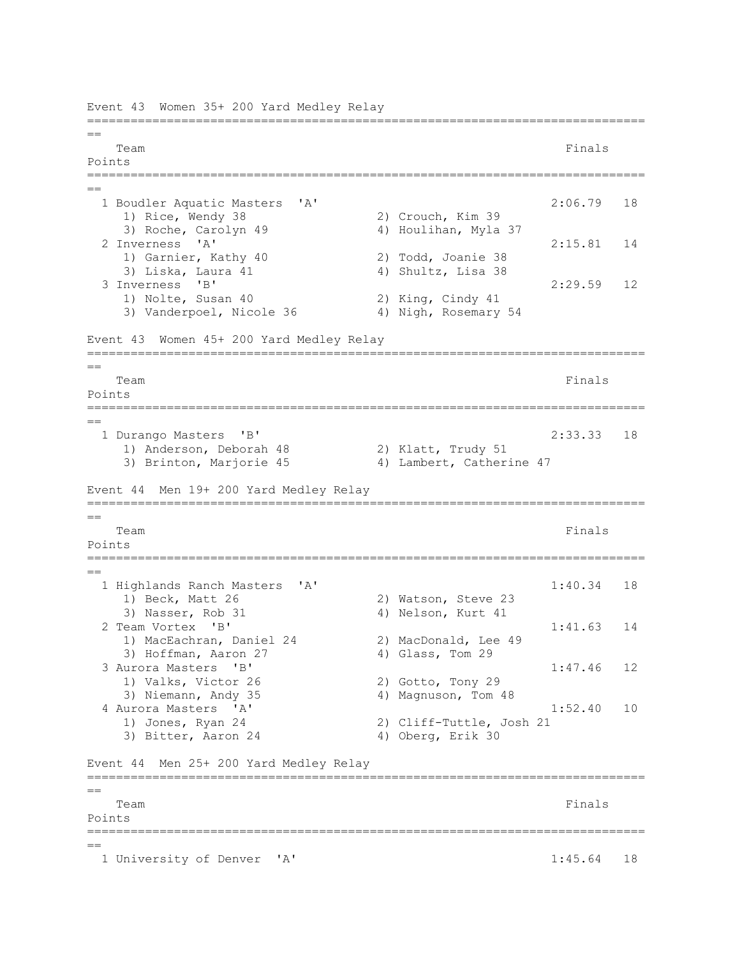Event 43 Women 35+ 200 Yard Medley Relay ============================================================================= == Team Finals and the contract of the contract of the contract of the contract of the contract of the contract of the contract of the contract of the contract of the contract of the contract of the contract of the contract o Points ============================================================================= == 1 Boudler Aquatic Masters 'A' 2:06.79 18 1) Rice, Wendy 38 2) Crouch, Kim 39 3) Roche, Carolyn 49 4) Houlihan, Myla 37 2 Inverness 'A' 2:15.81 14 1) Garnier, Kathy 40 2) Todd, Joanie 38 3) Liska, Laura 41 4) Shultz, Lisa 38 3 Inverness 'B' 2:29.59 12 1) Nolte, Susan 40 2) King, Cindy 41 3) Vanderpoel, Nicole 36 4) Nigh, Rosemary 54 Event 43 Women 45+ 200 Yard Medley Relay ============================================================================= == Team Finals and the contract of the contract of the contract of the contract of the contract of the contract of the contract of the contract of the contract of the contract of the contract of the contract of the contract o Points ============================================================================= == 1 Durango Masters 'B' 2:33.33 18 1) Anderson, Deborah 48 2) Klatt, Trudy 51 3) Brinton, Marjorie 45 4) Lambert, Catherine 47 Event 44 Men 19+ 200 Yard Medley Relay ============================================================================= == Team Finals and the contract of the contract of the contract of the contract of the contract of the contract of the contract of the contract of the contract of the contract of the contract of the contract of the contract o Points ============================================================================= == 1 Highlands Ranch Masters 'A' 1:40.34 18 1) Beck, Matt 26 2) Watson, Steve 23 3) Nasser, Rob 31 4) Nelson, Kurt 41 2 Team Vortex 'B' 1:41.63 14 1) MacEachran, Daniel 24 2) MacDonald, Lee 49 3) Hoffman, Aaron 27 4) Glass, Tom 29 3 Aurora Masters 'B' 1:47.46 12 1) Valks, Victor 26 2) Gotto, Tony 29 3) Niemann, Andy 35 4) Magnuson, Tom 48 4 Aurora Masters 'A' 1:52.40 10 1) Jones, Ryan 24 2) Cliff-Tuttle, Josh 21 3) Bitter, Aaron 24 4) Oberg, Erik 30 Event 44 Men 25+ 200 Yard Medley Relay =============================================================================  $=$ Team Finals and the contract of the contract of the contract of the contract of the contract of the contract of the contract of the contract of the contract of the contract of the contract of the contract of the contract o Points ============================================================================= == 1 University of Denver 'A' 1:45.64 18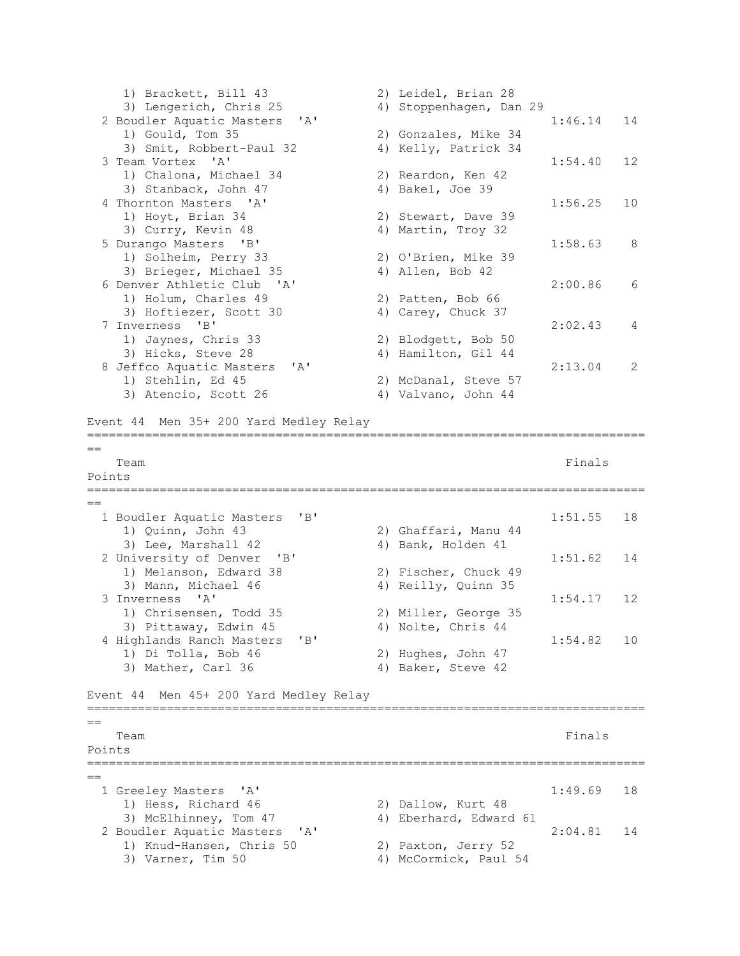```
 1) Brackett, Bill 43 2) Leidel, Brian 28 
    3) Lengerich, Chris 25 4) Stoppenhagen, Dan 29
  2 Boudler Aquatic Masters 'A' 1:46.14 14 
    1) Gould, Tom 35 2) Gonzales, Mike 34<br>3) Smit, Robbert-Paul 32 4) Kelly, Patrick 34
                            4) Kelly, Patrick 34
  3 Team Vortex 'A' 1:54.40 12 
     1) Chalona, Michael 34 2) Reardon, Ken 42 
    3) Stanback, John 47 4) Bakel, Joe 39
 4 Thornton Masters 'A' 1:56.25 10
     1) Hoyt, Brian 34 2) Stewart, Dave 39 
    3) Curry, Kevin 48 4) Martin, Troy 32
  5 Durango Masters 'B' 1:58.63 8 
    1) Solheim, Perry 33 2) O'Brien, Mike 39 
    3) Brieger, Michael 35 4) Allen, Bob 42
  6 Denver Athletic Club 'A' 2:00.86 6 
1) Holum, Charles 49 2) Patten, Bob 66
3) Hoftiezer, Scott 30 4) Carey, Chuck 37
  7 Inverness 'B' 2:02.43 4 
1) Jaynes, Chris 33 2) Blodgett, Bob 50
3) Hicks, Steve 28 4) Hamilton, Gil 44
  8 Jeffco Aquatic Masters 'A' 2:13.04 2 
    1) Stehlin, Ed 45 2) McDanal, Steve 57<br>3) Atencio, Scott 26 20 21 Valvano, John 44
    3) Atencio, Scott 26
Event 44 Men 35+ 200 Yard Medley Relay
=============================================================================
=Team Finals and the contract of the contract of the contract of the contract of the contract of the contract of the contract of the contract of the contract of the contract of the contract of the contract of the contract o
Points 
=============================================================================
==
 1 Boudler Aquatic Masters 'B' 1:51.55 18
 1) Quinn, John 43 2) Ghaffari, Manu 44 
3) Lee, Marshall 42 4) Bank, Holden 41
 2 University of Denver 'B' 1:51.62 14<br>1) Melanson, Edward 38 2) Fischer, Chuck 49
    1) Melanson, Edward 38
    3) Mann, Michael 46 4) Reilly, Quinn 35
 3 Inverness 'A' 1:54.17 12 
 1) Chrisensen, Todd 35 2) Miller, George 35 
    3) Pittaway, Edwin 45 4) Nolte, Chris 44
  4 Highlands Ranch Masters 'B' 1:54.82 10 
 1) Di Tolla, Bob 46 2) Hughes, John 47 
3) Mather, Carl 36 4) Baker, Steve 42
Event 44 Men 45+ 200 Yard Medley Relay
=============================================================================
=Team Finals and the contract of the contract of the contract of the contract of the contract of the contract of the contract of the contract of the contract of the contract of the contract of the contract of the contract o
Points 
=============================================================================
==
  1 Greeley Masters 'A' 1:49.69 18 
    1) Hess, Richard 46 2) Dallow, Kurt 48 
   3) McElhinney, Tom 47 4) Eberhard, Edward 61
  2 Boudler Aquatic Masters 'A' 2:04.81 14 
    1) Knud-Hansen, Chris 50
    3) Knud-Hansen, Chris 50 2) Paxton, Jerry 52<br>3) Varner, Tim 50 4) McCormick, Paul 54
```